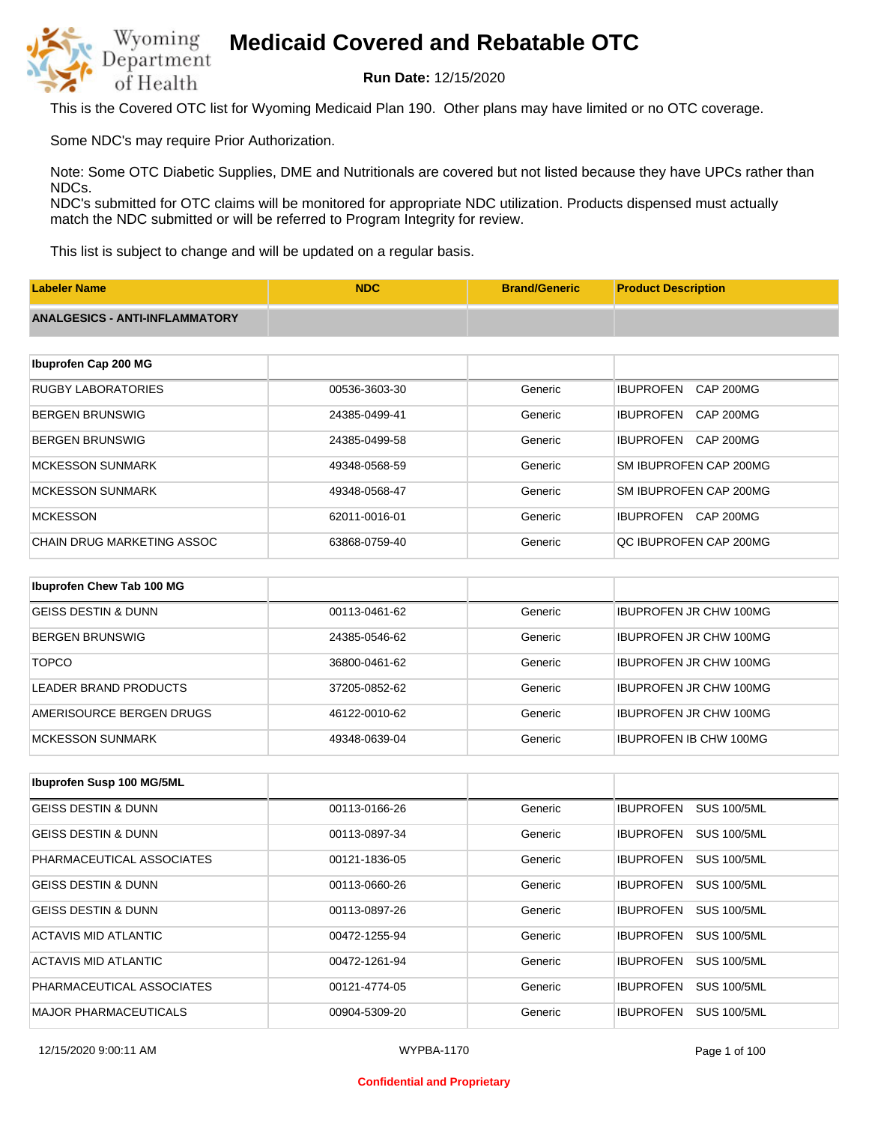

**Run Date:** 12/15/2020

This is the Covered OTC list for Wyoming Medicaid Plan 190. Other plans may have limited or no OTC coverage.

Some NDC's may require Prior Authorization.

Note: Some OTC Diabetic Supplies, DME and Nutritionals are covered but not listed because they have UPCs rather than NDCs.

NDC's submitted for OTC claims will be monitored for appropriate NDC utilization. Products dispensed must actually match the NDC submitted or will be referred to Program Integrity for review.

This list is subject to change and will be updated on a regular basis.

| <b>Labeler Name</b>                   | <b>NDC</b>    | <b>Brand/Generic</b> | <b>Product Description</b>           |
|---------------------------------------|---------------|----------------------|--------------------------------------|
| <b>ANALGESICS - ANTI-INFLAMMATORY</b> |               |                      |                                      |
|                                       |               |                      |                                      |
| Ibuprofen Cap 200 MG                  |               |                      |                                      |
| <b>RUGBY LABORATORIES</b>             | 00536-3603-30 | Generic              | <b>IBUPROFEN</b><br><b>CAP 200MG</b> |
| <b>BERGEN BRUNSWIG</b>                | 24385-0499-41 | Generic              | <b>IBUPROFEN</b><br><b>CAP 200MG</b> |
| <b>BERGEN BRUNSWIG</b>                | 24385-0499-58 | Generic              | <b>IBUPROFEN</b><br><b>CAP 200MG</b> |
| <b>MCKESSON SUNMARK</b>               | 49348-0568-59 | Generic              | SM IBUPROFEN CAP 200MG               |
| <b>MCKESSON SUNMARK</b>               | 49348-0568-47 | Generic              | SM IBUPROFEN CAP 200MG               |
| <b>MCKESSON</b>                       | 62011-0016-01 | Generic              | <b>CAP 200MG</b><br><b>IBUPROFEN</b> |
| <b>CHAIN DRUG MARKETING ASSOC</b>     | 63868-0759-40 | Generic              | QC IBUPROFEN CAP 200MG               |
| Ibuprofen Chew Tab 100 MG             |               |                      |                                      |
| <b>GEISS DESTIN &amp; DUNN</b>        | 00113-0461-62 | Generic              | <b>IBUPROFEN JR CHW 100MG</b>        |
| <b>BERGEN BRUNSWIG</b>                | 24385-0546-62 | Generic              | <b>IBUPROFEN JR CHW 100MG</b>        |

| <b>TOPCO</b>             | 36800-0461-62 | Generic | <b>IBUPROFEN JR CHW 100MG</b> |
|--------------------------|---------------|---------|-------------------------------|
| LEADER BRAND PRODUCTS    | 37205-0852-62 | Generic | <b>IBUPROFEN JR CHW 100MG</b> |
| AMERISOURCE BERGEN DRUGS | 46122-0010-62 | Generic | <b>IBUPROFEN JR CHW 100MG</b> |
| IMCKESSON SUNMARK        | 49348-0639-04 | Generic | <b>IBUPROFEN IB CHW 100MG</b> |

| <b>Ibuprofen Susp 100 MG/5ML</b> |               |         |                                        |
|----------------------------------|---------------|---------|----------------------------------------|
| GEISS DESTIN & DUNN              | 00113-0166-26 | Generic | <b>IBUPROFEN</b><br><b>SUS 100/5ML</b> |
| <b>GEISS DESTIN &amp; DUNN</b>   | 00113-0897-34 | Generic | <b>SUS 100/5ML</b><br><b>IBUPROFEN</b> |
| PHARMACEUTICAL ASSOCIATES        | 00121-1836-05 | Generic | <b>SUS 100/5ML</b><br><b>IBUPROFEN</b> |
| <b>GEISS DESTIN &amp; DUNN</b>   | 00113-0660-26 | Generic | <b>SUS 100/5ML</b><br><b>IBUPROFEN</b> |
| <b>GEISS DESTIN &amp; DUNN</b>   | 00113-0897-26 | Generic | <b>SUS 100/5ML</b><br><b>IBUPROFEN</b> |
| ACTAVIS MID ATLANTIC             | 00472-1255-94 | Generic | <b>IBUPROFEN</b><br><b>SUS 100/5ML</b> |
| ACTAVIS MID ATLANTIC             | 00472-1261-94 | Generic | <b>IBUPROFEN</b><br><b>SUS 100/5ML</b> |
| PHARMACEUTICAL ASSOCIATES        | 00121-4774-05 | Generic | <b>IBUPROFEN</b><br><b>SUS 100/5ML</b> |
| <b>MAJOR PHARMACEUTICALS</b>     | 00904-5309-20 | Generic | <b>SUS 100/5ML</b><br><b>IBUPROFEN</b> |

### **Confidential and Proprietary**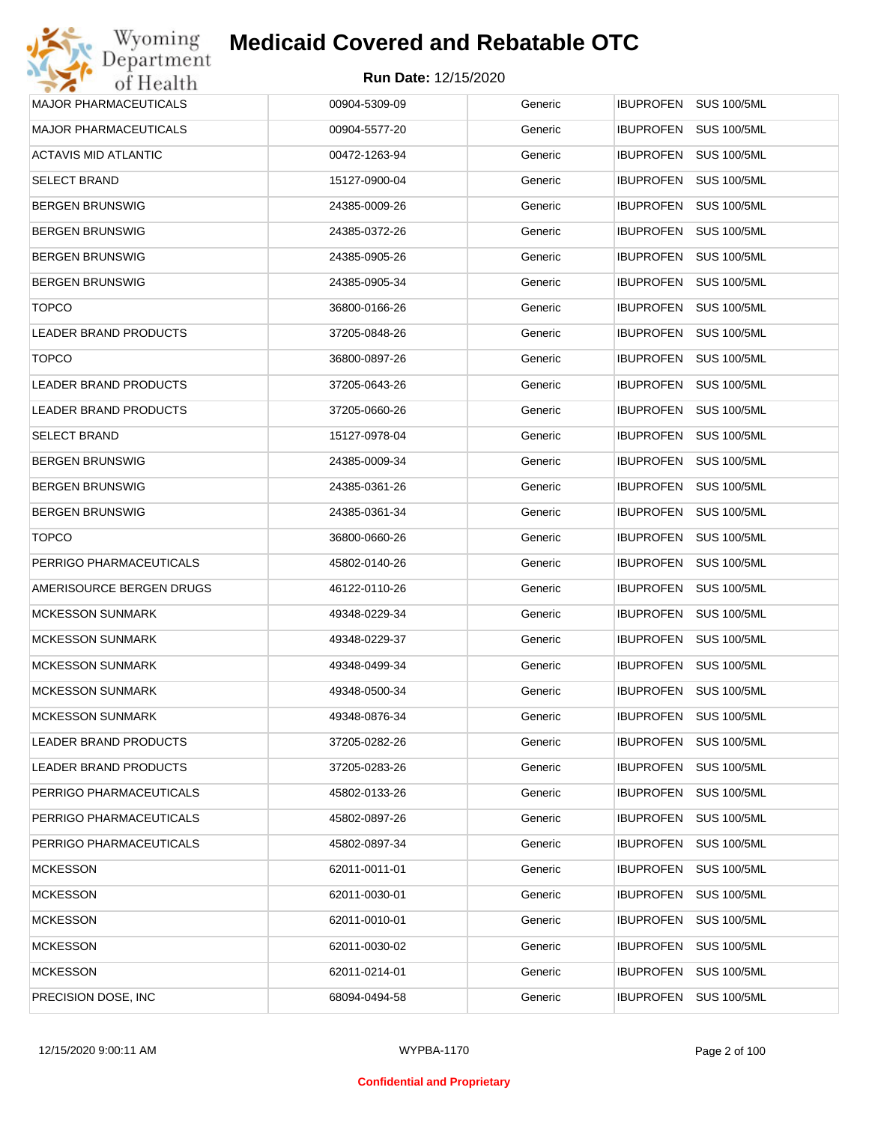

| Wyoming                      | <b>Medicaid Covered and Rebatable OTC</b> |         |                                 |
|------------------------------|-------------------------------------------|---------|---------------------------------|
| Department<br>of Health      | <b>Run Date: 12/15/2020</b>               |         |                                 |
| <b>MAJOR PHARMACEUTICALS</b> | 00904-5309-09                             | Generic | IBUPROFEN SUS 100/5ML           |
| <b>MAJOR PHARMACEUTICALS</b> | 00904-5577-20                             | Generic | IBUPROFEN<br><b>SUS 100/5ML</b> |
| ACTAVIS MID ATLANTIC         | 00472-1263-94                             | Generic | IBUPROFEN<br><b>SUS 100/5ML</b> |
| <b>SELECT BRAND</b>          | 15127-0900-04                             | Generic | IBUPROFEN<br><b>SUS 100/5ML</b> |
| <b>BERGEN BRUNSWIG</b>       | 24385-0009-26                             | Generic | IBUPROFEN<br><b>SUS 100/5ML</b> |
| <b>BERGEN BRUNSWIG</b>       | 24385-0372-26                             | Generic | IBUPROFEN<br><b>SUS 100/5ML</b> |
| <b>BERGEN BRUNSWIG</b>       | 24385-0905-26                             | Generic | IBUPROFEN<br><b>SUS 100/5ML</b> |
| <b>BERGEN BRUNSWIG</b>       | 24385-0905-34                             | Generic | IBUPROFEN<br><b>SUS 100/5ML</b> |
| <b>TOPCO</b>                 | 36800-0166-26                             | Generic | IBUPROFEN<br><b>SUS 100/5ML</b> |
| <b>LEADER BRAND PRODUCTS</b> | 37205-0848-26                             | Generic | IBUPROFEN<br><b>SUS 100/5ML</b> |
| <b>TOPCO</b>                 | 36800-0897-26                             | Generic | IBUPROFEN<br><b>SUS 100/5ML</b> |
| <b>LEADER BRAND PRODUCTS</b> | 37205-0643-26                             | Generic | IBUPROFEN<br><b>SUS 100/5ML</b> |
| LEADER BRAND PRODUCTS        | 37205-0660-26                             | Generic | IBUPROFEN<br><b>SUS 100/5ML</b> |
| <b>SELECT BRAND</b>          | 15127-0978-04                             | Generic | IBUPROFEN<br><b>SUS 100/5ML</b> |
| <b>BERGEN BRUNSWIG</b>       | 24385-0009-34                             | Generic | IBUPROFEN<br><b>SUS 100/5ML</b> |
| <b>BERGEN BRUNSWIG</b>       | 24385-0361-26                             | Generic | IBUPROFEN<br><b>SUS 100/5ML</b> |
| <b>BERGEN BRUNSWIG</b>       | 24385-0361-34                             | Generic | IBUPROFEN<br><b>SUS 100/5ML</b> |
| <b>TOPCO</b>                 | 36800-0660-26                             | Generic | IBUPROFEN<br><b>SUS 100/5ML</b> |
| PERRIGO PHARMACEUTICALS      | 45802-0140-26                             | Generic | IBUPROFEN<br><b>SUS 100/5ML</b> |
| AMERISOURCE BERGEN DRUGS     | 46122-0110-26                             | Generic | IBUPROFEN<br><b>SUS 100/5ML</b> |
| <b>MCKESSON SUNMARK</b>      | 49348-0229-34                             | Generic | IBUPROFEN<br><b>SUS 100/5ML</b> |
| <b>MCKESSON SUNMARK</b>      | 49348-0229-37                             | Generic | IBUPROFEN SUS 100/5ML           |
| <b>MCKESSON SUNMARK</b>      | 49348-0499-34                             | Generic | IBUPROFEN SUS 100/5ML           |
| <b>MCKESSON SUNMARK</b>      | 49348-0500-34                             | Generic | <b>SUS 100/5ML</b><br>IBUPROFEN |
| <b>MCKESSON SUNMARK</b>      | 49348-0876-34                             | Generic | IBUPROFEN<br><b>SUS 100/5ML</b> |
| LEADER BRAND PRODUCTS        | 37205-0282-26                             | Generic | <b>SUS 100/5ML</b><br>IBUPROFEN |
| LEADER BRAND PRODUCTS        | 37205-0283-26                             | Generic | <b>SUS 100/5ML</b><br>IBUPROFEN |
| PERRIGO PHARMACEUTICALS      | 45802-0133-26                             | Generic | <b>SUS 100/5ML</b><br>IBUPROFEN |
| PERRIGO PHARMACEUTICALS      | 45802-0897-26                             | Generic | <b>SUS 100/5ML</b><br>IBUPROFEN |
| PERRIGO PHARMACEUTICALS      | 45802-0897-34                             | Generic | <b>SUS 100/5ML</b><br>IBUPROFEN |
| <b>MCKESSON</b>              | 62011-0011-01                             | Generic | <b>SUS 100/5ML</b><br>IBUPROFEN |
| <b>MCKESSON</b>              | 62011-0030-01                             | Generic | <b>SUS 100/5ML</b><br>IBUPROFEN |
| <b>MCKESSON</b>              | 62011-0010-01                             | Generic | <b>SUS 100/5ML</b><br>IBUPROFEN |
| <b>MCKESSON</b>              | 62011-0030-02                             | Generic | <b>SUS 100/5ML</b><br>IBUPROFEN |
| <b>MCKESSON</b>              | 62011-0214-01                             | Generic | <b>SUS 100/5ML</b><br>IBUPROFEN |
| PRECISION DOSE, INC.         | 68094-0494-58                             | Generic | <b>SUS 100/5ML</b><br>IBUPROFEN |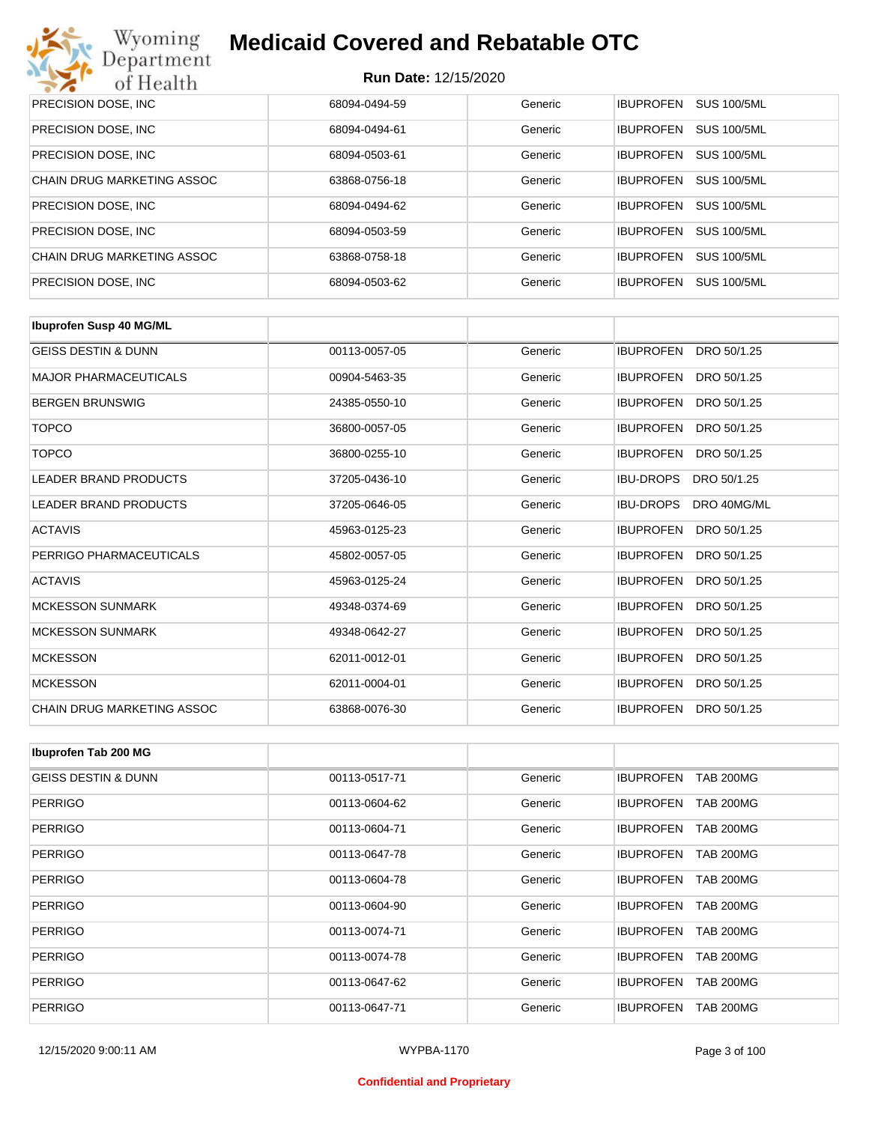

| PRECISION DOSE, INC.       | 68094-0494-59 | Generic | <b>SUS 100/5ML</b><br><b>IBUPROFEN</b> |
|----------------------------|---------------|---------|----------------------------------------|
| PRECISION DOSE, INC.       | 68094-0494-61 | Generic | <b>SUS 100/5ML</b><br><b>IBUPROFEN</b> |
| PRECISION DOSE, INC.       | 68094-0503-61 | Generic | <b>SUS 100/5ML</b><br><b>IBUPROFEN</b> |
| CHAIN DRUG MARKETING ASSOC | 63868-0756-18 | Generic | <b>SUS 100/5ML</b><br><b>IBUPROFEN</b> |
| PRECISION DOSE, INC.       | 68094-0494-62 | Generic | <b>SUS 100/5ML</b><br><b>IBUPROFEN</b> |
| PRECISION DOSE, INC.       | 68094-0503-59 | Generic | <b>IBUPROFEN</b><br><b>SUS 100/5ML</b> |
| CHAIN DRUG MARKETING ASSOC | 63868-0758-18 | Generic | <b>SUS 100/5ML</b><br><b>IBUPROFEN</b> |
| PRECISION DOSE, INC.       | 68094-0503-62 | Generic | <b>SUS 100/5ML</b><br><b>IBUPROFEN</b> |

| <b>Ibuprofen Susp 40 MG/ML</b> |               |         |                                 |
|--------------------------------|---------------|---------|---------------------------------|
| <b>GEISS DESTIN &amp; DUNN</b> | 00113-0057-05 | Generic | <b>IBUPROFEN</b><br>DRO 50/1.25 |
| <b>MAJOR PHARMACEUTICALS</b>   | 00904-5463-35 | Generic | <b>IBUPROFEN</b><br>DRO 50/1.25 |
| <b>BERGEN BRUNSWIG</b>         | 24385-0550-10 | Generic | <b>IBUPROFEN</b><br>DRO 50/1.25 |
| <b>TOPCO</b>                   | 36800-0057-05 | Generic | <b>IBUPROFEN</b><br>DRO 50/1.25 |
| <b>TOPCO</b>                   | 36800-0255-10 | Generic | <b>IBUPROFEN</b><br>DRO 50/1.25 |
| <b>LEADER BRAND PRODUCTS</b>   | 37205-0436-10 | Generic | <b>IBU-DROPS</b><br>DRO 50/1.25 |
| <b>LEADER BRAND PRODUCTS</b>   | 37205-0646-05 | Generic | <b>IBU-DROPS</b><br>DRO 40MG/ML |
| <b>ACTAVIS</b>                 | 45963-0125-23 | Generic | <b>IBUPROFEN</b><br>DRO 50/1.25 |
| PERRIGO PHARMACEUTICALS        | 45802-0057-05 | Generic | <b>IBUPROFEN</b><br>DRO 50/1.25 |
| <b>ACTAVIS</b>                 | 45963-0125-24 | Generic | <b>IBUPROFEN</b><br>DRO 50/1.25 |
| <b>MCKESSON SUNMARK</b>        | 49348-0374-69 | Generic | <b>IBUPROFEN</b><br>DRO 50/1.25 |
| <b>MCKESSON SUNMARK</b>        | 49348-0642-27 | Generic | <b>IBUPROFEN</b><br>DRO 50/1.25 |
| <b>MCKESSON</b>                | 62011-0012-01 | Generic | <b>IBUPROFEN</b><br>DRO 50/1.25 |
| <b>MCKESSON</b>                | 62011-0004-01 | Generic | <b>IBUPROFEN</b><br>DRO 50/1.25 |
| CHAIN DRUG MARKETING ASSOC     | 63868-0076-30 | Generic | <b>IBUPROFEN</b><br>DRO 50/1.25 |

| Ibuprofen Tab 200 MG           |               |         |                                      |
|--------------------------------|---------------|---------|--------------------------------------|
| <b>GEISS DESTIN &amp; DUNN</b> | 00113-0517-71 | Generic | <b>IBUPROFEN</b><br><b>TAB 200MG</b> |
| <b>PERRIGO</b>                 | 00113-0604-62 | Generic | <b>TAB 200MG</b><br><b>IBUPROFEN</b> |
| <b>PERRIGO</b>                 | 00113-0604-71 | Generic | <b>IBUPROFEN</b><br><b>TAB 200MG</b> |
| <b>PERRIGO</b>                 | 00113-0647-78 | Generic | <b>TAB 200MG</b><br><b>IBUPROFEN</b> |
| <b>PERRIGO</b>                 | 00113-0604-78 | Generic | <b>IBUPROFEN</b><br><b>TAB 200MG</b> |
| <b>PERRIGO</b>                 | 00113-0604-90 | Generic | <b>IBUPROFEN</b><br><b>TAB 200MG</b> |
| <b>PERRIGO</b>                 | 00113-0074-71 | Generic | <b>IBUPROFEN</b><br><b>TAB 200MG</b> |
| <b>PERRIGO</b>                 | 00113-0074-78 | Generic | <b>IBUPROFEN</b><br><b>TAB 200MG</b> |
| <b>PERRIGO</b>                 | 00113-0647-62 | Generic | <b>IBUPROFEN</b><br><b>TAB 200MG</b> |
| <b>PERRIGO</b>                 | 00113-0647-71 | Generic | <b>IBUPROFEN</b><br><b>TAB 200MG</b> |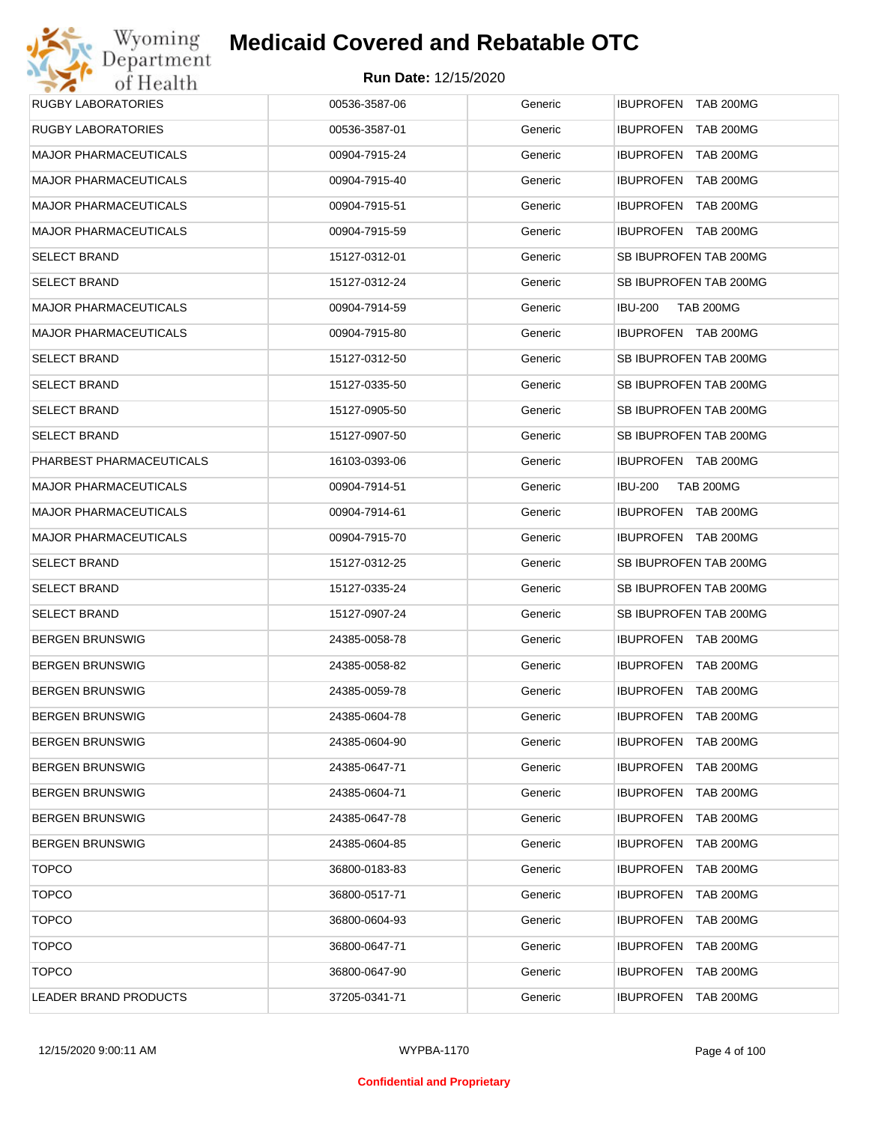| <b>RUGBY LABORATORIES</b>    | 00536-3587-06 | Generic | <b>IBUPROFEN TAB 200MG</b>         |
|------------------------------|---------------|---------|------------------------------------|
| <b>RUGBY LABORATORIES</b>    | 00536-3587-01 | Generic | <b>IBUPROFEN TAB 200MG</b>         |
| <b>MAJOR PHARMACEUTICALS</b> | 00904-7915-24 | Generic | IBUPROFEN TAB 200MG                |
| <b>MAJOR PHARMACEUTICALS</b> | 00904-7915-40 | Generic | IBUPROFEN TAB 200MG                |
| <b>MAJOR PHARMACEUTICALS</b> | 00904-7915-51 | Generic | IBUPROFEN TAB 200MG                |
| <b>MAJOR PHARMACEUTICALS</b> | 00904-7915-59 | Generic | IBUPROFEN TAB 200MG                |
| <b>SELECT BRAND</b>          | 15127-0312-01 | Generic | SB IBUPROFEN TAB 200MG             |
| <b>SELECT BRAND</b>          | 15127-0312-24 | Generic | SB IBUPROFEN TAB 200MG             |
| <b>MAJOR PHARMACEUTICALS</b> | 00904-7914-59 | Generic | <b>TAB 200MG</b><br><b>IBU-200</b> |
| <b>MAJOR PHARMACEUTICALS</b> | 00904-7915-80 | Generic | IBUPROFEN TAB 200MG                |
| <b>SELECT BRAND</b>          | 15127-0312-50 | Generic | SB IBUPROFEN TAB 200MG             |
| <b>SELECT BRAND</b>          | 15127-0335-50 | Generic | SB IBUPROFEN TAB 200MG             |
| <b>SELECT BRAND</b>          | 15127-0905-50 | Generic | SB IBUPROFEN TAB 200MG             |
| <b>SELECT BRAND</b>          | 15127-0907-50 | Generic | SB IBUPROFEN TAB 200MG             |
| PHARBEST PHARMACEUTICALS     | 16103-0393-06 | Generic | IBUPROFEN TAB 200MG                |
| <b>MAJOR PHARMACEUTICALS</b> | 00904-7914-51 | Generic | <b>IBU-200</b><br><b>TAB 200MG</b> |
| <b>MAJOR PHARMACEUTICALS</b> | 00904-7914-61 | Generic | IBUPROFEN TAB 200MG                |
| <b>MAJOR PHARMACEUTICALS</b> | 00904-7915-70 | Generic | IBUPROFEN TAB 200MG                |
| <b>SELECT BRAND</b>          | 15127-0312-25 | Generic | SB IBUPROFEN TAB 200MG             |
| <b>SELECT BRAND</b>          | 15127-0335-24 | Generic | SB IBUPROFEN TAB 200MG             |
| <b>SELECT BRAND</b>          | 15127-0907-24 | Generic | SB IBUPROFEN TAB 200MG             |
| <b>BERGEN BRUNSWIG</b>       | 24385-0058-78 | Generic | IBUPROFEN TAB 200MG                |
| <b>BERGEN BRUNSWIG</b>       | 24385-0058-82 | Generic | IBUPROFEN TAB 200MG                |
| <b>BERGEN BRUNSWIG</b>       | 24385-0059-78 | Generic | IBUPROFEN TAB 200MG                |
| <b>BERGEN BRUNSWIG</b>       | 24385-0604-78 | Generic | <b>IBUPROFEN TAB 200MG</b>         |
| <b>BERGEN BRUNSWIG</b>       | 24385-0604-90 | Generic | IBUPROFEN TAB 200MG                |
| <b>BERGEN BRUNSWIG</b>       | 24385-0647-71 | Generic | IBUPROFEN TAB 200MG                |
| <b>BERGEN BRUNSWIG</b>       | 24385-0604-71 | Generic | IBUPROFEN TAB 200MG                |
| <b>BERGEN BRUNSWIG</b>       | 24385-0647-78 | Generic | IBUPROFEN TAB 200MG                |
| <b>BERGEN BRUNSWIG</b>       | 24385-0604-85 | Generic | IBUPROFEN TAB 200MG                |
| <b>TOPCO</b>                 | 36800-0183-83 | Generic | IBUPROFEN TAB 200MG                |
| <b>TOPCO</b>                 | 36800-0517-71 | Generic | IBUPROFEN TAB 200MG                |
| <b>TOPCO</b>                 | 36800-0604-93 | Generic | IBUPROFEN TAB 200MG                |
| <b>TOPCO</b>                 | 36800-0647-71 | Generic | IBUPROFEN TAB 200MG                |
| <b>TOPCO</b>                 | 36800-0647-90 | Generic | IBUPROFEN TAB 200MG                |
| LEADER BRAND PRODUCTS        | 37205-0341-71 | Generic | IBUPROFEN TAB 200MG                |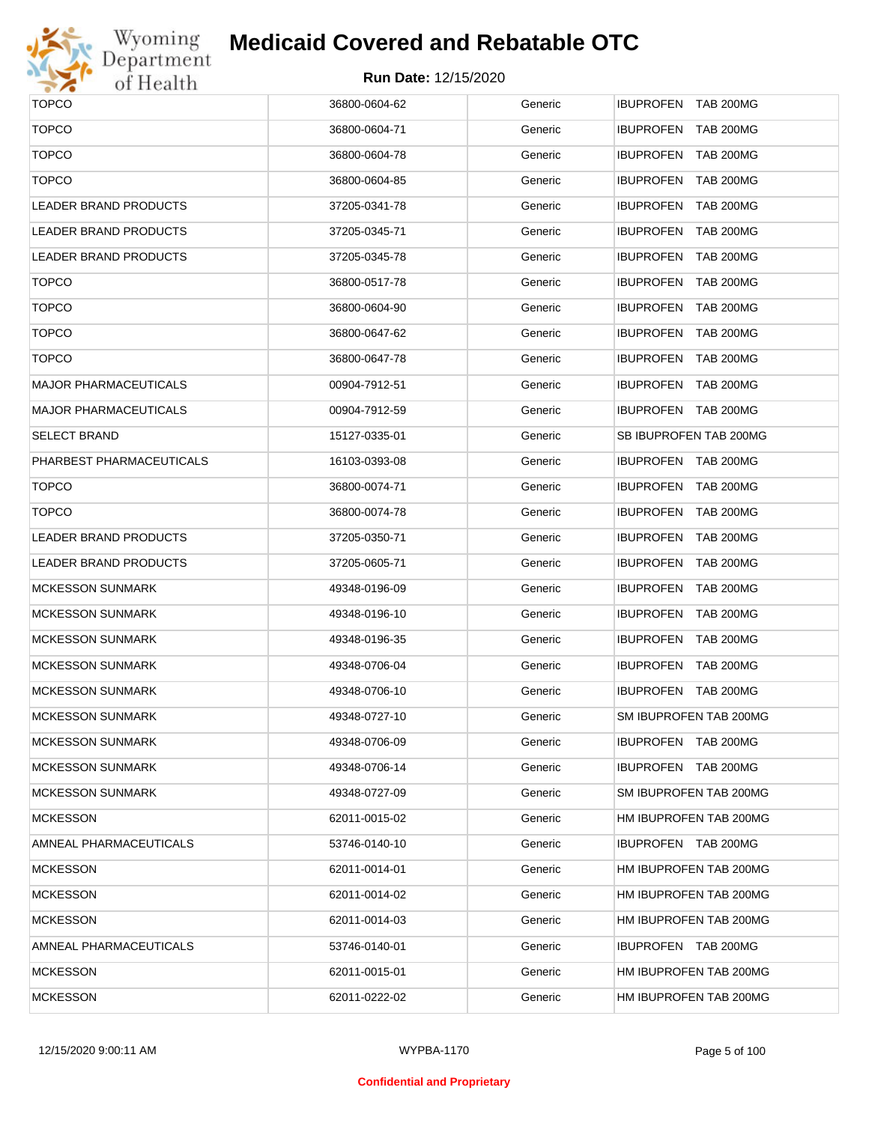

# Wyoming<br>Department<br>of Health

## **Medicaid Covered and Rebatable OTC**

| <b>TOPCO</b>                 | 36800-0604-62 | Generic | IBUPROFEN TAB 200MG                  |
|------------------------------|---------------|---------|--------------------------------------|
| <b>TOPCO</b>                 | 36800-0604-71 | Generic | IBUPROFEN TAB 200MG                  |
| <b>TOPCO</b>                 | 36800-0604-78 | Generic | IBUPROFEN TAB 200MG                  |
| <b>TOPCO</b>                 | 36800-0604-85 | Generic | <b>IBUPROFEN</b><br><b>TAB 200MG</b> |
| LEADER BRAND PRODUCTS        | 37205-0341-78 | Generic | IBUPROFEN TAB 200MG                  |
| LEADER BRAND PRODUCTS        | 37205-0345-71 | Generic | <b>IBUPROFEN</b><br><b>TAB 200MG</b> |
| LEADER BRAND PRODUCTS        | 37205-0345-78 | Generic | IBUPROFEN TAB 200MG                  |
| <b>TOPCO</b>                 | 36800-0517-78 | Generic | <b>IBUPROFEN</b><br><b>TAB 200MG</b> |
| <b>TOPCO</b>                 | 36800-0604-90 | Generic | IBUPROFEN TAB 200MG                  |
| <b>TOPCO</b>                 | 36800-0647-62 | Generic | <b>IBUPROFEN</b><br><b>TAB 200MG</b> |
| <b>TOPCO</b>                 | 36800-0647-78 | Generic | IBUPROFEN TAB 200MG                  |
| <b>MAJOR PHARMACEUTICALS</b> | 00904-7912-51 | Generic | IBUPROFEN TAB 200MG                  |
| MAJOR PHARMACEUTICALS        | 00904-7912-59 | Generic | IBUPROFEN TAB 200MG                  |
| <b>SELECT BRAND</b>          | 15127-0335-01 | Generic | SB IBUPROFEN TAB 200MG               |
| PHARBEST PHARMACEUTICALS     | 16103-0393-08 | Generic | IBUPROFEN TAB 200MG                  |
| <b>TOPCO</b>                 | 36800-0074-71 | Generic | IBUPROFEN TAB 200MG                  |
| <b>TOPCO</b>                 | 36800-0074-78 | Generic | IBUPROFEN TAB 200MG                  |
| <b>LEADER BRAND PRODUCTS</b> | 37205-0350-71 | Generic | IBUPROFEN TAB 200MG                  |
| LEADER BRAND PRODUCTS        | 37205-0605-71 | Generic | IBUPROFEN TAB 200MG                  |
| MCKESSON SUNMARK             | 49348-0196-09 | Generic | IBUPROFEN TAB 200MG                  |
| MCKESSON SUNMARK             | 49348-0196-10 | Generic | IBUPROFEN TAB 200MG                  |
| MCKESSON SUNMARK             | 49348-0196-35 | Generic | IBUPROFEN TAB 200MG                  |
| MCKESSON SUNMARK             | 49348-0706-04 | Generic | IBUPROFEN TAB 200MG                  |
| MCKESSON SUNMARK             | 49348-0706-10 | Generic | IBUPROFEN TAB 200MG                  |
| MCKESSON SUNMARK             | 49348-0727-10 | Generic | SM IBUPROFEN TAB 200MG               |
| <b>MCKESSON SUNMARK</b>      | 49348-0706-09 | Generic | IBUPROFEN TAB 200MG                  |
| <b>MCKESSON SUNMARK</b>      | 49348-0706-14 | Generic | IBUPROFEN TAB 200MG                  |
| MCKESSON SUNMARK             | 49348-0727-09 | Generic | SM IBUPROFEN TAB 200MG               |
| <b>MCKESSON</b>              | 62011-0015-02 | Generic | HM IBUPROFEN TAB 200MG               |
| AMNEAL PHARMACEUTICALS       | 53746-0140-10 | Generic | IBUPROFEN TAB 200MG                  |
| <b>MCKESSON</b>              | 62011-0014-01 | Generic | HM IBUPROFEN TAB 200MG               |
| <b>MCKESSON</b>              | 62011-0014-02 | Generic | HM IBUPROFEN TAB 200MG               |
| <b>MCKESSON</b>              | 62011-0014-03 | Generic | HM IBUPROFEN TAB 200MG               |
| AMNEAL PHARMACEUTICALS       | 53746-0140-01 | Generic | IBUPROFEN TAB 200MG                  |
| <b>MCKESSON</b>              | 62011-0015-01 | Generic | HM IBUPROFEN TAB 200MG               |
| <b>MCKESSON</b>              | 62011-0222-02 | Generic | HM IBUPROFEN TAB 200MG               |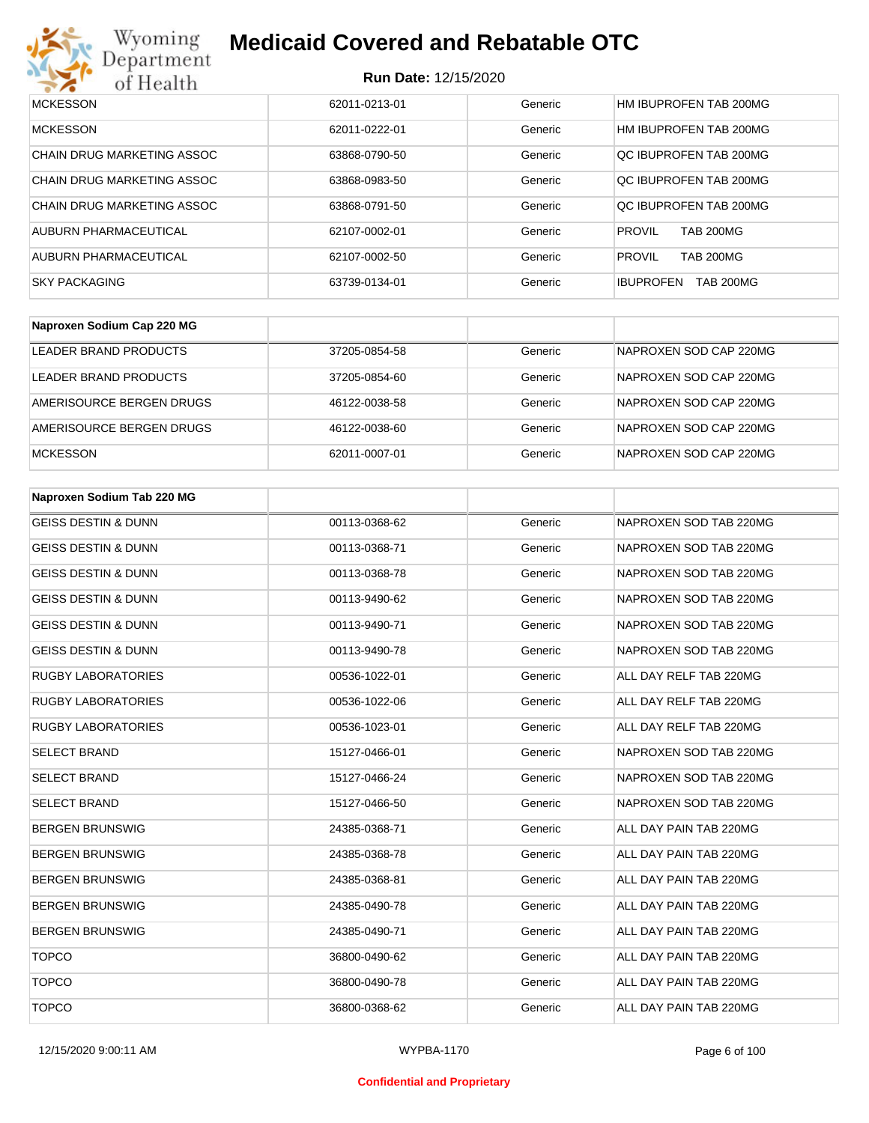

| <b>MCKESSON</b>            | 62011-0213-01 | Generic | HM IBUPROFEN TAB 200MG               |
|----------------------------|---------------|---------|--------------------------------------|
| <b>MCKESSON</b>            | 62011-0222-01 | Generic | HM IBUPROFEN TAB 200MG               |
| CHAIN DRUG MARKETING ASSOC | 63868-0790-50 | Generic | OC IBUPROFEN TAB 200MG               |
| CHAIN DRUG MARKETING ASSOC | 63868-0983-50 | Generic | OC IBUPROFEN TAB 200MG               |
| CHAIN DRUG MARKETING ASSOC | 63868-0791-50 | Generic | OC IBUPROFEN TAB 200MG               |
| AUBURN PHARMACEUTICAL      | 62107-0002-01 | Generic | <b>PROVIL</b><br><b>TAB 200MG</b>    |
| AUBURN PHARMACEUTICAL      | 62107-0002-50 | Generic | <b>PROVIL</b><br><b>TAB 200MG</b>    |
| <b>SKY PACKAGING</b>       | 63739-0134-01 | Generic | <b>TAB 200MG</b><br><b>IBUPROFEN</b> |

| Naproxen Sodium Cap 220 MG |               |         |                        |
|----------------------------|---------------|---------|------------------------|
| LEADER BRAND PRODUCTS      | 37205-0854-58 | Generic | NAPROXEN SOD CAP 220MG |
| LEADER BRAND PRODUCTS      | 37205-0854-60 | Generic | NAPROXEN SOD CAP 220MG |
| AMERISOURCE BERGEN DRUGS   | 46122-0038-58 | Generic | NAPROXEN SOD CAP 220MG |
| AMERISOURCE BERGEN DRUGS   | 46122-0038-60 | Generic | NAPROXEN SOD CAP 220MG |
| <b>MCKESSON</b>            | 62011-0007-01 | Generic | NAPROXEN SOD CAP 220MG |

| Naproxen Sodium Tab 220 MG     |               |         |                        |
|--------------------------------|---------------|---------|------------------------|
| <b>GEISS DESTIN &amp; DUNN</b> | 00113-0368-62 | Generic | NAPROXEN SOD TAB 220MG |
| <b>GEISS DESTIN &amp; DUNN</b> | 00113-0368-71 | Generic | NAPROXEN SOD TAB 220MG |
| <b>GEISS DESTIN &amp; DUNN</b> | 00113-0368-78 | Generic | NAPROXEN SOD TAB 220MG |
| <b>GEISS DESTIN &amp; DUNN</b> | 00113-9490-62 | Generic | NAPROXEN SOD TAB 220MG |
| <b>GEISS DESTIN &amp; DUNN</b> | 00113-9490-71 | Generic | NAPROXEN SOD TAB 220MG |
| <b>GEISS DESTIN &amp; DUNN</b> | 00113-9490-78 | Generic | NAPROXEN SOD TAB 220MG |
| <b>RUGBY LABORATORIES</b>      | 00536-1022-01 | Generic | ALL DAY RELF TAB 220MG |
| <b>RUGBY LABORATORIES</b>      | 00536-1022-06 | Generic | ALL DAY RELF TAB 220MG |
| <b>RUGBY LABORATORIES</b>      | 00536-1023-01 | Generic | ALL DAY RELF TAB 220MG |
| <b>SELECT BRAND</b>            | 15127-0466-01 | Generic | NAPROXEN SOD TAB 220MG |
| <b>SELECT BRAND</b>            | 15127-0466-24 | Generic | NAPROXEN SOD TAB 220MG |
| <b>SELECT BRAND</b>            | 15127-0466-50 | Generic | NAPROXEN SOD TAB 220MG |
| <b>BERGEN BRUNSWIG</b>         | 24385-0368-71 | Generic | ALL DAY PAIN TAB 220MG |
| <b>BERGEN BRUNSWIG</b>         | 24385-0368-78 | Generic | ALL DAY PAIN TAB 220MG |
| <b>BERGEN BRUNSWIG</b>         | 24385-0368-81 | Generic | ALL DAY PAIN TAB 220MG |
| <b>BERGEN BRUNSWIG</b>         | 24385-0490-78 | Generic | ALL DAY PAIN TAB 220MG |
| <b>BERGEN BRUNSWIG</b>         | 24385-0490-71 | Generic | ALL DAY PAIN TAB 220MG |
| <b>TOPCO</b>                   | 36800-0490-62 | Generic | ALL DAY PAIN TAB 220MG |
| <b>TOPCO</b>                   | 36800-0490-78 | Generic | ALL DAY PAIN TAB 220MG |
| <b>TOPCO</b>                   | 36800-0368-62 | Generic | ALL DAY PAIN TAB 220MG |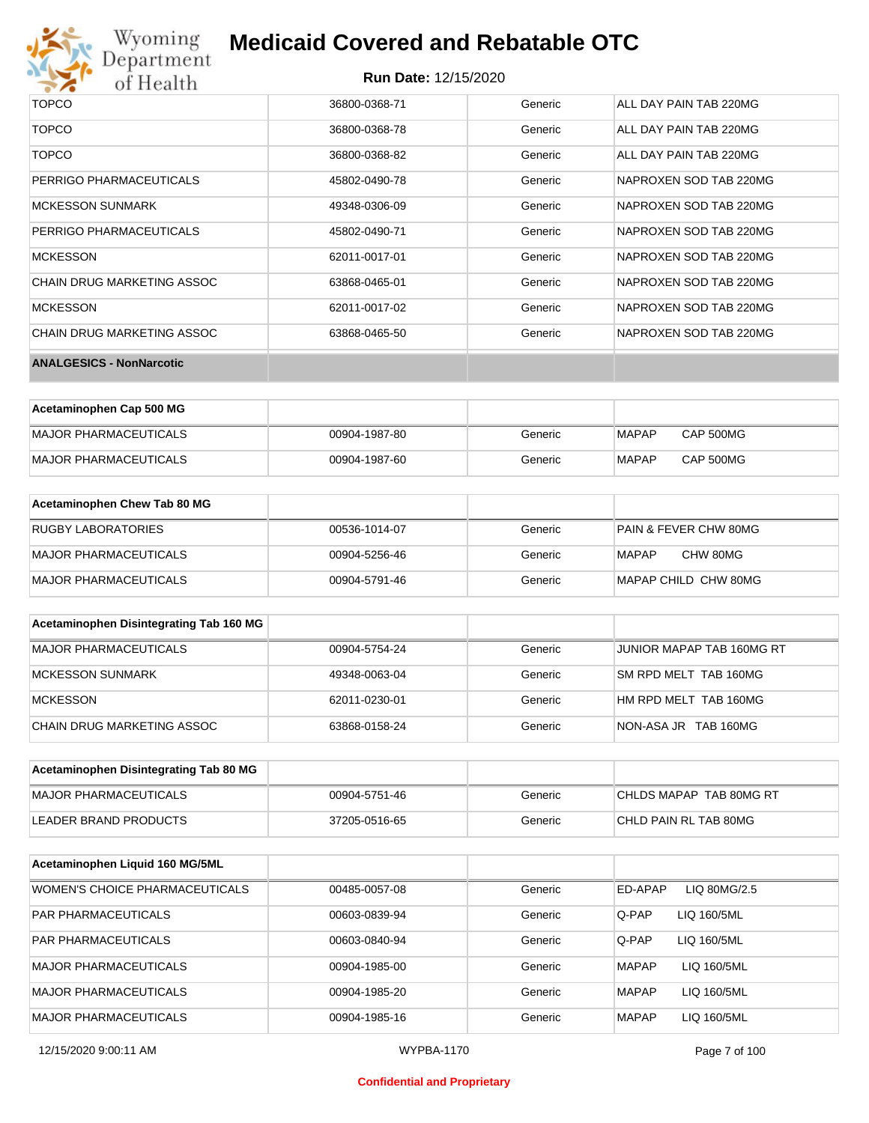

# Wyoming<br>Department<br>of Health

# **Medicaid Covered and Rebatable OTC**

### **Run Date:** 12/15/2020

| TOPCO                           | 36800-0368-71 | Generic | ALL DAY PAIN TAB 220MG |
|---------------------------------|---------------|---------|------------------------|
| <b>TOPCO</b>                    | 36800-0368-78 | Generic | ALL DAY PAIN TAB 220MG |
| <b>TOPCO</b>                    | 36800-0368-82 | Generic | ALL DAY PAIN TAB 220MG |
| PERRIGO PHARMACEUTICALS         | 45802-0490-78 | Generic | NAPROXEN SOD TAB 220MG |
| <b>MCKESSON SUNMARK</b>         | 49348-0306-09 | Generic | NAPROXEN SOD TAB 220MG |
| PERRIGO PHARMACEUTICALS         | 45802-0490-71 | Generic | NAPROXEN SOD TAB 220MG |
| <b>MCKESSON</b>                 | 62011-0017-01 | Generic | NAPROXEN SOD TAB 220MG |
| CHAIN DRUG MARKETING ASSOC      | 63868-0465-01 | Generic | NAPROXEN SOD TAB 220MG |
| <b>MCKESSON</b>                 | 62011-0017-02 | Generic | NAPROXEN SOD TAB 220MG |
| CHAIN DRUG MARKETING ASSOC      | 63868-0465-50 | Generic | NAPROXEN SOD TAB 220MG |
| <b>ANALGESICS - NonNarcotic</b> |               |         |                        |

| Acetaminophen Cap 500 MG |               |         |       |                  |
|--------------------------|---------------|---------|-------|------------------|
| MAJOR PHARMACEUTICALS    | 00904-1987-80 | Generic | MAPAP | CAP 500MG        |
| MAJOR PHARMACEUTICALS    | 00904-1987-60 | Generic | MAPAP | <b>CAP 500MG</b> |

| Acetaminophen Chew Tab 80 MG |               |         |                                  |
|------------------------------|---------------|---------|----------------------------------|
| <b>RUGBY LABORATORIES</b>    | 00536-1014-07 | Generic | <b>PAIN &amp; FEVER CHW 80MG</b> |
| MAJOR PHARMACEUTICALS        | 00904-5256-46 | Generic | CHW 80MG<br>MAPAP                |
| MAJOR PHARMACEUTICALS        | 00904-5791-46 | Generic | MAPAP CHILD CHW 80MG             |

| Acetaminophen Disintegrating Tab 160 MG |               |         |                           |
|-----------------------------------------|---------------|---------|---------------------------|
| MAJOR PHARMACEUTICALS                   | 00904-5754-24 | Generic | JUNIOR MAPAP TAB 160MG RT |
| MCKESSON SUNMARK                        | 49348-0063-04 | Generic | SM RPD MELT TAB 160MG     |
| <b>IMCKESSON</b>                        | 62011-0230-01 | Generic | HM RPD MELT TAB 160MG     |
| ICHAIN DRUG MARKETING ASSOC             | 63868-0158-24 | Generic | NON-ASA JR TAB 160MG      |

| Acetaminophen Disintegrating Tab 80 MG |               |         |                         |
|----------------------------------------|---------------|---------|-------------------------|
| MAJOR PHARMACEUTICALS                  | 00904-5751-46 | Generic | CHLDS MAPAP TAB 80MG RT |
| LEADER BRAND PRODUCTS                  | 37205-0516-65 | Generic | ICHLD PAIN RL TAB 80MG  |

| Acetaminophen Liquid 160 MG/5ML |               |         |                             |
|---------------------------------|---------------|---------|-----------------------------|
| WOMEN'S CHOICE PHARMACEUTICALS  | 00485-0057-08 | Generic | ED-APAP<br>LIQ 80MG/2.5     |
| <b>PAR PHARMACEUTICALS</b>      | 00603-0839-94 | Generic | Q-PAP<br>LIQ 160/5ML        |
| <b>PAR PHARMACEUTICALS</b>      | 00603-0840-94 | Generic | Q-PAP<br>LIQ 160/5ML        |
| MAJOR PHARMACEUTICALS           | 00904-1985-00 | Generic | LIQ 160/5ML<br><b>MAPAP</b> |
| <b>MAJOR PHARMACEUTICALS</b>    | 00904-1985-20 | Generic | <b>MAPAP</b><br>LIQ 160/5ML |
| <b>MAJOR PHARMACEUTICALS</b>    | 00904-1985-16 | Generic | <b>MAPAP</b><br>LIQ 160/5ML |

### **Confidential and Proprietary**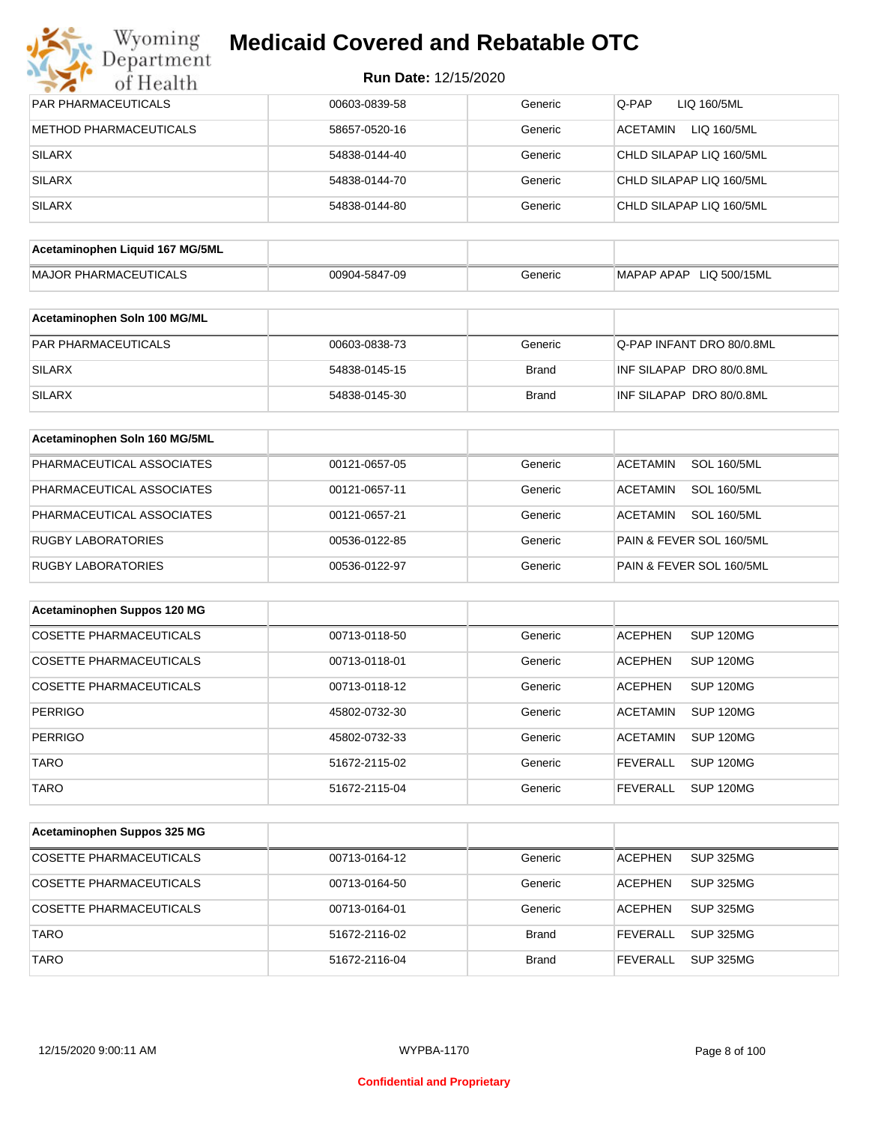# **Myoming Medicaid Covered and Rebatable OTC**

| Department<br>of Health     |  |
|-----------------------------|--|
| <b>DAD DUADMACEUTICAL C</b> |  |
|                             |  |

| PAR PHARMACEUTICALS             | 00603-0839-58 | Generic      | LIQ 160/5ML<br>Q-PAP                  |
|---------------------------------|---------------|--------------|---------------------------------------|
| <b>METHOD PHARMACEUTICALS</b>   | 58657-0520-16 | Generic      | ACETAMIN<br>LIQ 160/5ML               |
| <b>SILARX</b>                   | 54838-0144-40 | Generic      | CHLD SILAPAP LIQ 160/5ML              |
| <b>SILARX</b>                   | 54838-0144-70 | Generic      | CHLD SILAPAP LIQ 160/5ML              |
| <b>SILARX</b>                   | 54838-0144-80 | Generic      | CHLD SILAPAP LIQ 160/5ML              |
| Acetaminophen Liquid 167 MG/5ML |               |              |                                       |
| MAJOR PHARMACEUTICALS           | 00904-5847-09 | Generic      | MAPAP APAP LIQ 500/15ML               |
|                                 |               |              |                                       |
| Acetaminophen Soln 100 MG/ML    |               |              |                                       |
| PAR PHARMACEUTICALS             | 00603-0838-73 | Generic      | Q-PAP INFANT DRO 80/0.8ML             |
| <b>SILARX</b>                   | 54838-0145-15 | <b>Brand</b> | INF SILAPAP DRO 80/0.8ML              |
| <b>SILARX</b>                   | 54838-0145-30 | <b>Brand</b> | INF SILAPAP DRO 80/0.8ML              |
| Acetaminophen Soln 160 MG/5ML   |               |              |                                       |
| PHARMACEUTICAL ASSOCIATES       | 00121-0657-05 | Generic      | <b>SOL 160/5ML</b><br><b>ACETAMIN</b> |
| PHARMACEUTICAL ASSOCIATES       | 00121-0657-11 | Generic      | <b>SOL 160/5ML</b><br><b>ACETAMIN</b> |
| PHARMACEUTICAL ASSOCIATES       | 00121-0657-21 | Generic      | <b>SOL 160/5ML</b><br><b>ACETAMIN</b> |
| <b>RUGBY LABORATORIES</b>       | 00536-0122-85 | Generic      | PAIN & FEVER SOL 160/5ML              |
| RUGBY LABORATORIES              | 00536-0122-97 | Generic      | PAIN & FEVER SOL 160/5ML              |
| Acetaminophen Suppos 120 MG     |               |              |                                       |
| <b>COSETTE PHARMACEUTICALS</b>  | 00713-0118-50 | Generic      | <b>SUP 120MG</b><br><b>ACEPHEN</b>    |
| <b>COSETTE PHARMACEUTICALS</b>  | 00713-0118-01 | Generic      | <b>ACEPHEN</b><br>SUP 120MG           |
| <b>COSETTE PHARMACEUTICALS</b>  | 00713-0118-12 | Generic      | <b>ACEPHEN</b><br>SUP 120MG           |
| <b>PERRIGO</b>                  | 45802-0732-30 | Generic      | <b>ACETAMIN</b><br><b>SUP 120MG</b>   |
| PERRIGO                         | 45802-0732-33 | Generic      | ACETAMIN SUP 120MG                    |
| <b>TARO</b>                     | 51672-2115-02 | Generic      | <b>FEVERALL</b><br><b>SUP 120MG</b>   |
| <b>TARO</b>                     | 51672-2115-04 | Generic      | <b>FEVERALL</b><br><b>SUP 120MG</b>   |
|                                 |               |              |                                       |
| Acetaminophen Suppos 325 MG     |               |              |                                       |
| COSETTE PHARMACEUTICALS         | 00713-0164-12 | Generic      | <b>ACEPHEN</b><br><b>SUP 325MG</b>    |
| COSETTE PHARMACEUTICALS         | 00713-0164-50 | Generic      | <b>ACEPHEN</b><br><b>SUP 325MG</b>    |
| COSETTE PHARMACEUTICALS         | 00713-0164-01 | Generic      | <b>ACEPHEN</b><br>SUP 325MG           |
| <b>TARO</b>                     | 51672-2116-02 | Brand        | <b>FEVERALL</b><br><b>SUP 325MG</b>   |
| <b>TARO</b>                     | 51672-2116-04 | <b>Brand</b> | <b>FEVERALL</b><br><b>SUP 325MG</b>   |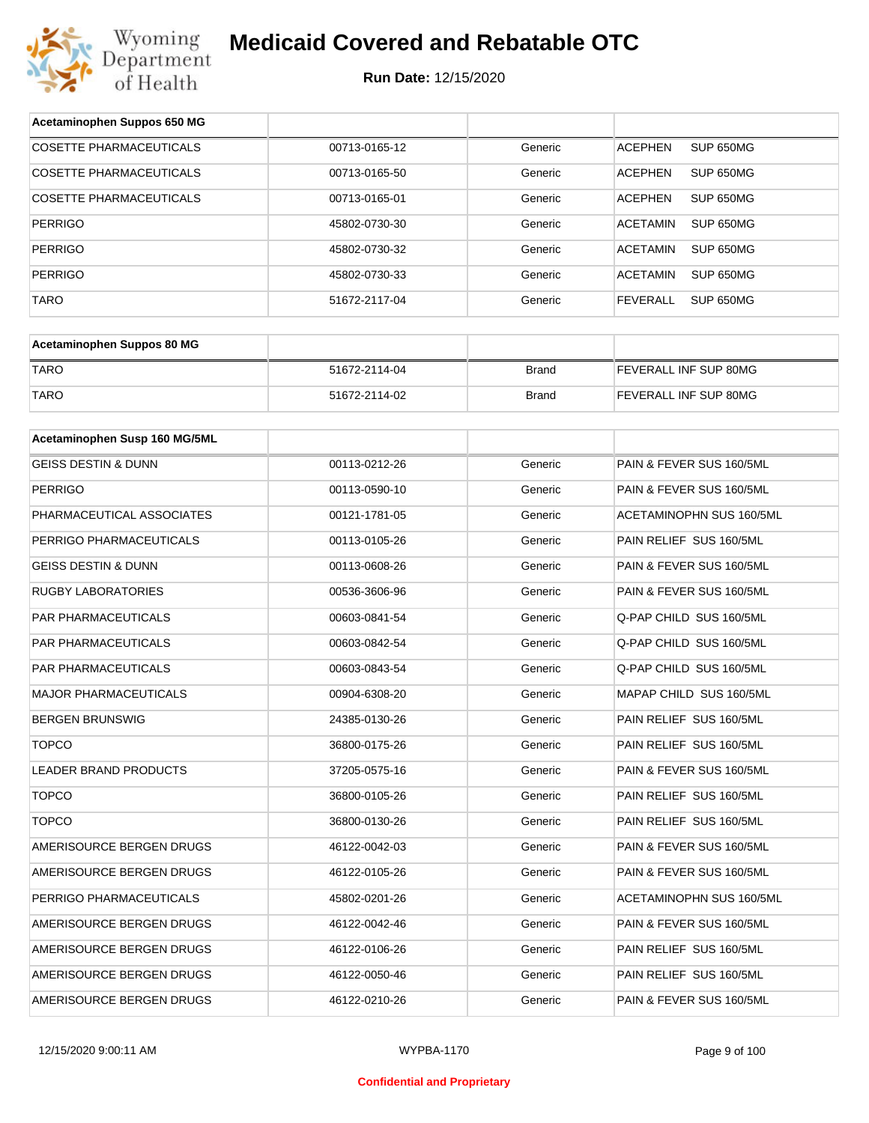

| Acetaminophen Suppos 650 MG    |               |              |                              |
|--------------------------------|---------------|--------------|------------------------------|
| <b>COSETTE PHARMACEUTICALS</b> | 00713-0165-12 | Generic      | SUP 650MG<br><b>ACEPHEN</b>  |
| COSETTE PHARMACEUTICALS        | 00713-0165-50 | Generic      | <b>ACEPHEN</b><br>SUP 650MG  |
| COSETTE PHARMACEUTICALS        | 00713-0165-01 | Generic      | <b>ACEPHEN</b><br>SUP 650MG  |
| <b>PERRIGO</b>                 | 45802-0730-30 | Generic      | <b>ACETAMIN</b><br>SUP 650MG |
| <b>PERRIGO</b>                 | 45802-0730-32 | Generic      | <b>ACETAMIN</b><br>SUP 650MG |
| <b>PERRIGO</b>                 | 45802-0730-33 | Generic      | <b>ACETAMIN</b><br>SUP 650MG |
| TARO                           | 51672-2117-04 | Generic      | <b>FEVERALL</b><br>SUP 650MG |
|                                |               |              |                              |
| Acetaminophen Suppos 80 MG     |               |              |                              |
| <b>TARO</b>                    | 51672-2114-04 | <b>Brand</b> | FEVERALL INF SUP 80MG        |
| <b>TARO</b>                    | 51672-2114-02 | <b>Brand</b> | FEVERALL INF SUP 80MG        |
|                                |               |              |                              |
| Acetaminophen Susp 160 MG/5ML  |               |              |                              |
| <b>GEISS DESTIN &amp; DUNN</b> | 00113-0212-26 | Generic      | PAIN & FEVER SUS 160/5ML     |
| <b>PERRIGO</b>                 | 00113-0590-10 | Generic      | PAIN & FEVER SUS 160/5ML     |
| PHARMACEUTICAL ASSOCIATES      | 00121-1781-05 | Generic      | ACETAMINOPHN SUS 160/5ML     |
| PERRIGO PHARMACEUTICALS        | 00113-0105-26 | Generic      | PAIN RELIEF SUS 160/5ML      |
| GEISS DESTIN & DUNN            | 00113-0608-26 | Generic      | PAIN & FEVER SUS 160/5ML     |
| <b>RUGBY LABORATORIES</b>      | 00536-3606-96 | Generic      | PAIN & FEVER SUS 160/5ML     |
| PAR PHARMACEUTICALS            | 00603-0841-54 | Generic      | Q-PAP CHILD SUS 160/5ML      |
| PAR PHARMACEUTICALS            | 00603-0842-54 | Generic      | Q-PAP CHILD SUS 160/5ML      |
| PAR PHARMACEUTICALS            | 00603-0843-54 | Generic      | Q-PAP CHILD SUS 160/5ML      |
| <b>MAJOR PHARMACEUTICALS</b>   | 00904-6308-20 | Generic      | MAPAP CHILD SUS 160/5ML      |
| <b>BERGEN BRUNSWIG</b>         | 24385-0130-26 | Generic      | PAIN RELIEF SUS 160/5ML      |
| <b>TOPCO</b>                   | 36800-0175-26 | Generic      | PAIN RELIEF SUS 160/5ML      |
| LEADER BRAND PRODUCTS          | 37205-0575-16 | Generic      | PAIN & FEVER SUS 160/5ML     |
| <b>TOPCO</b>                   | 36800-0105-26 | Generic      | PAIN RELIEF SUS 160/5ML      |
| <b>TOPCO</b>                   | 36800-0130-26 | Generic      | PAIN RELIEF SUS 160/5ML      |
| AMERISOURCE BERGEN DRUGS       | 46122-0042-03 | Generic      | PAIN & FEVER SUS 160/5ML     |
| AMERISOURCE BERGEN DRUGS       | 46122-0105-26 | Generic      | PAIN & FEVER SUS 160/5ML     |
| PERRIGO PHARMACEUTICALS        | 45802-0201-26 | Generic      | ACETAMINOPHN SUS 160/5ML     |
| AMERISOURCE BERGEN DRUGS       | 46122-0042-46 | Generic      | PAIN & FEVER SUS 160/5ML     |
| AMERISOURCE BERGEN DRUGS       | 46122-0106-26 | Generic      | PAIN RELIEF SUS 160/5ML      |
| AMERISOURCE BERGEN DRUGS       | 46122-0050-46 | Generic      | PAIN RELIEF SUS 160/5ML      |
| AMERISOURCE BERGEN DRUGS       | 46122-0210-26 | Generic      | PAIN & FEVER SUS 160/5ML     |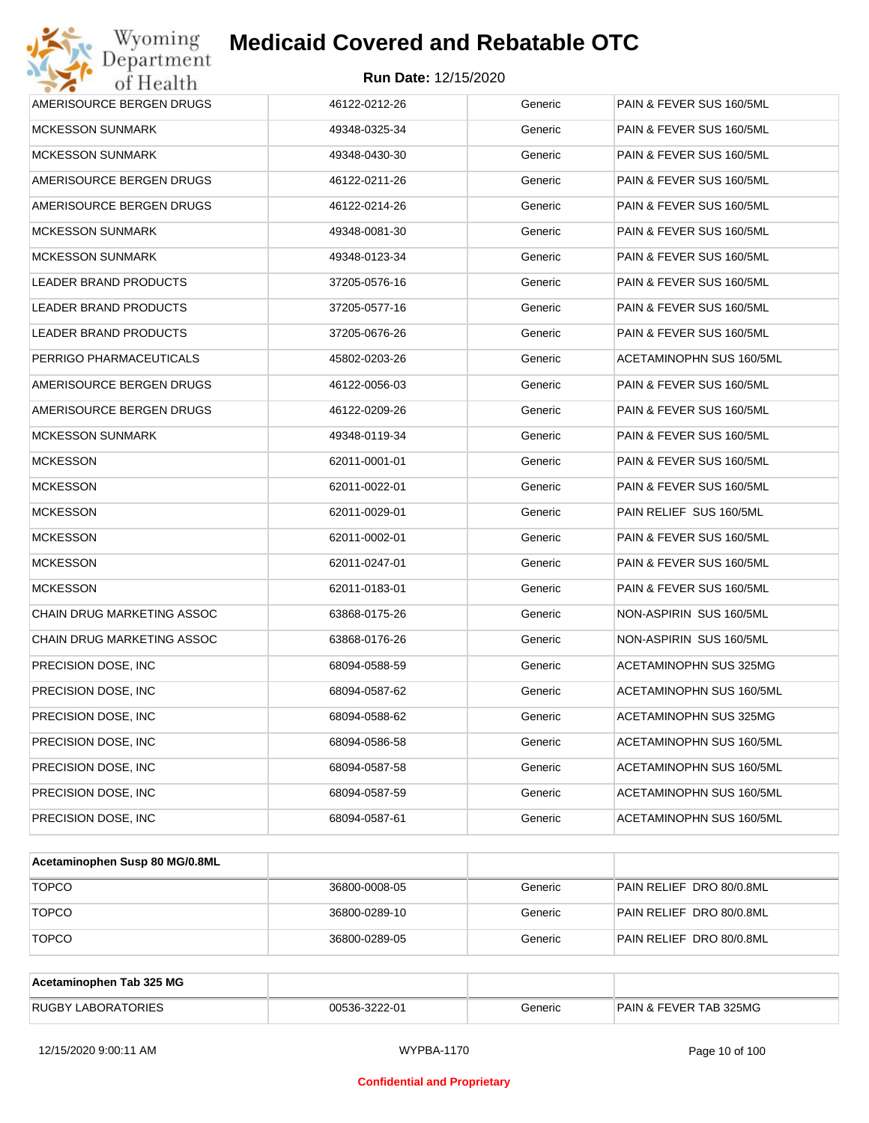

| Wyoming<br>Jepartment             | <b>Medicaid Covered and Rebatable OTC</b> |         |                          |
|-----------------------------------|-------------------------------------------|---------|--------------------------|
| of Health                         | <b>Run Date: 12/15/2020</b>               |         |                          |
| AMERISOURCE BERGEN DRUGS          | 46122-0212-26                             | Generic | PAIN & FEVER SUS 160/5ML |
| <b>MCKESSON SUNMARK</b>           | 49348-0325-34                             | Generic | PAIN & FEVER SUS 160/5ML |
| <b>MCKESSON SUNMARK</b>           | 49348-0430-30                             | Generic | PAIN & FEVER SUS 160/5ML |
| AMERISOURCE BERGEN DRUGS          | 46122-0211-26                             | Generic | PAIN & FEVER SUS 160/5ML |
| AMERISOURCE BERGEN DRUGS          | 46122-0214-26                             | Generic | PAIN & FEVER SUS 160/5ML |
| <b>MCKESSON SUNMARK</b>           | 49348-0081-30                             | Generic | PAIN & FEVER SUS 160/5ML |
| <b>MCKESSON SUNMARK</b>           | 49348-0123-34                             | Generic | PAIN & FEVER SUS 160/5ML |
| LEADER BRAND PRODUCTS             | 37205-0576-16                             | Generic | PAIN & FEVER SUS 160/5ML |
| LEADER BRAND PRODUCTS             | 37205-0577-16                             | Generic | PAIN & FEVER SUS 160/5ML |
| LEADER BRAND PRODUCTS             | 37205-0676-26                             | Generic | PAIN & FEVER SUS 160/5ML |
| PERRIGO PHARMACEUTICALS           | 45802-0203-26                             | Generic | ACETAMINOPHN SUS 160/5ML |
| AMERISOURCE BERGEN DRUGS          | 46122-0056-03                             | Generic | PAIN & FEVER SUS 160/5ML |
| AMERISOURCE BERGEN DRUGS          | 46122-0209-26                             | Generic | PAIN & FEVER SUS 160/5ML |
| <b>MCKESSON SUNMARK</b>           | 49348-0119-34                             | Generic | PAIN & FEVER SUS 160/5ML |
| <b>MCKESSON</b>                   | 62011-0001-01                             | Generic | PAIN & FEVER SUS 160/5ML |
| <b>MCKESSON</b>                   | 62011-0022-01                             | Generic | PAIN & FEVER SUS 160/5ML |
| <b>MCKESSON</b>                   | 62011-0029-01                             | Generic | PAIN RELIEF SUS 160/5ML  |
| <b>MCKESSON</b>                   | 62011-0002-01                             | Generic | PAIN & FEVER SUS 160/5ML |
| <b>MCKESSON</b>                   | 62011-0247-01                             | Generic | PAIN & FEVER SUS 160/5ML |
| <b>MCKESSON</b>                   | 62011-0183-01                             | Generic | PAIN & FEVER SUS 160/5ML |
| <b>CHAIN DRUG MARKETING ASSOC</b> | 63868-0175-26                             | Generic | NON-ASPIRIN SUS 160/5ML  |
| <b>CHAIN DRUG MARKETING ASSOC</b> | 63868-0176-26                             | Generic | NON-ASPIRIN SUS 160/5ML  |
| PRECISION DOSE, INC               | 68094-0588-59                             | Generic | ACETAMINOPHN SUS 325MG   |
| PRECISION DOSE, INC               | 68094-0587-62                             | Generic | ACETAMINOPHN SUS 160/5ML |
| PRECISION DOSE, INC.              | 68094-0588-62                             | Generic | ACETAMINOPHN SUS 325MG   |
| PRECISION DOSE, INC.              | 68094-0586-58                             | Generic | ACETAMINOPHN SUS 160/5ML |
| PRECISION DOSE, INC.              | 68094-0587-58                             | Generic | ACETAMINOPHN SUS 160/5ML |
| PRECISION DOSE, INC.              | 68094-0587-59                             | Generic | ACETAMINOPHN SUS 160/5ML |
| PRECISION DOSE, INC               | 68094-0587-61                             | Generic | ACETAMINOPHN SUS 160/5ML |

| Acetaminophen Susp 80 MG/0.8ML |               |         |                          |
|--------------------------------|---------------|---------|--------------------------|
| <b>TOPCO</b>                   | 36800-0008-05 | Generic | PAIN RELIEF DRO 80/0.8ML |
| <b>TOPCO</b>                   | 36800-0289-10 | Generic | PAIN RELIEF DRO 80/0.8ML |
| <b>TOPCO</b>                   | 36800-0289-05 | Generic | PAIN RELIEF DRO 80/0.8ML |

| Acetaminophen Tab 325 MG  |               |         |                                   |
|---------------------------|---------------|---------|-----------------------------------|
| <b>RUGBY LABORATORIES</b> | 00536-3222-01 | Beneric | <b>PAIN &amp; FEVER TAB 325MG</b> |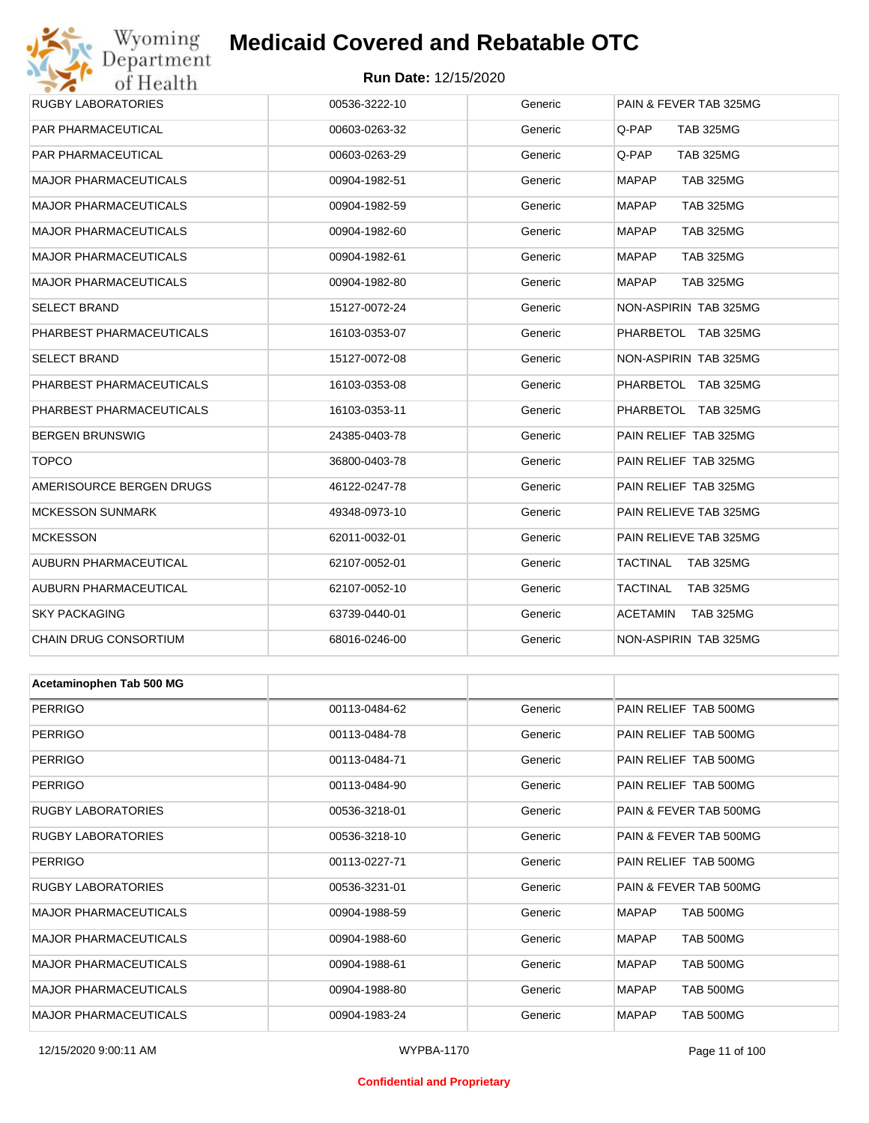# Wyoming<br>Department<br>of Health

# **Medicaid Covered and Rebatable OTC**

| <b>RUGBY LABORATORIES</b>    | 00536-3222-10 | Generic | PAIN & FEVER TAB 325MG           |
|------------------------------|---------------|---------|----------------------------------|
| PAR PHARMACEUTICAL           | 00603-0263-32 | Generic | Q-PAP<br><b>TAB 325MG</b>        |
| PAR PHARMACEUTICAL           | 00603-0263-29 | Generic | Q-PAP<br><b>TAB 325MG</b>        |
| MAJOR PHARMACEUTICALS        | 00904-1982-51 | Generic | <b>MAPAP</b><br><b>TAB 325MG</b> |
| MAJOR PHARMACEUTICALS        | 00904-1982-59 | Generic | <b>MAPAP</b><br><b>TAB 325MG</b> |
| <b>MAJOR PHARMACEUTICALS</b> | 00904-1982-60 | Generic | <b>MAPAP</b><br><b>TAB 325MG</b> |
| MAJOR PHARMACEUTICALS        | 00904-1982-61 | Generic | <b>MAPAP</b><br><b>TAB 325MG</b> |
| MAJOR PHARMACEUTICALS        | 00904-1982-80 | Generic | <b>MAPAP</b><br><b>TAB 325MG</b> |
| SELECT BRAND                 | 15127-0072-24 | Generic | NON-ASPIRIN TAB 325MG            |
| PHARBEST PHARMACEUTICALS     | 16103-0353-07 | Generic | PHARBETOL TAB 325MG              |
| SELECT BRAND                 | 15127-0072-08 | Generic | NON-ASPIRIN TAB 325MG            |
| PHARBEST PHARMACEUTICALS     | 16103-0353-08 | Generic | PHARBETOL TAB 325MG              |
| PHARBEST PHARMACEUTICALS     | 16103-0353-11 | Generic | PHARBETOL TAB 325MG              |
| BERGEN BRUNSWIG              | 24385-0403-78 | Generic | PAIN RELIEF TAB 325MG            |
| <b>TOPCO</b>                 | 36800-0403-78 | Generic | PAIN RELIEF TAB 325MG            |
| AMERISOURCE BERGEN DRUGS     | 46122-0247-78 | Generic | PAIN RELIEF TAB 325MG            |
| <b>MCKESSON SUNMARK</b>      | 49348-0973-10 | Generic | PAIN RELIEVE TAB 325MG           |
| <b>MCKESSON</b>              | 62011-0032-01 | Generic | PAIN RELIEVE TAB 325MG           |
| AUBURN PHARMACEUTICAL        | 62107-0052-01 | Generic | TACTINAL TAB 325MG               |
| AUBURN PHARMACEUTICAL        | 62107-0052-10 | Generic | TACTINAL<br><b>TAB 325MG</b>     |
| <b>SKY PACKAGING</b>         | 63739-0440-01 | Generic | ACETAMIN<br><b>TAB 325MG</b>     |
| CHAIN DRUG CONSORTIUM        | 68016-0246-00 | Generic | NON-ASPIRIN TAB 325MG            |
|                              |               |         |                                  |
| Acetaminophen Tab 500 MG     |               |         |                                  |
| PERRIGO                      | 00113-0484-62 | Generic | PAIN RELIEF TAB 500MG            |
| PERRIGO                      | 00113-0484-78 | Generic | PAIN RELIEF TAB 500MG            |
| PERRIGO                      | 00113-0484-71 | Generic | PAIN RELIEF TAB 500MG            |
| <b>PERRIGO</b>               | 00113-0484-90 | Generic | PAIN RELIEF TAB 500MG            |
| RUGBY LABORATORIES           | 00536-3218-01 | Generic | PAIN & FEVER TAB 500MG           |

| <b>PERRIGO</b>               | 00113-0484-90 | Generic | PAIN RELIEF TAB 500MG            |
|------------------------------|---------------|---------|----------------------------------|
| <b>RUGBY LABORATORIES</b>    | 00536-3218-01 | Generic | PAIN & FEVER TAB 500MG           |
| <b>RUGBY LABORATORIES</b>    | 00536-3218-10 | Generic | PAIN & FEVER TAB 500MG           |
| <b>PERRIGO</b>               | 00113-0227-71 | Generic | PAIN RELIEF TAB 500MG            |
| <b>RUGBY LABORATORIES</b>    | 00536-3231-01 | Generic | PAIN & FEVER TAB 500MG           |
| <b>MAJOR PHARMACEUTICALS</b> | 00904-1988-59 | Generic | <b>MAPAP</b><br><b>TAB 500MG</b> |
| <b>MAJOR PHARMACEUTICALS</b> | 00904-1988-60 | Generic | <b>MAPAP</b><br><b>TAB 500MG</b> |
| <b>MAJOR PHARMACEUTICALS</b> | 00904-1988-61 | Generic | <b>MAPAP</b><br><b>TAB 500MG</b> |
| <b>MAJOR PHARMACEUTICALS</b> | 00904-1988-80 | Generic | <b>MAPAP</b><br><b>TAB 500MG</b> |
| <b>MAJOR PHARMACEUTICALS</b> | 00904-1983-24 | Generic | <b>MAPAP</b><br><b>TAB 500MG</b> |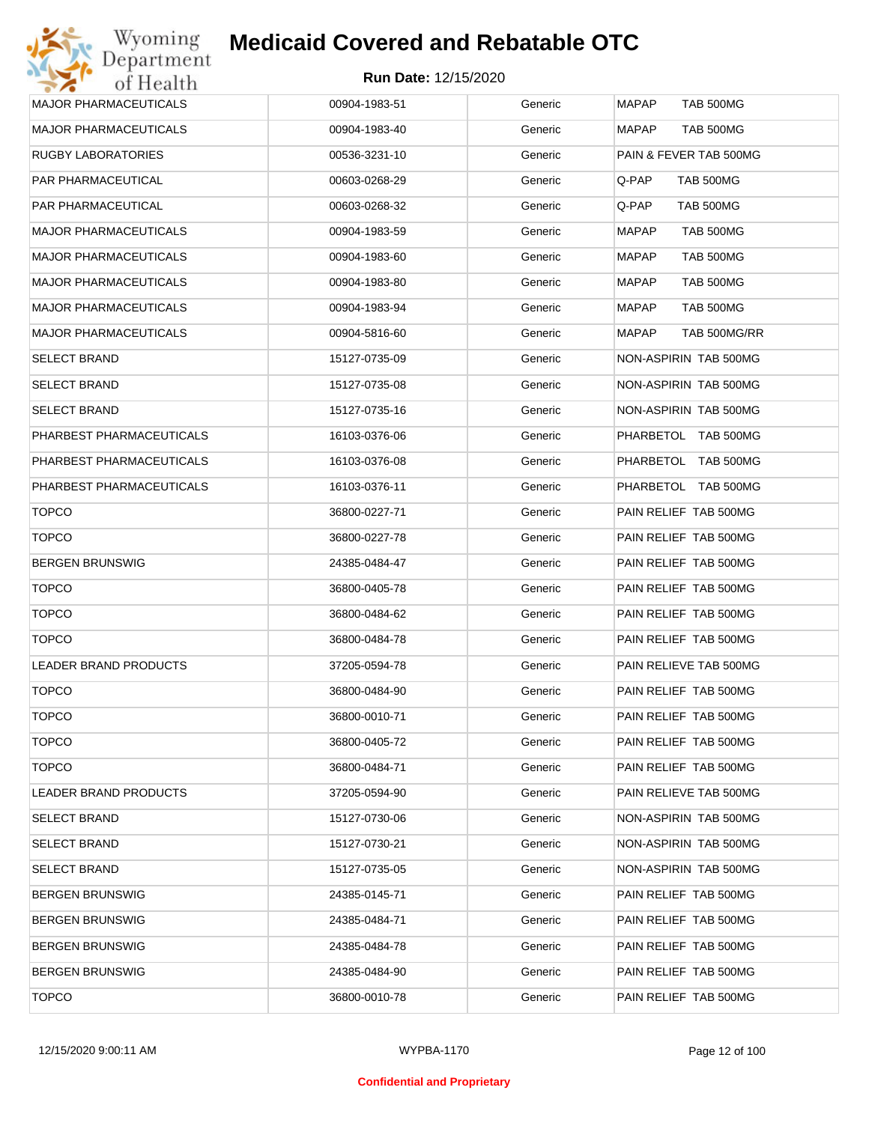| <b>MAJOR PHARMACEUTICALS</b> | 00904-1983-51 | Generic | <b>MAPAP</b><br>TAB 500MG |
|------------------------------|---------------|---------|---------------------------|
| <b>MAJOR PHARMACEUTICALS</b> | 00904-1983-40 | Generic | MAPAP<br>TAB 500MG        |
| RUGBY LABORATORIES           | 00536-3231-10 | Generic | PAIN & FEVER TAB 500MG    |
| PAR PHARMACEUTICAL           | 00603-0268-29 | Generic | Q-PAP<br>TAB 500MG        |
| PAR PHARMACEUTICAL           | 00603-0268-32 | Generic | Q-PAP<br>TAB 500MG        |
| <b>MAJOR PHARMACEUTICALS</b> | 00904-1983-59 | Generic | <b>MAPAP</b><br>TAB 500MG |
| <b>MAJOR PHARMACEUTICALS</b> | 00904-1983-60 | Generic | MAPAP<br><b>TAB 500MG</b> |
| <b>MAJOR PHARMACEUTICALS</b> | 00904-1983-80 | Generic | MAPAP<br>TAB 500MG        |
| <b>MAJOR PHARMACEUTICALS</b> | 00904-1983-94 | Generic | MAPAP<br>TAB 500MG        |
| <b>MAJOR PHARMACEUTICALS</b> | 00904-5816-60 | Generic | MAPAP<br>TAB 500MG/RR     |
| <b>SELECT BRAND</b>          | 15127-0735-09 | Generic | NON-ASPIRIN TAB 500MG     |
| <b>SELECT BRAND</b>          | 15127-0735-08 | Generic | NON-ASPIRIN TAB 500MG     |
| <b>SELECT BRAND</b>          | 15127-0735-16 | Generic | NON-ASPIRIN TAB 500MG     |
| PHARBEST PHARMACEUTICALS     | 16103-0376-06 | Generic | PHARBETOL TAB 500MG       |
| PHARBEST PHARMACEUTICALS     | 16103-0376-08 | Generic | PHARBETOL TAB 500MG       |
| PHARBEST PHARMACEUTICALS     | 16103-0376-11 | Generic | PHARBETOL TAB 500MG       |
| <b>TOPCO</b>                 | 36800-0227-71 | Generic | PAIN RELIEF TAB 500MG     |
| <b>TOPCO</b>                 | 36800-0227-78 | Generic | PAIN RELIEF TAB 500MG     |
| <b>BERGEN BRUNSWIG</b>       | 24385-0484-47 | Generic | PAIN RELIEF TAB 500MG     |
| <b>TOPCO</b>                 | 36800-0405-78 | Generic | PAIN RELIEF TAB 500MG     |
| <b>TOPCO</b>                 | 36800-0484-62 | Generic | PAIN RELIEF TAB 500MG     |
| <b>TOPCO</b>                 | 36800-0484-78 | Generic | PAIN RELIEF TAB 500MG     |
| LEADER BRAND PRODUCTS        | 37205-0594-78 | Generic | PAIN RELIEVE TAB 500MG    |
| <b>TOPCO</b>                 | 36800-0484-90 | Generic | PAIN RELIEF TAB 500MG     |
| <b>TOPCO</b>                 | 36800-0010-71 | Generic | PAIN RELIEF TAB 500MG     |
| <b>TOPCO</b>                 | 36800-0405-72 | Generic | PAIN RELIEF TAB 500MG     |
| <b>TOPCO</b>                 | 36800-0484-71 | Generic | PAIN RELIEF TAB 500MG     |
| LEADER BRAND PRODUCTS        | 37205-0594-90 | Generic | PAIN RELIEVE TAB 500MG    |
| <b>SELECT BRAND</b>          | 15127-0730-06 | Generic | NON-ASPIRIN TAB 500MG     |
| <b>SELECT BRAND</b>          | 15127-0730-21 | Generic | NON-ASPIRIN TAB 500MG     |
| <b>SELECT BRAND</b>          | 15127-0735-05 | Generic | NON-ASPIRIN TAB 500MG     |
| <b>BERGEN BRUNSWIG</b>       | 24385-0145-71 | Generic | PAIN RELIEF TAB 500MG     |
| <b>BERGEN BRUNSWIG</b>       | 24385-0484-71 | Generic | PAIN RELIEF TAB 500MG     |
| <b>BERGEN BRUNSWIG</b>       | 24385-0484-78 | Generic | PAIN RELIEF TAB 500MG     |
| <b>BERGEN BRUNSWIG</b>       | 24385-0484-90 | Generic | PAIN RELIEF TAB 500MG     |
| <b>TOPCO</b>                 | 36800-0010-78 | Generic | PAIN RELIEF TAB 500MG     |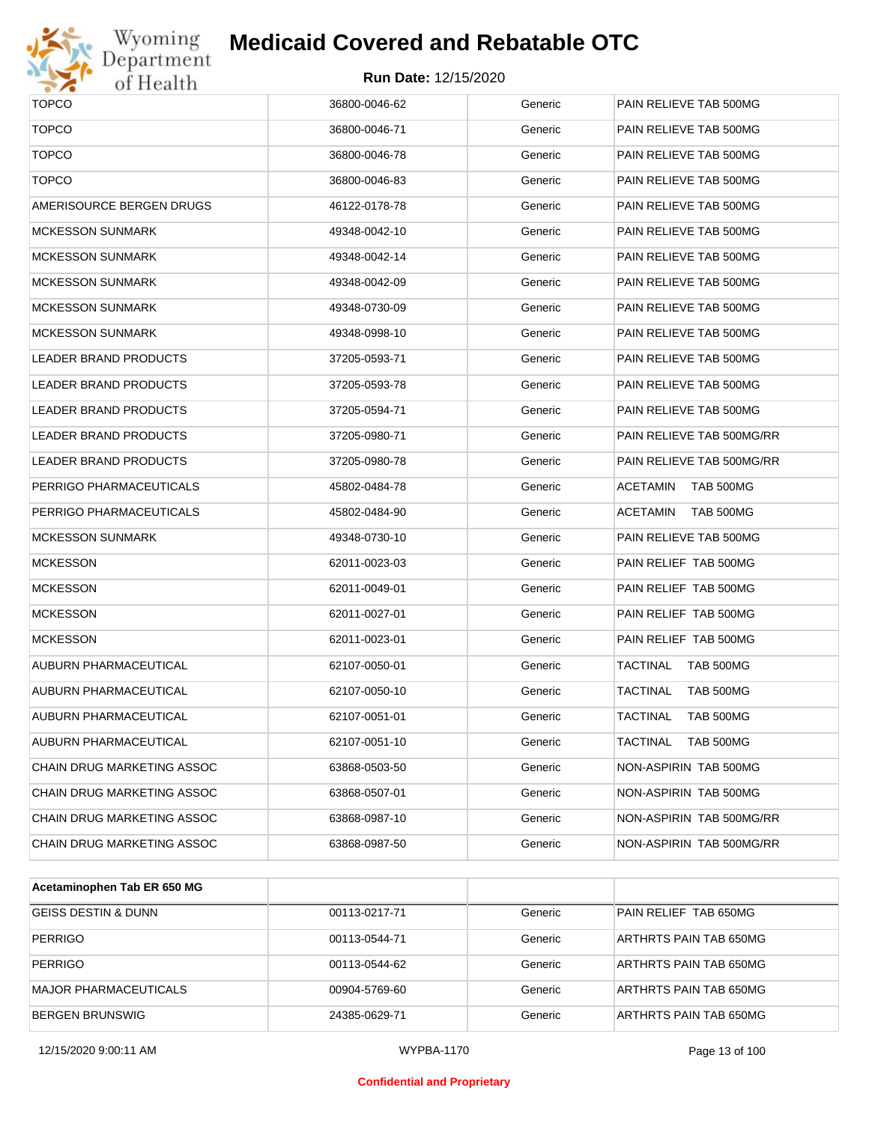

# Wyoming<br>Department<br>of Health

## **Medicaid Covered and Rebatable OTC**

| <b>TOPCO</b>                 | 36800-0046-62 | Generic | PAIN RELIEVE TAB 500MG       |
|------------------------------|---------------|---------|------------------------------|
| <b>TOPCO</b>                 | 36800-0046-71 | Generic | PAIN RELIEVE TAB 500MG       |
| <b>TOPCO</b>                 | 36800-0046-78 | Generic | PAIN RELIEVE TAB 500MG       |
| <b>TOPCO</b>                 | 36800-0046-83 | Generic | PAIN RELIEVE TAB 500MG       |
| AMERISOURCE BERGEN DRUGS     | 46122-0178-78 | Generic | PAIN RELIEVE TAB 500MG       |
| MCKESSON SUNMARK             | 49348-0042-10 | Generic | PAIN RELIEVE TAB 500MG       |
| <b>MCKESSON SUNMARK</b>      | 49348-0042-14 | Generic | PAIN RELIEVE TAB 500MG       |
| <b>MCKESSON SUNMARK</b>      | 49348-0042-09 | Generic | PAIN RELIEVE TAB 500MG       |
| <b>MCKESSON SUNMARK</b>      | 49348-0730-09 | Generic | PAIN RELIEVE TAB 500MG       |
| <b>MCKESSON SUNMARK</b>      | 49348-0998-10 | Generic | PAIN RELIEVE TAB 500MG       |
| LEADER BRAND PRODUCTS        | 37205-0593-71 | Generic | PAIN RELIEVE TAB 500MG       |
| LEADER BRAND PRODUCTS        | 37205-0593-78 | Generic | PAIN RELIEVE TAB 500MG       |
| LEADER BRAND PRODUCTS        | 37205-0594-71 | Generic | PAIN RELIEVE TAB 500MG       |
| <b>LEADER BRAND PRODUCTS</b> | 37205-0980-71 | Generic | PAIN RELIEVE TAB 500MG/RR    |
| LEADER BRAND PRODUCTS        | 37205-0980-78 | Generic | PAIN RELIEVE TAB 500MG/RR    |
| PERRIGO PHARMACEUTICALS      | 45802-0484-78 | Generic | TAB 500MG<br>ACETAMIN        |
| PERRIGO PHARMACEUTICALS      | 45802-0484-90 | Generic | TAB 500MG<br>ACETAMIN        |
| MCKESSON SUNMARK             | 49348-0730-10 | Generic | PAIN RELIEVE TAB 500MG       |
| MCKESSON                     | 62011-0023-03 | Generic | PAIN RELIEF TAB 500MG        |
| MCKESSON                     | 62011-0049-01 | Generic | PAIN RELIEF TAB 500MG        |
| MCKESSON                     | 62011-0027-01 | Generic | PAIN RELIEF TAB 500MG        |
| <b>MCKESSON</b>              | 62011-0023-01 | Generic | PAIN RELIEF TAB 500MG        |
| AUBURN PHARMACEUTICAL        | 62107-0050-01 | Generic | TAB 500MG<br>TACTINAL        |
| AUBURN PHARMACEUTICAL        | 62107-0050-10 | Generic | TACTINAL<br><b>TAB 500MG</b> |
| AUBURN PHARMACEUTICAL        | 62107-0051-01 | Generic | TACTINAL<br><b>TAB 500MG</b> |
| AUBURN PHARMACEUTICAL        | 62107-0051-10 | Generic | <b>TAB 500MG</b><br>TACTINAL |
| CHAIN DRUG MARKETING ASSOC   | 63868-0503-50 | Generic | NON-ASPIRIN TAB 500MG        |
| CHAIN DRUG MARKETING ASSOC   | 63868-0507-01 | Generic | NON-ASPIRIN TAB 500MG        |
| CHAIN DRUG MARKETING ASSOC   | 63868-0987-10 | Generic | NON-ASPIRIN TAB 500MG/RR     |
| CHAIN DRUG MARKETING ASSOC   | 63868-0987-50 | Generic | NON-ASPIRIN TAB 500MG/RR     |
|                              |               |         |                              |

| Acetaminophen Tab ER 650 MG    |               |         |                        |
|--------------------------------|---------------|---------|------------------------|
| <b>GEISS DESTIN &amp; DUNN</b> | 00113-0217-71 | Generic | PAIN RELIEF TAB 650MG  |
| <b>PERRIGO</b>                 | 00113-0544-71 | Generic | ARTHRTS PAIN TAB 650MG |
| <b>PERRIGO</b>                 | 00113-0544-62 | Generic | ARTHRTS PAIN TAB 650MG |
| MAJOR PHARMACEUTICALS          | 00904-5769-60 | Generic | ARTHRTS PAIN TAB 650MG |
| <b>BERGEN BRUNSWIG</b>         | 24385-0629-71 | Generic | ARTHRTS PAIN TAB 650MG |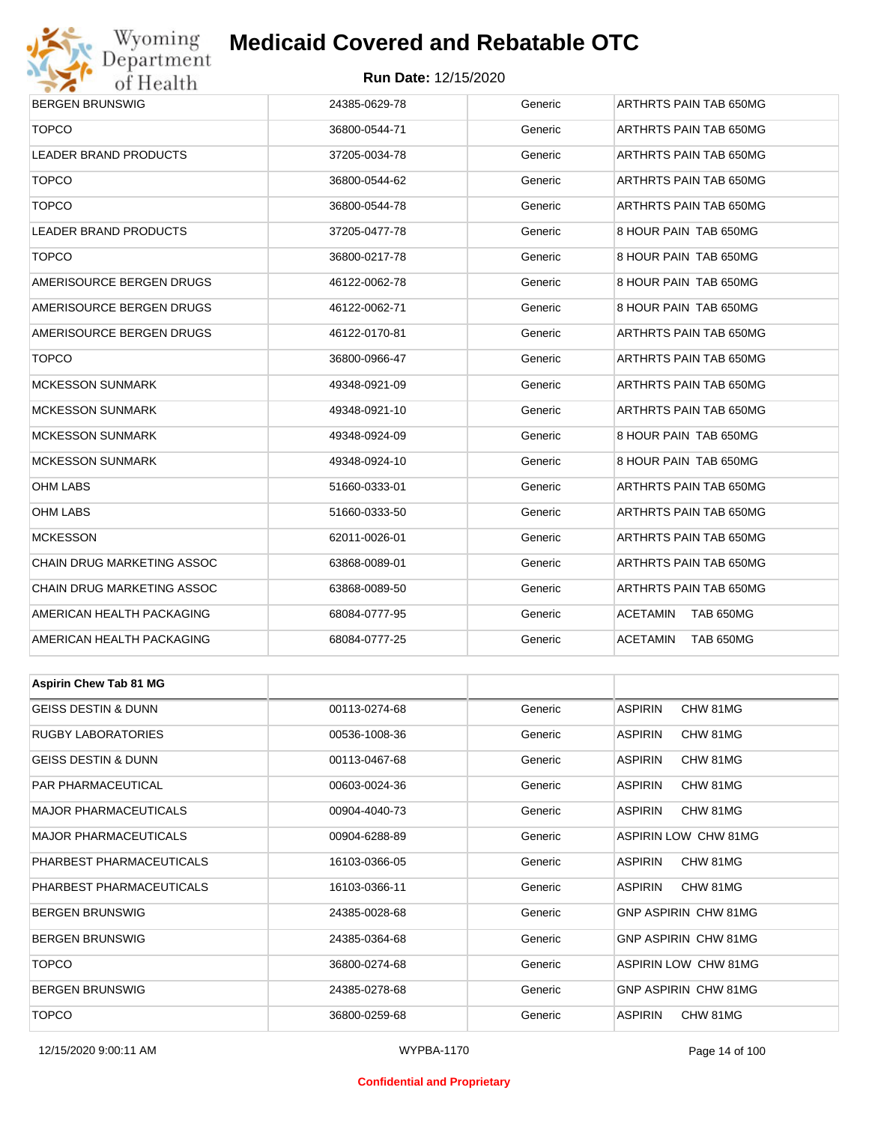# Wyoming<br>Department<br>of Health

# **Medicaid Covered and Rebatable OTC**

### **Run Date:** 12/15/2020

| <u>UL ITUGILII</u>             |               |         |                              |  |  |
|--------------------------------|---------------|---------|------------------------------|--|--|
| <b>BERGEN BRUNSWIG</b>         | 24385-0629-78 | Generic | ARTHRTS PAIN TAB 650MG       |  |  |
| <b>TOPCO</b>                   | 36800-0544-71 | Generic | ARTHRTS PAIN TAB 650MG       |  |  |
| <b>LEADER BRAND PRODUCTS</b>   | 37205-0034-78 | Generic | ARTHRTS PAIN TAB 650MG       |  |  |
| <b>TOPCO</b>                   | 36800-0544-62 | Generic | ARTHRTS PAIN TAB 650MG       |  |  |
| <b>TOPCO</b>                   | 36800-0544-78 | Generic | ARTHRTS PAIN TAB 650MG       |  |  |
| <b>LEADER BRAND PRODUCTS</b>   | 37205-0477-78 | Generic | 8 HOUR PAIN TAB 650MG        |  |  |
| <b>TOPCO</b>                   | 36800-0217-78 | Generic | 8 HOUR PAIN TAB 650MG        |  |  |
| AMERISOURCE BERGEN DRUGS       | 46122-0062-78 | Generic | 8 HOUR PAIN TAB 650MG        |  |  |
| AMERISOURCE BERGEN DRUGS       | 46122-0062-71 | Generic | 8 HOUR PAIN TAB 650MG        |  |  |
| AMERISOURCE BERGEN DRUGS       | 46122-0170-81 | Generic | ARTHRTS PAIN TAB 650MG       |  |  |
| <b>TOPCO</b>                   | 36800-0966-47 | Generic | ARTHRTS PAIN TAB 650MG       |  |  |
| <b>MCKESSON SUNMARK</b>        | 49348-0921-09 | Generic | ARTHRTS PAIN TAB 650MG       |  |  |
| <b>MCKESSON SUNMARK</b>        | 49348-0921-10 | Generic | ARTHRTS PAIN TAB 650MG       |  |  |
| <b>MCKESSON SUNMARK</b>        | 49348-0924-09 | Generic | 8 HOUR PAIN TAB 650MG        |  |  |
| <b>MCKESSON SUNMARK</b>        | 49348-0924-10 | Generic | 8 HOUR PAIN TAB 650MG        |  |  |
| OHM LABS                       | 51660-0333-01 | Generic | ARTHRTS PAIN TAB 650MG       |  |  |
| OHM LABS                       | 51660-0333-50 | Generic | ARTHRTS PAIN TAB 650MG       |  |  |
| <b>MCKESSON</b>                | 62011-0026-01 | Generic | ARTHRTS PAIN TAB 650MG       |  |  |
| CHAIN DRUG MARKETING ASSOC     | 63868-0089-01 | Generic | ARTHRTS PAIN TAB 650MG       |  |  |
| CHAIN DRUG MARKETING ASSOC     | 63868-0089-50 | Generic | ARTHRTS PAIN TAB 650MG       |  |  |
| AMERICAN HEALTH PACKAGING      | 68084-0777-95 | Generic | <b>ACETAMIN</b><br>TAB 650MG |  |  |
| AMERICAN HEALTH PACKAGING      | 68084-0777-25 | Generic | ACETAMIN<br>TAB 650MG        |  |  |
|                                |               |         |                              |  |  |
| <b>Aspirin Chew Tab 81 MG</b>  |               |         |                              |  |  |
| <b>GEISS DESTIN &amp; DUNN</b> | 00113-0274-68 | Generic | <b>ASPIRIN</b><br>CHW 81MG   |  |  |
| RUGBY LABORATORIES             | 00536-1008-36 | Generic | <b>ASPIRIN</b><br>CHW 81MG   |  |  |
| GEISS DESTIN & DUNN            | 00113-0467-68 | Generic | <b>ASPIRIN</b><br>CHW 81MG   |  |  |
| PAR PHARMACEUTICAL             | 00603-0024-36 | Generic | <b>ASPIRIN</b><br>CHW 81MG   |  |  |
| <b>MAJOR PHARMACEUTICALS</b>   | 00904-4040-73 | Generic | <b>ASPIRIN</b><br>CHW 81MG   |  |  |
| MAJOR PHARMACEUTICALS          | 00904-6288-89 | Generic | ASPIRIN LOW CHW 81MG         |  |  |
| PHARBEST PHARMACEUTICALS       | 16103-0366-05 | Generic | CHW 81MG<br><b>ASPIRIN</b>   |  |  |
| PHARBEST PHARMACEUTICALS       | 16103-0366-11 | Generic | <b>ASPIRIN</b><br>CHW 81MG   |  |  |
| <b>BERGEN BRUNSWIG</b>         | 24385-0028-68 | Generic | GNP ASPIRIN CHW 81MG         |  |  |
| <b>BERGEN BRUNSWIG</b>         | 24385-0364-68 | Generic | GNP ASPIRIN CHW 81MG         |  |  |

TOPCO 36800-0274-68 Generic ASPIRIN LOW CHW 81MG BERGEN BRUNSWIG 24385-0278-68 Generic GNP ASPIRIN CHW 81MG

TOPCO 36800-0259-68 Generic ASPIRIN CHW 81MG

### **Confidential and Proprietary**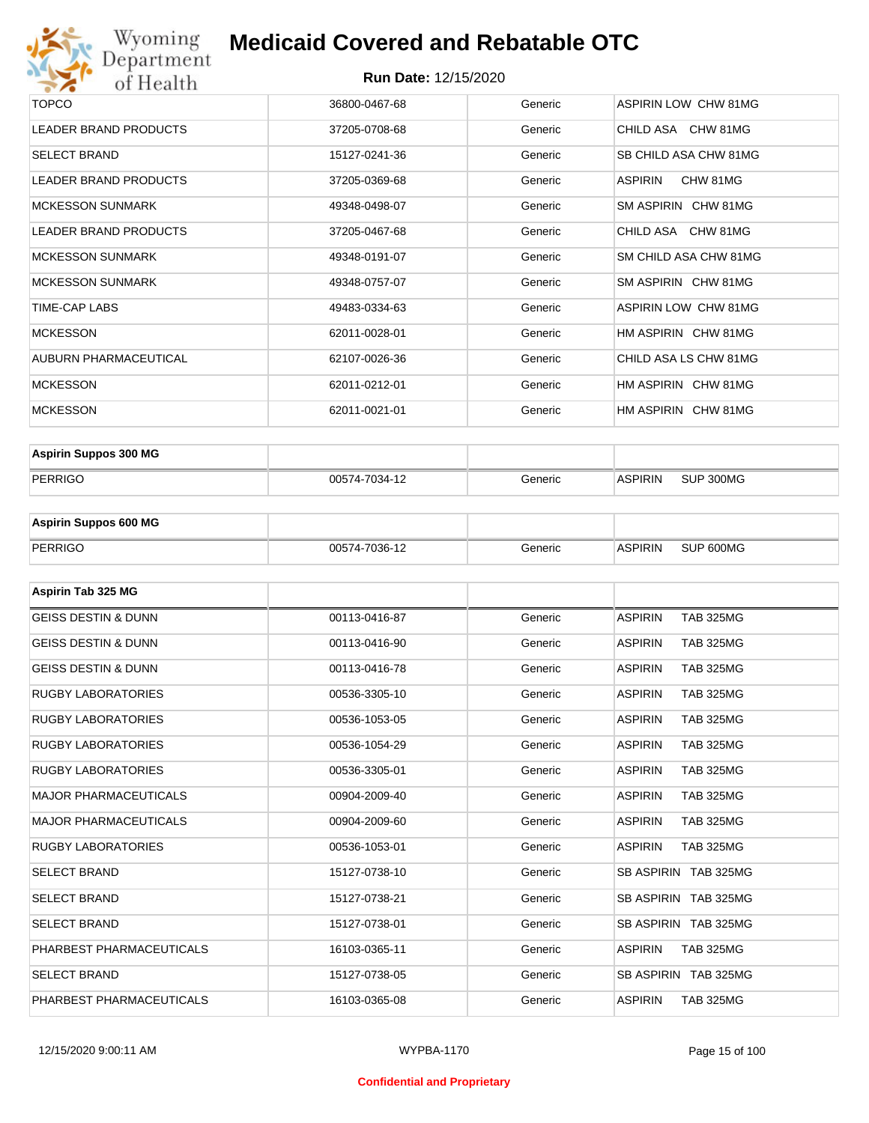

| <b>TOPCO</b>                 | 36800-0467-68 | Generic | <b>ASPIRIN LOW CHW 81MG</b> |
|------------------------------|---------------|---------|-----------------------------|
| <b>LEADER BRAND PRODUCTS</b> | 37205-0708-68 | Generic | CHILD ASA CHW 81MG          |
| <b>SELECT BRAND</b>          | 15127-0241-36 | Generic | SB CHILD ASA CHW 81MG       |
| <b>LEADER BRAND PRODUCTS</b> | 37205-0369-68 | Generic | CHW 81MG<br>ASPIRIN         |
| <b>MCKESSON SUNMARK</b>      | 49348-0498-07 | Generic | SM ASPIRIN CHW 81MG         |
| <b>LEADER BRAND PRODUCTS</b> | 37205-0467-68 | Generic | CHILD ASA CHW 81MG          |
| <b>MCKESSON SUNMARK</b>      | 49348-0191-07 | Generic | SM CHILD ASA CHW 81MG       |
| <b>MCKESSON SUNMARK</b>      | 49348-0757-07 | Generic | SM ASPIRIN CHW 81MG         |
| TIME-CAP LABS                | 49483-0334-63 | Generic | ASPIRIN LOW CHW 81MG        |
| <b>MCKESSON</b>              | 62011-0028-01 | Generic | HM ASPIRIN CHW 81MG         |
| AUBURN PHARMACEUTICAL        | 62107-0026-36 | Generic | CHILD ASA LS CHW 81MG       |
| <b>MCKESSON</b>              | 62011-0212-01 | Generic | HM ASPIRIN CHW 81MG         |
| <b>MCKESSON</b>              | 62011-0021-01 | Generic | HM ASPIRIN CHW 81MG         |
|                              |               |         |                             |

| <b>Aspirin Suppos 300 MG</b> |               |         |                |           |
|------------------------------|---------------|---------|----------------|-----------|
| PERRIGO                      | 00574-7034-12 | Generic | <b>ASPIRIN</b> | SUP 300MG |

| <b>Aspirin Suppos 600 MG</b> |               |         |         |           |
|------------------------------|---------------|---------|---------|-----------|
| PERRIGO                      | 00574-7036-12 | Generic | ASPIRIN | SUP 600MG |

| Aspirin Tab 325 MG             |               |         |                                    |
|--------------------------------|---------------|---------|------------------------------------|
| <b>GEISS DESTIN &amp; DUNN</b> | 00113-0416-87 | Generic | <b>ASPIRIN</b><br><b>TAB 325MG</b> |
| <b>GEISS DESTIN &amp; DUNN</b> | 00113-0416-90 | Generic | <b>ASPIRIN</b><br><b>TAB 325MG</b> |
| <b>GEISS DESTIN &amp; DUNN</b> | 00113-0416-78 | Generic | <b>ASPIRIN</b><br><b>TAB 325MG</b> |
| <b>RUGBY LABORATORIES</b>      | 00536-3305-10 | Generic | <b>ASPIRIN</b><br><b>TAB 325MG</b> |
| <b>RUGBY LABORATORIES</b>      | 00536-1053-05 | Generic | <b>ASPIRIN</b><br><b>TAB 325MG</b> |
| <b>RUGBY LABORATORIES</b>      | 00536-1054-29 | Generic | <b>ASPIRIN</b><br><b>TAB 325MG</b> |
| <b>RUGBY LABORATORIES</b>      | 00536-3305-01 | Generic | <b>ASPIRIN</b><br><b>TAB 325MG</b> |
| <b>MAJOR PHARMACEUTICALS</b>   | 00904-2009-40 | Generic | <b>ASPIRIN</b><br><b>TAB 325MG</b> |
| <b>MAJOR PHARMACEUTICALS</b>   | 00904-2009-60 | Generic | <b>ASPIRIN</b><br><b>TAB 325MG</b> |
| <b>RUGBY LABORATORIES</b>      | 00536-1053-01 | Generic | <b>ASPIRIN</b><br><b>TAB 325MG</b> |
| <b>SELECT BRAND</b>            | 15127-0738-10 | Generic | SB ASPIRIN TAB 325MG               |
| <b>SELECT BRAND</b>            | 15127-0738-21 | Generic | SB ASPIRIN TAB 325MG               |
| <b>SELECT BRAND</b>            | 15127-0738-01 | Generic | SB ASPIRIN TAB 325MG               |
| PHARBEST PHARMACEUTICALS       | 16103-0365-11 | Generic | <b>ASPIRIN</b><br><b>TAB 325MG</b> |
| <b>SELECT BRAND</b>            | 15127-0738-05 | Generic | SB ASPIRIN TAB 325MG               |
| PHARBEST PHARMACEUTICALS       | 16103-0365-08 | Generic | <b>ASPIRIN</b><br><b>TAB 325MG</b> |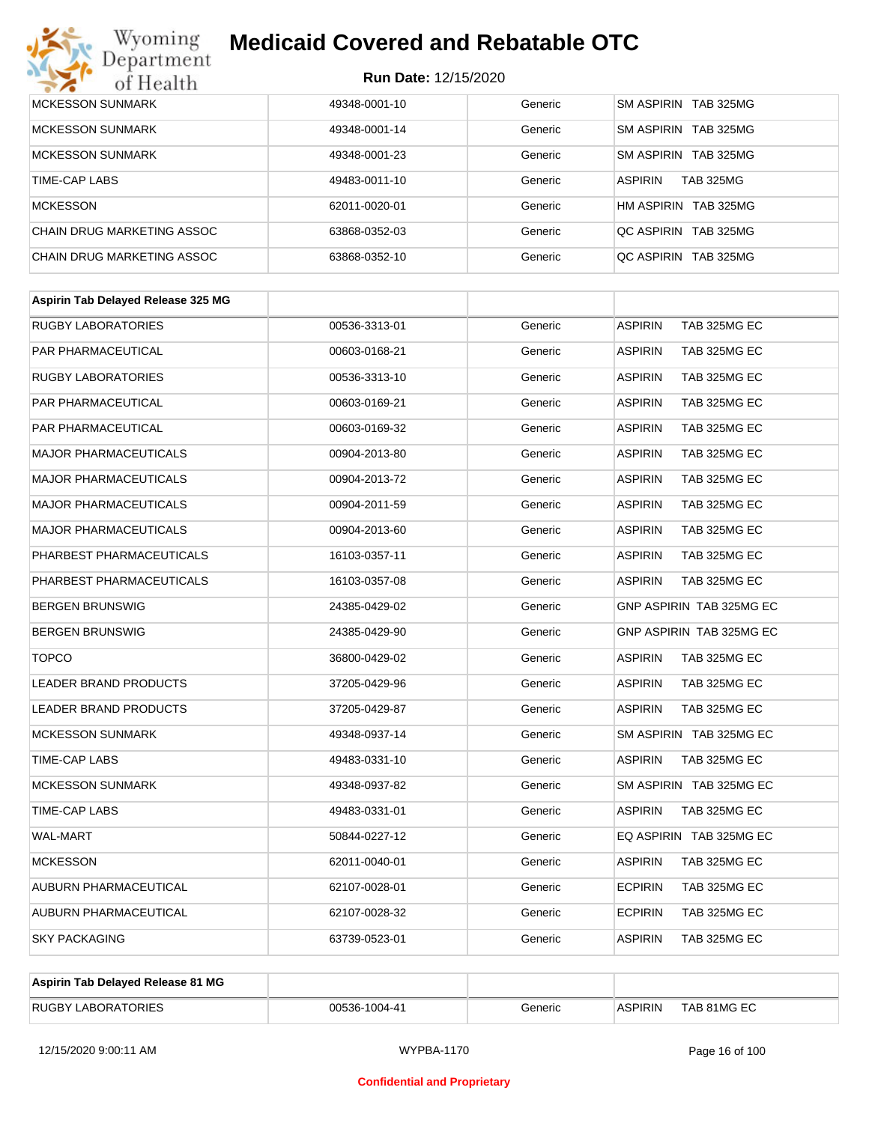# Wyoming<br>Department<br>of Health

# **Medicaid Covered and Rebatable OTC**

| <b>MCKESSON SUNMARK</b>    | 49348-0001-10 | Generic | SM ASPIRIN TAB 325MG               |
|----------------------------|---------------|---------|------------------------------------|
| <b>MCKESSON SUNMARK</b>    | 49348-0001-14 | Generic | SM ASPIRIN TAB 325MG               |
| <b>MCKESSON SUNMARK</b>    | 49348-0001-23 | Generic | SM ASPIRIN TAB 325MG               |
| TIME-CAP LABS              | 49483-0011-10 | Generic | <b>ASPIRIN</b><br><b>TAB 325MG</b> |
| <b>MCKESSON</b>            | 62011-0020-01 | Generic | HM ASPIRIN TAB 325MG               |
| CHAIN DRUG MARKETING ASSOC | 63868-0352-03 | Generic | OC ASPIRIN TAB 325MG               |
| CHAIN DRUG MARKETING ASSOC | 63868-0352-10 | Generic | OC ASPIRIN TAB 325MG               |

| <b>ASPIRIN</b><br>TAB 325MG EC<br><b>RUGBY LABORATORIES</b><br>00536-3313-01<br>Generic<br><b>PAR PHARMACEUTICAL</b><br>00603-0168-21<br>Generic<br><b>ASPIRIN</b><br>TAB 325MG EC<br><b>RUGBY LABORATORIES</b><br><b>ASPIRIN</b><br>TAB 325MG EC<br>00536-3313-10<br>Generic<br>PAR PHARMACEUTICAL<br>00603-0169-21<br>Generic<br><b>ASPIRIN</b><br>TAB 325MG EC<br>PAR PHARMACEUTICAL<br><b>ASPIRIN</b><br>TAB 325MG EC<br>00603-0169-32<br>Generic<br><b>MAJOR PHARMACEUTICALS</b><br><b>ASPIRIN</b><br>TAB 325MG EC<br>00904-2013-80<br>Generic<br><b>MAJOR PHARMACEUTICALS</b><br>TAB 325MG EC<br>00904-2013-72<br>Generic<br><b>ASPIRIN</b><br><b>MAJOR PHARMACEUTICALS</b><br><b>ASPIRIN</b><br>TAB 325MG EC<br>00904-2011-59<br>Generic<br><b>MAJOR PHARMACEUTICALS</b><br><b>ASPIRIN</b><br>TAB 325MG EC<br>00904-2013-60<br>Generic<br>PHARBEST PHARMACEUTICALS<br>TAB 325MG EC<br>16103-0357-11<br>Generic<br><b>ASPIRIN</b><br>PHARBEST PHARMACEUTICALS<br>16103-0357-08<br>Generic<br><b>ASPIRIN</b><br>TAB 325MG EC<br>GNP ASPIRIN TAB 325MG EC<br><b>BERGEN BRUNSWIG</b><br>24385-0429-02<br>Generic<br><b>BERGEN BRUNSWIG</b><br>24385-0429-90<br>Generic<br><b>GNP ASPIRIN TAB 325MG EC</b><br><b>TOPCO</b><br>36800-0429-02<br>Generic<br><b>ASPIRIN</b><br>TAB 325MG EC<br><b>LEADER BRAND PRODUCTS</b><br><b>ASPIRIN</b><br>TAB 325MG EC<br>37205-0429-96<br>Generic<br><b>LEADER BRAND PRODUCTS</b><br><b>ASPIRIN</b><br>TAB 325MG EC<br>37205-0429-87<br>Generic<br><b>MCKESSON SUNMARK</b><br>SM ASPIRIN TAB 325MG EC<br>49348-0937-14<br>Generic<br>TIME-CAP LABS<br>Generic<br><b>ASPIRIN</b><br>TAB 325MG EC<br>49483-0331-10<br><b>MCKESSON SUNMARK</b><br>SM ASPIRIN TAB 325MG EC<br>49348-0937-82<br>Generic<br><b>ASPIRIN</b><br>TIME-CAP LABS<br>49483-0331-01<br>Generic<br>TAB 325MG EC<br><b>WAL-MART</b><br>50844-0227-12<br>Generic<br>EQ ASPIRIN TAB 325MG EC<br><b>ASPIRIN</b><br>TAB 325MG EC<br><b>MCKESSON</b><br>62011-0040-01<br>Generic<br>AUBURN PHARMACEUTICAL<br>62107-0028-01<br>Generic<br><b>ECPIRIN</b><br>TAB 325MG EC<br><b>ECPIRIN</b><br>AUBURN PHARMACEUTICAL<br>62107-0028-32<br>TAB 325MG EC<br>Generic<br><b>SKY PACKAGING</b><br>63739-0523-01<br><b>ASPIRIN</b><br>TAB 325MG EC<br>Generic | Aspirin Tab Delayed Release 325 MG |  |  |
|---------------------------------------------------------------------------------------------------------------------------------------------------------------------------------------------------------------------------------------------------------------------------------------------------------------------------------------------------------------------------------------------------------------------------------------------------------------------------------------------------------------------------------------------------------------------------------------------------------------------------------------------------------------------------------------------------------------------------------------------------------------------------------------------------------------------------------------------------------------------------------------------------------------------------------------------------------------------------------------------------------------------------------------------------------------------------------------------------------------------------------------------------------------------------------------------------------------------------------------------------------------------------------------------------------------------------------------------------------------------------------------------------------------------------------------------------------------------------------------------------------------------------------------------------------------------------------------------------------------------------------------------------------------------------------------------------------------------------------------------------------------------------------------------------------------------------------------------------------------------------------------------------------------------------------------------------------------------------------------------------------------------------------------------------------------------------------------------------------------------------------------------------------------------------------------------------------------------------------------------------------|------------------------------------|--|--|
|                                                                                                                                                                                                                                                                                                                                                                                                                                                                                                                                                                                                                                                                                                                                                                                                                                                                                                                                                                                                                                                                                                                                                                                                                                                                                                                                                                                                                                                                                                                                                                                                                                                                                                                                                                                                                                                                                                                                                                                                                                                                                                                                                                                                                                                         |                                    |  |  |
|                                                                                                                                                                                                                                                                                                                                                                                                                                                                                                                                                                                                                                                                                                                                                                                                                                                                                                                                                                                                                                                                                                                                                                                                                                                                                                                                                                                                                                                                                                                                                                                                                                                                                                                                                                                                                                                                                                                                                                                                                                                                                                                                                                                                                                                         |                                    |  |  |
|                                                                                                                                                                                                                                                                                                                                                                                                                                                                                                                                                                                                                                                                                                                                                                                                                                                                                                                                                                                                                                                                                                                                                                                                                                                                                                                                                                                                                                                                                                                                                                                                                                                                                                                                                                                                                                                                                                                                                                                                                                                                                                                                                                                                                                                         |                                    |  |  |
|                                                                                                                                                                                                                                                                                                                                                                                                                                                                                                                                                                                                                                                                                                                                                                                                                                                                                                                                                                                                                                                                                                                                                                                                                                                                                                                                                                                                                                                                                                                                                                                                                                                                                                                                                                                                                                                                                                                                                                                                                                                                                                                                                                                                                                                         |                                    |  |  |
|                                                                                                                                                                                                                                                                                                                                                                                                                                                                                                                                                                                                                                                                                                                                                                                                                                                                                                                                                                                                                                                                                                                                                                                                                                                                                                                                                                                                                                                                                                                                                                                                                                                                                                                                                                                                                                                                                                                                                                                                                                                                                                                                                                                                                                                         |                                    |  |  |
|                                                                                                                                                                                                                                                                                                                                                                                                                                                                                                                                                                                                                                                                                                                                                                                                                                                                                                                                                                                                                                                                                                                                                                                                                                                                                                                                                                                                                                                                                                                                                                                                                                                                                                                                                                                                                                                                                                                                                                                                                                                                                                                                                                                                                                                         |                                    |  |  |
|                                                                                                                                                                                                                                                                                                                                                                                                                                                                                                                                                                                                                                                                                                                                                                                                                                                                                                                                                                                                                                                                                                                                                                                                                                                                                                                                                                                                                                                                                                                                                                                                                                                                                                                                                                                                                                                                                                                                                                                                                                                                                                                                                                                                                                                         |                                    |  |  |
|                                                                                                                                                                                                                                                                                                                                                                                                                                                                                                                                                                                                                                                                                                                                                                                                                                                                                                                                                                                                                                                                                                                                                                                                                                                                                                                                                                                                                                                                                                                                                                                                                                                                                                                                                                                                                                                                                                                                                                                                                                                                                                                                                                                                                                                         |                                    |  |  |
|                                                                                                                                                                                                                                                                                                                                                                                                                                                                                                                                                                                                                                                                                                                                                                                                                                                                                                                                                                                                                                                                                                                                                                                                                                                                                                                                                                                                                                                                                                                                                                                                                                                                                                                                                                                                                                                                                                                                                                                                                                                                                                                                                                                                                                                         |                                    |  |  |
|                                                                                                                                                                                                                                                                                                                                                                                                                                                                                                                                                                                                                                                                                                                                                                                                                                                                                                                                                                                                                                                                                                                                                                                                                                                                                                                                                                                                                                                                                                                                                                                                                                                                                                                                                                                                                                                                                                                                                                                                                                                                                                                                                                                                                                                         |                                    |  |  |
|                                                                                                                                                                                                                                                                                                                                                                                                                                                                                                                                                                                                                                                                                                                                                                                                                                                                                                                                                                                                                                                                                                                                                                                                                                                                                                                                                                                                                                                                                                                                                                                                                                                                                                                                                                                                                                                                                                                                                                                                                                                                                                                                                                                                                                                         |                                    |  |  |
|                                                                                                                                                                                                                                                                                                                                                                                                                                                                                                                                                                                                                                                                                                                                                                                                                                                                                                                                                                                                                                                                                                                                                                                                                                                                                                                                                                                                                                                                                                                                                                                                                                                                                                                                                                                                                                                                                                                                                                                                                                                                                                                                                                                                                                                         |                                    |  |  |
|                                                                                                                                                                                                                                                                                                                                                                                                                                                                                                                                                                                                                                                                                                                                                                                                                                                                                                                                                                                                                                                                                                                                                                                                                                                                                                                                                                                                                                                                                                                                                                                                                                                                                                                                                                                                                                                                                                                                                                                                                                                                                                                                                                                                                                                         |                                    |  |  |
|                                                                                                                                                                                                                                                                                                                                                                                                                                                                                                                                                                                                                                                                                                                                                                                                                                                                                                                                                                                                                                                                                                                                                                                                                                                                                                                                                                                                                                                                                                                                                                                                                                                                                                                                                                                                                                                                                                                                                                                                                                                                                                                                                                                                                                                         |                                    |  |  |
|                                                                                                                                                                                                                                                                                                                                                                                                                                                                                                                                                                                                                                                                                                                                                                                                                                                                                                                                                                                                                                                                                                                                                                                                                                                                                                                                                                                                                                                                                                                                                                                                                                                                                                                                                                                                                                                                                                                                                                                                                                                                                                                                                                                                                                                         |                                    |  |  |
|                                                                                                                                                                                                                                                                                                                                                                                                                                                                                                                                                                                                                                                                                                                                                                                                                                                                                                                                                                                                                                                                                                                                                                                                                                                                                                                                                                                                                                                                                                                                                                                                                                                                                                                                                                                                                                                                                                                                                                                                                                                                                                                                                                                                                                                         |                                    |  |  |
|                                                                                                                                                                                                                                                                                                                                                                                                                                                                                                                                                                                                                                                                                                                                                                                                                                                                                                                                                                                                                                                                                                                                                                                                                                                                                                                                                                                                                                                                                                                                                                                                                                                                                                                                                                                                                                                                                                                                                                                                                                                                                                                                                                                                                                                         |                                    |  |  |
|                                                                                                                                                                                                                                                                                                                                                                                                                                                                                                                                                                                                                                                                                                                                                                                                                                                                                                                                                                                                                                                                                                                                                                                                                                                                                                                                                                                                                                                                                                                                                                                                                                                                                                                                                                                                                                                                                                                                                                                                                                                                                                                                                                                                                                                         |                                    |  |  |
|                                                                                                                                                                                                                                                                                                                                                                                                                                                                                                                                                                                                                                                                                                                                                                                                                                                                                                                                                                                                                                                                                                                                                                                                                                                                                                                                                                                                                                                                                                                                                                                                                                                                                                                                                                                                                                                                                                                                                                                                                                                                                                                                                                                                                                                         |                                    |  |  |
|                                                                                                                                                                                                                                                                                                                                                                                                                                                                                                                                                                                                                                                                                                                                                                                                                                                                                                                                                                                                                                                                                                                                                                                                                                                                                                                                                                                                                                                                                                                                                                                                                                                                                                                                                                                                                                                                                                                                                                                                                                                                                                                                                                                                                                                         |                                    |  |  |
|                                                                                                                                                                                                                                                                                                                                                                                                                                                                                                                                                                                                                                                                                                                                                                                                                                                                                                                                                                                                                                                                                                                                                                                                                                                                                                                                                                                                                                                                                                                                                                                                                                                                                                                                                                                                                                                                                                                                                                                                                                                                                                                                                                                                                                                         |                                    |  |  |
|                                                                                                                                                                                                                                                                                                                                                                                                                                                                                                                                                                                                                                                                                                                                                                                                                                                                                                                                                                                                                                                                                                                                                                                                                                                                                                                                                                                                                                                                                                                                                                                                                                                                                                                                                                                                                                                                                                                                                                                                                                                                                                                                                                                                                                                         |                                    |  |  |
|                                                                                                                                                                                                                                                                                                                                                                                                                                                                                                                                                                                                                                                                                                                                                                                                                                                                                                                                                                                                                                                                                                                                                                                                                                                                                                                                                                                                                                                                                                                                                                                                                                                                                                                                                                                                                                                                                                                                                                                                                                                                                                                                                                                                                                                         |                                    |  |  |
|                                                                                                                                                                                                                                                                                                                                                                                                                                                                                                                                                                                                                                                                                                                                                                                                                                                                                                                                                                                                                                                                                                                                                                                                                                                                                                                                                                                                                                                                                                                                                                                                                                                                                                                                                                                                                                                                                                                                                                                                                                                                                                                                                                                                                                                         |                                    |  |  |
|                                                                                                                                                                                                                                                                                                                                                                                                                                                                                                                                                                                                                                                                                                                                                                                                                                                                                                                                                                                                                                                                                                                                                                                                                                                                                                                                                                                                                                                                                                                                                                                                                                                                                                                                                                                                                                                                                                                                                                                                                                                                                                                                                                                                                                                         |                                    |  |  |

| Aspirin Tab Delayed Release 81 MG |               |         |                |             |
|-----------------------------------|---------------|---------|----------------|-------------|
| RUGBY LABORATORIES                | 00536-1004-41 | Generic | <b>ASPIRIN</b> | TAB 81MG EC |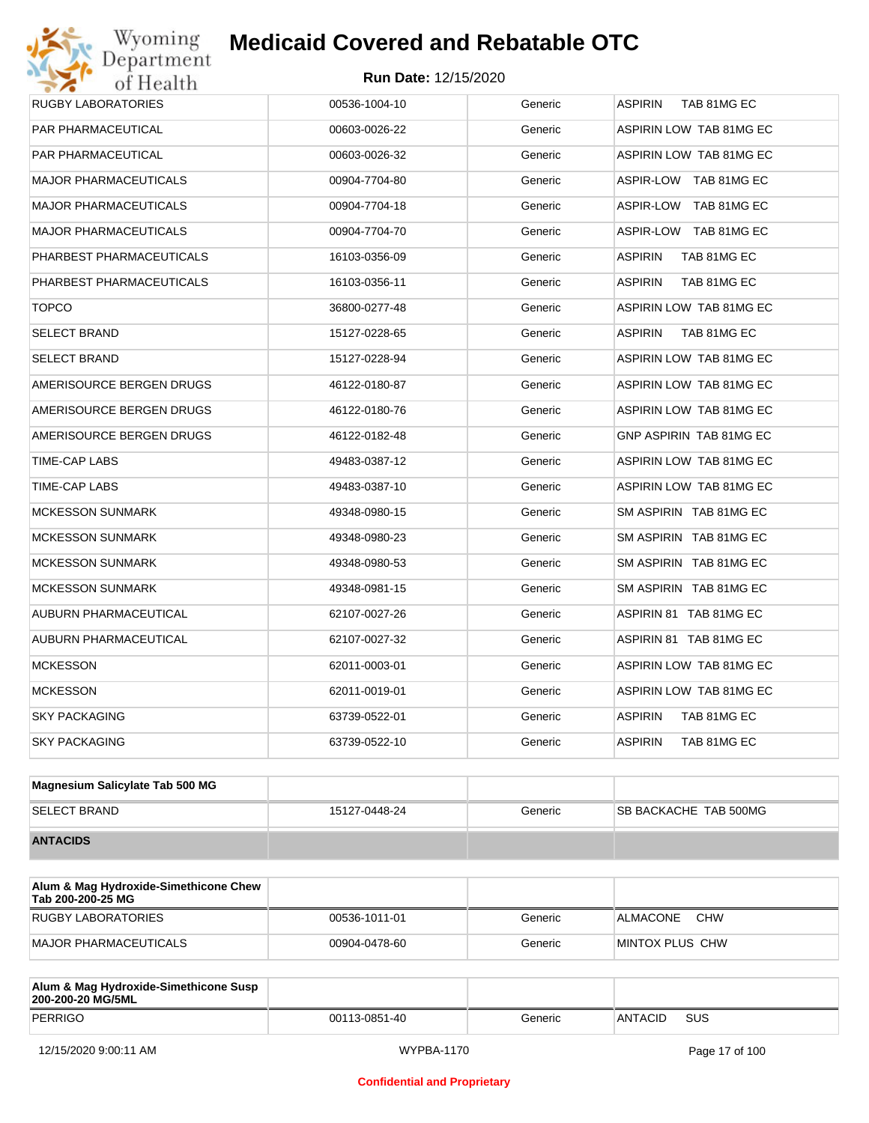| <b>RUGBY LABORATORIES</b>    | 00536-1004-10 | Generic | <b>ASPIRIN</b><br>TAB 81MG EC  |
|------------------------------|---------------|---------|--------------------------------|
| <b>PAR PHARMACEUTICAL</b>    | 00603-0026-22 | Generic | ASPIRIN LOW TAB 81MG EC        |
| <b>PAR PHARMACEUTICAL</b>    | 00603-0026-32 | Generic | ASPIRIN LOW TAB 81MG EC        |
| <b>MAJOR PHARMACEUTICALS</b> | 00904-7704-80 | Generic | ASPIR-LOW TAB 81MG EC          |
| <b>MAJOR PHARMACEUTICALS</b> | 00904-7704-18 | Generic | ASPIR-LOW TAB 81MG EC          |
| <b>MAJOR PHARMACEUTICALS</b> | 00904-7704-70 | Generic | ASPIR-LOW TAB 81MG EC          |
| PHARBEST PHARMACEUTICALS     | 16103-0356-09 | Generic | <b>ASPIRIN</b><br>TAB 81MG EC  |
| PHARBEST PHARMACEUTICALS     | 16103-0356-11 | Generic | <b>ASPIRIN</b><br>TAB 81MG EC  |
| <b>TOPCO</b>                 | 36800-0277-48 | Generic | ASPIRIN LOW TAB 81MG EC        |
| <b>SELECT BRAND</b>          | 15127-0228-65 | Generic | <b>ASPIRIN</b><br>TAB 81MG EC  |
| <b>SELECT BRAND</b>          | 15127-0228-94 | Generic | ASPIRIN LOW TAB 81MG EC        |
| AMERISOURCE BERGEN DRUGS     | 46122-0180-87 | Generic | <b>ASPIRIN LOW TAB 81MG EC</b> |
| AMERISOURCE BERGEN DRUGS     | 46122-0180-76 | Generic | ASPIRIN LOW TAB 81MG EC        |
| AMERISOURCE BERGEN DRUGS     | 46122-0182-48 | Generic | <b>GNP ASPIRIN TAB 81MG EC</b> |
| TIME-CAP LABS                | 49483-0387-12 | Generic | ASPIRIN LOW TAB 81MG EC        |
| TIME-CAP LABS                | 49483-0387-10 | Generic | ASPIRIN LOW TAB 81MG EC        |
| <b>MCKESSON SUNMARK</b>      | 49348-0980-15 | Generic | SM ASPIRIN TAB 81MG EC         |
| <b>MCKESSON SUNMARK</b>      | 49348-0980-23 | Generic | SM ASPIRIN TAB 81MG EC         |
| <b>MCKESSON SUNMARK</b>      | 49348-0980-53 | Generic | SM ASPIRIN TAB 81MG EC         |
| <b>MCKESSON SUNMARK</b>      | 49348-0981-15 | Generic | SM ASPIRIN TAB 81MG EC         |
| AUBURN PHARMACEUTICAL        | 62107-0027-26 | Generic | ASPIRIN 81 TAB 81MG EC         |
| AUBURN PHARMACEUTICAL        | 62107-0027-32 | Generic | ASPIRIN 81 TAB 81MG EC         |
| <b>MCKESSON</b>              | 62011-0003-01 | Generic | ASPIRIN LOW TAB 81MG EC        |
| <b>MCKESSON</b>              | 62011-0019-01 | Generic | ASPIRIN LOW TAB 81MG EC        |
| <b>SKY PACKAGING</b>         | 63739-0522-01 | Generic | ASPIRIN<br>TAB 81MG EC         |
| <b>SKY PACKAGING</b>         | 63739-0522-10 | Generic | <b>ASPIRIN</b><br>TAB 81MG EC  |
|                              |               |         |                                |

| Magnesium Salicylate Tab 500 MG |               |         |                               |
|---------------------------------|---------------|---------|-------------------------------|
| <b>SELECT BRAND</b>             | 15127-0448-24 | Generic | <b>ISB BACKACHE TAB 500MG</b> |
| <b>ANTACIDS</b>                 |               |         |                               |

| Alum & Mag Hydroxide-Simethicone Chew<br>Tab 200-200-25 MG |               |         |                        |
|------------------------------------------------------------|---------------|---------|------------------------|
| RUGBY LABORATORIES                                         | 00536-1011-01 | Generic | <b>CHW</b><br>ALMACONE |
| MAJOR PHARMACEUTICALS                                      | 00904-0478-60 | Generic | MINTOX PLUS CHW        |

| Alum & Mag Hydroxide-Simethicone Susp<br>200-200-20 MG/5ML |               |         |         |     |
|------------------------------------------------------------|---------------|---------|---------|-----|
| PERRIGO                                                    | 00113-0851-40 | Generic | ANTACID | SUS |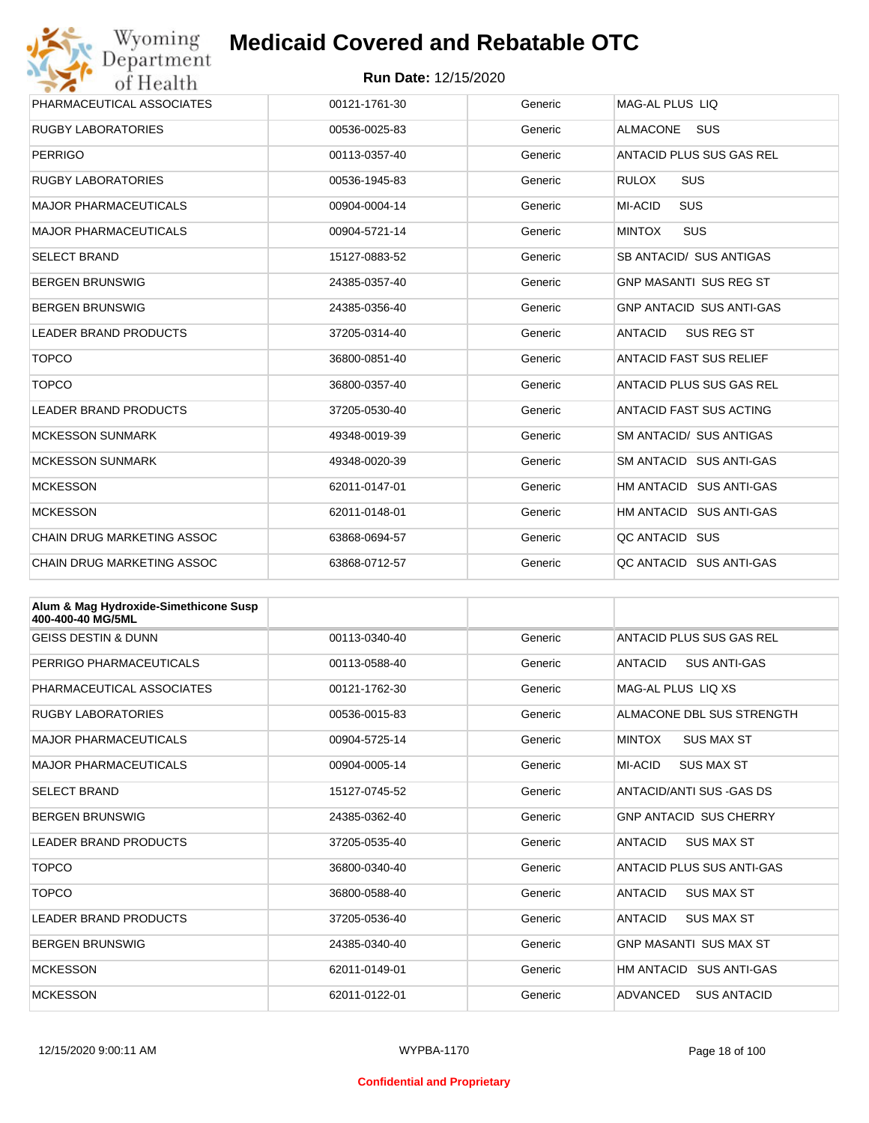

| PHARMACEUTICAL ASSOCIATES         | 00121-1761-30 | Generic | <b>MAG-AL PLUS LIQ</b>          |
|-----------------------------------|---------------|---------|---------------------------------|
| <b>RUGBY LABORATORIES</b>         | 00536-0025-83 | Generic | <b>ALMACONE</b><br><b>SUS</b>   |
| <b>PERRIGO</b>                    | 00113-0357-40 | Generic | ANTACID PLUS SUS GAS REL        |
| <b>RUGBY LABORATORIES</b>         | 00536-1945-83 | Generic | <b>RULOX</b><br><b>SUS</b>      |
| <b>MAJOR PHARMACEUTICALS</b>      | 00904-0004-14 | Generic | <b>SUS</b><br>MI-ACID           |
| <b>MAJOR PHARMACEUTICALS</b>      | 00904-5721-14 | Generic | <b>SUS</b><br><b>MINTOX</b>     |
| <b>SELECT BRAND</b>               | 15127-0883-52 | Generic | SB ANTACID/ SUS ANTIGAS         |
| <b>BERGEN BRUNSWIG</b>            | 24385-0357-40 | Generic | <b>GNP MASANTI SUS REG ST</b>   |
| <b>BERGEN BRUNSWIG</b>            | 24385-0356-40 | Generic | <b>GNP ANTACID SUS ANTI-GAS</b> |
| <b>LEADER BRAND PRODUCTS</b>      | 37205-0314-40 | Generic | SUS REG ST<br><b>ANTACID</b>    |
| <b>TOPCO</b>                      | 36800-0851-40 | Generic | <b>ANTACID FAST SUS RELIEF</b>  |
| <b>TOPCO</b>                      | 36800-0357-40 | Generic | ANTACID PLUS SUS GAS REL        |
| <b>LEADER BRAND PRODUCTS</b>      | 37205-0530-40 | Generic | <b>ANTACID FAST SUS ACTING</b>  |
| <b>MCKESSON SUNMARK</b>           | 49348-0019-39 | Generic | SM ANTACID/ SUS ANTIGAS         |
| <b>MCKESSON SUNMARK</b>           | 49348-0020-39 | Generic | SM ANTACID SUS ANTI-GAS         |
| <b>MCKESSON</b>                   | 62011-0147-01 | Generic | HM ANTACID SUS ANTI-GAS         |
| <b>MCKESSON</b>                   | 62011-0148-01 | Generic | HM ANTACID SUS ANTI-GAS         |
| CHAIN DRUG MARKETING ASSOC        | 63868-0694-57 | Generic | QC ANTACID SUS                  |
| <b>CHAIN DRUG MARKETING ASSOC</b> | 63868-0712-57 | Generic | QC ANTACID SUS ANTI-GAS         |

| Alum & Mag Hydroxide-Simethicone Susp<br>400-400-40 MG/5ML |               |         |                                       |
|------------------------------------------------------------|---------------|---------|---------------------------------------|
| <b>GEISS DESTIN &amp; DUNN</b>                             | 00113-0340-40 | Generic | ANTACID PLUS SUS GAS REL              |
| PERRIGO PHARMACEUTICALS                                    | 00113-0588-40 | Generic | <b>SUS ANTI-GAS</b><br><b>ANTACID</b> |
| PHARMACEUTICAL ASSOCIATES                                  | 00121-1762-30 | Generic | MAG-AL PLUS LIO XS                    |
| <b>RUGBY LABORATORIES</b>                                  | 00536-0015-83 | Generic | ALMACONE DBL SUS STRENGTH             |
| <b>MAJOR PHARMACEUTICALS</b>                               | 00904-5725-14 | Generic | <b>MINTOX</b><br><b>SUS MAX ST</b>    |
| <b>MAJOR PHARMACEUTICALS</b>                               | 00904-0005-14 | Generic | <b>MI-ACID</b><br><b>SUS MAX ST</b>   |
| <b>SELECT BRAND</b>                                        | 15127-0745-52 | Generic | ANTACID/ANTI SUS -GAS DS              |
| <b>BERGEN BRUNSWIG</b>                                     | 24385-0362-40 | Generic | <b>GNP ANTACID SUS CHERRY</b>         |
| <b>LEADER BRAND PRODUCTS</b>                               | 37205-0535-40 | Generic | <b>ANTACID</b><br><b>SUS MAX ST</b>   |
| <b>TOPCO</b>                                               | 36800-0340-40 | Generic | ANTACID PLUS SUS ANTI-GAS             |
| <b>TOPCO</b>                                               | 36800-0588-40 | Generic | <b>SUS MAX ST</b><br><b>ANTACID</b>   |
| <b>LEADER BRAND PRODUCTS</b>                               | 37205-0536-40 | Generic | <b>ANTACID</b><br><b>SUS MAX ST</b>   |
| <b>BERGEN BRUNSWIG</b>                                     | 24385-0340-40 | Generic | <b>GNP MASANTI SUS MAX ST</b>         |
| <b>MCKESSON</b>                                            | 62011-0149-01 | Generic | HM ANTACID SUS ANTI-GAS               |
| <b>MCKESSON</b>                                            | 62011-0122-01 | Generic | <b>ADVANCED</b><br><b>SUS ANTACID</b> |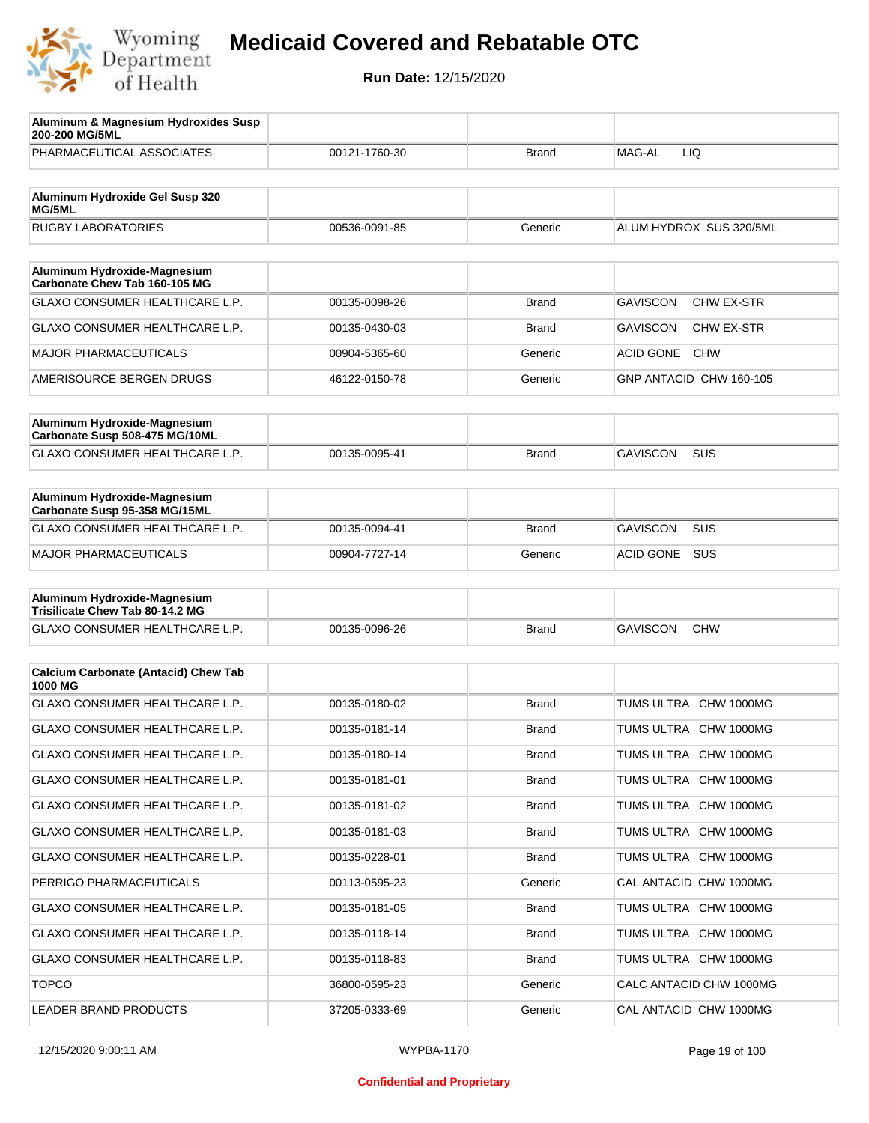

| Aluminum & Magnesium Hydroxides Susp<br>200-200 MG/5ML          |               |              |                                        |
|-----------------------------------------------------------------|---------------|--------------|----------------------------------------|
| PHARMACEUTICAL ASSOCIATES                                       | 00121-1760-30 | Brand        | MAG-AL<br>LIQ.                         |
| Aluminum Hydroxide Gel Susp 320                                 |               |              |                                        |
| MG/5ML                                                          |               |              |                                        |
| <b>RUGBY LABORATORIES</b>                                       | 00536-0091-85 | Generic      | ALUM HYDROX SUS 320/5ML                |
| Aluminum Hydroxide-Magnesium<br>Carbonate Chew Tab 160-105 MG   |               |              |                                        |
| <b>GLAXO CONSUMER HEALTHCARE L.P.</b>                           | 00135-0098-26 | <b>Brand</b> | <b>GAVISCON</b><br><b>CHW EX-STR</b>   |
| <b>GLAXO CONSUMER HEALTHCARE L.P.</b>                           | 00135-0430-03 | Brand        | <b>GAVISCON</b><br>CHW EX-STR          |
| <b>MAJOR PHARMACEUTICALS</b>                                    | 00904-5365-60 | Generic      | <b>ACID GONE</b><br><b>CHW</b>         |
| AMERISOURCE BERGEN DRUGS                                        | 46122-0150-78 | Generic      | GNP ANTACID CHW 160-105                |
|                                                                 |               |              |                                        |
| Aluminum Hydroxide-Magnesium<br>Carbonate Susp 508-475 MG/10ML  |               |              |                                        |
| <b>GLAXO CONSUMER HEALTHCARE L.P.</b>                           | 00135-0095-41 | <b>Brand</b> | <b>GAVISCON</b><br><b>SUS</b>          |
|                                                                 |               |              |                                        |
| Aluminum Hydroxide-Magnesium<br>Carbonate Susp 95-358 MG/15ML   |               |              |                                        |
| <b>GLAXO CONSUMER HEALTHCARE L.P.</b>                           | 00135-0094-41 | <b>Brand</b> | <b>GAVISCON</b><br><b>SUS</b>          |
| <b>MAJOR PHARMACEUTICALS</b>                                    | 00904-7727-14 | Generic      | <b>ACID GONE</b><br><b>SUS</b>         |
|                                                                 |               |              |                                        |
| Aluminum Hydroxide-Magnesium<br>Trisilicate Chew Tab 80-14.2 MG |               |              |                                        |
| GLAXO CONSUMER HEALTHCARE L.P.                                  | 00135-0096-26 | Brand        | <b>GAVISCON</b><br><b>CHW</b>          |
|                                                                 |               |              |                                        |
| <b>Calcium Carbonate (Antacid) Chew Tab</b><br>1000 MG          |               |              |                                        |
| <b>GLAXO CONSUMER HEALTHCARE L.P.</b>                           | 00135-0180-02 | <b>Brand</b> | <b>TUMS ULTRA</b><br><b>CHW 1000MG</b> |
| GLAXO CONSUMER HEALTHCARE L.P.                                  | 00135-0181-14 | Brand        | TUMS ULTRA CHW 1000MG                  |
| GLAXO CONSUMER HEALTHCARE L.P.                                  | 00135-0180-14 | Brand        | TUMS ULTRA CHW 1000MG                  |
| GLAXO CONSUMER HEALTHCARE L.P.                                  | 00135-0181-01 | Brand        | TUMS ULTRA CHW 1000MG                  |
| GLAXO CONSUMER HEALTHCARE L.P.                                  | 00135-0181-02 | Brand        | TUMS ULTRA CHW 1000MG                  |
| GLAXO CONSUMER HEALTHCARE L.P.                                  | 00135-0181-03 | Brand        | TUMS ULTRA CHW 1000MG                  |
| GLAXO CONSUMER HEALTHCARE L.P.                                  | 00135-0228-01 | Brand        | TUMS ULTRA CHW 1000MG                  |
| PERRIGO PHARMACEUTICALS                                         | 00113-0595-23 | Generic      | CAL ANTACID CHW 1000MG                 |
| GLAXO CONSUMER HEALTHCARE L.P.                                  | 00135-0181-05 | <b>Brand</b> | TUMS ULTRA CHW 1000MG                  |
| GLAXO CONSUMER HEALTHCARE L.P.                                  | 00135-0118-14 | Brand        | TUMS ULTRA CHW 1000MG                  |
| GLAXO CONSUMER HEALTHCARE L.P.                                  | 00135-0118-83 | <b>Brand</b> | TUMS ULTRA CHW 1000MG                  |
| <b>TOPCO</b>                                                    | 36800-0595-23 | Generic      | CALC ANTACID CHW 1000MG                |
| LEADER BRAND PRODUCTS                                           | 37205-0333-69 | Generic      | CAL ANTACID CHW 1000MG                 |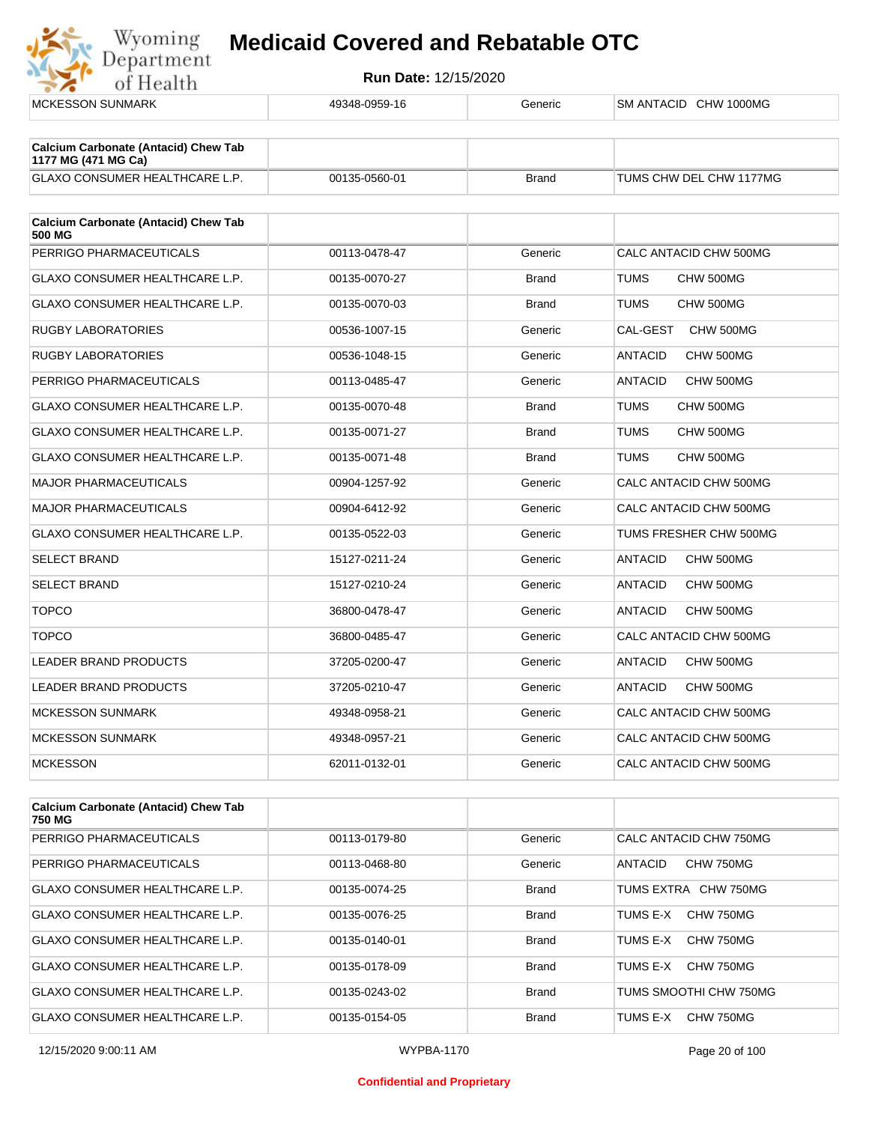

| <b>MCKESSON SUNMARK</b>                                            | 49348-0959-16 | Generic      | SM ANTACID CHW 1000MG       |
|--------------------------------------------------------------------|---------------|--------------|-----------------------------|
| <b>Calcium Carbonate (Antacid) Chew Tab</b><br>1177 MG (471 MG Ca) |               |              |                             |
| GLAXO CONSUMER HEALTHCARE L.P.                                     | 00135-0560-01 | <b>Brand</b> | TUMS CHW DEL CHW 1177MG     |
| <b>Calcium Carbonate (Antacid) Chew Tab</b><br><b>500 MG</b>       |               |              |                             |
| PERRIGO PHARMACEUTICALS                                            | 00113-0478-47 | Generic      | CALC ANTACID CHW 500MG      |
| GLAXO CONSUMER HEALTHCARE L.P.                                     | 00135-0070-27 | <b>Brand</b> | <b>TUMS</b><br>CHW 500MG    |
| GLAXO CONSUMER HEALTHCARE L.P.                                     | 00135-0070-03 | <b>Brand</b> | TUMS<br>CHW 500MG           |
| <b>RUGBY LABORATORIES</b>                                          | 00536-1007-15 | Generic      | CAL-GEST<br>CHW 500MG       |
| <b>RUGBY LABORATORIES</b>                                          | 00536-1048-15 | Generic      | <b>ANTACID</b><br>CHW 500MG |
| PERRIGO PHARMACEUTICALS                                            | 00113-0485-47 | Generic      | <b>ANTACID</b><br>CHW 500MG |
| <b>GLAXO CONSUMER HEALTHCARE L.P.</b>                              | 00135-0070-48 | <b>Brand</b> | <b>TUMS</b><br>CHW 500MG    |
| GLAXO CONSUMER HEALTHCARE L.P.                                     | 00135-0071-27 | <b>Brand</b> | TUMS<br>CHW 500MG           |
| <b>GLAXO CONSUMER HEALTHCARE L.P.</b>                              | 00135-0071-48 | <b>Brand</b> | TUMS<br>CHW 500MG           |
| <b>MAJOR PHARMACEUTICALS</b>                                       | 00904-1257-92 | Generic      | CALC ANTACID CHW 500MG      |
| <b>MAJOR PHARMACEUTICALS</b>                                       | 00904-6412-92 | Generic      | CALC ANTACID CHW 500MG      |
| <b>GLAXO CONSUMER HEALTHCARE L.P.</b>                              | 00135-0522-03 | Generic      | TUMS FRESHER CHW 500MG      |
| <b>SELECT BRAND</b>                                                | 15127-0211-24 | Generic      | <b>ANTACID</b><br>CHW 500MG |
| <b>SELECT BRAND</b>                                                | 15127-0210-24 | Generic      | CHW 500MG<br>ANTACID        |
| <b>TOPCO</b>                                                       | 36800-0478-47 | Generic      | <b>ANTACID</b><br>CHW 500MG |
| <b>TOPCO</b>                                                       | 36800-0485-47 | Generic      | CALC ANTACID CHW 500MG      |
| LEADER BRAND PRODUCTS                                              | 37205-0200-47 | Generic      | <b>ANTACID</b><br>CHW 500MG |
| <b>LEADER BRAND PRODUCTS</b>                                       | 37205-0210-47 | Generic      | <b>ANTACID</b><br>CHW 500MG |
| <b>MCKESSON SUNMARK</b>                                            | 49348-0958-21 | Generic      | CALC ANTACID CHW 500MG      |
| <b>MCKESSON SUNMARK</b>                                            | 49348-0957-21 | Generic      | CALC ANTACID CHW 500MG      |
| <b>MCKESSON</b>                                                    | 62011-0132-01 | Generic      | CALC ANTACID CHW 500MG      |
|                                                                    |               |              |                             |
|                                                                    |               |              |                             |

| <b>Calcium Carbonate (Antacid) Chew Tab</b><br>750 MG |               |              |                             |
|-------------------------------------------------------|---------------|--------------|-----------------------------|
| PERRIGO PHARMACEUTICALS                               | 00113-0179-80 | Generic      | CALC ANTACID CHW 750MG      |
| PERRIGO PHARMACEUTICALS                               | 00113-0468-80 | Generic      | CHW 750MG<br><b>ANTACID</b> |
| GLAXO CONSUMER HEALTHCARE L.P.                        | 00135-0074-25 | <b>Brand</b> | TUMS EXTRA CHW 750MG        |
| GLAXO CONSUMER HEALTHCARE L.P.                        | 00135-0076-25 | <b>Brand</b> | CHW 750MG<br>TUMS E-X       |
| GLAXO CONSUMER HEALTHCARE L.P.                        | 00135-0140-01 | <b>Brand</b> | CHW 750MG<br>TUMS E-X       |
| GLAXO CONSUMER HEALTHCARE L.P.                        | 00135-0178-09 | <b>Brand</b> | CHW 750MG<br>TUMS E-X       |
| <b>GLAXO CONSUMER HEALTHCARE L.P.</b>                 | 00135-0243-02 | <b>Brand</b> | TUMS SMOOTHI CHW 750MG      |
| <b>GLAXO CONSUMER HEALTHCARE L.P.</b>                 | 00135-0154-05 | <b>Brand</b> | CHW 750MG<br>TUMS E-X       |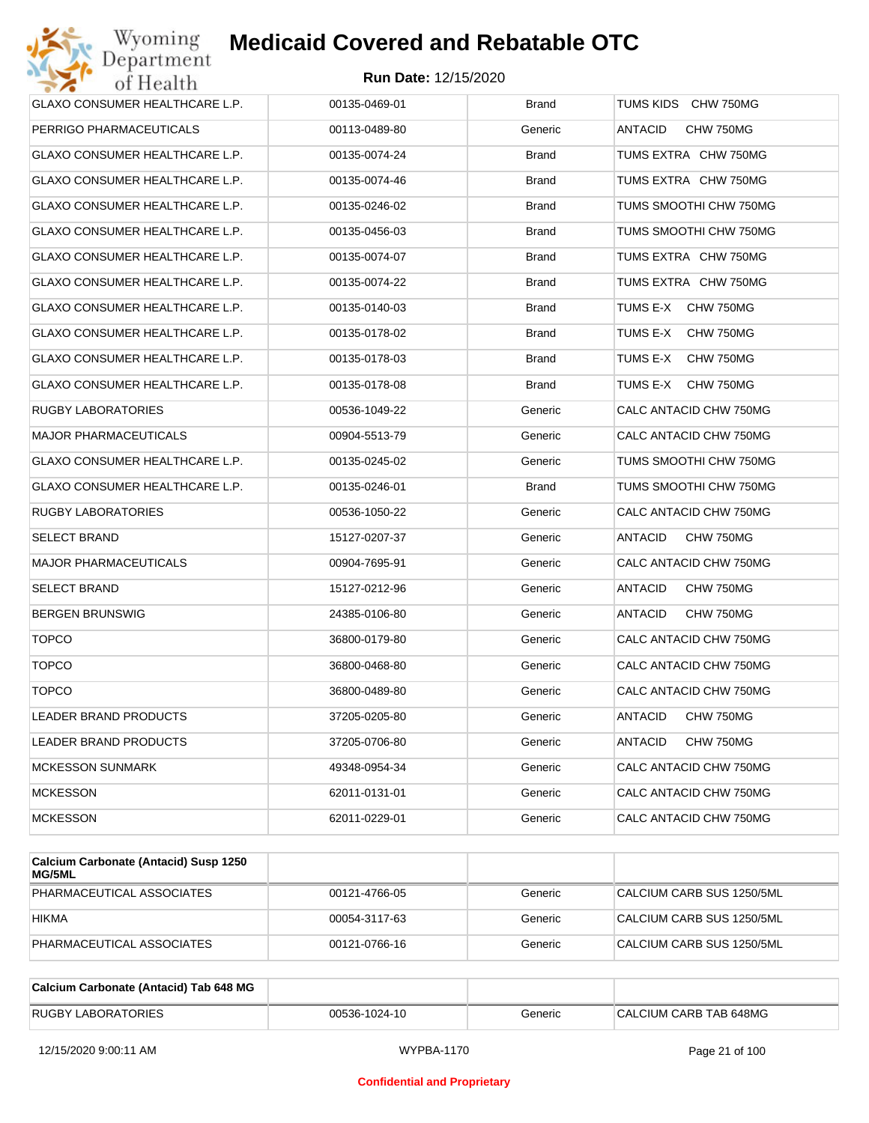

| GLAXO CONSUMER HEALTHCARE L.P.        | 00135-0469-01 | <b>Brand</b> | TUMS KIDS CHW 750MG         |
|---------------------------------------|---------------|--------------|-----------------------------|
| PERRIGO PHARMACEUTICALS               | 00113-0489-80 | Generic      | ANTACID<br>CHW 750MG        |
| GLAXO CONSUMER HEALTHCARE L.P.        | 00135-0074-24 | Brand        | TUMS EXTRA CHW 750MG        |
| GLAXO CONSUMER HEALTHCARE L.P.        | 00135-0074-46 | <b>Brand</b> | TUMS EXTRA CHW 750MG        |
| GLAXO CONSUMER HEALTHCARE L.P.        | 00135-0246-02 | <b>Brand</b> | TUMS SMOOTHI CHW 750MG      |
| GLAXO CONSUMER HEALTHCARE L.P.        | 00135-0456-03 | <b>Brand</b> | TUMS SMOOTHI CHW 750MG      |
| <b>GLAXO CONSUMER HEALTHCARE L.P.</b> | 00135-0074-07 | <b>Brand</b> | TUMS EXTRA CHW 750MG        |
| GLAXO CONSUMER HEALTHCARE L.P.        | 00135-0074-22 | <b>Brand</b> | TUMS EXTRA CHW 750MG        |
| GLAXO CONSUMER HEALTHCARE L.P.        | 00135-0140-03 | Brand        | TUMS E-X<br>CHW 750MG       |
| GLAXO CONSUMER HEALTHCARE L.P.        | 00135-0178-02 | <b>Brand</b> | TUMS E-X<br>CHW 750MG       |
| GLAXO CONSUMER HEALTHCARE L.P.        | 00135-0178-03 | Brand        | TUMS E-X<br>CHW 750MG       |
| GLAXO CONSUMER HEALTHCARE L.P.        | 00135-0178-08 | <b>Brand</b> | TUMS E-X<br>CHW 750MG       |
| <b>RUGBY LABORATORIES</b>             | 00536-1049-22 | Generic      | CALC ANTACID CHW 750MG      |
| <b>MAJOR PHARMACEUTICALS</b>          | 00904-5513-79 | Generic      | CALC ANTACID CHW 750MG      |
| GLAXO CONSUMER HEALTHCARE L.P.        | 00135-0245-02 | Generic      | TUMS SMOOTHI CHW 750MG      |
| GLAXO CONSUMER HEALTHCARE L.P.        | 00135-0246-01 | <b>Brand</b> | TUMS SMOOTHI CHW 750MG      |
| RUGBY LABORATORIES                    | 00536-1050-22 | Generic      | CALC ANTACID CHW 750MG      |
| <b>SELECT BRAND</b>                   | 15127-0207-37 | Generic      | ANTACID<br>CHW 750MG        |
| <b>MAJOR PHARMACEUTICALS</b>          | 00904-7695-91 | Generic      | CALC ANTACID CHW 750MG      |
| <b>SELECT BRAND</b>                   | 15127-0212-96 | Generic      | ANTACID<br>CHW 750MG        |
| <b>BERGEN BRUNSWIG</b>                | 24385-0106-80 | Generic      | ANTACID<br>CHW 750MG        |
| <b>TOPCO</b>                          | 36800-0179-80 | Generic      | CALC ANTACID CHW 750MG      |
| <b>TOPCO</b>                          | 36800-0468-80 | Generic      | CALC ANTACID CHW 750MG      |
| <b>TOPCO</b>                          | 36800-0489-80 | Generic      | CALC ANTACID CHW 750MG      |
| <b>LEADER BRAND PRODUCTS</b>          | 37205-0205-80 | Generic      | ANTACID<br>CHW 750MG        |
| LEADER BRAND PRODUCTS                 | 37205-0706-80 | Generic      | <b>ANTACID</b><br>CHW 750MG |
| <b>MCKESSON SUNMARK</b>               | 49348-0954-34 | Generic      | CALC ANTACID CHW 750MG      |
| <b>MCKESSON</b>                       | 62011-0131-01 | Generic      | CALC ANTACID CHW 750MG      |
| <b>MCKESSON</b>                       | 62011-0229-01 | Generic      | CALC ANTACID CHW 750MG      |

| Calcium Carbonate (Antacid) Susp 1250<br><b>MG/5ML</b> |               |         |                           |
|--------------------------------------------------------|---------------|---------|---------------------------|
| PHARMACEUTICAL ASSOCIATES                              | 00121-4766-05 | Generic | CALCIUM CARB SUS 1250/5ML |
| <b>HIKMA</b>                                           | 00054-3117-63 | Generic | CALCIUM CARB SUS 1250/5ML |
| PHARMACEUTICAL ASSOCIATES                              | 00121-0766-16 | Generic | CALCIUM CARB SUS 1250/5ML |

| Calcium Carbonate (Antacid) Tab 648 MG |               |         |                        |
|----------------------------------------|---------------|---------|------------------------|
| <b>RUGBY LABORATORIES</b>              | 00536-1024-10 | Generic | CALCIUM CARB TAB 648MG |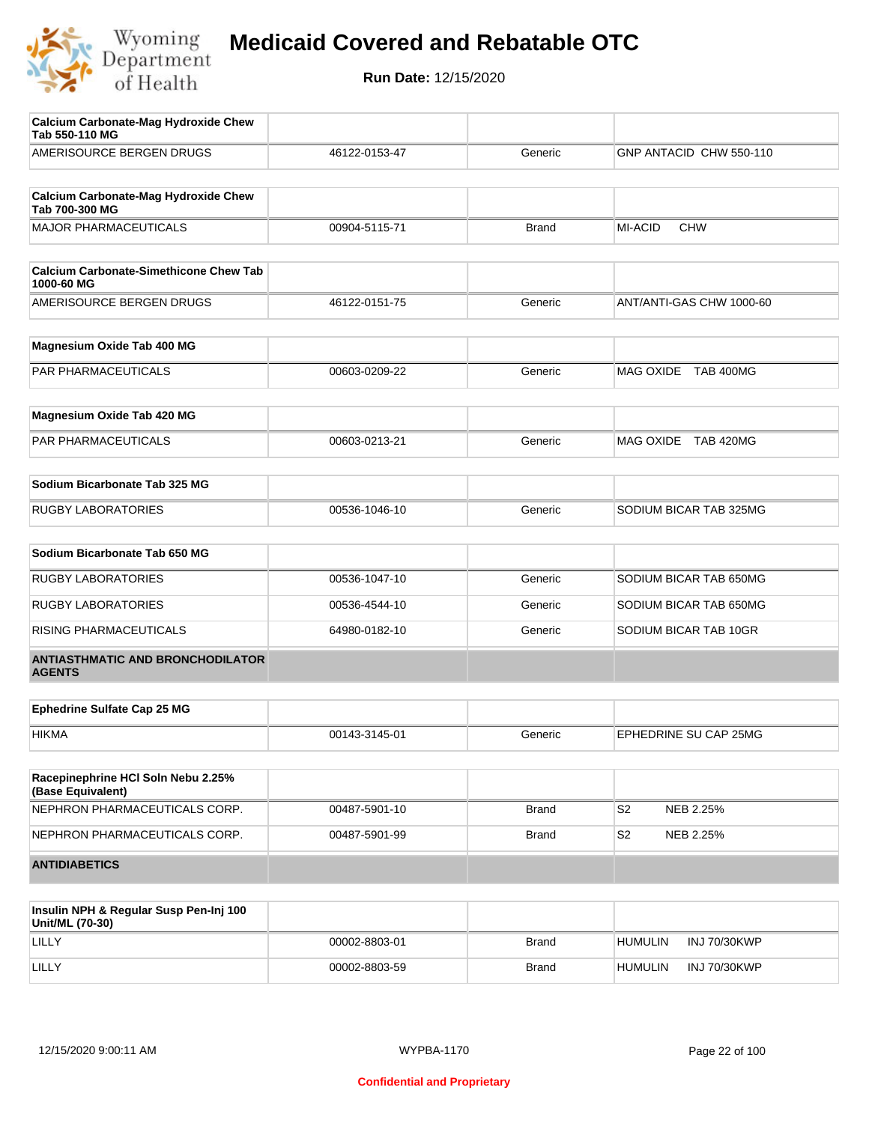

| Calcium Carbonate-Mag Hydroxide Chew<br>Tab 550-110 MG        |               |              |                             |
|---------------------------------------------------------------|---------------|--------------|-----------------------------|
| AMERISOURCE BERGEN DRUGS                                      | 46122-0153-47 | Generic      | GNP ANTACID CHW 550-110     |
| <b>Calcium Carbonate-Mag Hydroxide Chew</b><br>Tab 700-300 MG |               |              |                             |
| <b>MAJOR PHARMACEUTICALS</b>                                  | 00904-5115-71 | <b>Brand</b> | MI-ACID<br><b>CHW</b>       |
| <b>Calcium Carbonate-Simethicone Chew Tab</b><br>1000-60 MG   |               |              |                             |
| AMERISOURCE BERGEN DRUGS                                      | 46122-0151-75 | Generic      | ANT/ANTI-GAS CHW 1000-60    |
| Magnesium Oxide Tab 400 MG                                    |               |              |                             |
| PAR PHARMACEUTICALS                                           | 00603-0209-22 | Generic      | MAG OXIDE TAB 400MG         |
| Magnesium Oxide Tab 420 MG                                    |               |              |                             |
| PAR PHARMACEUTICALS                                           | 00603-0213-21 | Generic      | MAG OXIDE TAB 420MG         |
| Sodium Bicarbonate Tab 325 MG                                 |               |              |                             |
| <b>RUGBY LABORATORIES</b>                                     | 00536-1046-10 | Generic      | SODIUM BICAR TAB 325MG      |
| Sodium Bicarbonate Tab 650 MG                                 |               |              |                             |
| <b>RUGBY LABORATORIES</b>                                     | 00536-1047-10 | Generic      | SODIUM BICAR TAB 650MG      |
| <b>RUGBY LABORATORIES</b>                                     | 00536-4544-10 | Generic      | SODIUM BICAR TAB 650MG      |
| RISING PHARMACEUTICALS                                        | 64980-0182-10 | Generic      | SODIUM BICAR TAB 10GR       |
| <b>ANTIASTHMATIC AND BRONCHODILATOR</b><br><b>AGENTS</b>      |               |              |                             |
| <b>Ephedrine Sulfate Cap 25 MG</b>                            |               |              |                             |
| <b>HIKMA</b>                                                  | 00143-3145-01 | Generic      | EPHEDRINE SU CAP 25MG       |
| Racepinephrine HCI Soln Nebu 2.25%<br>(Base Equivalent)       |               |              |                             |
| NEPHRON PHARMACEUTICALS CORP.                                 | 00487-5901-10 | <b>Brand</b> | S <sub>2</sub><br>NEB 2.25% |
| NEPHRON PHARMACEUTICALS CORP.                                 | 00487-5901-99 | <b>Brand</b> | S2<br>NEB 2.25%             |
| <b>ANTIDIABETICS</b>                                          |               |              |                             |
|                                                               |               |              |                             |

| Insulin NPH & Regular Susp Pen-Inj 100<br>Unit/ML (70-30) |               |              |                                |
|-----------------------------------------------------------|---------------|--------------|--------------------------------|
| LILLY                                                     | 00002-8803-01 | <b>Brand</b> | INJ 70/30KWP<br><b>HUMULIN</b> |
| LILLY                                                     | 00002-8803-59 | <b>Brand</b> | INJ 70/30KWP<br><b>HUMULIN</b> |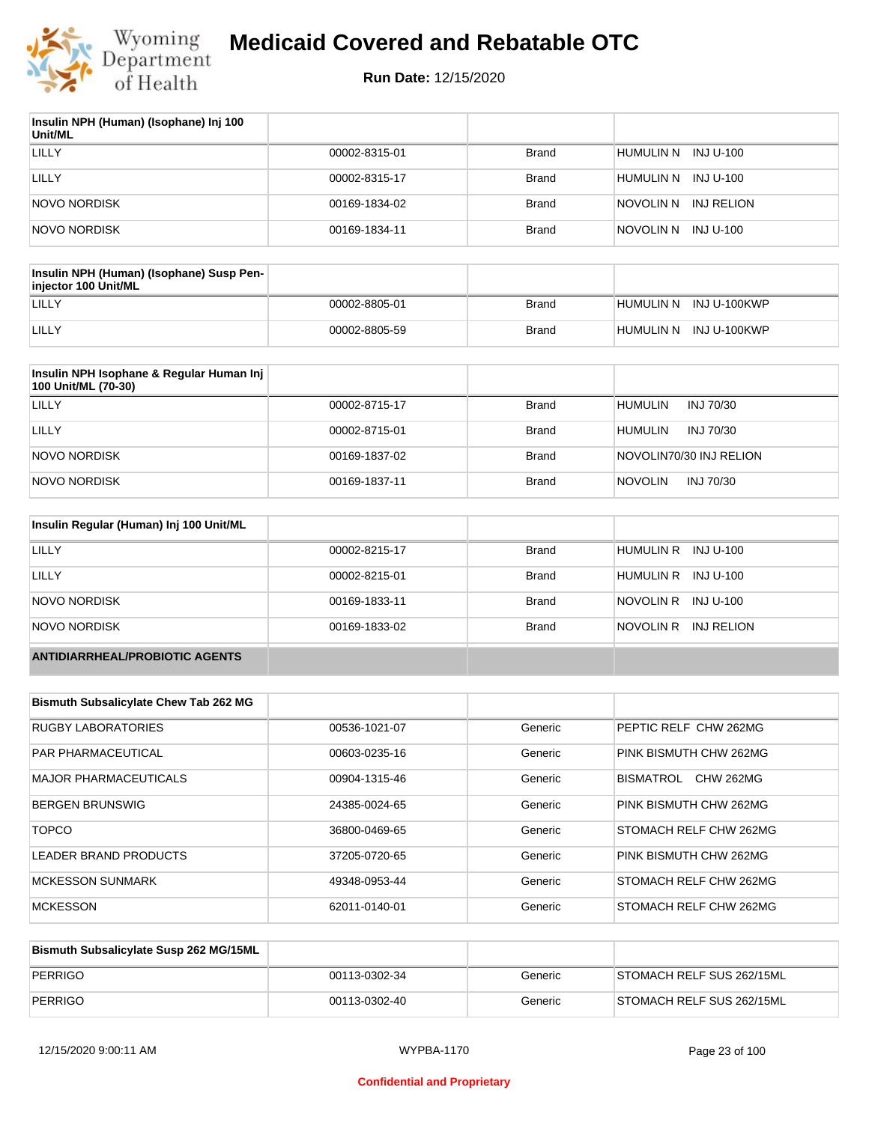

| Insulin NPH (Human) (Isophane) Inj 100<br>Unit/ML |               |              |                         |
|---------------------------------------------------|---------------|--------------|-------------------------|
| LILLY                                             | 00002-8315-01 | <b>Brand</b> | HUMULIN N INJ U-100     |
| LILLY                                             | 00002-8315-17 | Brand        | HUMULIN N INJ U-100     |
| NOVO NORDISK                                      | 00169-1834-02 | <b>Brand</b> | INJ RELION<br>NOVOLIN N |
| NOVO NORDISK                                      | 00169-1834-11 | <b>Brand</b> | NOVOLIN N<br>INJ U-100  |

| Insulin NPH (Human) (Isophane) Susp Pen-<br>injector 100 Unit/ML |               |       |                        |
|------------------------------------------------------------------|---------------|-------|------------------------|
| LILLY                                                            | 00002-8805-01 | Brand | HUMULIN N INJ U-100KWP |
| LILLY                                                            | 00002-8805-59 | Brand | HUMULIN N INJ U-100KWP |

| Insulin NPH Isophane & Regular Human Inj<br>100 Unit/ML (70-30) |               |              |                             |
|-----------------------------------------------------------------|---------------|--------------|-----------------------------|
| LILLY                                                           | 00002-8715-17 | <b>Brand</b> | <b>HUMULIN</b><br>INJ 70/30 |
| LILLY                                                           | 00002-8715-01 | <b>Brand</b> | <b>HUMULIN</b><br>INJ 70/30 |
| NOVO NORDISK                                                    | 00169-1837-02 | <b>Brand</b> | NOVOLIN70/30 INJ RELION     |
| NOVO NORDISK                                                    | 00169-1837-11 | <b>Brand</b> | <b>NOVOLIN</b><br>INJ 70/30 |

| Insulin Regular (Human) Inj 100 Unit/ML |               |              |                         |
|-----------------------------------------|---------------|--------------|-------------------------|
| LILLY                                   | 00002-8215-17 | <b>Brand</b> | INJ U-100<br>HUMULIN R  |
| LILLY                                   | 00002-8215-01 | <b>Brand</b> | HUMULIN R INJ U-100     |
| NOVO NORDISK                            | 00169-1833-11 | <b>Brand</b> | NOVOLIN R<br>INJ U-100  |
| NOVO NORDISK                            | 00169-1833-02 | <b>Brand</b> | NOVOLIN R<br>INJ RELION |
| <b>ANTIDIARRHEAL/PROBIOTIC AGENTS</b>   |               |              |                         |

| <b>Bismuth Subsalicylate Chew Tab 262 MG</b> |               |         |                               |
|----------------------------------------------|---------------|---------|-------------------------------|
| <b>RUGBY LABORATORIES</b>                    | 00536-1021-07 | Generic | PEPTIC RELF CHW 262MG         |
| <b>PAR PHARMACEUTICAL</b>                    | 00603-0235-16 | Generic | PINK BISMUTH CHW 262MG        |
| <b>MAJOR PHARMACEUTICALS</b>                 | 00904-1315-46 | Generic | <b>CHW 262MG</b><br>BISMATROL |
| <b>BERGEN BRUNSWIG</b>                       | 24385-0024-65 | Generic | PINK BISMUTH CHW 262MG        |
| <b>TOPCO</b>                                 | 36800-0469-65 | Generic | <b>STOMACH RELF CHW 262MG</b> |
| LEADER BRAND PRODUCTS                        | 37205-0720-65 | Generic | PINK BISMUTH CHW 262MG        |
| <b>MCKESSON SUNMARK</b>                      | 49348-0953-44 | Generic | <b>STOMACH RELF CHW 262MG</b> |
| <b>MCKESSON</b>                              | 62011-0140-01 | Generic | <b>STOMACH RELF CHW 262MG</b> |

| Bismuth Subsalicylate Susp 262 MG/15ML |               |         |                           |
|----------------------------------------|---------------|---------|---------------------------|
| PERRIGO                                | 00113-0302-34 | Generic | STOMACH RELF SUS 262/15ML |
| PERRIGO                                | 00113-0302-40 | Generic | STOMACH RELF SUS 262/15ML |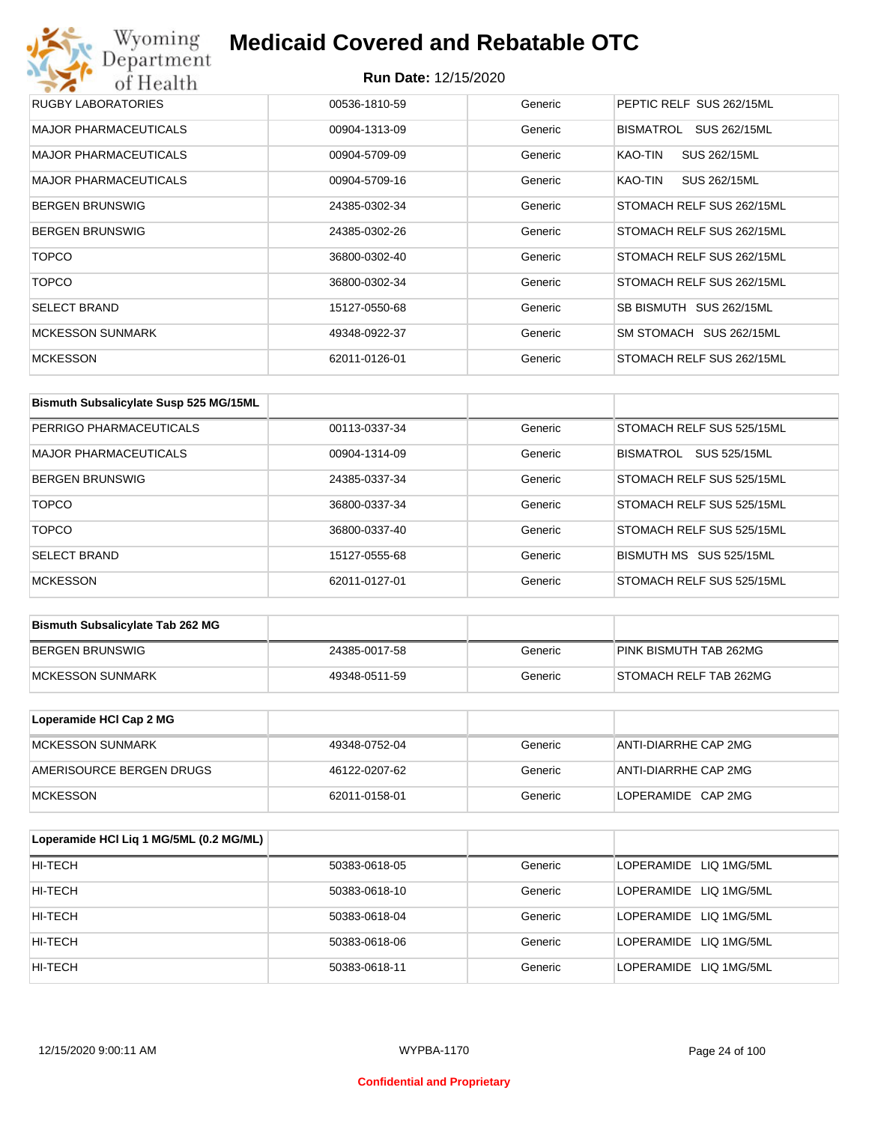# Wyoming<br>Department<br>of Health **Medicaid Covered and Rebatable OTC**

| RUGBY LABORATORIES           | 00536-1810-59 | Generic | PEPTIC RELF SUS 262/15ML  |
|------------------------------|---------------|---------|---------------------------|
| <b>MAJOR PHARMACEUTICALS</b> | 00904-1313-09 | Generic | SUS 262/15ML<br>BISMATROL |
| <b>MAJOR PHARMACEUTICALS</b> | 00904-5709-09 | Generic | SUS 262/15ML<br>KAO-TIN   |
| <b>MAJOR PHARMACEUTICALS</b> | 00904-5709-16 | Generic | KAO-TIN<br>SUS 262/15ML   |
| <b>BERGEN BRUNSWIG</b>       | 24385-0302-34 | Generic | STOMACH RELF SUS 262/15ML |
| <b>BERGEN BRUNSWIG</b>       | 24385-0302-26 | Generic | STOMACH RELF SUS 262/15ML |
| <b>TOPCO</b>                 | 36800-0302-40 | Generic | STOMACH RELF SUS 262/15ML |
| <b>TOPCO</b>                 | 36800-0302-34 | Generic | STOMACH RELF SUS 262/15ML |
| <b>SELECT BRAND</b>          | 15127-0550-68 | Generic | SB BISMUTH SUS 262/15ML   |
| <b>MCKESSON SUNMARK</b>      | 49348-0922-37 | Generic | SM STOMACH SUS 262/15ML   |
| <b>MCKESSON</b>              | 62011-0126-01 | Generic | STOMACH RELF SUS 262/15ML |

| Bismuth Subsalicylate Susp 525 MG/15ML |               |         |                            |
|----------------------------------------|---------------|---------|----------------------------|
| PERRIGO PHARMACEUTICALS                | 00113-0337-34 | Generic | STOMACH RELF SUS 525/15ML  |
| <b>MAJOR PHARMACEUTICALS</b>           | 00904-1314-09 | Generic | SUS 525/15ML<br>BISMATROL  |
| <b>BERGEN BRUNSWIG</b>                 | 24385-0337-34 | Generic | STOMACH RELF SUS 525/15ML  |
| <b>TOPCO</b>                           | 36800-0337-34 | Generic | STOMACH RELF SUS 525/15ML  |
| <b>TOPCO</b>                           | 36800-0337-40 | Generic | STOMACH RELF SUS 525/15ML  |
| <b>SELECT BRAND</b>                    | 15127-0555-68 | Generic | SUS 525/15ML<br>BISMUTH MS |
| <b>MCKESSON</b>                        | 62011-0127-01 | Generic | STOMACH RELF SUS 525/15ML  |

| <b>Bismuth Subsalicylate Tab 262 MG</b> |               |         |                        |
|-----------------------------------------|---------------|---------|------------------------|
| BERGEN BRUNSWIG                         | 24385-0017-58 | Generic | PINK BISMUTH TAB 262MG |
| <b>IMCKESSON SUNMARK</b>                | 49348-0511-59 | Generic | STOMACH RELF TAB 262MG |

| Loperamide HCI Cap 2 MG  |               |         |                      |
|--------------------------|---------------|---------|----------------------|
| IMCKESSON SUNMARK        | 49348-0752-04 | Generic | ANTI-DIARRHE CAP 2MG |
| AMERISOURCE BERGEN DRUGS | 46122-0207-62 | Generic | ANTI-DIARRHE CAP 2MG |
| <b>IMCKESSON</b>         | 62011-0158-01 | Generic | LOPERAMIDE CAP 2MG   |

| Loperamide HCI Liq 1 MG/5ML (0.2 MG/ML) |               |         |                        |
|-----------------------------------------|---------------|---------|------------------------|
| HI-TECH                                 | 50383-0618-05 | Generic | LOPERAMIDE LIQ 1MG/5ML |
| HI-TECH                                 | 50383-0618-10 | Generic | LOPERAMIDE LIQ 1MG/5ML |
| HI-TECH                                 | 50383-0618-04 | Generic | LOPERAMIDE LIQ 1MG/5ML |
| HI-TECH                                 | 50383-0618-06 | Generic | LOPERAMIDE LIQ 1MG/5ML |
| HI-TECH                                 | 50383-0618-11 | Generic | LOPERAMIDE LIQ 1MG/5ML |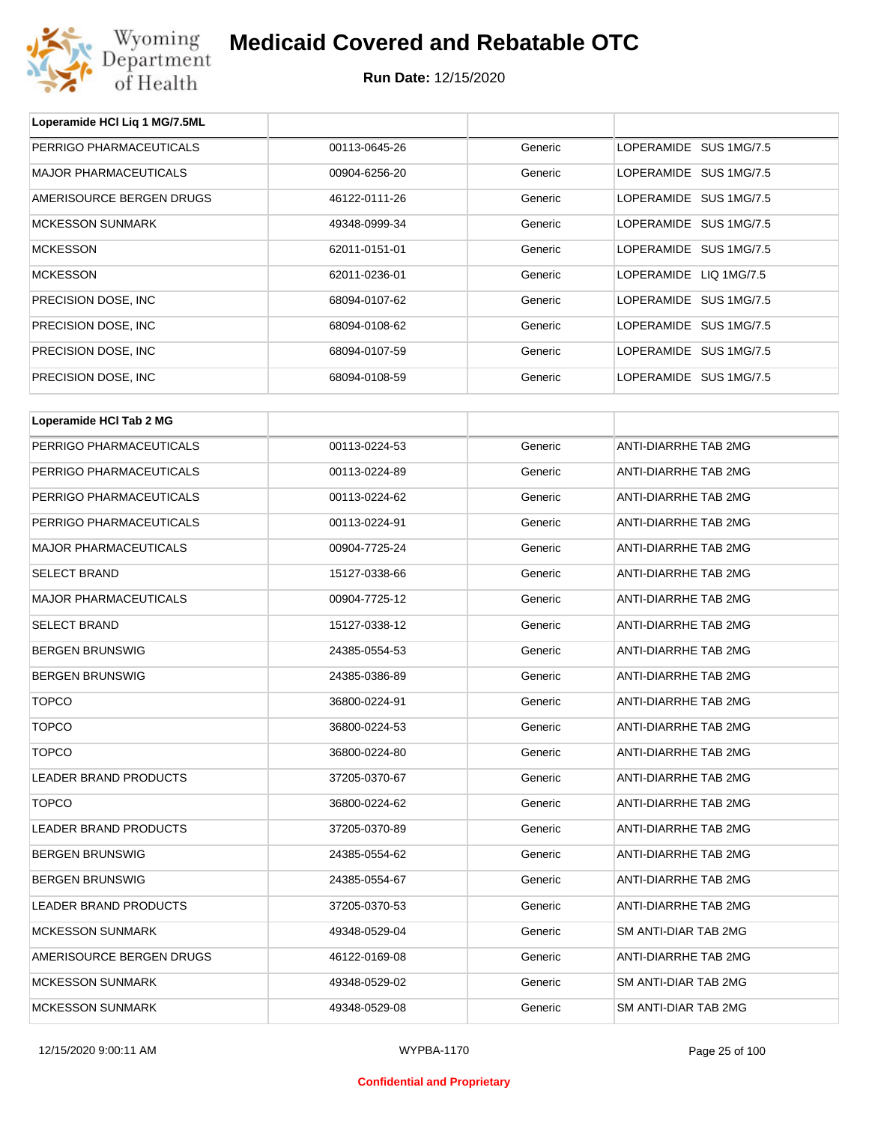

| Loperamide HCI Liq 1 MG/7.5ML |               |         |                             |
|-------------------------------|---------------|---------|-----------------------------|
| PERRIGO PHARMACEUTICALS       | 00113-0645-26 | Generic | LOPERAMIDE SUS 1MG/7.5      |
| <b>MAJOR PHARMACEUTICALS</b>  | 00904-6256-20 | Generic | LOPERAMIDE SUS 1MG/7.5      |
| AMERISOURCE BERGEN DRUGS      | 46122-0111-26 | Generic | LOPERAMIDE SUS 1MG/7.5      |
| <b>MCKESSON SUNMARK</b>       | 49348-0999-34 | Generic | LOPERAMIDE SUS 1MG/7.5      |
| <b>MCKESSON</b>               | 62011-0151-01 | Generic | LOPERAMIDE SUS 1MG/7.5      |
| <b>MCKESSON</b>               | 62011-0236-01 | Generic | LOPERAMIDE LIQ 1MG/7.5      |
| PRECISION DOSE, INC           | 68094-0107-62 | Generic | LOPERAMIDE SUS 1MG/7.5      |
| PRECISION DOSE, INC           | 68094-0108-62 | Generic | LOPERAMIDE SUS 1MG/7.5      |
| PRECISION DOSE, INC           | 68094-0107-59 | Generic | LOPERAMIDE SUS 1MG/7.5      |
| PRECISION DOSE, INC           | 68094-0108-59 | Generic | LOPERAMIDE SUS 1MG/7.5      |
|                               |               |         |                             |
| Loperamide HCI Tab 2 MG       |               |         |                             |
| PERRIGO PHARMACEUTICALS       | 00113-0224-53 | Generic | ANTI-DIARRHE TAB 2MG        |
| PERRIGO PHARMACEUTICALS       | 00113-0224-89 | Generic | ANTI-DIARRHE TAB 2MG        |
| PERRIGO PHARMACEUTICALS       | 00113-0224-62 | Generic | ANTI-DIARRHE TAB 2MG        |
| PERRIGO PHARMACEUTICALS       | 00113-0224-91 | Generic | ANTI-DIARRHE TAB 2MG        |
| <b>MAJOR PHARMACEUTICALS</b>  | 00904-7725-24 | Generic | ANTI-DIARRHE TAB 2MG        |
| <b>SELECT BRAND</b>           | 15127-0338-66 | Generic | ANTI-DIARRHE TAB 2MG        |
| <b>MAJOR PHARMACEUTICALS</b>  | 00904-7725-12 | Generic | ANTI-DIARRHE TAB 2MG        |
| <b>SELECT BRAND</b>           | 15127-0338-12 | Generic | ANTI-DIARRHE TAB 2MG        |
| <b>BERGEN BRUNSWIG</b>        | 24385-0554-53 | Generic | ANTI-DIARRHE TAB 2MG        |
| <b>BERGEN BRUNSWIG</b>        | 24385-0386-89 | Generic | ANTI-DIARRHE TAB 2MG        |
| <b>TOPCO</b>                  | 36800-0224-91 | Generic | ANTI-DIARRHE TAB 2MG        |
| <b>TOPCO</b>                  | 36800-0224-53 | Generic | ANTI-DIARRHE TAB 2MG        |
| <b>TOPCO</b>                  | 36800-0224-80 | Generic | <b>ANTI-DIARRHE TAB 2MG</b> |
| LEADER BRAND PRODUCTS         | 37205-0370-67 | Generic | ANTI-DIARRHE TAB 2MG        |
| <b>TOPCO</b>                  | 36800-0224-62 | Generic | ANTI-DIARRHE TAB 2MG        |
| LEADER BRAND PRODUCTS         | 37205-0370-89 | Generic | ANTI-DIARRHE TAB 2MG        |
| <b>BERGEN BRUNSWIG</b>        | 24385-0554-62 | Generic | ANTI-DIARRHE TAB 2MG        |
| <b>BERGEN BRUNSWIG</b>        | 24385-0554-67 | Generic | <b>ANTI-DIARRHE TAB 2MG</b> |
| LEADER BRAND PRODUCTS         | 37205-0370-53 | Generic | ANTI-DIARRHE TAB 2MG        |
| <b>MCKESSON SUNMARK</b>       | 49348-0529-04 | Generic | SM ANTI-DIAR TAB 2MG        |
| AMERISOURCE BERGEN DRUGS      | 46122-0169-08 | Generic | ANTI-DIARRHE TAB 2MG        |
| <b>MCKESSON SUNMARK</b>       | 49348-0529-02 | Generic | SM ANTI-DIAR TAB 2MG        |
| <b>MCKESSON SUNMARK</b>       | 49348-0529-08 | Generic | SM ANTI-DIAR TAB 2MG        |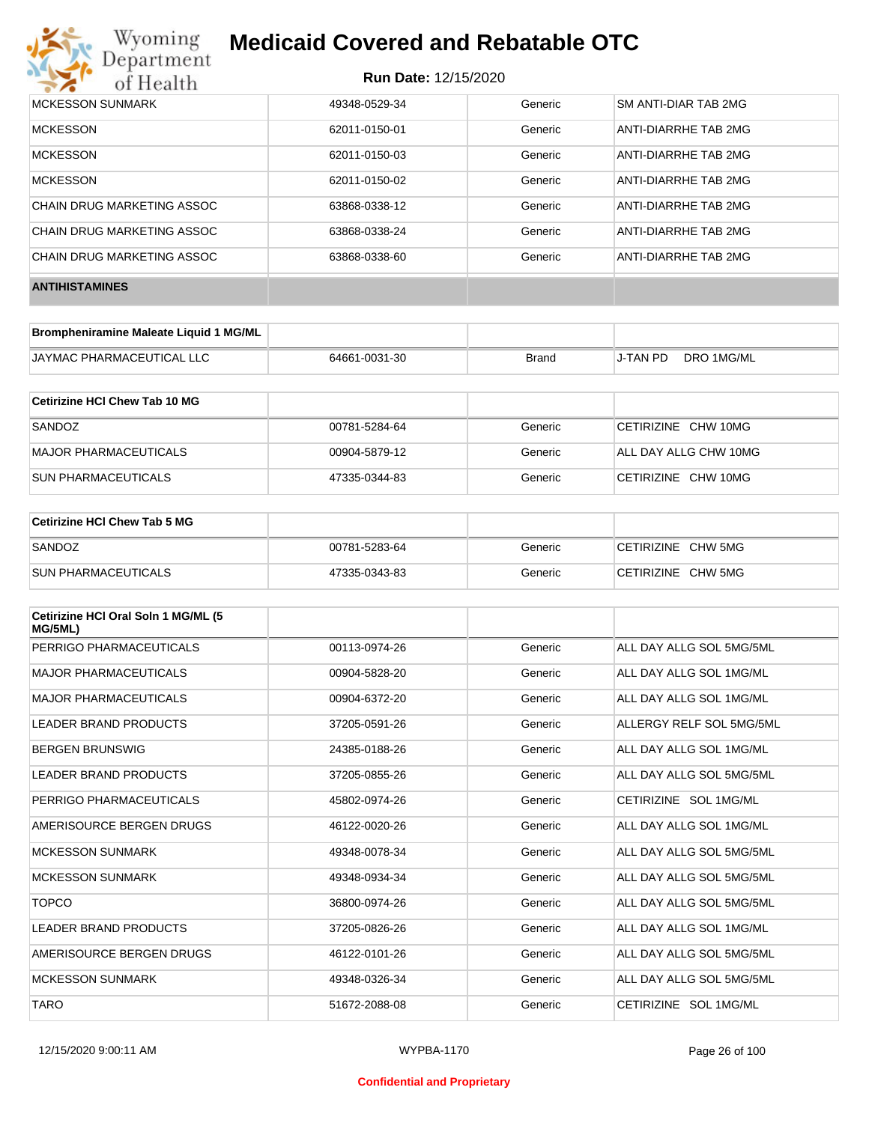

| MCKESSON SUNMARK           | 49348-0529-34 | Generic | SM ANTI-DIAR TAB 2MG |
|----------------------------|---------------|---------|----------------------|
| <b>MCKESSON</b>            | 62011-0150-01 | Generic | ANTI-DIARRHE TAB 2MG |
| <b>MCKESSON</b>            | 62011-0150-03 | Generic | ANTI-DIARRHE TAB 2MG |
| <b>MCKESSON</b>            | 62011-0150-02 | Generic | ANTI-DIARRHE TAB 2MG |
| CHAIN DRUG MARKETING ASSOC | 63868-0338-12 | Generic | ANTI-DIARRHE TAB 2MG |
| CHAIN DRUG MARKETING ASSOC | 63868-0338-24 | Generic | ANTI-DIARRHE TAB 2MG |
| CHAIN DRUG MARKETING ASSOC | 63868-0338-60 | Generic | ANTI-DIARRHE TAB 2MG |
| <b>ANTIHISTAMINES</b>      |               |         |                      |

| Brompheniramine Maleate Liquid 1 MG/ML |               |       |          |            |
|----------------------------------------|---------------|-------|----------|------------|
| <b>JAYMAC PHARMACEUTICAL LLC</b>       | 64661-0031-30 | Brand | J-TAN PD | DRO 1MG/ML |

| Cetirizine HCI Chew Tab 10 MG |               |         |                       |
|-------------------------------|---------------|---------|-----------------------|
| SANDOZ                        | 00781-5284-64 | Generic | CETIRIZINE CHW 10MG   |
| MAJOR PHARMACEUTICALS         | 00904-5879-12 | Generic | ALL DAY ALLG CHW 10MG |
| <b>ISUN PHARMACEUTICALS</b>   | 47335-0344-83 | Generic | CETIRIZINE CHW 10MG   |

| <b>Cetirizine HCI Chew Tab 5 MG</b> |               |         |                    |
|-------------------------------------|---------------|---------|--------------------|
| SANDOZ                              | 00781-5283-64 | Generic | CETIRIZINE CHW 5MG |
| <b>SUN PHARMACEUTICALS</b>          | 47335-0343-83 | Generic | CETIRIZINE CHW 5MG |

| Cetirizine HCI Oral Soln 1 MG/ML (5<br>MG/5ML) |               |         |                          |
|------------------------------------------------|---------------|---------|--------------------------|
| PERRIGO PHARMACEUTICALS                        | 00113-0974-26 | Generic | ALL DAY ALLG SOL 5MG/5ML |
| <b>MAJOR PHARMACEUTICALS</b>                   | 00904-5828-20 | Generic | ALL DAY ALLG SOL 1MG/ML  |
| <b>MAJOR PHARMACEUTICALS</b>                   | 00904-6372-20 | Generic | ALL DAY ALLG SOL 1MG/ML  |
| <b>LEADER BRAND PRODUCTS</b>                   | 37205-0591-26 | Generic | ALLERGY RELF SOL 5MG/5ML |
| <b>BERGEN BRUNSWIG</b>                         | 24385-0188-26 | Generic | ALL DAY ALLG SOL 1MG/ML  |
| <b>LEADER BRAND PRODUCTS</b>                   | 37205-0855-26 | Generic | ALL DAY ALLG SOL 5MG/5ML |
| PERRIGO PHARMACEUTICALS                        | 45802-0974-26 | Generic | CETIRIZINE SOL 1MG/ML    |
| AMERISOURCE BERGEN DRUGS                       | 46122-0020-26 | Generic | ALL DAY ALLG SOL 1MG/ML  |
| <b>MCKESSON SUNMARK</b>                        | 49348-0078-34 | Generic | ALL DAY ALLG SOL 5MG/5ML |
| <b>MCKESSON SUNMARK</b>                        | 49348-0934-34 | Generic | ALL DAY ALLG SOL 5MG/5ML |
| <b>TOPCO</b>                                   | 36800-0974-26 | Generic | ALL DAY ALLG SOL 5MG/5ML |
| LEADER BRAND PRODUCTS                          | 37205-0826-26 | Generic | ALL DAY ALLG SOL 1MG/ML  |
| AMERISOURCE BERGEN DRUGS                       | 46122-0101-26 | Generic | ALL DAY ALLG SOL 5MG/5ML |
| <b>MCKESSON SUNMARK</b>                        | 49348-0326-34 | Generic | ALL DAY ALLG SOL 5MG/5ML |
| <b>TARO</b>                                    | 51672-2088-08 | Generic | CETIRIZINE SOL 1MG/ML    |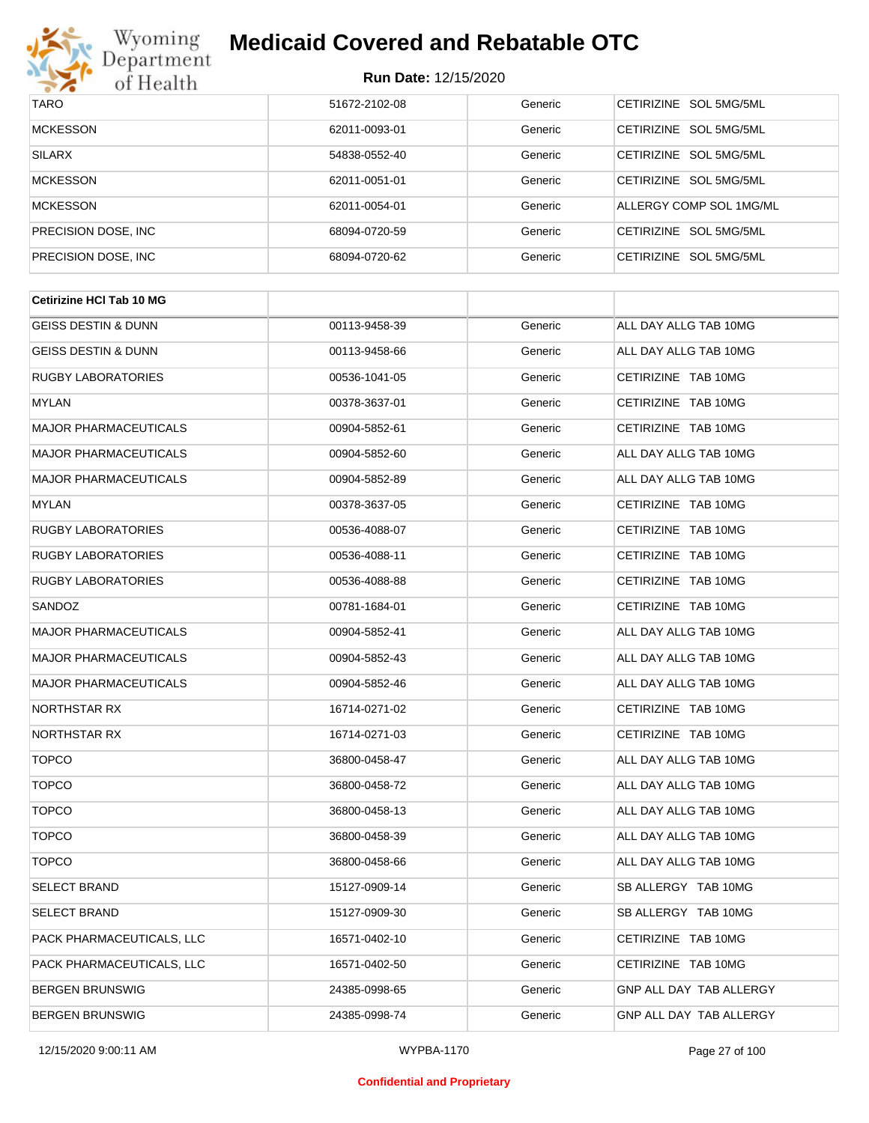

| <b>TARO</b>          | 51672-2102-08 | Generic | CETIRIZINE SOL 5MG/5ML           |
|----------------------|---------------|---------|----------------------------------|
| <b>MCKESSON</b>      | 62011-0093-01 | Generic | CETIRIZINE SOL 5MG/5ML           |
| <b>SILARX</b>        | 54838-0552-40 | Generic | CETIRIZINE SOL 5MG/5ML           |
| <b>MCKESSON</b>      | 62011-0051-01 | Generic | CETIRIZINE SOL 5MG/5ML           |
| <b>MCKESSON</b>      | 62011-0054-01 | Generic | ALLERGY COMP SOL 1MG/ML          |
| PRECISION DOSE, INC. | 68094-0720-59 | Generic | CETIRIZINE SOL 5MG/5ML           |
| PRECISION DOSE, INC  | 68094-0720-62 | Generic | <b>CETIRIZINE</b><br>SOL 5MG/5ML |

| <b>Cetirizine HCI Tab 10 MG</b> |               |         |                                |
|---------------------------------|---------------|---------|--------------------------------|
| <b>GEISS DESTIN &amp; DUNN</b>  | 00113-9458-39 | Generic | ALL DAY ALLG TAB 10MG          |
| GEISS DESTIN & DUNN             | 00113-9458-66 | Generic | ALL DAY ALLG TAB 10MG          |
| <b>RUGBY LABORATORIES</b>       | 00536-1041-05 | Generic | CETIRIZINE TAB 10MG            |
| MYLAN                           | 00378-3637-01 | Generic | CETIRIZINE TAB 10MG            |
| MAJOR PHARMACEUTICALS           | 00904-5852-61 | Generic | CETIRIZINE TAB 10MG            |
| <b>MAJOR PHARMACEUTICALS</b>    | 00904-5852-60 | Generic | ALL DAY ALLG TAB 10MG          |
| <b>MAJOR PHARMACEUTICALS</b>    | 00904-5852-89 | Generic | ALL DAY ALLG TAB 10MG          |
| MYLAN                           | 00378-3637-05 | Generic | CETIRIZINE TAB 10MG            |
| <b>RUGBY LABORATORIES</b>       | 00536-4088-07 | Generic | CETIRIZINE TAB 10MG            |
| <b>RUGBY LABORATORIES</b>       | 00536-4088-11 | Generic | CETIRIZINE TAB 10MG            |
| <b>RUGBY LABORATORIES</b>       | 00536-4088-88 | Generic | CETIRIZINE TAB 10MG            |
| SANDOZ                          | 00781-1684-01 | Generic | CETIRIZINE TAB 10MG            |
| <b>MAJOR PHARMACEUTICALS</b>    | 00904-5852-41 | Generic | ALL DAY ALLG TAB 10MG          |
| <b>MAJOR PHARMACEUTICALS</b>    | 00904-5852-43 | Generic | ALL DAY ALLG TAB 10MG          |
| <b>MAJOR PHARMACEUTICALS</b>    | 00904-5852-46 | Generic | ALL DAY ALLG TAB 10MG          |
| <b>NORTHSTAR RX</b>             | 16714-0271-02 | Generic | CETIRIZINE TAB 10MG            |
| <b>NORTHSTAR RX</b>             | 16714-0271-03 | Generic | CETIRIZINE TAB 10MG            |
| <b>TOPCO</b>                    | 36800-0458-47 | Generic | ALL DAY ALLG TAB 10MG          |
| <b>TOPCO</b>                    | 36800-0458-72 | Generic | ALL DAY ALLG TAB 10MG          |
| <b>TOPCO</b>                    | 36800-0458-13 | Generic | ALL DAY ALLG TAB 10MG          |
| <b>TOPCO</b>                    | 36800-0458-39 | Generic | ALL DAY ALLG TAB 10MG          |
| <b>TOPCO</b>                    | 36800-0458-66 | Generic | ALL DAY ALLG TAB 10MG          |
| <b>SELECT BRAND</b>             | 15127-0909-14 | Generic | SB ALLERGY TAB 10MG            |
| <b>SELECT BRAND</b>             | 15127-0909-30 | Generic | SB ALLERGY TAB 10MG            |
| PACK PHARMACEUTICALS, LLC       | 16571-0402-10 | Generic | CETIRIZINE TAB 10MG            |
| PACK PHARMACEUTICALS, LLC       | 16571-0402-50 | Generic | CETIRIZINE TAB 10MG            |
| <b>BERGEN BRUNSWIG</b>          | 24385-0998-65 | Generic | GNP ALL DAY TAB ALLERGY        |
| <b>BERGEN BRUNSWIG</b>          | 24385-0998-74 | Generic | <b>GNP ALL DAY TAB ALLERGY</b> |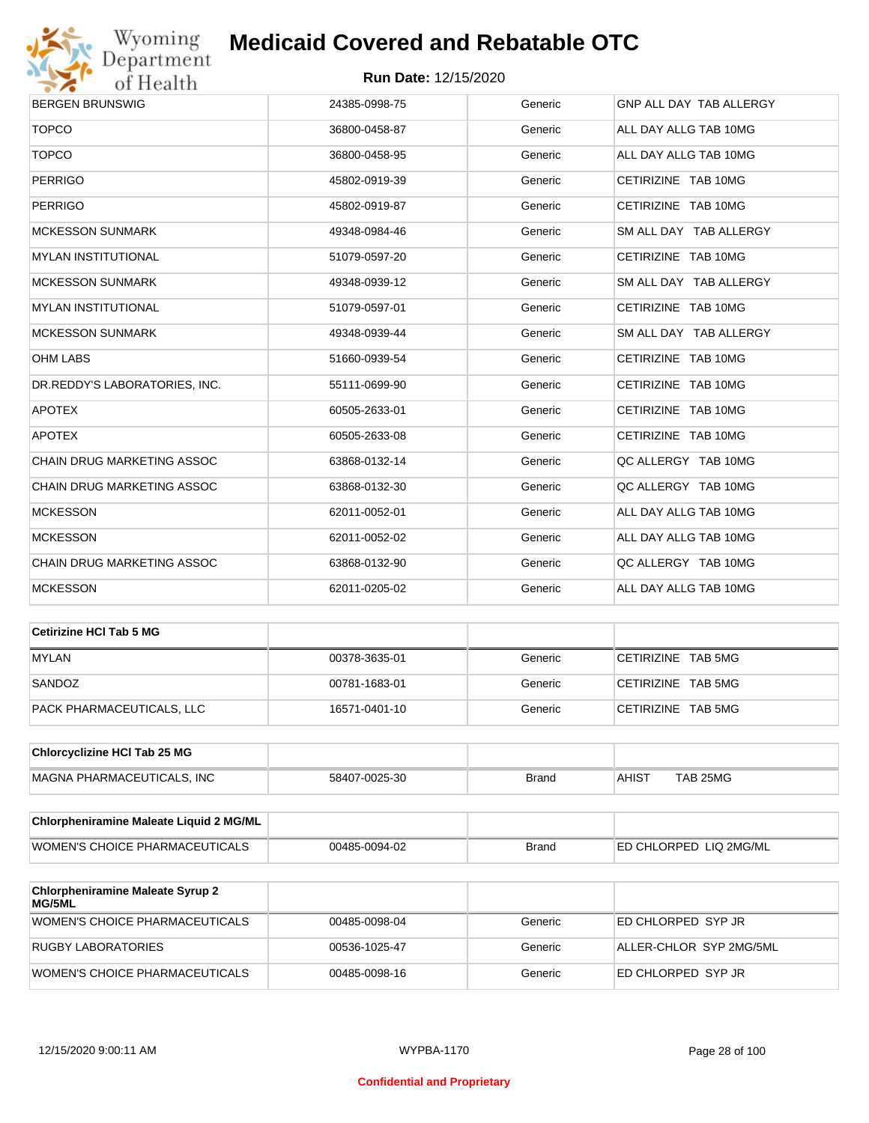

| <b>BERGEN BRUNSWIG</b>            | 24385-0998-75 | Generic | GNP ALL DAY TAB ALLERGY |
|-----------------------------------|---------------|---------|-------------------------|
| <b>TOPCO</b>                      | 36800-0458-87 | Generic | ALL DAY ALLG TAB 10MG   |
| <b>TOPCO</b>                      | 36800-0458-95 | Generic | ALL DAY ALLG TAB 10MG   |
| <b>PERRIGO</b>                    | 45802-0919-39 | Generic | CETIRIZINE TAB 10MG     |
| <b>PERRIGO</b>                    | 45802-0919-87 | Generic | CETIRIZINE TAB 10MG     |
| <b>MCKESSON SUNMARK</b>           | 49348-0984-46 | Generic | SM ALL DAY TAB ALLERGY  |
| <b>MYLAN INSTITUTIONAL</b>        | 51079-0597-20 | Generic | CETIRIZINE TAB 10MG     |
| <b>MCKESSON SUNMARK</b>           | 49348-0939-12 | Generic | SM ALL DAY TAB ALLERGY  |
| <b>MYLAN INSTITUTIONAL</b>        | 51079-0597-01 | Generic | CETIRIZINE TAB 10MG     |
| <b>MCKESSON SUNMARK</b>           | 49348-0939-44 | Generic | SM ALL DAY TAB ALLERGY  |
| <b>OHM LABS</b>                   | 51660-0939-54 | Generic | CETIRIZINE TAB 10MG     |
| DR.REDDY'S LABORATORIES, INC.     | 55111-0699-90 | Generic | CETIRIZINE TAB 10MG     |
| <b>APOTEX</b>                     | 60505-2633-01 | Generic | CETIRIZINE TAB 10MG     |
| <b>APOTEX</b>                     | 60505-2633-08 | Generic | CETIRIZINE TAB 10MG     |
| <b>CHAIN DRUG MARKETING ASSOC</b> | 63868-0132-14 | Generic | QC ALLERGY TAB 10MG     |
| CHAIN DRUG MARKETING ASSOC        | 63868-0132-30 | Generic | QC ALLERGY TAB 10MG     |
| <b>MCKESSON</b>                   | 62011-0052-01 | Generic | ALL DAY ALLG TAB 10MG   |
| <b>MCKESSON</b>                   | 62011-0052-02 | Generic | ALL DAY ALLG TAB 10MG   |
| CHAIN DRUG MARKETING ASSOC        | 63868-0132-90 | Generic | QC ALLERGY TAB 10MG     |
| <b>MCKESSON</b>                   | 62011-0205-02 | Generic | ALL DAY ALLG TAB 10MG   |

| Cetirizine HCI Tab 5 MG   |               |         |                    |
|---------------------------|---------------|---------|--------------------|
| <b>MYLAN</b>              | 00378-3635-01 | Generic | CETIRIZINE TAB 5MG |
| SANDOZ                    | 00781-1683-01 | Generic | CETIRIZINE TAB 5MG |
| PACK PHARMACEUTICALS. LLC | 16571-0401-10 | Generic | CETIRIZINE TAB 5MG |

| <b>Chlorcyclizine HCI Tab 25 MG</b> |               |       |       |          |
|-------------------------------------|---------------|-------|-------|----------|
| MAGNA PHARMACEUTICALS. INC          | 58407-0025-30 | Brand | AHIST | TAB 25MG |

| <b>Chlorpheniramine Maleate Liquid 2 MG/ML</b> |               |              |                                |
|------------------------------------------------|---------------|--------------|--------------------------------|
| WOMEN'S CHOICE PHARMACEUTICALS                 | 00485-0094-02 | <b>Brand</b> | <b>IED CHLORPED LIQ 2MG/ML</b> |

| <b>Chlorpheniramine Maleate Syrup 2</b><br>MG/5ML |               |         |                         |
|---------------------------------------------------|---------------|---------|-------------------------|
| WOMEN'S CHOICE PHARMACEUTICALS                    | 00485-0098-04 | Generic | ED CHLORPED SYP JR      |
| RUGBY LABORATORIES                                | 00536-1025-47 | Generic | ALLER-CHLOR SYP 2MG/5ML |
| WOMEN'S CHOICE PHARMACEUTICALS                    | 00485-0098-16 | Generic | ED CHLORPED SYP JR      |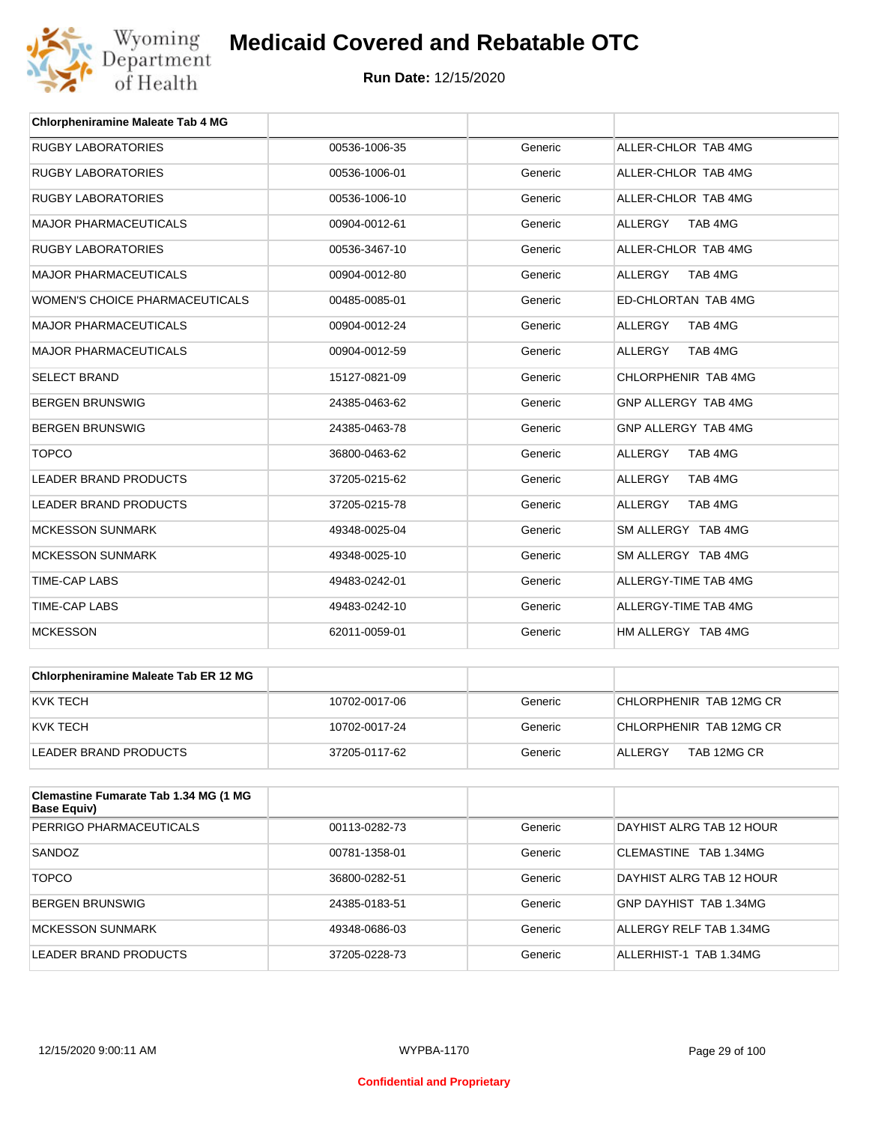

| <b>Chlorpheniramine Maleate Tab 4 MG</b> |               |         |                           |
|------------------------------------------|---------------|---------|---------------------------|
| <b>RUGBY LABORATORIES</b>                | 00536-1006-35 | Generic | ALLER-CHLOR TAB 4MG       |
| <b>RUGBY LABORATORIES</b>                | 00536-1006-01 | Generic | ALLER-CHLOR TAB 4MG       |
| <b>RUGBY LABORATORIES</b>                | 00536-1006-10 | Generic | ALLER-CHLOR TAB 4MG       |
| <b>MAJOR PHARMACEUTICALS</b>             | 00904-0012-61 | Generic | <b>ALLERGY</b><br>TAB 4MG |
| <b>RUGBY LABORATORIES</b>                | 00536-3467-10 | Generic | ALLER-CHLOR TAB 4MG       |
| <b>MAJOR PHARMACEUTICALS</b>             | 00904-0012-80 | Generic | <b>ALLERGY</b><br>TAB 4MG |
| <b>WOMEN'S CHOICE PHARMACEUTICALS</b>    | 00485-0085-01 | Generic | ED-CHLORTAN TAB 4MG       |
| <b>MAJOR PHARMACEUTICALS</b>             | 00904-0012-24 | Generic | <b>ALLERGY</b><br>TAB 4MG |
| <b>MAJOR PHARMACEUTICALS</b>             | 00904-0012-59 | Generic | <b>ALLERGY</b><br>TAB 4MG |
| <b>SELECT BRAND</b>                      | 15127-0821-09 | Generic | CHLORPHENIR TAB 4MG       |
| <b>BERGEN BRUNSWIG</b>                   | 24385-0463-62 | Generic | GNP ALLERGY TAB 4MG       |
| <b>BERGEN BRUNSWIG</b>                   | 24385-0463-78 | Generic | GNP ALLERGY TAB 4MG       |
| <b>TOPCO</b>                             | 36800-0463-62 | Generic | <b>ALLERGY</b><br>TAB 4MG |
| <b>LEADER BRAND PRODUCTS</b>             | 37205-0215-62 | Generic | ALLERGY<br>TAB 4MG        |
| LEADER BRAND PRODUCTS                    | 37205-0215-78 | Generic | <b>ALLERGY</b><br>TAB 4MG |
| <b>MCKESSON SUNMARK</b>                  | 49348-0025-04 | Generic | SM ALLERGY TAB 4MG        |
| <b>MCKESSON SUNMARK</b>                  | 49348-0025-10 | Generic | SM ALLERGY TAB 4MG        |
| <b>TIME-CAP LABS</b>                     | 49483-0242-01 | Generic | ALLERGY-TIME TAB 4MG      |
| <b>TIME-CAP LABS</b>                     | 49483-0242-10 | Generic | ALLERGY-TIME TAB 4MG      |
| <b>MCKESSON</b>                          | 62011-0059-01 | Generic | HM ALLERGY TAB 4MG        |

| <b>Chlorpheniramine Maleate Tab ER 12 MG</b> |               |         |                         |
|----------------------------------------------|---------------|---------|-------------------------|
| KVK TECH                                     | 10702-0017-06 | Generic | CHLORPHENIR TAB 12MG CR |
| KVK TECH                                     | 10702-0017-24 | Generic | CHLORPHENIR TAB 12MG CR |
| LEADER BRAND PRODUCTS                        | 37205-0117-62 | Generic | TAB 12MG CR<br>ALLERGY  |

| Clemastine Fumarate Tab 1.34 MG (1 MG<br>Base Equiv) |               |         |                          |
|------------------------------------------------------|---------------|---------|--------------------------|
| PERRIGO PHARMACEUTICALS                              | 00113-0282-73 | Generic | DAYHIST ALRG TAB 12 HOUR |
| SANDOZ                                               | 00781-1358-01 | Generic | CLEMASTINE TAB 1.34MG    |
| <b>TOPCO</b>                                         | 36800-0282-51 | Generic | DAYHIST ALRG TAB 12 HOUR |
| <b>BERGEN BRUNSWIG</b>                               | 24385-0183-51 | Generic | GNP DAYHIST TAB 1.34MG   |
| <b>MCKESSON SUNMARK</b>                              | 49348-0686-03 | Generic | ALLERGY RELF TAB 1.34MG  |
| LEADER BRAND PRODUCTS                                | 37205-0228-73 | Generic | ALLERHIST-1 TAB 1.34MG   |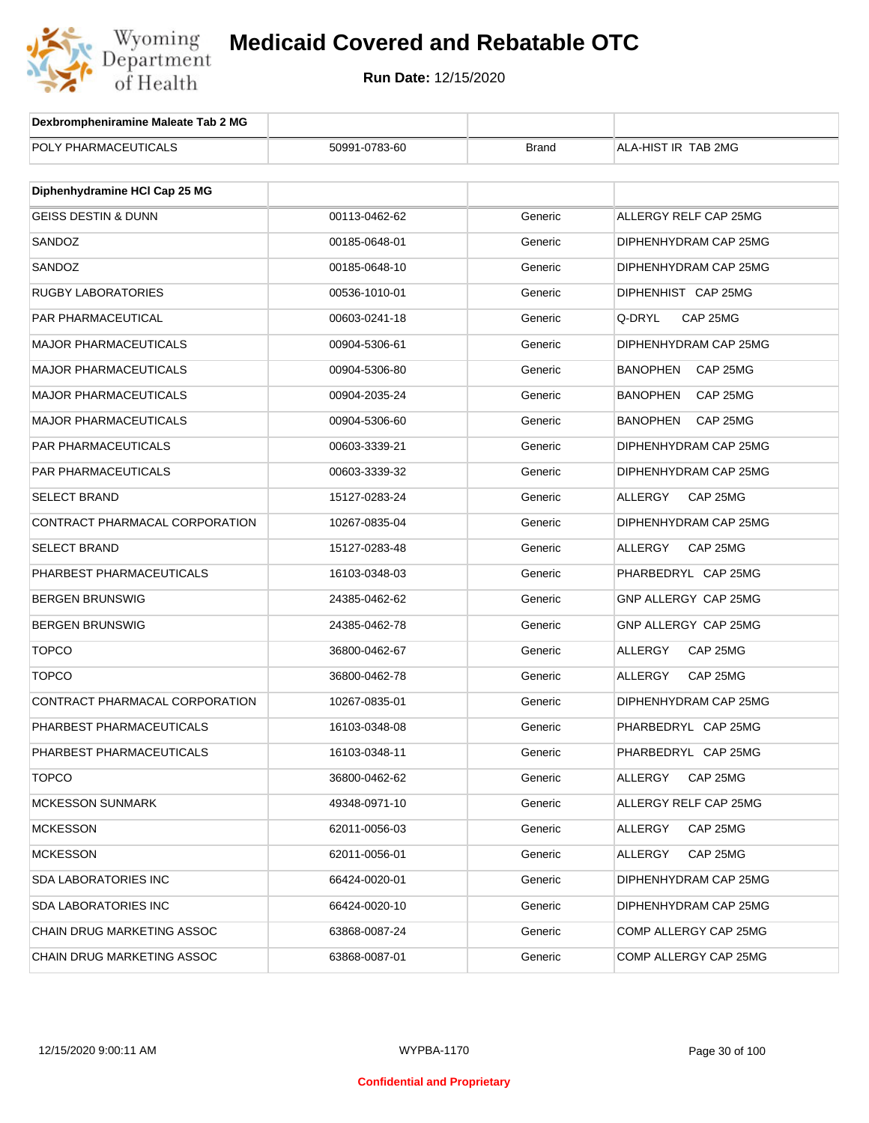

| Dexbrompheniramine Maleate Tab 2 MG |               |              |                             |
|-------------------------------------|---------------|--------------|-----------------------------|
| POLY PHARMACEUTICALS                | 50991-0783-60 | <b>Brand</b> | ALA-HIST IR TAB 2MG         |
|                                     |               |              |                             |
| Diphenhydramine HCI Cap 25 MG       |               |              |                             |
| <b>GEISS DESTIN &amp; DUNN</b>      | 00113-0462-62 | Generic      | ALLERGY RELF CAP 25MG       |
| SANDOZ                              | 00185-0648-01 | Generic      | DIPHENHYDRAM CAP 25MG       |
| SANDOZ                              | 00185-0648-10 | Generic      | DIPHENHYDRAM CAP 25MG       |
| <b>RUGBY LABORATORIES</b>           | 00536-1010-01 | Generic      | DIPHENHIST CAP 25MG         |
| PAR PHARMACEUTICAL                  | 00603-0241-18 | Generic      | Q-DRYL<br>CAP 25MG          |
| <b>MAJOR PHARMACEUTICALS</b>        | 00904-5306-61 | Generic      | DIPHENHYDRAM CAP 25MG       |
| <b>MAJOR PHARMACEUTICALS</b>        | 00904-5306-80 | Generic      | <b>BANOPHEN</b><br>CAP 25MG |
| <b>MAJOR PHARMACEUTICALS</b>        | 00904-2035-24 | Generic      | <b>BANOPHEN</b><br>CAP 25MG |
| MAJOR PHARMACEUTICALS               | 00904-5306-60 | Generic      | <b>BANOPHEN</b><br>CAP 25MG |
| PAR PHARMACEUTICALS                 | 00603-3339-21 | Generic      | DIPHENHYDRAM CAP 25MG       |
| PAR PHARMACEUTICALS                 | 00603-3339-32 | Generic      | DIPHENHYDRAM CAP 25MG       |
| <b>SELECT BRAND</b>                 | 15127-0283-24 | Generic      | ALLERGY<br>CAP 25MG         |
| CONTRACT PHARMACAL CORPORATION      | 10267-0835-04 | Generic      | DIPHENHYDRAM CAP 25MG       |
| <b>SELECT BRAND</b>                 | 15127-0283-48 | Generic      | CAP 25MG<br>ALLERGY         |
| PHARBEST PHARMACEUTICALS            | 16103-0348-03 | Generic      | PHARBEDRYL CAP 25MG         |
| BERGEN BRUNSWIG                     | 24385-0462-62 | Generic      | GNP ALLERGY CAP 25MG        |
| <b>BERGEN BRUNSWIG</b>              | 24385-0462-78 | Generic      | GNP ALLERGY CAP 25MG        |
| <b>TOPCO</b>                        | 36800-0462-67 | Generic      | ALLERGY<br>CAP 25MG         |
| <b>TOPCO</b>                        | 36800-0462-78 | Generic      | <b>ALLERGY</b><br>CAP 25MG  |
| CONTRACT PHARMACAL CORPORATION      | 10267-0835-01 | Generic      | DIPHENHYDRAM CAP 25MG       |
| PHARBEST PHARMACEUTICALS            | 16103-0348-08 | Generic      | PHARBEDRYL CAP 25MG         |
| PHARBEST PHARMACEUTICALS            | 16103-0348-11 | Generic      | PHARBEDRYL CAP 25MG         |
| <b>TOPCO</b>                        | 36800-0462-62 | Generic      | ALLERGY<br>CAP 25MG         |
| <b>MCKESSON SUNMARK</b>             | 49348-0971-10 | Generic      | ALLERGY RELF CAP 25MG       |
| <b>MCKESSON</b>                     | 62011-0056-03 | Generic      | CAP 25MG<br>ALLERGY         |
| <b>MCKESSON</b>                     | 62011-0056-01 | Generic      | ALLERGY<br>CAP 25MG         |
| SDA LABORATORIES INC                | 66424-0020-01 | Generic      | DIPHENHYDRAM CAP 25MG       |
| SDA LABORATORIES INC                | 66424-0020-10 | Generic      | DIPHENHYDRAM CAP 25MG       |
| CHAIN DRUG MARKETING ASSOC          | 63868-0087-24 | Generic      | COMP ALLERGY CAP 25MG       |
| CHAIN DRUG MARKETING ASSOC          | 63868-0087-01 | Generic      | COMP ALLERGY CAP 25MG       |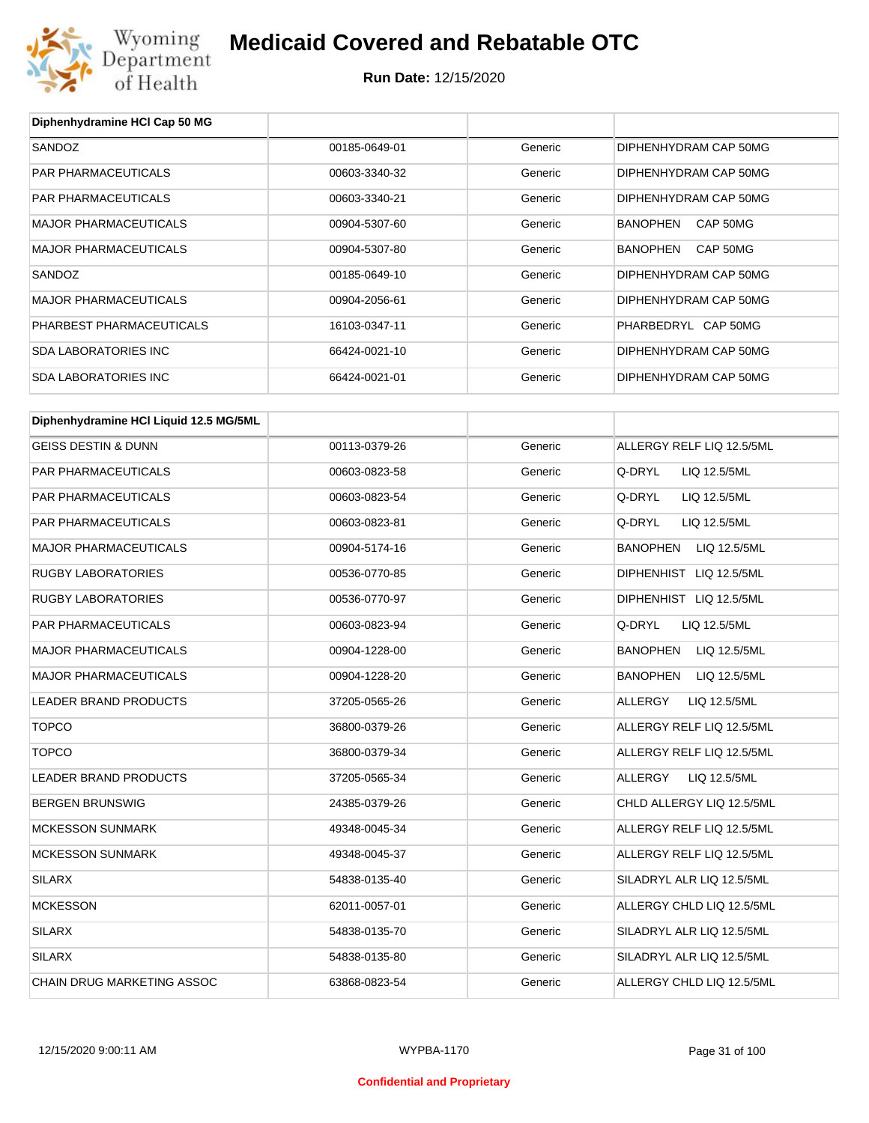

# **Medicaid Covered and Rebatable OTC**

**Run Date:** 12/15/2020

| Diphenhydramine HCI Cap 50 MG          |               |         |                                 |
|----------------------------------------|---------------|---------|---------------------------------|
| SANDOZ                                 | 00185-0649-01 | Generic | DIPHENHYDRAM CAP 50MG           |
| PAR PHARMACEUTICALS                    | 00603-3340-32 | Generic | DIPHENHYDRAM CAP 50MG           |
| PAR PHARMACEUTICALS                    | 00603-3340-21 | Generic | DIPHENHYDRAM CAP 50MG           |
| <b>MAJOR PHARMACEUTICALS</b>           | 00904-5307-60 | Generic | BANOPHEN<br>CAP 50MG            |
| <b>MAJOR PHARMACEUTICALS</b>           | 00904-5307-80 | Generic | <b>BANOPHEN</b><br>CAP 50MG     |
| SANDOZ                                 | 00185-0649-10 | Generic | DIPHENHYDRAM CAP 50MG           |
| <b>MAJOR PHARMACEUTICALS</b>           | 00904-2056-61 | Generic | DIPHENHYDRAM CAP 50MG           |
| PHARBEST PHARMACEUTICALS               | 16103-0347-11 | Generic | PHARBEDRYL CAP 50MG             |
| <b>SDA LABORATORIES INC</b>            | 66424-0021-10 | Generic | DIPHENHYDRAM CAP 50MG           |
| <b>SDA LABORATORIES INC</b>            | 66424-0021-01 | Generic | DIPHENHYDRAM CAP 50MG           |
| Diphenhydramine HCI Liquid 12.5 MG/5ML |               |         |                                 |
| <b>GEISS DESTIN &amp; DUNN</b>         | 00113-0379-26 | Generic | ALLERGY RELF LIQ 12.5/5ML       |
| PAR PHARMACEUTICALS                    | 00603-0823-58 | Generic | Q-DRYL<br>LIQ 12.5/5ML          |
| PAR PHARMACEUTICALS                    | 00603-0823-54 | Generic | Q-DRYL<br>LIQ 12.5/5ML          |
| PAR PHARMACEUTICALS                    | 00603-0823-81 | Generic | Q-DRYL<br>LIQ 12.5/5ML          |
| <b>MAJOR PHARMACEUTICALS</b>           | 00904-5174-16 | Generic | BANOPHEN<br>LIQ 12.5/5ML        |
| <b>RUGBY LABORATORIES</b>              | 00536-0770-85 | Generic | DIPHENHIST LIQ 12.5/5ML         |
| <b>RUGBY LABORATORIES</b>              | 00536-0770-97 | Generic | DIPHENHIST LIQ 12.5/5ML         |
| PAR PHARMACEUTICALS                    | 00603-0823-94 | Generic | Q-DRYL<br>LIQ 12.5/5ML          |
| <b>MAJOR PHARMACEUTICALS</b>           | 00904-1228-00 | Generic | BANOPHEN<br>LIQ 12.5/5ML        |
| <b>MAJOR PHARMACEUTICALS</b>           | 00904-1228-20 | Generic | <b>BANOPHEN</b><br>LIQ 12.5/5ML |
| LEADER BRAND PRODUCTS                  | 37205-0565-26 | Generic | <b>ALLERGY</b><br>LIQ 12.5/5ML  |
| <b>TOPCO</b>                           | 36800-0379-26 | Generic | ALLERGY RELF LIQ 12.5/5ML       |
| <b>TOPCO</b>                           | 36800-0379-34 | Generic | ALLERGY RELF LIQ 12.5/5ML       |
| LEADER BRAND PRODUCTS                  | 37205-0565-34 | Generic | ALLERGY<br>LIQ 12.5/5ML         |
| <b>BERGEN BRUNSWIG</b>                 | 24385-0379-26 | Generic | CHLD ALLERGY LIQ 12.5/5ML       |
| <b>MCKESSON SUNMARK</b>                | 49348-0045-34 | Generic | ALLERGY RELF LIQ 12.5/5ML       |
| <b>MCKESSON SUNMARK</b>                | 49348-0045-37 | Generic | ALLERGY RELF LIQ 12.5/5ML       |
| <b>SILARX</b>                          | 54838-0135-40 | Generic | SILADRYL ALR LIQ 12.5/5ML       |
| <b>MCKESSON</b>                        | 62011-0057-01 | Generic | ALLERGY CHLD LIQ 12.5/5ML       |
| <b>SILARX</b>                          | 54838-0135-70 | Generic | SILADRYL ALR LIQ 12.5/5ML       |
| <b>SILARX</b>                          | 54838-0135-80 | Generic | SILADRYL ALR LIQ 12.5/5ML       |
| CHAIN DRUG MARKETING ASSOC             | 63868-0823-54 | Generic | ALLERGY CHLD LIQ 12.5/5ML       |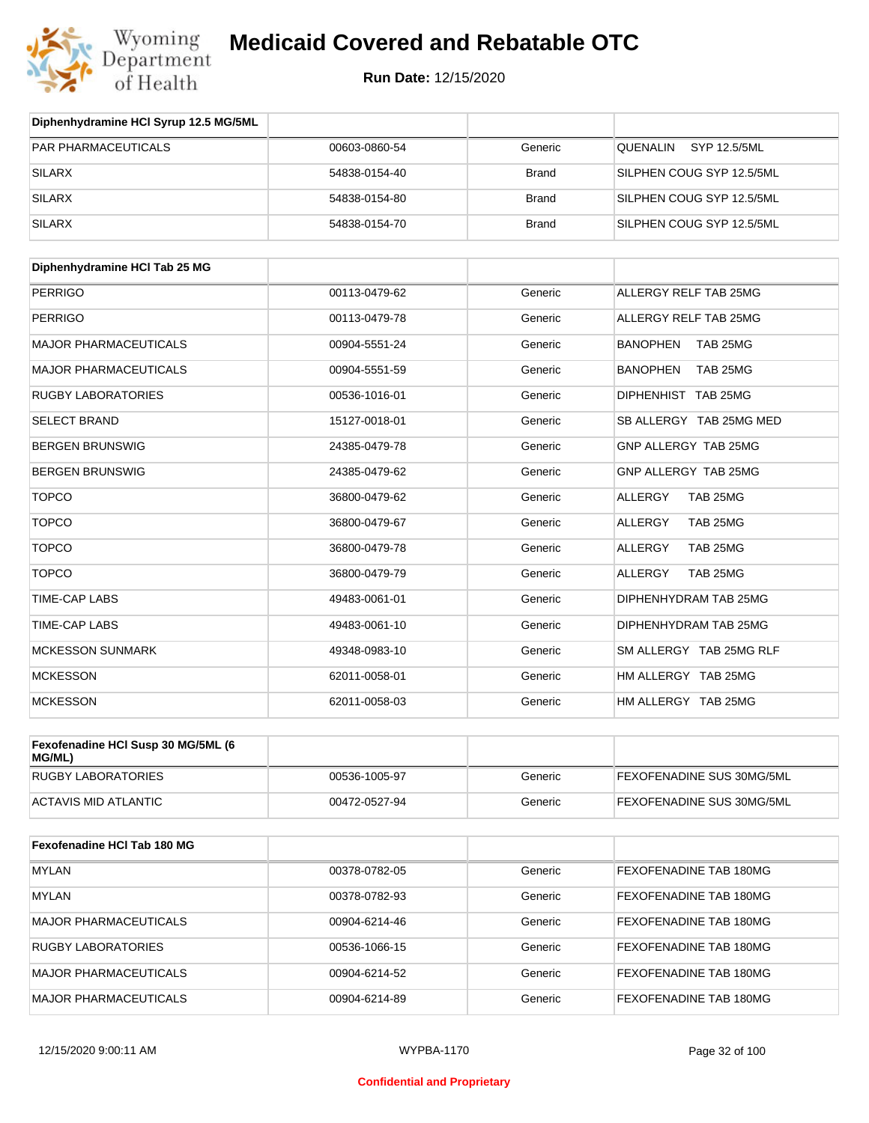

| Diphenhydramine HCI Syrup 12.5 MG/5ML |               |              |                           |
|---------------------------------------|---------------|--------------|---------------------------|
| <b>PAR PHARMACEUTICALS</b>            | 00603-0860-54 | Generic      | QUENALIN<br>SYP 12.5/5ML  |
| SILARX                                | 54838-0154-40 | <b>Brand</b> | SILPHEN COUG SYP 12.5/5ML |
| SILARX                                | 54838-0154-80 | <b>Brand</b> | SILPHEN COUG SYP 12.5/5ML |
| <b>SILARX</b>                         | 54838-0154-70 | <b>Brand</b> | SILPHEN COUG SYP 12.5/5ML |

| Diphenhydramine HCI Tab 25 MG |               |         |                             |
|-------------------------------|---------------|---------|-----------------------------|
| <b>PERRIGO</b>                | 00113-0479-62 | Generic | ALLERGY RELF TAB 25MG       |
| <b>PERRIGO</b>                | 00113-0479-78 | Generic | ALLERGY RELF TAB 25MG       |
| <b>MAJOR PHARMACEUTICALS</b>  | 00904-5551-24 | Generic | <b>BANOPHEN</b><br>TAB 25MG |
| <b>MAJOR PHARMACEUTICALS</b>  | 00904-5551-59 | Generic | <b>BANOPHEN</b><br>TAB 25MG |
| <b>RUGBY LABORATORIES</b>     | 00536-1016-01 | Generic | DIPHENHIST TAB 25MG         |
| <b>SELECT BRAND</b>           | 15127-0018-01 | Generic | SB ALLERGY TAB 25MG MED     |
| <b>BERGEN BRUNSWIG</b>        | 24385-0479-78 | Generic | GNP ALLERGY TAB 25MG        |
| <b>BERGEN BRUNSWIG</b>        | 24385-0479-62 | Generic | GNP ALLERGY TAB 25MG        |
| <b>TOPCO</b>                  | 36800-0479-62 | Generic | <b>ALLERGY</b><br>TAB 25MG  |
| <b>TOPCO</b>                  | 36800-0479-67 | Generic | <b>ALLERGY</b><br>TAB 25MG  |
| <b>TOPCO</b>                  | 36800-0479-78 | Generic | <b>ALLERGY</b><br>TAB 25MG  |
| <b>TOPCO</b>                  | 36800-0479-79 | Generic | <b>ALLERGY</b><br>TAB 25MG  |
| <b>TIME-CAP LABS</b>          | 49483-0061-01 | Generic | DIPHENHYDRAM TAB 25MG       |
| <b>TIME-CAP LABS</b>          | 49483-0061-10 | Generic | DIPHENHYDRAM TAB 25MG       |
| <b>MCKESSON SUNMARK</b>       | 49348-0983-10 | Generic | SM ALLERGY TAB 25MG RLF     |
| <b>MCKESSON</b>               | 62011-0058-01 | Generic | HM ALLERGY TAB 25MG         |
| <b>MCKESSON</b>               | 62011-0058-03 | Generic | HM ALLERGY TAB 25MG         |

| Fexofenadine HCI Susp 30 MG/5ML (6<br>MG/ML) |               |         |                                  |
|----------------------------------------------|---------------|---------|----------------------------------|
| RUGBY LABORATORIES                           | 00536-1005-97 | Generic | <b>FEXOFENADINE SUS 30MG/5ML</b> |
| ACTAVIS MID ATLANTIC                         | 00472-0527-94 | Generic | <b>FEXOFENADINE SUS 30MG/5ML</b> |

| Fexofenadine HCI Tab 180 MG  |               |         |                               |
|------------------------------|---------------|---------|-------------------------------|
| <b>MYLAN</b>                 | 00378-0782-05 | Generic | <b>FEXOFENADINE TAB 180MG</b> |
| <b>MYLAN</b>                 | 00378-0782-93 | Generic | <b>FEXOFENADINE TAB 180MG</b> |
| <b>MAJOR PHARMACEUTICALS</b> | 00904-6214-46 | Generic | <b>FEXOFENADINE TAB 180MG</b> |
| <b>RUGBY LABORATORIES</b>    | 00536-1066-15 | Generic | <b>FEXOFENADINE TAB 180MG</b> |
| <b>MAJOR PHARMACEUTICALS</b> | 00904-6214-52 | Generic | <b>FEXOFENADINE TAB 180MG</b> |
| <b>MAJOR PHARMACEUTICALS</b> | 00904-6214-89 | Generic | <b>FEXOFENADINE TAB 180MG</b> |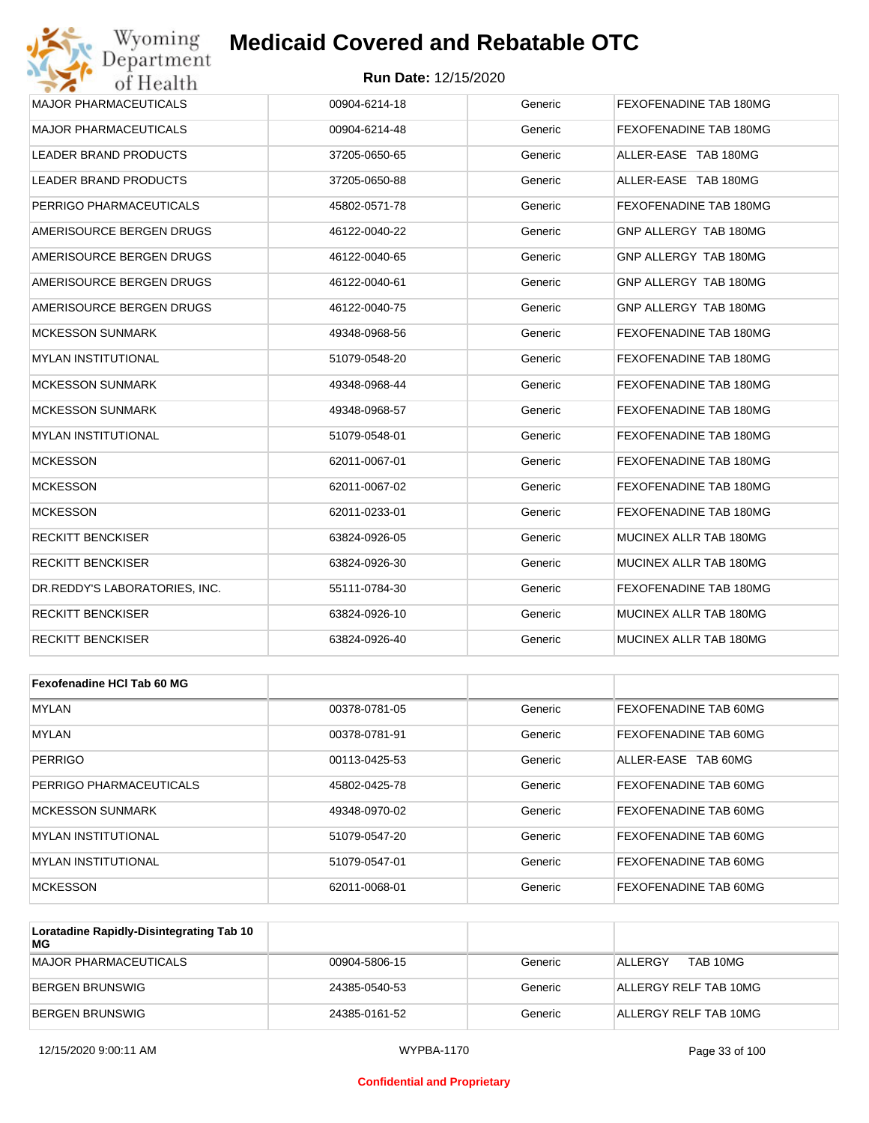

| <b>MAJOR PHARMACEUTICALS</b>   | 00904-6214-18 | Generic | FEXOFENADINE TAB 180MG |
|--------------------------------|---------------|---------|------------------------|
| <b>MAJOR PHARMACEUTICALS</b>   | 00904-6214-48 | Generic | FEXOFENADINE TAB 180MG |
| <b>LEADER BRAND PRODUCTS</b>   | 37205-0650-65 | Generic | ALLER-EASE TAB 180MG   |
| LEADER BRAND PRODUCTS          | 37205-0650-88 | Generic | ALLER-EASE TAB 180MG   |
| PERRIGO PHARMACEUTICALS        | 45802-0571-78 | Generic | FEXOFENADINE TAB 180MG |
| AMERISOURCE BERGEN DRUGS       | 46122-0040-22 | Generic | GNP ALLERGY TAB 180MG  |
| AMERISOURCE BERGEN DRUGS       | 46122-0040-65 | Generic | GNP ALLERGY TAB 180MG  |
| AMERISOURCE BERGEN DRUGS       | 46122-0040-61 | Generic | GNP ALLERGY TAB 180MG  |
| AMERISOURCE BERGEN DRUGS       | 46122-0040-75 | Generic | GNP ALLERGY TAB 180MG  |
| <b>MCKESSON SUNMARK</b>        | 49348-0968-56 | Generic | FEXOFENADINE TAB 180MG |
| <b>MYLAN INSTITUTIONAL</b>     | 51079-0548-20 | Generic | FEXOFENADINE TAB 180MG |
| <b>MCKESSON SUNMARK</b>        | 49348-0968-44 | Generic | FEXOFENADINE TAB 180MG |
| <b>MCKESSON SUNMARK</b>        | 49348-0968-57 | Generic | FEXOFENADINE TAB 180MG |
| <b>MYLAN INSTITUTIONAL</b>     | 51079-0548-01 | Generic | FEXOFENADINE TAB 180MG |
| <b>MCKESSON</b>                | 62011-0067-01 | Generic | FEXOFENADINE TAB 180MG |
| <b>MCKESSON</b>                | 62011-0067-02 | Generic | FEXOFENADINE TAB 180MG |
| <b>MCKESSON</b>                | 62011-0233-01 | Generic | FEXOFENADINE TAB 180MG |
| RECKITT BENCKISER              | 63824-0926-05 | Generic | MUCINEX ALLR TAB 180MG |
| <b>RECKITT BENCKISER</b>       | 63824-0926-30 | Generic | MUCINEX ALLR TAB 180MG |
| DR. REDDY'S LABORATORIES. INC. | 55111-0784-30 | Generic | FEXOFENADINE TAB 180MG |
| <b>RECKITT BENCKISER</b>       | 63824-0926-10 | Generic | MUCINEX ALLR TAB 180MG |
| <b>RECKITT BENCKISER</b>       | 63824-0926-40 | Generic | MUCINEX ALLR TAB 180MG |

| Fexofenadine HCI Tab 60 MG |               |         |                       |
|----------------------------|---------------|---------|-----------------------|
| <b>MYLAN</b>               | 00378-0781-05 | Generic | FEXOFENADINE TAB 60MG |
| <b>MYLAN</b>               | 00378-0781-91 | Generic | FEXOFENADINE TAB 60MG |
| PERRIGO                    | 00113-0425-53 | Generic | ALLER-EASE TAB 60MG   |
| PERRIGO PHARMACEUTICALS    | 45802-0425-78 | Generic | FEXOFENADINE TAB 60MG |
| <b>MCKESSON SUNMARK</b>    | 49348-0970-02 | Generic | FEXOFENADINE TAB 60MG |
| MYLAN INSTITUTIONAL        | 51079-0547-20 | Generic | FEXOFENADINE TAB 60MG |
| MYLAN INSTITUTIONAL        | 51079-0547-01 | Generic | FEXOFENADINE TAB 60MG |
| <b>MCKESSON</b>            | 62011-0068-01 | Generic | FEXOFENADINE TAB 60MG |

| Loratadine Rapidly-Disintegrating Tab 10<br>MG |               |         |                       |
|------------------------------------------------|---------------|---------|-----------------------|
| MAJOR PHARMACEUTICALS                          | 00904-5806-15 | Generic | TAB 10MG<br>ALL FRGY  |
| BERGEN BRUNSWIG                                | 24385-0540-53 | Generic | ALLERGY RELF TAB 10MG |
| BERGEN BRUNSWIG                                | 24385-0161-52 | Generic | ALLERGY RELF TAB 10MG |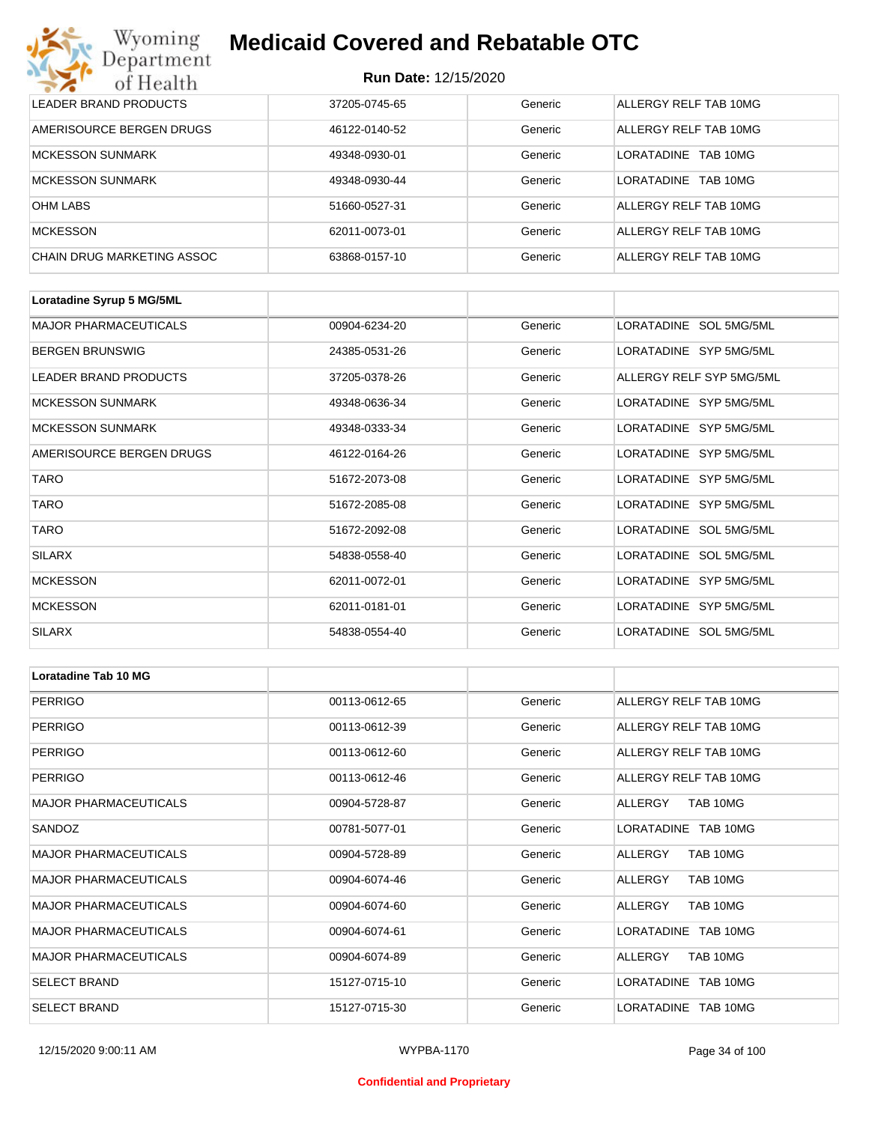| Wyoming<br><b>Medicaid Covered and Rebatable OTC</b><br>Department |                             |         |                               |  |
|--------------------------------------------------------------------|-----------------------------|---------|-------------------------------|--|
| of Health                                                          | <b>Run Date: 12/15/2020</b> |         |                               |  |
| LEADER BRAND PRODUCTS                                              | 37205-0745-65               | Generic | ALLERGY RELF TAB 10MG         |  |
| AMERISOURCE BERGEN DRUGS                                           | 46122-0140-52               | Generic | ALLERGY RELF TAB 10MG         |  |
| <b>MCKESSON SUNMARK</b>                                            | 49348-0930-01               | Generic | <b>LORATADINE</b><br>TAB 10MG |  |
| <b>MCKESSON SUNMARK</b>                                            | 49348-0930-44               | Generic | <b>LORATADINE</b><br>TAB 10MG |  |
| <b>OHM LABS</b>                                                    | 51660-0527-31               | Generic | ALLERGY RELF TAB 10MG         |  |
| <b>MCKESSON</b>                                                    | 62011-0073-01               | Generic | ALLERGY RELF TAB 10MG         |  |
| CHAIN DRUG MARKETING ASSOC                                         | 63868-0157-10               | Generic | ALLERGY RELF TAB 10MG         |  |

| Loratadine Syrup 5 MG/5ML    |               |         |                          |
|------------------------------|---------------|---------|--------------------------|
| <b>MAJOR PHARMACEUTICALS</b> | 00904-6234-20 | Generic | LORATADINE SOL 5MG/5ML   |
| <b>BERGEN BRUNSWIG</b>       | 24385-0531-26 | Generic | LORATADINE SYP 5MG/5ML   |
| LEADER BRAND PRODUCTS        | 37205-0378-26 | Generic | ALLERGY RELF SYP 5MG/5ML |
| <b>MCKESSON SUNMARK</b>      | 49348-0636-34 | Generic | LORATADINE SYP 5MG/5ML   |
| <b>MCKESSON SUNMARK</b>      | 49348-0333-34 | Generic | LORATADINE SYP 5MG/5ML   |
| AMERISOURCE BERGEN DRUGS     | 46122-0164-26 | Generic | LORATADINE SYP 5MG/5ML   |
| <b>TARO</b>                  | 51672-2073-08 | Generic | LORATADINE SYP 5MG/5ML   |
| <b>TARO</b>                  | 51672-2085-08 | Generic | LORATADINE SYP 5MG/5ML   |
| <b>TARO</b>                  | 51672-2092-08 | Generic | LORATADINE SOL 5MG/5ML   |
| <b>SILARX</b>                | 54838-0558-40 | Generic | LORATADINE SOL 5MG/5ML   |
| <b>MCKESSON</b>              | 62011-0072-01 | Generic | LORATADINE SYP 5MG/5ML   |
| <b>MCKESSON</b>              | 62011-0181-01 | Generic | LORATADINE SYP 5MG/5ML   |
| <b>SILARX</b>                | 54838-0554-40 | Generic | LORATADINE SOL 5MG/5ML   |

| Loratadine Tab 10 MG         |               |         |                       |
|------------------------------|---------------|---------|-----------------------|
| <b>PERRIGO</b>               | 00113-0612-65 | Generic | ALLERGY RELF TAB 10MG |
| <b>PERRIGO</b>               | 00113-0612-39 | Generic | ALLERGY RELF TAB 10MG |
| <b>PERRIGO</b>               | 00113-0612-60 | Generic | ALLERGY RELF TAB 10MG |
| <b>PERRIGO</b>               | 00113-0612-46 | Generic | ALLERGY RELF TAB 10MG |
| <b>MAJOR PHARMACEUTICALS</b> | 00904-5728-87 | Generic | TAB 10MG<br>ALLERGY   |
| SANDOZ                       | 00781-5077-01 | Generic | LORATADINE TAB 10MG   |
| <b>MAJOR PHARMACEUTICALS</b> | 00904-5728-89 | Generic | ALLERGY<br>TAB 10MG   |
| <b>MAJOR PHARMACEUTICALS</b> | 00904-6074-46 | Generic | TAB 10MG<br>ALLERGY   |
| <b>MAJOR PHARMACEUTICALS</b> | 00904-6074-60 | Generic | ALLERGY<br>TAB 10MG   |
| <b>MAJOR PHARMACEUTICALS</b> | 00904-6074-61 | Generic | LORATADINE TAB 10MG   |
| <b>MAJOR PHARMACEUTICALS</b> | 00904-6074-89 | Generic | ALLERGY<br>TAB 10MG   |
| <b>SELECT BRAND</b>          | 15127-0715-10 | Generic | LORATADINE TAB 10MG   |
| <b>SELECT BRAND</b>          | 15127-0715-30 | Generic | LORATADINE TAB 10MG   |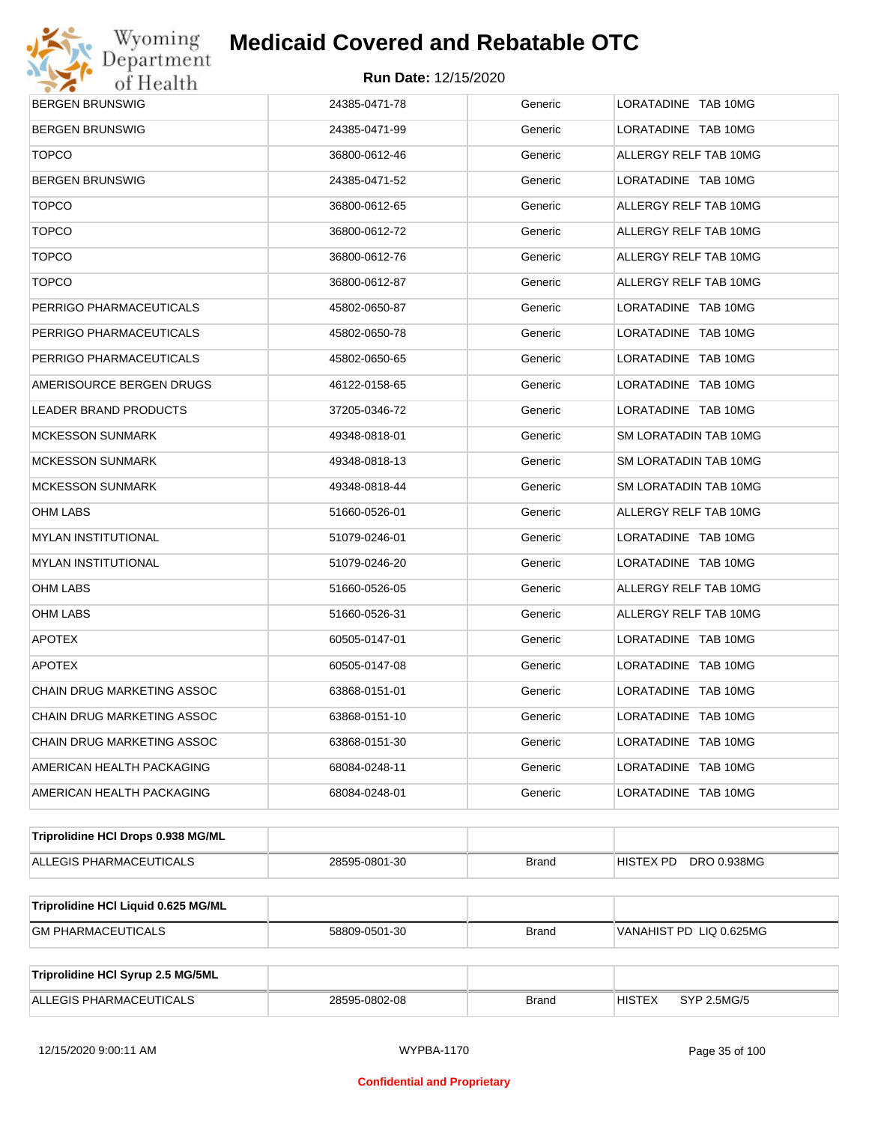

| <b>BERGEN BRUNSWIG</b>              | 24385-0471-78 | Generic      | LORATADINE TAB 10MG          |
|-------------------------------------|---------------|--------------|------------------------------|
| <b>BERGEN BRUNSWIG</b>              | 24385-0471-99 | Generic      | LORATADINE TAB 10MG          |
| <b>TOPCO</b>                        | 36800-0612-46 | Generic      | ALLERGY RELF TAB 10MG        |
| BERGEN BRUNSWIG                     | 24385-0471-52 | Generic      | LORATADINE TAB 10MG          |
| <b>TOPCO</b>                        | 36800-0612-65 | Generic      | ALLERGY RELF TAB 10MG        |
| <b>TOPCO</b>                        | 36800-0612-72 | Generic      | ALLERGY RELF TAB 10MG        |
| <b>TOPCO</b>                        | 36800-0612-76 | Generic      | ALLERGY RELF TAB 10MG        |
| <b>TOPCO</b>                        | 36800-0612-87 | Generic      | ALLERGY RELF TAB 10MG        |
| PERRIGO PHARMACEUTICALS             | 45802-0650-87 | Generic      | LORATADINE TAB 10MG          |
| PERRIGO PHARMACEUTICALS             | 45802-0650-78 | Generic      | LORATADINE TAB 10MG          |
| PERRIGO PHARMACEUTICALS             | 45802-0650-65 | Generic      | LORATADINE TAB 10MG          |
| AMERISOURCE BERGEN DRUGS            | 46122-0158-65 | Generic      | LORATADINE TAB 10MG          |
| LEADER BRAND PRODUCTS               | 37205-0346-72 | Generic      | LORATADINE TAB 10MG          |
| <b>MCKESSON SUNMARK</b>             | 49348-0818-01 | Generic      | SM LORATADIN TAB 10MG        |
| <b>MCKESSON SUNMARK</b>             | 49348-0818-13 | Generic      | SM LORATADIN TAB 10MG        |
| <b>MCKESSON SUNMARK</b>             | 49348-0818-44 | Generic      | SM LORATADIN TAB 10MG        |
| OHM LABS                            | 51660-0526-01 | Generic      | ALLERGY RELF TAB 10MG        |
| MYLAN INSTITUTIONAL                 | 51079-0246-01 | Generic      | LORATADINE TAB 10MG          |
| <b>MYLAN INSTITUTIONAL</b>          | 51079-0246-20 | Generic      | LORATADINE TAB 10MG          |
| OHM LABS                            | 51660-0526-05 | Generic      | ALLERGY RELF TAB 10MG        |
| OHM LABS                            | 51660-0526-31 | Generic      | ALLERGY RELF TAB 10MG        |
| <b>APOTEX</b>                       | 60505-0147-01 | Generic      | LORATADINE TAB 10MG          |
| <b>APOTEX</b>                       | 60505-0147-08 | Generic      | LORATADINE TAB 10MG          |
| CHAIN DRUG MARKETING ASSOC          | 63868-0151-01 | Generic      | LORATADINE TAB 10MG          |
| CHAIN DRUG MARKETING ASSOC          | 63868-0151-10 | Generic      | LORATADINE TAB 10MG          |
| CHAIN DRUG MARKETING ASSOC          | 63868-0151-30 | Generic      | LORATADINE TAB 10MG          |
| AMERICAN HEALTH PACKAGING           | 68084-0248-11 | Generic      | LORATADINE TAB 10MG          |
| AMERICAN HEALTH PACKAGING           | 68084-0248-01 | Generic      | LORATADINE TAB 10MG          |
| Triprolidine HCI Drops 0.938 MG/ML  |               |              |                              |
| ALLEGIS PHARMACEUTICALS             | 28595-0801-30 | <b>Brand</b> | DRO 0.938MG<br>HISTEX PD     |
|                                     |               |              |                              |
| Triprolidine HCI Liquid 0.625 MG/ML |               |              |                              |
| <b>GM PHARMACEUTICALS</b>           | 58809-0501-30 | <b>Brand</b> | VANAHIST PD LIQ 0.625MG      |
|                                     |               |              |                              |
| Triprolidine HCI Syrup 2.5 MG/5ML   |               |              |                              |
| ALLEGIS PHARMACEUTICALS             | 28595-0802-08 | <b>Brand</b> | <b>HISTEX</b><br>SYP 2.5MG/5 |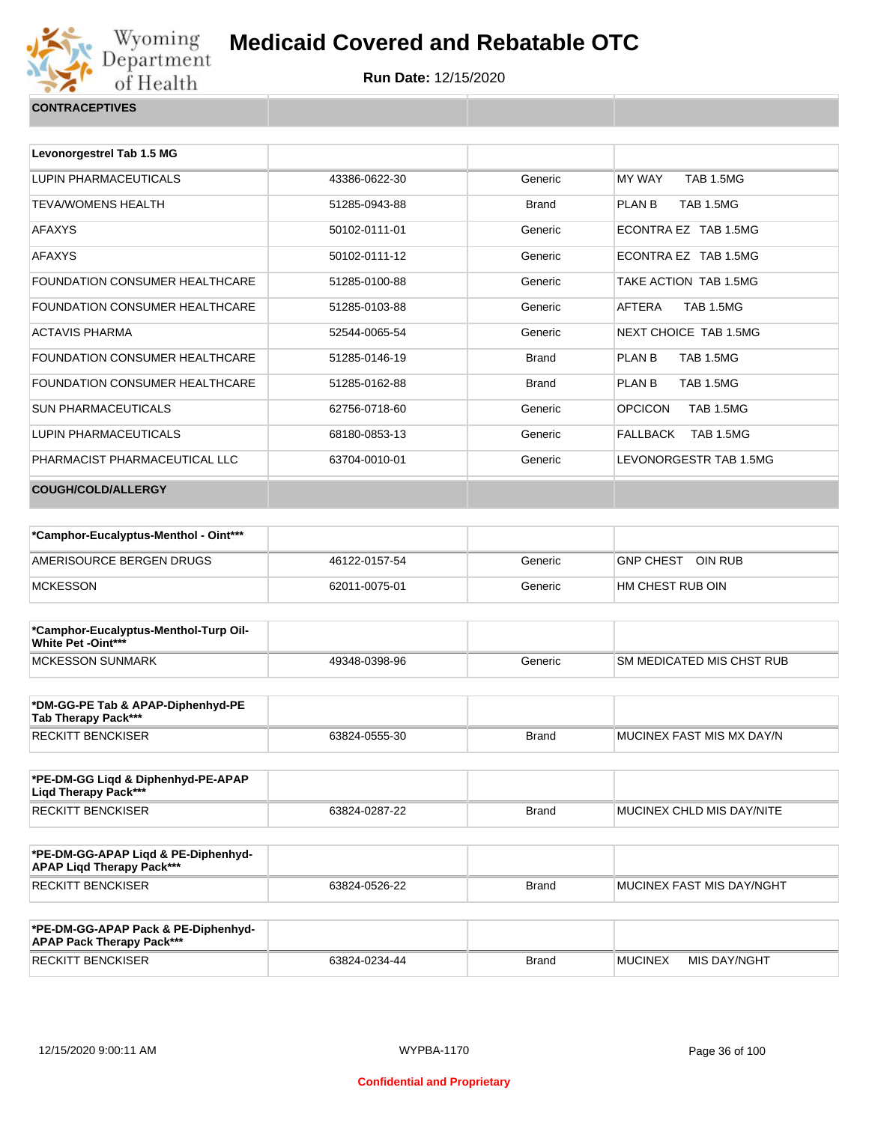

|  | <b>CONTRACEPTIVES</b> |
|--|-----------------------|
|  |                       |

| Levonorgestrel Tab 1.5 MG             |               |              |                                    |
|---------------------------------------|---------------|--------------|------------------------------------|
| LUPIN PHARMACEUTICALS                 | 43386-0622-30 | Generic      | <b>MY WAY</b><br><b>TAB 1.5MG</b>  |
| <b>TEVA/WOMENS HEALTH</b>             | 51285-0943-88 | <b>Brand</b> | <b>TAB 1.5MG</b><br>PLAN B         |
| <b>AFAXYS</b>                         | 50102-0111-01 | Generic      | ECONTRA EZ TAB 1.5MG               |
| <b>AFAXYS</b>                         | 50102-0111-12 | Generic      | ECONTRA EZ TAB 1.5MG               |
| <b>FOUNDATION CONSUMER HEALTHCARE</b> | 51285-0100-88 | Generic      | TAKE ACTION TAB 1.5MG              |
| <b>FOUNDATION CONSUMER HEALTHCARE</b> | 51285-0103-88 | Generic      | AFTERA<br><b>TAB 1.5MG</b>         |
| <b>ACTAVIS PHARMA</b>                 | 52544-0065-54 | Generic      | NEXT CHOICE TAB 1.5MG              |
| <b>FOUNDATION CONSUMER HEALTHCARE</b> | 51285-0146-19 | <b>Brand</b> | <b>TAB 1.5MG</b><br>PI AN B        |
| <b>FOUNDATION CONSUMER HEALTHCARE</b> | 51285-0162-88 | <b>Brand</b> | <b>TAB 1.5MG</b><br><b>PLAN B</b>  |
| <b>SUN PHARMACEUTICALS</b>            | 62756-0718-60 | Generic      | <b>OPCICON</b><br><b>TAB 1.5MG</b> |
| LUPIN PHARMACEUTICALS                 | 68180-0853-13 | Generic      | <b>TAB 1.5MG</b><br>FALLBACK       |
| PHARMACIST PHARMACEUTICAL LLC         | 63704-0010-01 | Generic      | LEVONORGESTR TAB 1.5MG             |
| <b>COUGH/COLD/ALLERGY</b>             |               |              |                                    |

| *Camphor-Eucalyptus-Menthol - Oint*** |               |         |                             |
|---------------------------------------|---------------|---------|-----------------------------|
| AMERISOURCE BERGEN DRUGS              | 46122-0157-54 | Generic | OIN RUB<br><b>GNP CHEST</b> |
| <b>MCKESSON</b>                       | 62011-0075-01 | Generic | HM CHEST RUB OIN            |

| *Camphor-Eucalyptus-Menthol-Turp Oil-<br>White Pet -Oint*** |               |         |                            |
|-------------------------------------------------------------|---------------|---------|----------------------------|
| <b>IMCKESSON SUNMARK</b>                                    | 49348-0398-96 | Generic | ISM MEDICATED MIS CHST RUB |

| *DM-GG-PE Tab & APAP-Diphenhyd-PE<br>Tab Therapy Pack*** |               |       |                            |
|----------------------------------------------------------|---------------|-------|----------------------------|
| <b>RECKITT BENCKISER</b>                                 | 63824-0555-30 | Brand | IMUCINEX FAST MIS MX DAY/N |

| *PE-DM-GG Ligd & Diphenhyd-PE-APAP<br>Ligd Therapy Pack*** |               |              |                                   |
|------------------------------------------------------------|---------------|--------------|-----------------------------------|
| RECKITT BENCKISER                                          | 63824-0287-22 | <b>Brand</b> | <b>IMUCINEX CHLD MIS DAY/NITE</b> |

| *PE-DM-GG-APAP Ligd & PE-Diphenhyd-<br><b>APAP Ligd Therapy Pack***</b> |               |       |                             |
|-------------------------------------------------------------------------|---------------|-------|-----------------------------|
| <b>RECKITT BENCKISER</b>                                                | 63824-0526-22 | Brand | I MUCINEX FAST MIS DAY/NGHT |

| *PE-DM-GG-APAP Pack & PE-Diphenhyd-<br><b>APAP Pack Therapy Pack***</b> |               |              |                |              |
|-------------------------------------------------------------------------|---------------|--------------|----------------|--------------|
| <b>RECKITT BENCKISER</b>                                                | 63824-0234-44 | <b>Brand</b> | <b>MUCINEX</b> | MIS DAY/NGHT |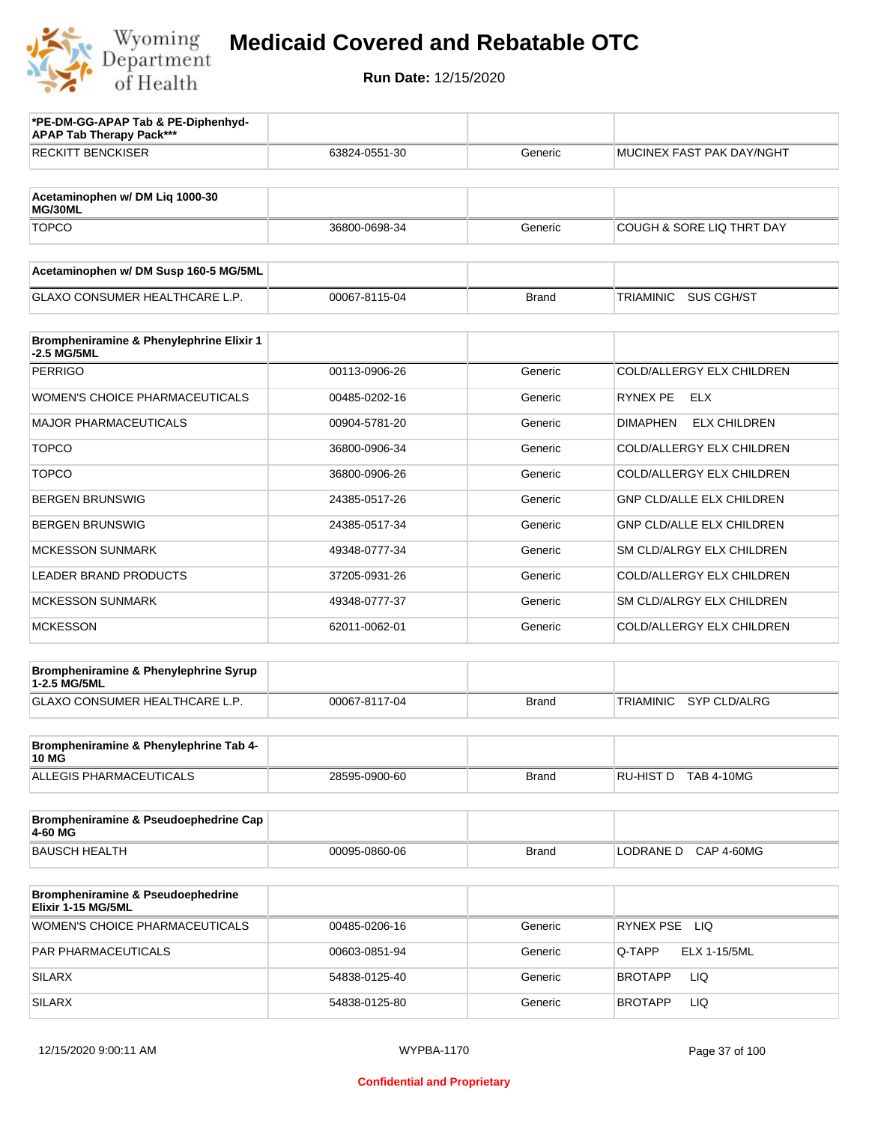

| *PE-DM-GG-APAP Tab & PE-Diphenhyd-<br><b>APAP Tab Therapy Pack***</b> |               |              |                                         |
|-----------------------------------------------------------------------|---------------|--------------|-----------------------------------------|
| <b>RECKITT BENCKISER</b>                                              | 63824-0551-30 | Generic      | MUCINEX FAST PAK DAY/NGHT               |
| Acetaminophen w/ DM Liq 1000-30<br>MG/30ML                            |               |              |                                         |
| <b>TOPCO</b>                                                          | 36800-0698-34 | Generic      | COUGH & SORE LIQ THRT DAY               |
| Acetaminophen w/ DM Susp 160-5 MG/5ML                                 |               |              |                                         |
| <b>GLAXO CONSUMER HEALTHCARE L.P.</b>                                 | 00067-8115-04 | <b>Brand</b> | <b>TRIAMINIC</b><br>SUS CGH/ST          |
| Brompheniramine & Phenylephrine Elixir 1<br>-2.5 MG/5ML               |               |              |                                         |
| <b>PERRIGO</b>                                                        | 00113-0906-26 | Generic      | COLD/ALLERGY ELX CHILDREN               |
| WOMEN'S CHOICE PHARMACEUTICALS                                        | 00485-0202-16 | Generic      | <b>RYNEX PE</b><br>ELX                  |
| <b>MAJOR PHARMACEUTICALS</b>                                          | 00904-5781-20 | Generic      | <b>ELX CHILDREN</b><br>DIMAPHEN         |
| <b>TOPCO</b>                                                          | 36800-0906-34 | Generic      | COLD/ALLERGY ELX CHILDREN               |
| <b>TOPCO</b>                                                          | 36800-0906-26 | Generic      | COLD/ALLERGY ELX CHILDREN               |
| <b>BERGEN BRUNSWIG</b>                                                | 24385-0517-26 | Generic      | <b>GNP CLD/ALLE ELX CHILDREN</b>        |
| <b>BERGEN BRUNSWIG</b>                                                | 24385-0517-34 | Generic      | <b>GNP CLD/ALLE ELX CHILDREN</b>        |
| <b>MCKESSON SUNMARK</b>                                               | 49348-0777-34 | Generic      | SM CLD/ALRGY ELX CHILDREN               |
| <b>LEADER BRAND PRODUCTS</b>                                          | 37205-0931-26 | Generic      | COLD/ALLERGY ELX CHILDREN               |
| <b>MCKESSON SUNMARK</b>                                               | 49348-0777-37 | Generic      | SM CLD/ALRGY ELX CHILDREN               |
| <b>MCKESSON</b>                                                       | 62011-0062-01 | Generic      | COLD/ALLERGY ELX CHILDREN               |
| Brompheniramine & Phenylephrine Syrup<br>1-2.5 MG/5ML                 |               |              |                                         |
| GLAXO CONSUMER HEALTHCARE L.P.                                        | 00067-8117-04 | <b>Brand</b> | <b>SYP CLD/ALRG</b><br><b>TRIAMINIC</b> |
| Brompheniramine & Phenylephrine Tab 4-<br>10 MG                       |               |              |                                         |
| ALLEGIS PHARMACEUTICALS                                               | 28595-0900-60 | Brand        | RU-HIST D TAB 4-10MG                    |
| Brompheniramine & Pseudoephedrine Cap<br>4-60 MG                      |               |              |                                         |
| <b>BAUSCH HEALTH</b>                                                  | 00095-0860-06 | <b>Brand</b> | LODRANE D CAP 4-60MG                    |
| <b>Brompheniramine &amp; Pseudoephedrine</b><br>Elixir 1-15 MG/5ML    |               |              |                                         |
| WOMEN'S CHOICE PHARMACEUTICALS                                        | 00485-0206-16 | Generic      | RYNEX PSE LIQ                           |
| PAR PHARMACEUTICALS                                                   | 00603-0851-94 | Generic      | Q-TAPP<br><b>ELX 1-15/5ML</b>           |
| <b>SILARX</b>                                                         | 54838-0125-40 | Generic      | LIQ<br><b>BROTAPP</b>                   |
| <b>SILARX</b>                                                         | 54838-0125-80 | Generic      | LIQ<br><b>BROTAPP</b>                   |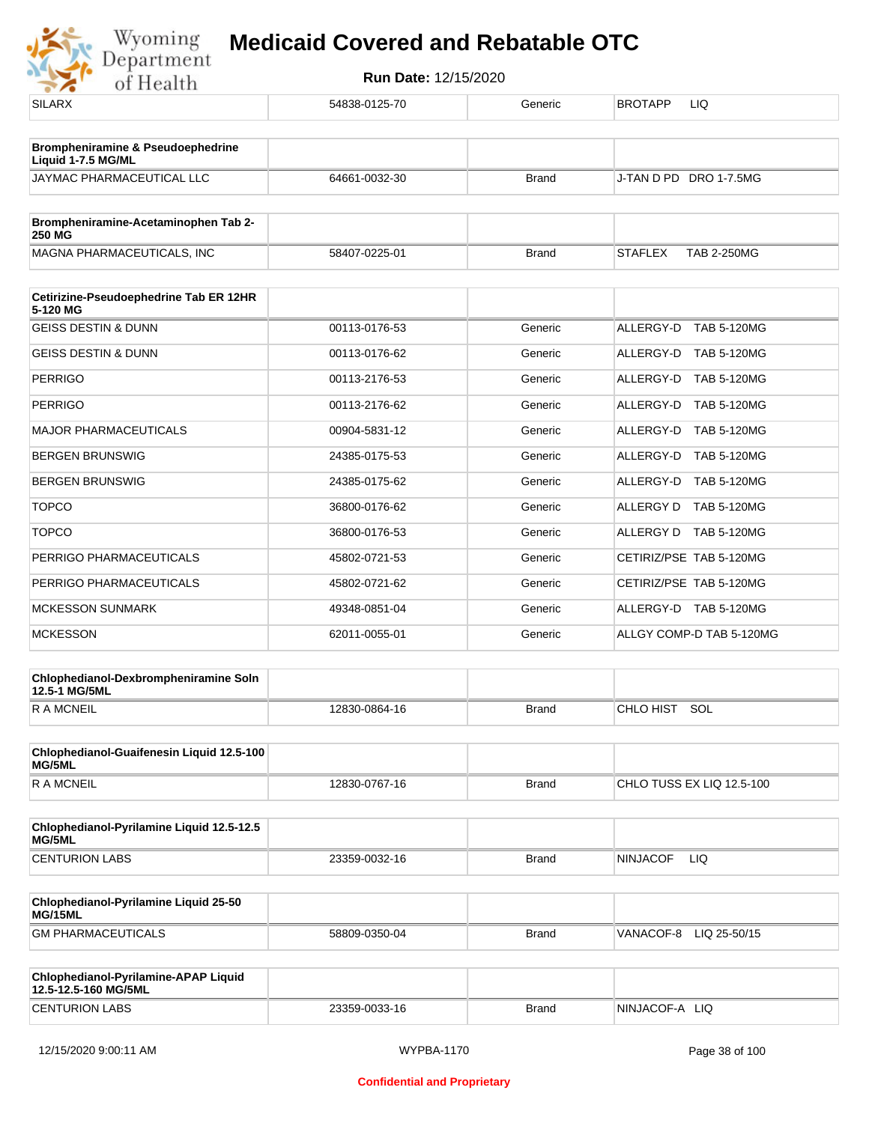

| <b>SILARX</b>                                                | 54838-0125-70 | Generic      | <b>BROTAPP</b><br>LIQ                |
|--------------------------------------------------------------|---------------|--------------|--------------------------------------|
| Brompheniramine & Pseudoephedrine                            |               |              |                                      |
| Liquid 1-7.5 MG/ML<br><b>JAYMAC PHARMACEUTICAL LLC</b>       | 64661-0032-30 | <b>Brand</b> | J-TAN D PD DRO 1-7.5MG               |
|                                                              |               |              |                                      |
| Brompheniramine-Acetaminophen Tab 2-<br><b>250 MG</b>        |               |              |                                      |
| MAGNA PHARMACEUTICALS, INC                                   | 58407-0225-01 | <b>Brand</b> | <b>STAFLEX</b><br><b>TAB 2-250MG</b> |
| Cetirizine-Pseudoephedrine Tab ER 12HR<br>5-120 MG           |               |              |                                      |
| <b>GEISS DESTIN &amp; DUNN</b>                               | 00113-0176-53 | Generic      | ALLERGY-D TAB 5-120MG                |
| <b>GEISS DESTIN &amp; DUNN</b>                               | 00113-0176-62 | Generic      | ALLERGY-D TAB 5-120MG                |
| <b>PERRIGO</b>                                               | 00113-2176-53 | Generic      | ALLERGY-D TAB 5-120MG                |
| <b>PERRIGO</b>                                               | 00113-2176-62 | Generic      | ALLERGY-D TAB 5-120MG                |
| <b>MAJOR PHARMACEUTICALS</b>                                 | 00904-5831-12 | Generic      | ALLERGY-D TAB 5-120MG                |
| <b>BERGEN BRUNSWIG</b>                                       | 24385-0175-53 | Generic      | ALLERGY-D TAB 5-120MG                |
| <b>BERGEN BRUNSWIG</b>                                       | 24385-0175-62 | Generic      | ALLERGY-D TAB 5-120MG                |
| <b>TOPCO</b>                                                 | 36800-0176-62 | Generic      | ALLERGY D TAB 5-120MG                |
| <b>TOPCO</b>                                                 | 36800-0176-53 | Generic      | ALLERGY D TAB 5-120MG                |
| PERRIGO PHARMACEUTICALS                                      | 45802-0721-53 | Generic      | CETIRIZ/PSE TAB 5-120MG              |
| PERRIGO PHARMACEUTICALS                                      | 45802-0721-62 | Generic      | CETIRIZ/PSE TAB 5-120MG              |
| <b>MCKESSON SUNMARK</b>                                      | 49348-0851-04 | Generic      | ALLERGY-D TAB 5-120MG                |
| <b>MCKESSON</b>                                              | 62011-0055-01 | Generic      | ALLGY COMP-D TAB 5-120MG             |
| Chlophedianol-Dexbrompheniramine Soln<br>12.5-1 MG/5ML       |               |              |                                      |
| <b>RAMCNEIL</b>                                              | 12830-0864-16 | <b>Brand</b> | CHLO HIST SOL                        |
| Chlophedianol-Guaifenesin Liquid 12.5-100<br>MG/5ML          |               |              |                                      |
| <b>RAMCNEIL</b>                                              | 12830-0767-16 | <b>Brand</b> | CHLO TUSS EX LIQ 12.5-100            |
| Chlophedianol-Pyrilamine Liquid 12.5-12.5<br>MG/5ML          |               |              |                                      |
| <b>CENTURION LABS</b>                                        | 23359-0032-16 | <b>Brand</b> | <b>NINJACOF</b><br>LIQ.              |
| Chlophedianol-Pyrilamine Liquid 25-50<br>MG/15ML             |               |              |                                      |
| <b>GM PHARMACEUTICALS</b>                                    | 58809-0350-04 | Brand        | VANACOF-8 LIQ 25-50/15               |
| Chlophedianol-Pyrilamine-APAP Liquid<br>12.5-12.5-160 MG/5ML |               |              |                                      |
| <b>CENTURION LABS</b>                                        | 23359-0033-16 | <b>Brand</b> | NINJACOF-A LIQ                       |
|                                                              |               |              |                                      |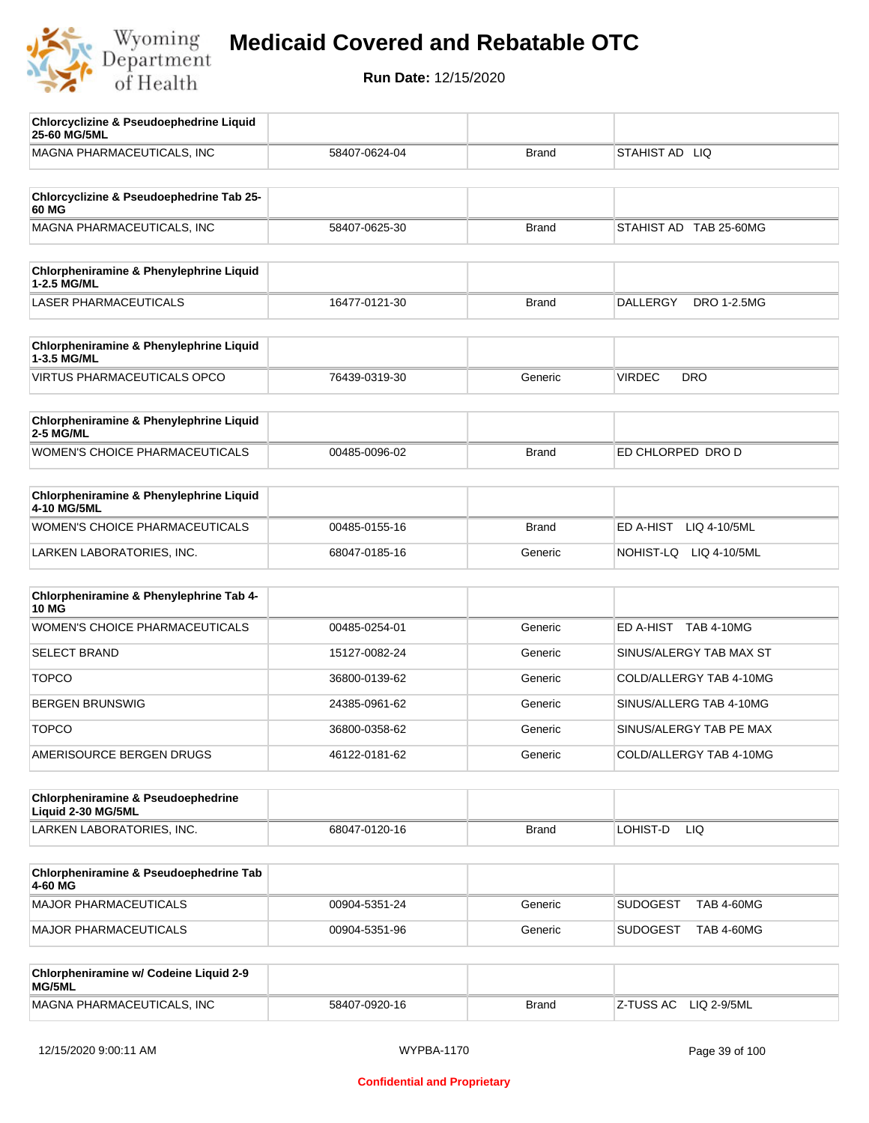

| <b>Chlorcyclizine &amp; Pseudoephedrine Liquid</b><br>25-60 MG/5ML  |               |              |                                       |
|---------------------------------------------------------------------|---------------|--------------|---------------------------------------|
| MAGNA PHARMACEUTICALS, INC                                          | 58407-0624-04 | <b>Brand</b> | STAHIST AD LIQ                        |
| Chlorcyclizine & Pseudoephedrine Tab 25-                            |               |              |                                       |
| 60 MG                                                               |               |              |                                       |
| MAGNA PHARMACEUTICALS, INC                                          | 58407-0625-30 | <b>Brand</b> | STAHIST AD TAB 25-60MG                |
| Chlorpheniramine & Phenylephrine Liquid<br>1-2.5 MG/ML              |               |              |                                       |
| <b>LASER PHARMACEUTICALS</b>                                        | 16477-0121-30 | <b>Brand</b> | <b>DALLERGY</b><br><b>DRO 1-2.5MG</b> |
| Chlorpheniramine & Phenylephrine Liquid<br>1-3.5 MG/ML              |               |              |                                       |
| <b>VIRTUS PHARMACEUTICALS OPCO</b>                                  | 76439-0319-30 | Generic      | <b>VIRDEC</b><br><b>DRO</b>           |
| Chlorpheniramine & Phenylephrine Liquid<br>2-5 MG/ML                |               |              |                                       |
| WOMEN'S CHOICE PHARMACEUTICALS                                      | 00485-0096-02 | <b>Brand</b> | ED CHLORPED DRO D                     |
| Chlorpheniramine & Phenylephrine Liquid<br>4-10 MG/5ML              |               |              |                                       |
| WOMEN'S CHOICE PHARMACEUTICALS                                      | 00485-0155-16 | <b>Brand</b> | ED A-HIST<br>LIQ 4-10/5ML             |
| LARKEN LABORATORIES, INC.                                           | 68047-0185-16 | Generic      | NOHIST-LQ LIQ 4-10/5ML                |
| Chlorpheniramine & Phenylephrine Tab 4-<br><b>10 MG</b>             |               |              |                                       |
| <b>WOMEN'S CHOICE PHARMACEUTICALS</b>                               | 00485-0254-01 | Generic      | ED A-HIST TAB 4-10MG                  |
| <b>SELECT BRAND</b>                                                 | 15127-0082-24 | Generic      | SINUS/ALERGY TAB MAX ST               |
| <b>TOPCO</b>                                                        | 36800-0139-62 | Generic      | COLD/ALLERGY TAB 4-10MG               |
| <b>BERGEN BRUNSWIG</b>                                              | 24385-0961-62 | Generic      | SINUS/ALLERG TAB 4-10MG               |
| <b>TOPCO</b>                                                        | 36800-0358-62 | Generic      | SINUS/ALERGY TAB PE MAX               |
| AMERISOURCE BERGEN DRUGS                                            | 46122-0181-62 | Generic      | COLD/ALLERGY TAB 4-10MG               |
| <b>Chlorpheniramine &amp; Pseudoephedrine</b><br>Liquid 2-30 MG/5ML |               |              |                                       |
| LARKEN LABORATORIES, INC.                                           | 68047-0120-16 | <b>Brand</b> | LOHIST-D<br>LIQ                       |
| Chlorpheniramine & Pseudoephedrine Tab<br>4-60 MG                   |               |              |                                       |
| MAJOR PHARMACEUTICALS                                               | 00904-5351-24 | Generic      | <b>SUDOGEST</b><br><b>TAB 4-60MG</b>  |
| MAJOR PHARMACEUTICALS                                               | 00904-5351-96 | Generic      | <b>SUDOGEST</b><br><b>TAB 4-60MG</b>  |
| Chlorpheniramine w/ Codeine Liquid 2-9<br>MG/5ML                    |               |              |                                       |
| MAGNA PHARMACEUTICALS, INC                                          | 58407-0920-16 | <b>Brand</b> | Z-TUSS AC<br>LIQ 2-9/5ML              |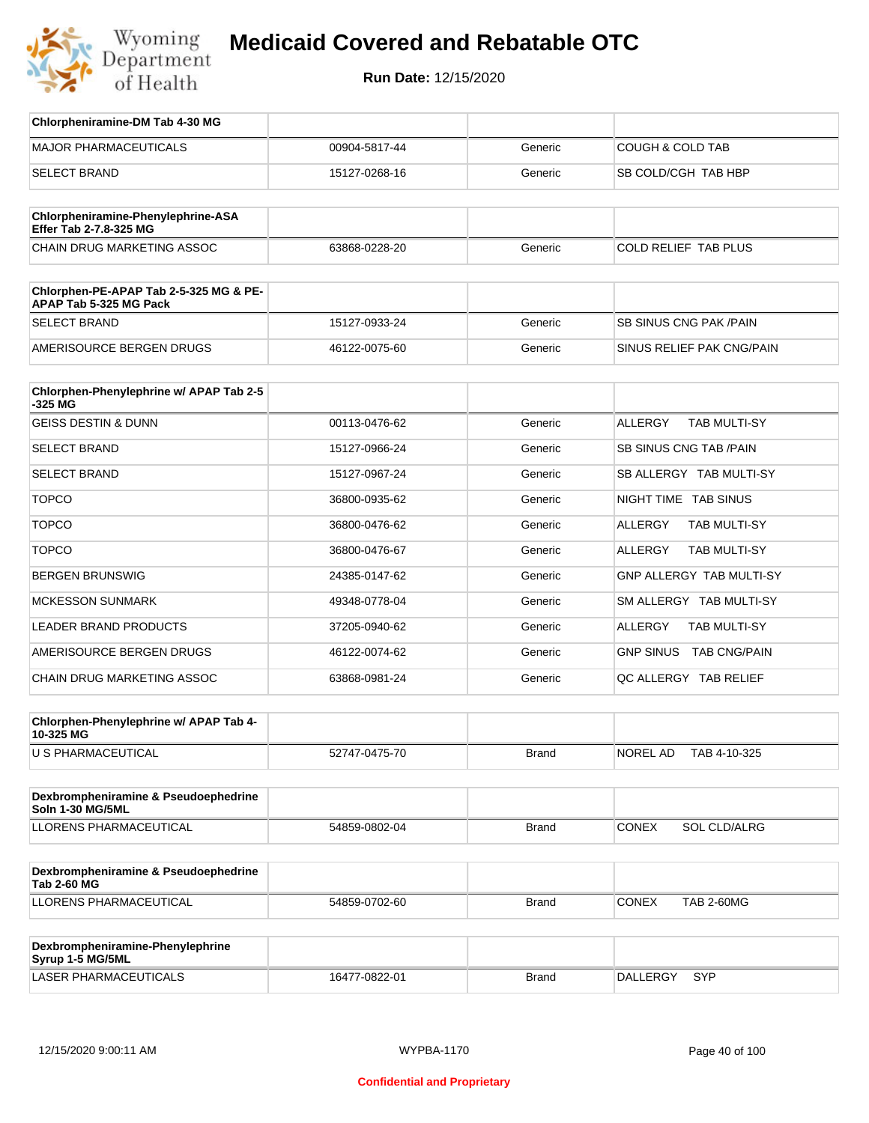

| Chlorpheniramine-DM Tab 4-30 MG                                  |               |              |                                       |
|------------------------------------------------------------------|---------------|--------------|---------------------------------------|
| <b>MAJOR PHARMACEUTICALS</b>                                     | 00904-5817-44 | Generic      | <b>COUGH &amp; COLD TAB</b>           |
| <b>SELECT BRAND</b>                                              | 15127-0268-16 | Generic      | SB COLD/CGH TAB HBP                   |
| Chlorpheniramine-Phenylephrine-ASA<br>Effer Tab 2-7.8-325 MG     |               |              |                                       |
| <b>CHAIN DRUG MARKETING ASSOC</b>                                | 63868-0228-20 | Generic      | <b>COLD RELIEF TAB PLUS</b>           |
| Chlorphen-PE-APAP Tab 2-5-325 MG & PE-<br>APAP Tab 5-325 MG Pack |               |              |                                       |
| <b>SELECT BRAND</b>                                              | 15127-0933-24 | Generic      | <b>SB SINUS CNG PAK/PAIN</b>          |
| AMERISOURCE BERGEN DRUGS                                         | 46122-0075-60 | Generic      | SINUS RELIEF PAK CNG/PAIN             |
| Chlorphen-Phenylephrine w/ APAP Tab 2-5<br>-325 MG               |               |              |                                       |
| <b>GEISS DESTIN &amp; DUNN</b>                                   | 00113-0476-62 | Generic      | <b>ALLERGY</b><br><b>TAB MULTI-SY</b> |
| SELECT BRAND                                                     | 15127-0966-24 | Generic      | SB SINUS CNG TAB / PAIN               |
| <b>SELECT BRAND</b>                                              | 15127-0967-24 | Generic      | SB ALLERGY TAB MULTI-SY               |
| <b>TOPCO</b>                                                     | 36800-0935-62 | Generic      | NIGHT TIME TAB SINUS                  |
| <b>TOPCO</b>                                                     | 36800-0476-62 | Generic      | ALLERGY<br>TAB MULTI-SY               |
| <b>TOPCO</b>                                                     | 36800-0476-67 | Generic      | <b>ALLERGY</b><br>TAB MULTI-SY        |
| <b>BERGEN BRUNSWIG</b>                                           | 24385-0147-62 | Generic      | GNP ALLERGY TAB MULTI-SY              |
| <b>MCKESSON SUNMARK</b>                                          | 49348-0778-04 | Generic      | SM ALLERGY TAB MULTI-SY               |
| LEADER BRAND PRODUCTS                                            | 37205-0940-62 | Generic      | <b>ALLERGY</b><br>TAB MULTI-SY        |
| AMERISOURCE BERGEN DRUGS                                         | 46122-0074-62 | Generic      | GNP SINUS TAB CNG/PAIN                |
| CHAIN DRUG MARKETING ASSOC                                       | 63868-0981-24 | Generic      | QC ALLERGY TAB RELIEF                 |
| Chlorphen-Phenylephrine w/ APAP Tab 4-<br>10-325 MG              |               |              |                                       |
| U S PHARMACEUTICAL                                               | 52747-0475-70 | <b>Brand</b> | NOREL AD<br>TAB 4-10-325              |
| Dexbrompheniramine & Pseudoephedrine<br><b>Soln 1-30 MG/5ML</b>  |               |              |                                       |
| <b>LLORENS PHARMACEUTICAL</b>                                    | 54859-0802-04 | <b>Brand</b> | <b>CONEX</b><br>SOL CLD/ALRG          |
| Dexbrompheniramine & Pseudoephedrine<br><b>Tab 2-60 MG</b>       |               |              |                                       |
| LLORENS PHARMACEUTICAL                                           | 54859-0702-60 | <b>Brand</b> | <b>CONEX</b><br><b>TAB 2-60MG</b>     |
| Dexbrompheniramine-Phenylephrine<br>Syrup 1-5 MG/5ML             |               |              |                                       |
| LASER PHARMACEUTICALS                                            | 16477-0822-01 | <b>Brand</b> | DALLERGY SYP                          |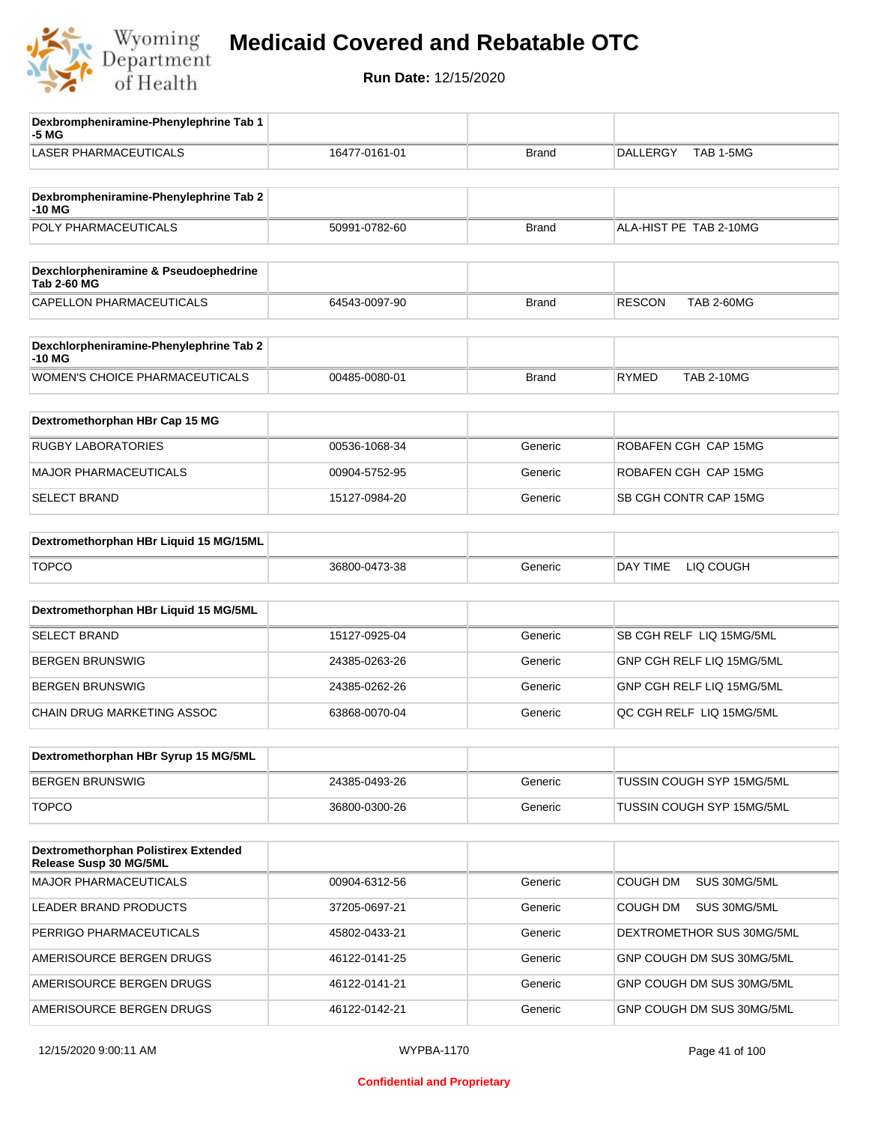

| Dexbrompheniramine-Phenylephrine Tab 1<br>-5 MG                |               |              |                                    |
|----------------------------------------------------------------|---------------|--------------|------------------------------------|
| <b>LASER PHARMACEUTICALS</b>                                   | 16477-0161-01 | <b>Brand</b> | <b>DALLERGY</b><br>TAB 1-5MG       |
| Dexbrompheniramine-Phenylephrine Tab 2<br>$-10M$               |               |              |                                    |
| POLY PHARMACEUTICALS                                           | 50991-0782-60 | <b>Brand</b> | ALA-HIST PE TAB 2-10MG             |
|                                                                |               |              |                                    |
| Dexchlorpheniramine & Pseudoephedrine<br><b>Tab 2-60 MG</b>    |               |              |                                    |
| CAPELLON PHARMACEUTICALS                                       | 64543-0097-90 | Brand        | <b>RESCON</b><br><b>TAB 2-60MG</b> |
| Dexchlorpheniramine-Phenylephrine Tab 2<br>-10 MG              |               |              |                                    |
| WOMEN'S CHOICE PHARMACEUTICALS                                 | 00485-0080-01 | <b>Brand</b> | <b>RYMED</b><br><b>TAB 2-10MG</b>  |
| Dextromethorphan HBr Cap 15 MG                                 |               |              |                                    |
| <b>RUGBY LABORATORIES</b>                                      | 00536-1068-34 | Generic      | ROBAFEN CGH CAP 15MG               |
| <b>MAJOR PHARMACEUTICALS</b>                                   | 00904-5752-95 | Generic      | ROBAFEN CGH CAP 15MG               |
| <b>SELECT BRAND</b>                                            | 15127-0984-20 | Generic      | SB CGH CONTR CAP 15MG              |
| Dextromethorphan HBr Liquid 15 MG/15ML                         |               |              |                                    |
| <b>TOPCO</b>                                                   | 36800-0473-38 | Generic      | DAY TIME<br>LIQ COUGH              |
| Dextromethorphan HBr Liquid 15 MG/5ML                          |               |              |                                    |
| <b>SELECT BRAND</b>                                            | 15127-0925-04 | Generic      | SB CGH RELF LIQ 15MG/5ML           |
| <b>BERGEN BRUNSWIG</b>                                         | 24385-0263-26 | Generic      | GNP CGH RELF LIQ 15MG/5ML          |
| <b>BERGEN BRUNSWIG</b>                                         | 24385-0262-26 | Generic      | GNP CGH RELF LIQ 15MG/5ML          |
| CHAIN DRUG MARKETING ASSOC                                     | 63868-0070-04 | Generic      | QC CGH RELF LIQ 15MG/5ML           |
| Dextromethorphan HBr Syrup 15 MG/5ML                           |               |              |                                    |
| <b>BERGEN BRUNSWIG</b>                                         | 24385-0493-26 | Generic      | TUSSIN COUGH SYP 15MG/5ML          |
| <b>TOPCO</b>                                                   |               |              |                                    |
|                                                                | 36800-0300-26 | Generic      | TUSSIN COUGH SYP 15MG/5ML          |
| Dextromethorphan Polistirex Extended<br>Release Susp 30 MG/5ML |               |              |                                    |
| <b>MAJOR PHARMACEUTICALS</b>                                   | 00904-6312-56 | Generic      | COUGH DM<br>SUS 30MG/5ML           |
| LEADER BRAND PRODUCTS                                          | 37205-0697-21 | Generic      | <b>COUGH DM</b><br>SUS 30MG/5ML    |
| PERRIGO PHARMACEUTICALS                                        | 45802-0433-21 | Generic      | DEXTROMETHOR SUS 30MG/5ML          |
| AMERISOURCE BERGEN DRUGS                                       | 46122-0141-25 | Generic      | GNP COUGH DM SUS 30MG/5ML          |
| AMERISOURCE BERGEN DRUGS                                       | 46122-0141-21 | Generic      | GNP COUGH DM SUS 30MG/5ML          |
| AMERISOURCE BERGEN DRUGS                                       | 46122-0142-21 | Generic      | GNP COUGH DM SUS 30MG/5ML          |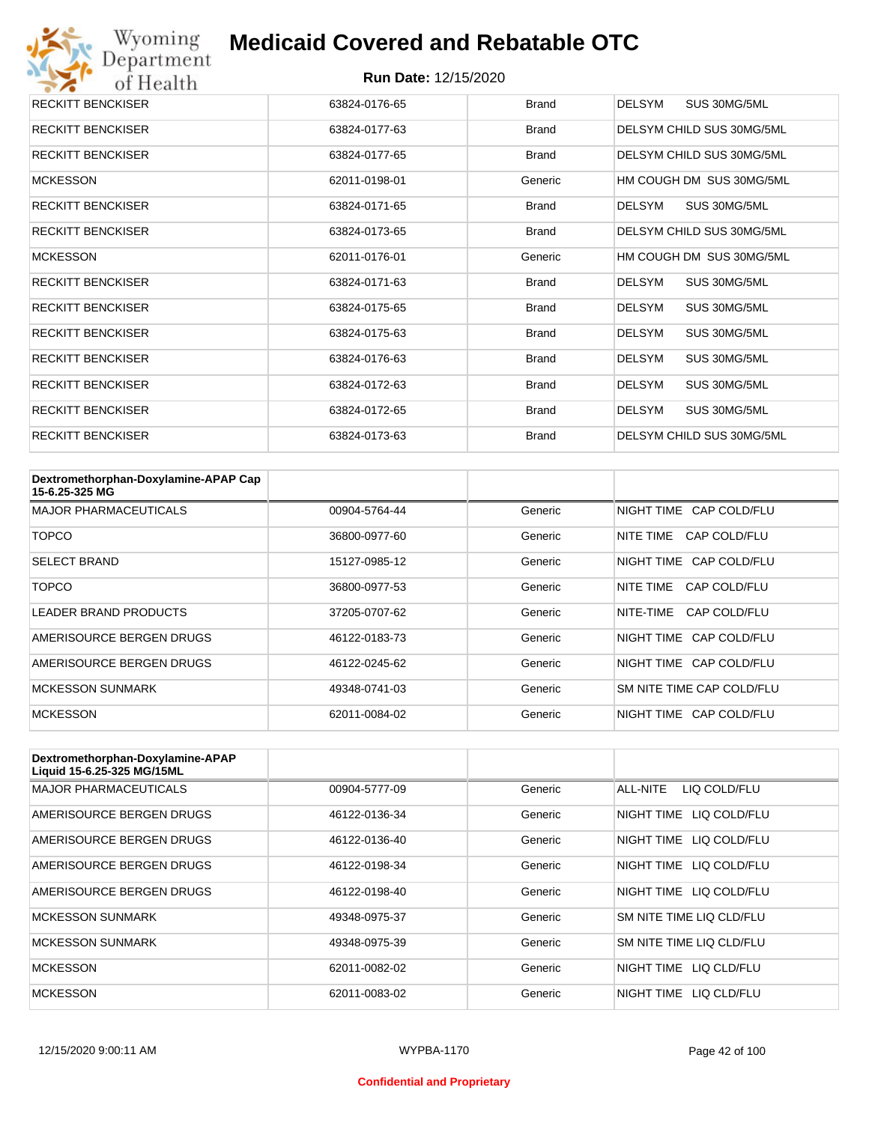| <b>RECKITT BENCKISER</b> | 63824-0176-65 | <b>Brand</b> | <b>DELSYM</b><br>SUS 30MG/5ML |
|--------------------------|---------------|--------------|-------------------------------|
| <b>RECKITT BENCKISER</b> | 63824-0177-63 | <b>Brand</b> | DELSYM CHILD SUS 30MG/5ML     |
| <b>RECKITT BENCKISER</b> | 63824-0177-65 | <b>Brand</b> | DELSYM CHILD SUS 30MG/5ML     |
| <b>MCKESSON</b>          | 62011-0198-01 | Generic      | HM COUGH DM SUS 30MG/5ML      |
| <b>RECKITT BENCKISER</b> | 63824-0171-65 | <b>Brand</b> | SUS 30MG/5ML<br>DELSYM        |
| <b>RECKITT BENCKISER</b> | 63824-0173-65 | <b>Brand</b> | DELSYM CHILD SUS 30MG/5ML     |
| <b>MCKESSON</b>          | 62011-0176-01 | Generic      | HM COUGH DM SUS 30MG/5ML      |
| <b>RECKITT BENCKISER</b> | 63824-0171-63 | <b>Brand</b> | <b>DELSYM</b><br>SUS 30MG/5ML |
| <b>RECKITT BENCKISER</b> | 63824-0175-65 | <b>Brand</b> | <b>DELSYM</b><br>SUS 30MG/5ML |
| <b>RECKITT BENCKISER</b> | 63824-0175-63 | <b>Brand</b> | <b>DELSYM</b><br>SUS 30MG/5ML |
| <b>RECKITT BENCKISER</b> | 63824-0176-63 | <b>Brand</b> | <b>DELSYM</b><br>SUS 30MG/5ML |
| <b>RECKITT BENCKISER</b> | 63824-0172-63 | <b>Brand</b> | <b>DELSYM</b><br>SUS 30MG/5ML |
| <b>RECKITT BENCKISER</b> | 63824-0172-65 | <b>Brand</b> | <b>DELSYM</b><br>SUS 30MG/5ML |
| <b>RECKITT BENCKISER</b> | 63824-0173-63 | <b>Brand</b> | DELSYM CHILD SUS 30MG/5ML     |

| Dextromethorphan-Doxylamine-APAP Cap<br>15-6.25-325 MG |               |         |                           |
|--------------------------------------------------------|---------------|---------|---------------------------|
| <b>MAJOR PHARMACEUTICALS</b>                           | 00904-5764-44 | Generic | NIGHT TIME CAP COLD/FLU   |
| <b>TOPCO</b>                                           | 36800-0977-60 | Generic | CAP COLD/FLU<br>NITE TIME |
| <b>SELECT BRAND</b>                                    | 15127-0985-12 | Generic | NIGHT TIME CAP COLD/FLU   |
| <b>TOPCO</b>                                           | 36800-0977-53 | Generic | NITE TIME<br>CAP COLD/FLU |
| <b>LEADER BRAND PRODUCTS</b>                           | 37205-0707-62 | Generic | NITE-TIME<br>CAP COLD/FLU |
| AMERISOURCE BERGEN DRUGS                               | 46122-0183-73 | Generic | NIGHT TIME CAP COLD/FLU   |
| AMERISOURCE BERGEN DRUGS                               | 46122-0245-62 | Generic | NIGHT TIME CAP COLD/FLU   |
| <b>MCKESSON SUNMARK</b>                                | 49348-0741-03 | Generic | SM NITE TIME CAP COLD/FLU |
| <b>MCKESSON</b>                                        | 62011-0084-02 | Generic | NIGHT TIME CAP COLD/FLU   |

| Dextromethorphan-Doxylamine-APAP<br>Liquid 15-6.25-325 MG/15ML |               |         |                            |
|----------------------------------------------------------------|---------------|---------|----------------------------|
| <b>MAJOR PHARMACEUTICALS</b>                                   | 00904-5777-09 | Generic | ALL-NITE<br>LIQ COLD/FLU   |
| AMERISOURCE BERGEN DRUGS                                       | 46122-0136-34 | Generic | LIQ COLD/FLU<br>NIGHT TIME |
| AMERISOURCE BERGEN DRUGS                                       | 46122-0136-40 | Generic | NIGHT TIME<br>LIQ COLD/FLU |
| AMERISOURCE BERGEN DRUGS                                       | 46122-0198-34 | Generic | NIGHT TIME<br>LIQ COLD/FLU |
| AMERISOURCE BERGEN DRUGS                                       | 46122-0198-40 | Generic | NIGHT TIME LIQ COLD/FLU    |
| <b>MCKESSON SUNMARK</b>                                        | 49348-0975-37 | Generic | SM NITE TIME LIQ CLD/FLU   |
| <b>MCKESSON SUNMARK</b>                                        | 49348-0975-39 | Generic | SM NITE TIME LIQ CLD/FLU   |
| <b>MCKESSON</b>                                                | 62011-0082-02 | Generic | NIGHT TIME LIQ CLD/FLU     |
| <b>MCKESSON</b>                                                | 62011-0083-02 | Generic | NIGHT TIME<br>LIO CLD/FLU  |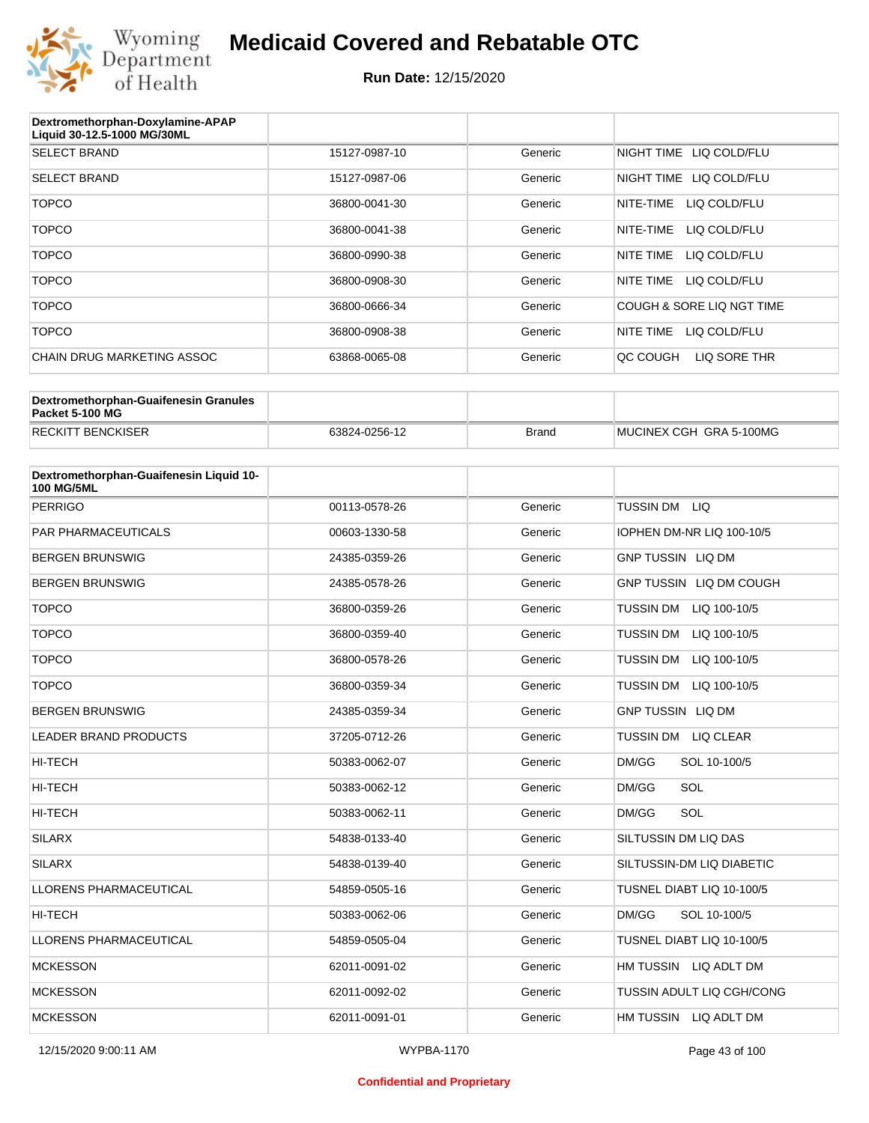

| Dextromethorphan-Doxylamine-APAP<br>Liquid 30-12.5-1000 MG/30ML |               |         |                            |
|-----------------------------------------------------------------|---------------|---------|----------------------------|
| <b>SELECT BRAND</b>                                             | 15127-0987-10 | Generic | NIGHT TIME<br>LIQ COLD/FLU |
| <b>SELECT BRAND</b>                                             | 15127-0987-06 | Generic | LIQ COLD/FLU<br>NIGHT TIME |
| <b>TOPCO</b>                                                    | 36800-0041-30 | Generic | NITE-TIME<br>LIQ COLD/FLU  |
| <b>TOPCO</b>                                                    | 36800-0041-38 | Generic | NITE-TIME<br>LIQ COLD/FLU  |
| <b>TOPCO</b>                                                    | 36800-0990-38 | Generic | NITE TIME<br>LIQ COLD/FLU  |
| <b>TOPCO</b>                                                    | 36800-0908-30 | Generic | NITE TIME<br>LIQ COLD/FLU  |
| <b>TOPCO</b>                                                    | 36800-0666-34 | Generic | COUGH & SORE LIQ NGT TIME  |
| <b>TOPCO</b>                                                    | 36800-0908-38 | Generic | NITE TIME<br>LIQ COLD/FLU  |
| CHAIN DRUG MARKETING ASSOC                                      | 63868-0065-08 | Generic | LIQ SORE THR<br>QC COUGH   |
|                                                                 |               |         |                            |

| Dextromethorphan-Guaifenesin Granules<br>Packet 5-100 MG |               |       |                         |
|----------------------------------------------------------|---------------|-------|-------------------------|
| <b>RECKITT BENCKISER</b>                                 | 63824-0256-12 | Brand | MUCINEX CGH GRA 5-100MG |

| Dextromethorphan-Guaifenesin Liquid 10-<br><b>100 MG/5ML</b> |               |         |                                      |
|--------------------------------------------------------------|---------------|---------|--------------------------------------|
| <b>PERRIGO</b>                                               | 00113-0578-26 | Generic | TUSSIN DM LIQ                        |
| <b>PAR PHARMACEUTICALS</b>                                   | 00603-1330-58 | Generic | IOPHEN DM-NR LIQ 100-10/5            |
| <b>BERGEN BRUNSWIG</b>                                       | 24385-0359-26 | Generic | <b>GNP TUSSIN LIQ DM</b>             |
| <b>BERGEN BRUNSWIG</b>                                       | 24385-0578-26 | Generic | GNP TUSSIN LIQ DM COUGH              |
| <b>TOPCO</b>                                                 | 36800-0359-26 | Generic | TUSSIN DM LIQ 100-10/5               |
| <b>TOPCO</b>                                                 | 36800-0359-40 | Generic | <b>TUSSIN DM</b><br>LIQ 100-10/5     |
| <b>TOPCO</b>                                                 | 36800-0578-26 | Generic | <b>TUSSIN DM</b><br>LIQ 100-10/5     |
| <b>TOPCO</b>                                                 | 36800-0359-34 | Generic | TUSSIN DM<br>LIQ 100-10/5            |
| <b>BERGEN BRUNSWIG</b>                                       | 24385-0359-34 | Generic | <b>GNP TUSSIN LIQ DM</b>             |
| <b>LEADER BRAND PRODUCTS</b>                                 | 37205-0712-26 | Generic | <b>TUSSIN DM</b><br><b>LIQ CLEAR</b> |
| HI-TECH                                                      | 50383-0062-07 | Generic | DM/GG<br>SOL 10-100/5                |
| <b>HI-TECH</b>                                               | 50383-0062-12 | Generic | SOL<br>DM/GG                         |
| <b>HI-TECH</b>                                               | 50383-0062-11 | Generic | SOL<br>DM/GG                         |
| <b>SILARX</b>                                                | 54838-0133-40 | Generic | SILTUSSIN DM LIQ DAS                 |
| <b>SILARX</b>                                                | 54838-0139-40 | Generic | SILTUSSIN-DM LIQ DIABETIC            |
| <b>LLORENS PHARMACEUTICAL</b>                                | 54859-0505-16 | Generic | TUSNEL DIABT LIQ 10-100/5            |
| <b>HI-TECH</b>                                               | 50383-0062-06 | Generic | DM/GG<br>SOL 10-100/5                |
| LLORENS PHARMACEUTICAL                                       | 54859-0505-04 | Generic | TUSNEL DIABT LIQ 10-100/5            |
| <b>MCKESSON</b>                                              | 62011-0091-02 | Generic | HM TUSSIN LIQ ADLT DM                |
| <b>MCKESSON</b>                                              | 62011-0092-02 | Generic | TUSSIN ADULT LIQ CGH/CONG            |
| <b>MCKESSON</b>                                              | 62011-0091-01 | Generic | HM TUSSIN LIQ ADLT DM                |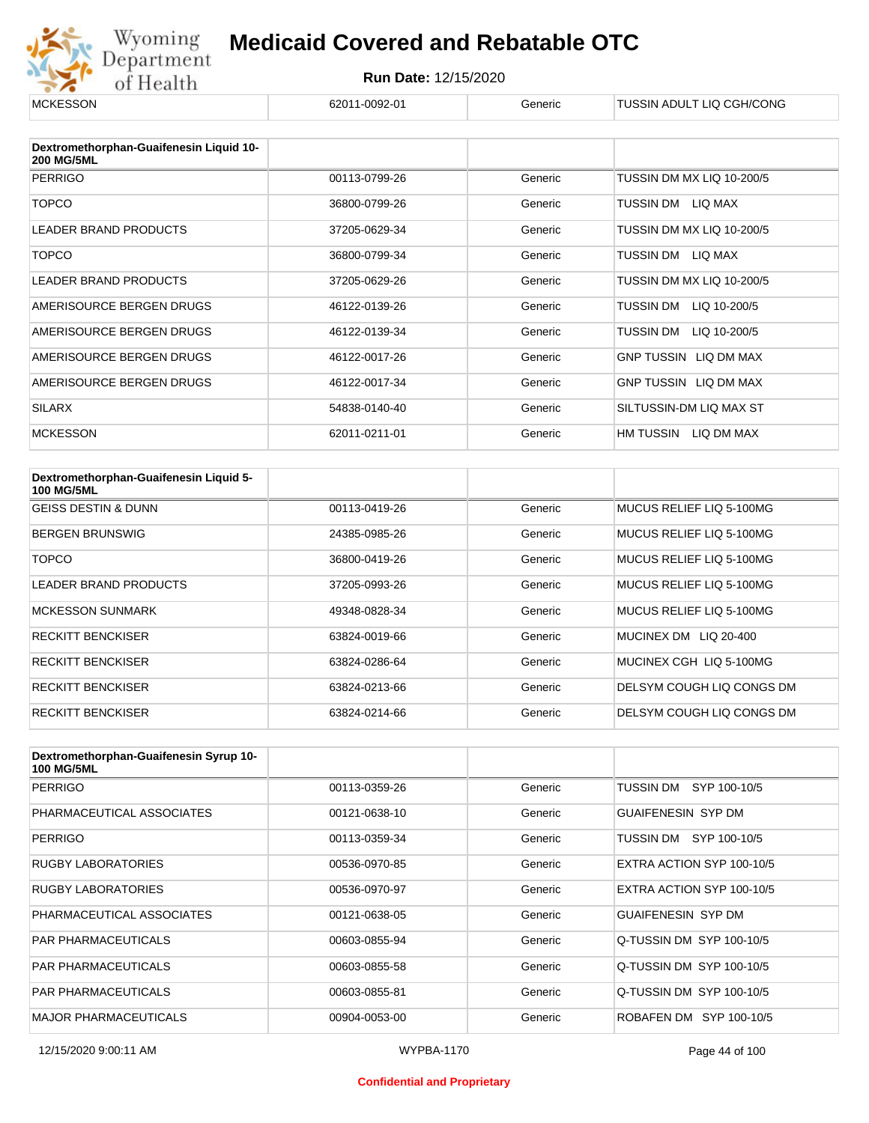

| <b>MCKESSON</b>                                              | 62011-0092-01 | Generic | TUSSIN ADULT LIQ CGH/CONG    |
|--------------------------------------------------------------|---------------|---------|------------------------------|
|                                                              |               |         |                              |
| Dextromethorphan-Guaifenesin Liquid 10-<br><b>200 MG/5ML</b> |               |         |                              |
| <b>PERRIGO</b>                                               | 00113-0799-26 | Generic | TUSSIN DM MX LIQ 10-200/5    |
| <b>TOPCO</b>                                                 | 36800-0799-26 | Generic | LIQ MAX<br>TUSSIN DM         |
| <b>LEADER BRAND PRODUCTS</b>                                 | 37205-0629-34 | Generic | TUSSIN DM MX LIQ 10-200/5    |
| <b>TOPCO</b>                                                 | 36800-0799-34 | Generic | TUSSIN DM<br>LIQ MAX         |
| <b>LEADER BRAND PRODUCTS</b>                                 | 37205-0629-26 | Generic | TUSSIN DM MX LIQ 10-200/5    |
| AMERISOURCE BERGEN DRUGS                                     | 46122-0139-26 | Generic | TUSSIN DM<br>LIQ 10-200/5    |
| AMERISOURCE BERGEN DRUGS                                     | 46122-0139-34 | Generic | TUSSIN DM<br>LIQ 10-200/5    |
| AMERISOURCE BERGEN DRUGS                                     | 46122-0017-26 | Generic | <b>GNP TUSSIN LIQ DM MAX</b> |
| AMERISOURCE BERGEN DRUGS                                     | 46122-0017-34 | Generic | GNP TUSSIN LIQ DM MAX        |
| <b>SILARX</b>                                                | 54838-0140-40 | Generic | SILTUSSIN-DM LIQ MAX ST      |
| <b>MCKESSON</b>                                              | 62011-0211-01 | Generic | HM TUSSIN<br>LIQ DM MAX      |

| Dextromethorphan-Guaifenesin Liquid 5-<br><b>100 MG/5ML</b> |               |         |                           |
|-------------------------------------------------------------|---------------|---------|---------------------------|
| <b>GEISS DESTIN &amp; DUNN</b>                              | 00113-0419-26 | Generic | MUCUS RELIEF LIQ 5-100MG  |
| <b>BERGEN BRUNSWIG</b>                                      | 24385-0985-26 | Generic | MUCUS RELIEF LIO 5-100MG  |
| TOPCO                                                       | 36800-0419-26 | Generic | MUCUS RELIEF LIQ 5-100MG  |
| <b>LEADER BRAND PRODUCTS</b>                                | 37205-0993-26 | Generic | MUCUS RELIEF LIQ 5-100MG  |
| <b>MCKESSON SUNMARK</b>                                     | 49348-0828-34 | Generic | MUCUS RELIEF LIQ 5-100MG  |
| <b>RECKITT BENCKISER</b>                                    | 63824-0019-66 | Generic | MUCINEX DM LIQ 20-400     |
| <b>RECKITT BENCKISER</b>                                    | 63824-0286-64 | Generic | MUCINEX CGH LIQ 5-100MG   |
| <b>RECKITT BENCKISER</b>                                    | 63824-0213-66 | Generic | DELSYM COUGH LIQ CONGS DM |
| <b>RECKITT BENCKISER</b>                                    | 63824-0214-66 | Generic | DELSYM COUGH LIQ CONGS DM |

| Dextromethorphan-Guaifenesin Syrup 10-<br><b>100 MG/5ML</b> |               |         |                           |
|-------------------------------------------------------------|---------------|---------|---------------------------|
| <b>PERRIGO</b>                                              | 00113-0359-26 | Generic | TUSSIN DM SYP 100-10/5    |
| PHARMACEUTICAL ASSOCIATES                                   | 00121-0638-10 | Generic | <b>GUAIFENESIN SYP DM</b> |
| <b>PERRIGO</b>                                              | 00113-0359-34 | Generic | SYP 100-10/5<br>TUSSIN DM |
| <b>RUGBY LABORATORIES</b>                                   | 00536-0970-85 | Generic | EXTRA ACTION SYP 100-10/5 |
| <b>RUGBY LABORATORIES</b>                                   | 00536-0970-97 | Generic | EXTRA ACTION SYP 100-10/5 |
| PHARMACEUTICAL ASSOCIATES                                   | 00121-0638-05 | Generic | <b>GUAIFENESIN SYP DM</b> |
| <b>PAR PHARMACEUTICALS</b>                                  | 00603-0855-94 | Generic | Q-TUSSIN DM SYP 100-10/5  |
| <b>PAR PHARMACEUTICALS</b>                                  | 00603-0855-58 | Generic | Q-TUSSIN DM SYP 100-10/5  |
| <b>PAR PHARMACEUTICALS</b>                                  | 00603-0855-81 | Generic | Q-TUSSIN DM SYP 100-10/5  |
| <b>MAJOR PHARMACEUTICALS</b>                                | 00904-0053-00 | Generic | ROBAFEN DM SYP 100-10/5   |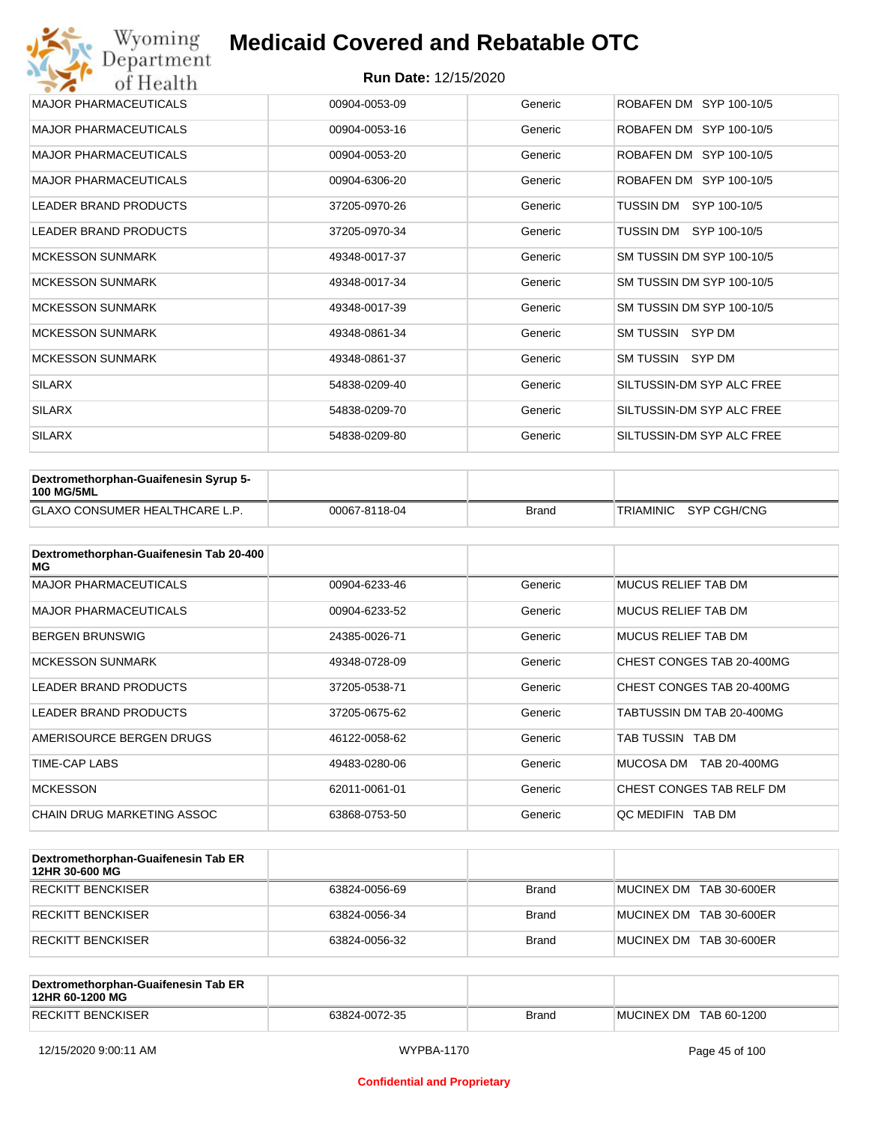| Wyoming<br>Department        | <b>Medicaid Covered and Rebatable OTC</b> |         |                           |  |  |
|------------------------------|-------------------------------------------|---------|---------------------------|--|--|
| of Health                    | <b>Run Date: 12/15/2020</b>               |         |                           |  |  |
| <b>MAJOR PHARMACEUTICALS</b> | 00904-0053-09                             | Generic | ROBAFEN DM SYP 100-10/5   |  |  |
| <b>MAJOR PHARMACEUTICALS</b> | 00904-0053-16                             | Generic | ROBAFEN DM SYP 100-10/5   |  |  |
| <b>MAJOR PHARMACEUTICALS</b> | 00904-0053-20                             | Generic | ROBAFEN DM SYP 100-10/5   |  |  |
| <b>MAJOR PHARMACEUTICALS</b> | 00904-6306-20                             | Generic | ROBAFEN DM SYP 100-10/5   |  |  |
| <b>LEADER BRAND PRODUCTS</b> | 37205-0970-26                             | Generic | SYP 100-10/5<br>TUSSIN DM |  |  |
| <b>LEADER BRAND PRODUCTS</b> | 37205-0970-34                             | Generic | TUSSIN DM<br>SYP 100-10/5 |  |  |
| <b>MCKESSON SUNMARK</b>      | 49348-0017-37                             | Generic | SM TUSSIN DM SYP 100-10/5 |  |  |
| <b>MCKESSON SUNMARK</b>      | 49348-0017-34                             | Generic | SM TUSSIN DM SYP 100-10/5 |  |  |
| <b>MCKESSON SUNMARK</b>      | 49348-0017-39                             | Generic | SM TUSSIN DM SYP 100-10/5 |  |  |
| <b>MCKESSON SUNMARK</b>      | 49348-0861-34                             | Generic | SM TUSSIN SYP DM          |  |  |
| <b>MCKESSON SUNMARK</b>      | 49348-0861-37                             | Generic | SM TUSSIN SYP DM          |  |  |
| <b>SILARX</b>                | 54838-0209-40                             | Generic | SILTUSSIN-DM SYP ALC FREE |  |  |
| <b>SILARX</b>                | 54838-0209-70                             | Generic | SILTUSSIN-DM SYP ALC FREE |  |  |
| <b>SILARX</b>                | 54838-0209-80                             | Generic | SILTUSSIN-DM SYP ALC FREE |  |  |

| Dextromethorphan-Guaifenesin Syrup 5-<br><b>100 MG/5ML</b> |               |              |                       |
|------------------------------------------------------------|---------------|--------------|-----------------------|
| <b>GLAXO CONSUMER HEALTHCARE L.P.</b>                      | 00067-8118-04 | <b>Brand</b> | TRIAMINIC SYP CGH/CNG |

| Dextromethorphan-Guaifenesin Tab 20-400<br>MG |               |         |                            |
|-----------------------------------------------|---------------|---------|----------------------------|
| <b>MAJOR PHARMACEUTICALS</b>                  | 00904-6233-46 | Generic | <b>MUCUS RELIEF TAB DM</b> |
| <b>MAJOR PHARMACEUTICALS</b>                  | 00904-6233-52 | Generic | <b>MUCUS RELIEF TAB DM</b> |
| <b>BERGEN BRUNSWIG</b>                        | 24385-0026-71 | Generic | <b>MUCUS RELIEF TAB DM</b> |
| <b>MCKESSON SUNMARK</b>                       | 49348-0728-09 | Generic | CHEST CONGES TAB 20-400MG  |
| <b>LEADER BRAND PRODUCTS</b>                  | 37205-0538-71 | Generic | CHEST CONGES TAB 20-400MG  |
| <b>LEADER BRAND PRODUCTS</b>                  | 37205-0675-62 | Generic | TABTUSSIN DM TAB 20-400MG  |
| AMERISOURCE BERGEN DRUGS                      | 46122-0058-62 | Generic | TAB TUSSIN TAB DM          |
| TIME-CAP LABS                                 | 49483-0280-06 | Generic | MUCOSA DM<br>TAB 20-400MG  |
| <b>MCKESSON</b>                               | 62011-0061-01 | Generic | CHEST CONGES TAB RELF DM   |
| CHAIN DRUG MARKETING ASSOC                    | 63868-0753-50 | Generic | OC MEDIFIN TAB DM          |

| Dextromethorphan-Guaifenesin Tab ER<br>12HR 30-600 MG |               |       |                         |
|-------------------------------------------------------|---------------|-------|-------------------------|
| RECKITT BENCKISER                                     | 63824-0056-69 | Brand | MUCINEX DM TAB 30-600ER |
| RECKITT BENCKISER                                     | 63824-0056-34 | Brand | MUCINEX DM TAB 30-600ER |
| <b>RECKITT BENCKISER</b>                              | 63824-0056-32 | Brand | MUCINEX DM TAB 30-600ER |

| Dextromethorphan-Guaifenesin Tab ER<br>12HR 60-1200 MG |               |              |                        |
|--------------------------------------------------------|---------------|--------------|------------------------|
| <b>RECKITT BENCKISER</b>                               | 63824-0072-35 | <b>Brand</b> | MUCINEX DM TAB 60-1200 |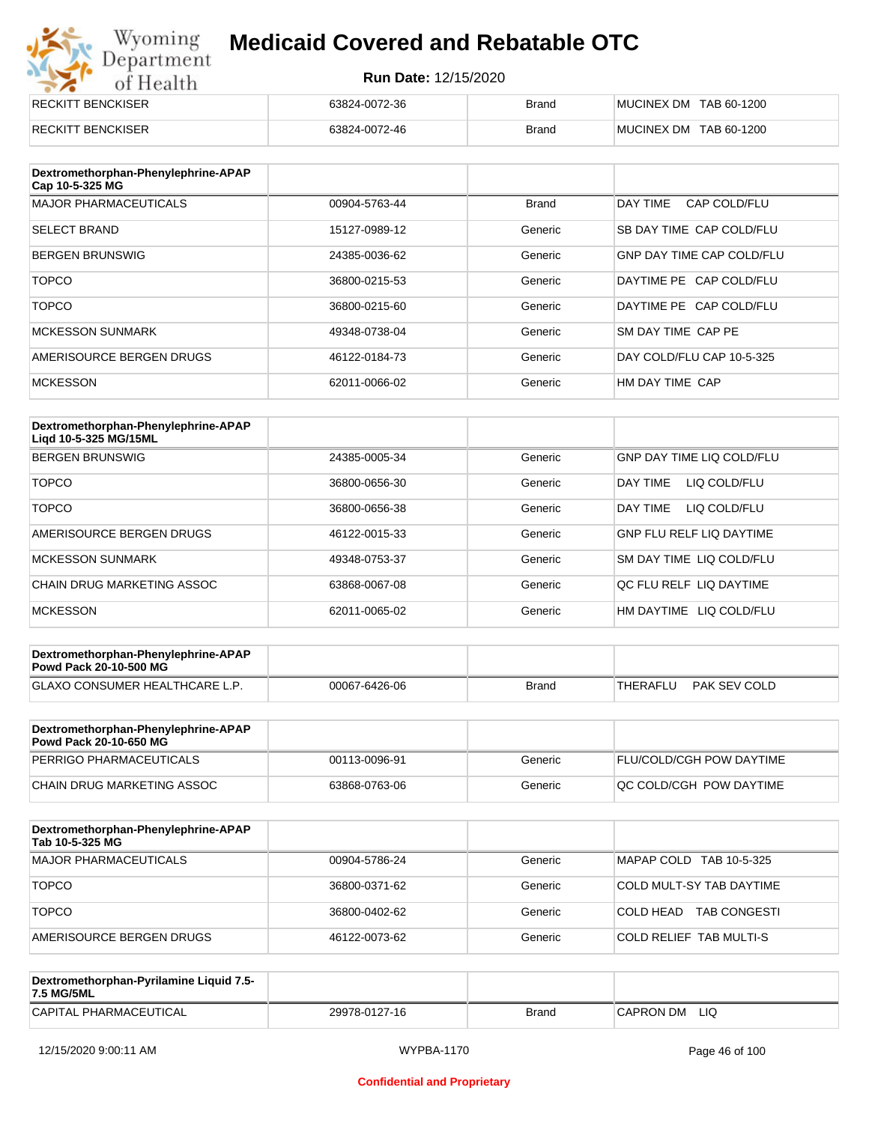# Wyoming<br>Department<br>of Health

#### **Medicaid Covered and Rebatable OTC**

| <b>RECKITT BENCKISER</b> | 63824-0072-36 | <b>Brand</b> | MUCINEX DM TAB 60-1200 |
|--------------------------|---------------|--------------|------------------------|
| <b>RECKITT BENCKISER</b> | 63824-0072-46 | <b>Brand</b> | MUCINEX DM TAB 60-1200 |

| Dextromethorphan-Phenylephrine-APAP<br>Cap 10-5-325 MG |               |              |                                  |
|--------------------------------------------------------|---------------|--------------|----------------------------------|
| <b>MAJOR PHARMACEUTICALS</b>                           | 00904-5763-44 | <b>Brand</b> | DAY TIME<br>CAP COLD/FLU         |
| <b>SELECT BRAND</b>                                    | 15127-0989-12 | Generic      | SB DAY TIME CAP COLD/FLU         |
| <b>BERGEN BRUNSWIG</b>                                 | 24385-0036-62 | Generic      | <b>GNP DAY TIME CAP COLD/FLU</b> |
| <b>TOPCO</b>                                           | 36800-0215-53 | Generic      | DAYTIME PE CAP COLD/FLU          |
| <b>TOPCO</b>                                           | 36800-0215-60 | Generic      | DAYTIME PE CAP COLD/FLU          |
| <b>MCKESSON SUNMARK</b>                                | 49348-0738-04 | Generic      | SM DAY TIME CAP PE               |
| AMERISOURCE BERGEN DRUGS                               | 46122-0184-73 | Generic      | DAY COLD/FLU CAP 10-5-325        |
| <b>MCKESSON</b>                                        | 62011-0066-02 | Generic      | HM DAY TIME CAP                  |

| Dextromethorphan-Phenylephrine-APAP<br>Ligd 10-5-325 MG/15ML |               |         |                                  |
|--------------------------------------------------------------|---------------|---------|----------------------------------|
| <b>BERGEN BRUNSWIG</b>                                       | 24385-0005-34 | Generic | <b>GNP DAY TIME LIQ COLD/FLU</b> |
| <b>TOPCO</b>                                                 | 36800-0656-30 | Generic | LIQ COLD/FLU<br>DAY TIME         |
| <b>TOPCO</b>                                                 | 36800-0656-38 | Generic | DAY TIME<br>LIQ COLD/FLU         |
| AMERISOURCE BERGEN DRUGS                                     | 46122-0015-33 | Generic | <b>GNP FLU RELF LIQ DAYTIME</b>  |
| <b>MCKESSON SUNMARK</b>                                      | 49348-0753-37 | Generic | SM DAY TIME LIQ COLD/FLU         |
| CHAIN DRUG MARKETING ASSOC                                   | 63868-0067-08 | Generic | QC FLU RELF LIQ DAYTIME          |
| <b>MCKESSON</b>                                              | 62011-0065-02 | Generic | HM DAYTIME LIQ COLD/FLU          |

| Dextromethorphan-Phenylephrine-APAP<br><b>Powd Pack 20-10-500 MG</b> |               |       |          |              |
|----------------------------------------------------------------------|---------------|-------|----------|--------------|
| <b>GLAXO CONSUMER HEALTHCARE L.P.</b>                                | 00067-6426-06 | Brand | THERAFLU | PAK SEV COLD |
|                                                                      |               |       |          |              |

| Dextromethorphan-Phenylephrine-APAP<br><b>Powd Pack 20-10-650 MG</b> |               |         |                                 |
|----------------------------------------------------------------------|---------------|---------|---------------------------------|
| PERRIGO PHARMACEUTICALS                                              | 00113-0096-91 | Generic | <b>FLU/COLD/CGH POW DAYTIME</b> |
| CHAIN DRUG MARKETING ASSOC                                           | 63868-0763-06 | Generic | IQC COLD/CGH POW DAYTIME        |

| Dextromethorphan-Phenylephrine-APAP<br>Tab 10-5-325 MG |               |         |                                  |
|--------------------------------------------------------|---------------|---------|----------------------------------|
| MAJOR PHARMACEUTICALS                                  | 00904-5786-24 | Generic | MAPAP COLD TAB 10-5-325          |
| <b>TOPCO</b>                                           | 36800-0371-62 | Generic | COLD MULT-SY TAB DAYTIME         |
| <b>TOPCO</b>                                           | 36800-0402-62 | Generic | <b>TAB CONGESTI</b><br>COLD HEAD |
| AMERISOURCE BERGEN DRUGS                               | 46122-0073-62 | Generic | <b>COLD RELIEF TAB MULTI-S</b>   |

| Dextromethorphan-Pyrilamine Liquid 7.5-<br>7.5 MG/5ML |               |       |                  |
|-------------------------------------------------------|---------------|-------|------------------|
| CAPITAL PHARMACEUTICAL                                | 29978-0127-16 | Brand | LIQ<br>CAPRON DM |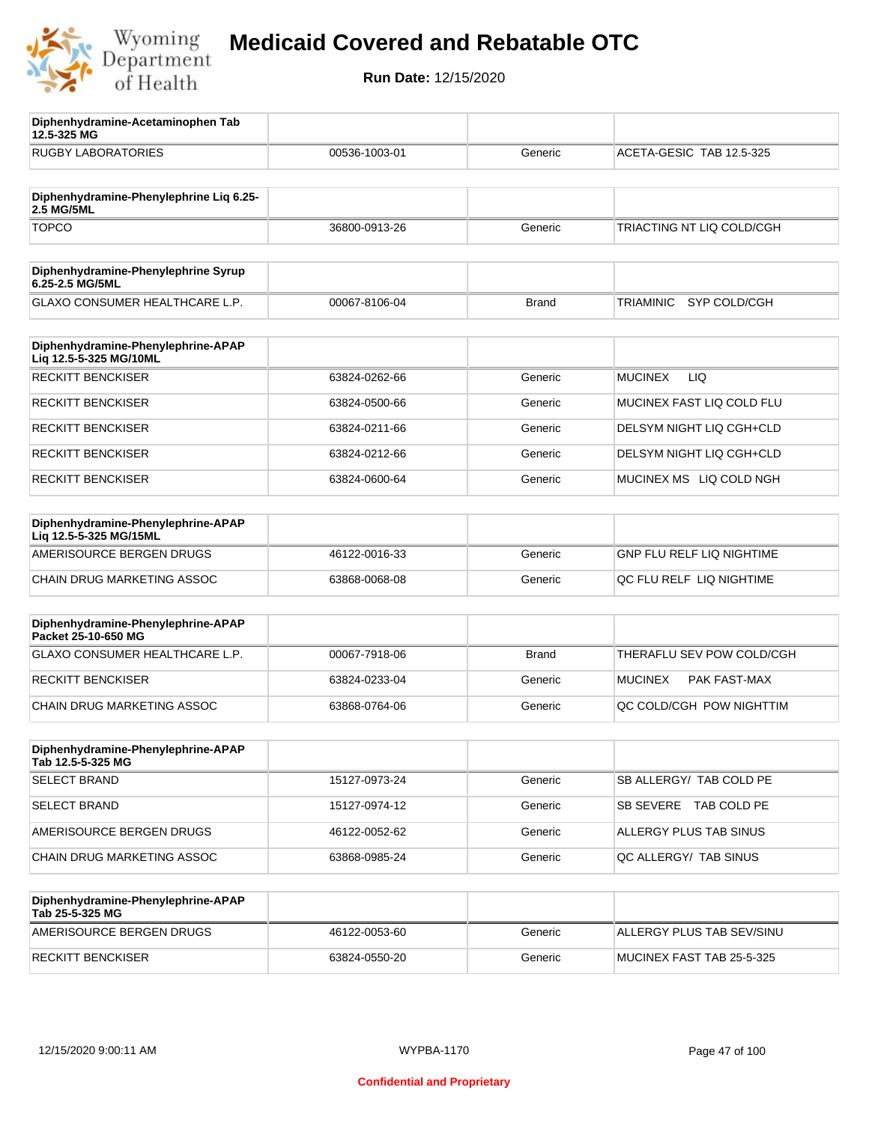

**12.5-325 MG**

**Diphenhydramine-Acetaminophen Tab** 

## **Medicaid Covered and Rebatable OTC**

| <b>RUGBY LABORATORIES</b>                                    | 00536-1003-01 | Generic      | ACETA-GESIC TAB 12.5-325         |
|--------------------------------------------------------------|---------------|--------------|----------------------------------|
| Diphenhydramine-Phenylephrine Liq 6.25-                      |               |              |                                  |
| 2.5 MG/5ML                                                   |               |              |                                  |
| <b>TOPCO</b>                                                 | 36800-0913-26 | Generic      | TRIACTING NT LIQ COLD/CGH        |
| Diphenhydramine-Phenylephrine Syrup<br>6.25-2.5 MG/5ML       |               |              |                                  |
| GLAXO CONSUMER HEALTHCARE L.P.                               | 00067-8106-04 | <b>Brand</b> | SYP COLD/CGH<br>TRIAMINIC        |
| Diphenhydramine-Phenylephrine-APAP<br>Liq 12.5-5-325 MG/10ML |               |              |                                  |
| <b>RECKITT BENCKISER</b>                                     | 63824-0262-66 | Generic      | LIQ<br><b>MUCINEX</b>            |
| <b>RECKITT BENCKISER</b>                                     | 63824-0500-66 | Generic      | MUCINEX FAST LIQ COLD FLU        |
| <b>RECKITT BENCKISER</b>                                     | 63824-0211-66 | Generic      | DELSYM NIGHT LIQ CGH+CLD         |
| <b>RECKITT BENCKISER</b>                                     | 63824-0212-66 | Generic      | DELSYM NIGHT LIQ CGH+CLD         |
| <b>RECKITT BENCKISER</b>                                     | 63824-0600-64 | Generic      | MUCINEX MS LIQ COLD NGH          |
| Diphenhydramine-Phenylephrine-APAP<br>Liq 12.5-5-325 MG/15ML |               |              |                                  |
| AMERISOURCE BERGEN DRUGS                                     | 46122-0016-33 | Generic      | <b>GNP FLU RELF LIQ NIGHTIME</b> |
| CHAIN DRUG MARKETING ASSOC                                   | 63868-0068-08 | Generic      | QC FLU RELF LIQ NIGHTIME         |
| Diphenhydramine-Phenylephrine-APAP<br>Packet 25-10-650 MG    |               |              |                                  |
| GLAXO CONSUMER HEALTHCARE L.P.                               | 00067-7918-06 | <b>Brand</b> | THERAFLU SEV POW COLD/CGH        |
| <b>RECKITT BENCKISER</b>                                     | 63824-0233-04 | Generic      | <b>MUCINEX</b><br>PAK FAST-MAX   |
| <b>CHAIN DRUG MARKETING ASSOC</b>                            | 63868-0764-06 | Generic      | QC COLD/CGH POW NIGHTTIM         |
| Diphenhydramine-Phenylephrine-APAP<br>Tab 12.5-5-325 MG      |               |              |                                  |
| <b>SELECT BRAND</b>                                          | 15127-0973-24 | Generic      | SB ALLERGY/ TAB COLD PE          |
| <b>SELECT BRAND</b>                                          | 15127-0974-12 | Generic      | SB SEVERE TAB COLD PE            |
| AMERISOURCE BERGEN DRUGS                                     | 46122-0052-62 | Generic      | ALLERGY PLUS TAB SINUS           |
| CHAIN DRUG MARKETING ASSOC                                   | 63868-0985-24 | Generic      | QC ALLERGY/ TAB SINUS            |
| Diphenhydramine-Phenylephrine-APAP<br>Tab 25-5-325 MG        |               |              |                                  |
| AMERISOURCE BERGEN DRUGS                                     | 46122-0053-60 | Generic      | ALLERGY PLUS TAB SEV/SINU        |
| <b>RECKITT BENCKISER</b>                                     | 63824-0550-20 | Generic      | MUCINEX FAST TAB 25-5-325        |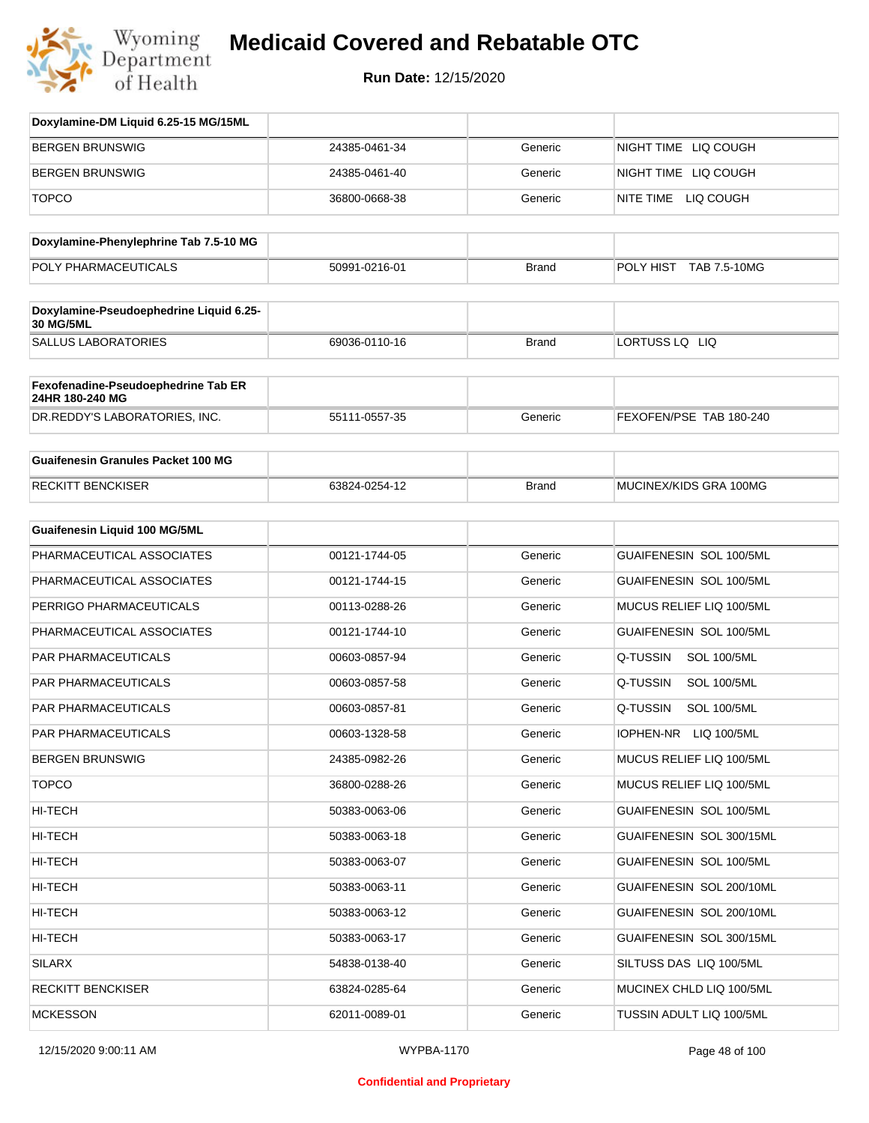

| Doxylamine-DM Liquid 6.25-15 MG/15ML                   |               |              |                                 |
|--------------------------------------------------------|---------------|--------------|---------------------------------|
| <b>BERGEN BRUNSWIG</b>                                 | 24385-0461-34 | Generic      | NIGHT TIME LIQ COUGH            |
| BERGEN BRUNSWIG                                        | 24385-0461-40 | Generic      | NIGHT TIME LIQ COUGH            |
| <b>TOPCO</b>                                           | 36800-0668-38 | Generic      | NITE TIME LIQ COUGH             |
| Doxylamine-Phenylephrine Tab 7.5-10 MG                 |               |              |                                 |
| POLY PHARMACEUTICALS                                   | 50991-0216-01 | <b>Brand</b> | POLY HIST<br>TAB 7.5-10MG       |
| Doxylamine-Pseudoephedrine Liquid 6.25-<br>30 MG/5ML   |               |              |                                 |
| <b>SALLUS LABORATORIES</b>                             | 69036-0110-16 | <b>Brand</b> | LORTUSS LQ LIQ                  |
| Fexofenadine-Pseudoephedrine Tab ER<br>24HR 180-240 MG |               |              |                                 |
| DR.REDDY'S LABORATORIES, INC.                          | 55111-0557-35 | Generic      | FEXOFEN/PSE TAB 180-240         |
| <b>Guaifenesin Granules Packet 100 MG</b>              |               |              |                                 |
| <b>RECKITT BENCKISER</b>                               | 63824-0254-12 | <b>Brand</b> | MUCINEX/KIDS GRA 100MG          |
| <b>Guaifenesin Liquid 100 MG/5ML</b>                   |               |              |                                 |
| PHARMACEUTICAL ASSOCIATES                              | 00121-1744-05 | Generic      | <b>GUAIFENESIN SOL 100/5ML</b>  |
| PHARMACEUTICAL ASSOCIATES                              | 00121-1744-15 | Generic      | GUAIFENESIN SOL 100/5ML         |
| PERRIGO PHARMACEUTICALS                                | 00113-0288-26 | Generic      | MUCUS RELIEF LIQ 100/5ML        |
| PHARMACEUTICAL ASSOCIATES                              | 00121-1744-10 | Generic      | <b>GUAIFENESIN SOL 100/5ML</b>  |
| PAR PHARMACEUTICALS                                    | 00603-0857-94 | Generic      | Q-TUSSIN<br><b>SOL 100/5ML</b>  |
| <b>PAR PHARMACEUTICALS</b>                             | 00603-0857-58 | Generic      | Q-TUSSIN<br><b>SOL 100/5ML</b>  |
| PAR PHARMACEUTICALS                                    | 00603-0857-81 | Generic      | Q-TUSSIN<br><b>SOL 100/5ML</b>  |
| PAR PHARMACEUTICALS                                    | 00603-1328-58 | Generic      | <b>IOPHEN-NR</b><br>LIQ 100/5ML |
| BERGEN BRUNSWIG                                        | 24385-0982-26 | Generic      | MUCUS RELIEF LIQ 100/5ML        |
| <b>TOPCO</b>                                           | 36800-0288-26 | Generic      | MUCUS RELIEF LIQ 100/5ML        |
| HI-TECH                                                | 50383-0063-06 | Generic      | GUAIFENESIN SOL 100/5ML         |
| HI-TECH                                                | 50383-0063-18 | Generic      | GUAIFENESIN SOL 300/15ML        |
| HI-TECH                                                | 50383-0063-07 | Generic      | GUAIFENESIN SOL 100/5ML         |
| HI-TECH                                                | 50383-0063-11 | Generic      | GUAIFENESIN SOL 200/10ML        |
| HI-TECH                                                | 50383-0063-12 | Generic      | GUAIFENESIN SOL 200/10ML        |
| HI-TECH                                                | 50383-0063-17 | Generic      | GUAIFENESIN SOL 300/15ML        |
| <b>SILARX</b>                                          | 54838-0138-40 | Generic      | SILTUSS DAS LIQ 100/5ML         |
| <b>RECKITT BENCKISER</b>                               | 63824-0285-64 | Generic      | MUCINEX CHLD LIQ 100/5ML        |
| <b>MCKESSON</b>                                        | 62011-0089-01 | Generic      | TUSSIN ADULT LIQ 100/5ML        |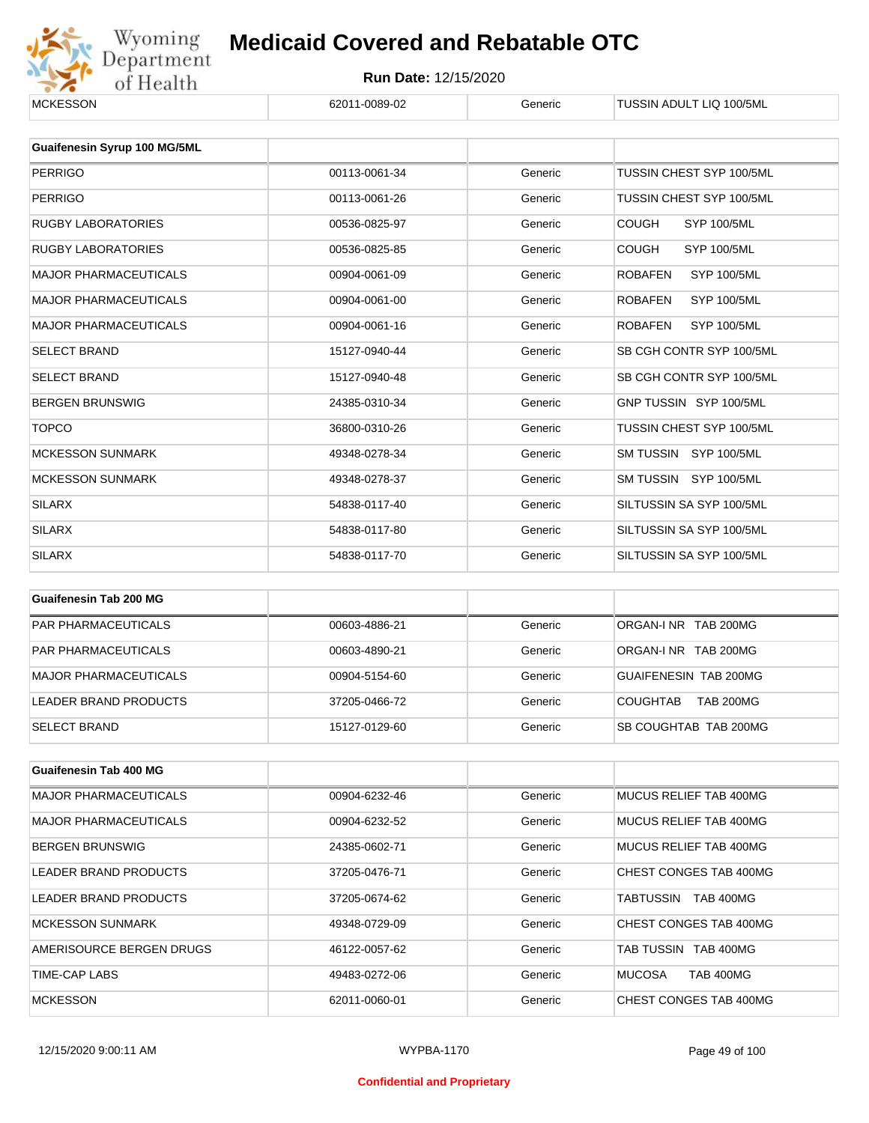

| <b>MCKESSON</b>              | 62011-0089-02 | Generic | TUSSIN ADULT LIQ 100/5ML             |
|------------------------------|---------------|---------|--------------------------------------|
|                              |               |         |                                      |
| Guaifenesin Syrup 100 MG/5ML |               |         |                                      |
| <b>PERRIGO</b>               | 00113-0061-34 | Generic | TUSSIN CHEST SYP 100/5ML             |
| <b>PERRIGO</b>               | 00113-0061-26 | Generic | TUSSIN CHEST SYP 100/5ML             |
| <b>RUGBY LABORATORIES</b>    | 00536-0825-97 | Generic | <b>COUGH</b><br><b>SYP 100/5ML</b>   |
| <b>RUGBY LABORATORIES</b>    | 00536-0825-85 | Generic | <b>COUGH</b><br><b>SYP 100/5ML</b>   |
| <b>MAJOR PHARMACEUTICALS</b> | 00904-0061-09 | Generic | <b>ROBAFEN</b><br><b>SYP 100/5ML</b> |
| <b>MAJOR PHARMACEUTICALS</b> | 00904-0061-00 | Generic | <b>ROBAFEN</b><br><b>SYP 100/5ML</b> |
| <b>MAJOR PHARMACEUTICALS</b> | 00904-0061-16 | Generic | <b>ROBAFEN</b><br><b>SYP 100/5ML</b> |
| <b>SELECT BRAND</b>          | 15127-0940-44 | Generic | SB CGH CONTR SYP 100/5ML             |
| <b>SELECT BRAND</b>          | 15127-0940-48 | Generic | SB CGH CONTR SYP 100/5ML             |
| <b>BERGEN BRUNSWIG</b>       | 24385-0310-34 | Generic | GNP TUSSIN SYP 100/5ML               |
| <b>TOPCO</b>                 | 36800-0310-26 | Generic | TUSSIN CHEST SYP 100/5ML             |
| <b>MCKESSON SUNMARK</b>      | 49348-0278-34 | Generic | SM TUSSIN SYP 100/5ML                |
| <b>MCKESSON SUNMARK</b>      | 49348-0278-37 | Generic | SM TUSSIN SYP 100/5ML                |
| <b>SILARX</b>                | 54838-0117-40 | Generic | SILTUSSIN SA SYP 100/5ML             |
| <b>SILARX</b>                | 54838-0117-80 | Generic | SILTUSSIN SA SYP 100/5ML             |
| <b>SILARX</b>                | 54838-0117-70 | Generic | SILTUSSIN SA SYP 100/5ML             |
|                              |               |         |                                      |
| Guaifenesin Tab 200 MG       |               |         |                                      |
| <b>PAR PHARMACEUTICALS</b>   | 00603-4886-21 | Generic | ORGAN-I NR TAB 200MG                 |

| <b>PAR PHARMACEUTICALS</b> | 00603-4886-21 | Generic | ORGAN-INR TAB 200MG                 |
|----------------------------|---------------|---------|-------------------------------------|
| <b>PAR PHARMACEUTICALS</b> | 00603-4890-21 | Generic | ORGAN-INR TAB 200MG                 |
| MAJOR PHARMACEUTICALS      | 00904-5154-60 | Generic | GUAIFENESIN TAB 200MG               |
| LEADER BRAND PRODUCTS      | 37205-0466-72 | Generic | <b>TAB 200MG</b><br><b>COUGHTAB</b> |
| <b>SELECT BRAND</b>        | 15127-0129-60 | Generic | ISB COUGHTAB TAB 200MG              |

| Guaifenesin Tab 400 MG       |               |         |                                   |
|------------------------------|---------------|---------|-----------------------------------|
| <b>MAJOR PHARMACEUTICALS</b> | 00904-6232-46 | Generic | MUCUS RELIEF TAB 400MG            |
| <b>MAJOR PHARMACEUTICALS</b> | 00904-6232-52 | Generic | MUCUS RELIEF TAB 400MG            |
| <b>BERGEN BRUNSWIG</b>       | 24385-0602-71 | Generic | MUCUS RELIEF TAB 400MG            |
| LEADER BRAND PRODUCTS        | 37205-0476-71 | Generic | CHEST CONGES TAB 400MG            |
| LEADER BRAND PRODUCTS        | 37205-0674-62 | Generic | TABTUSSIN<br><b>TAB 400MG</b>     |
| <b>MCKESSON SUNMARK</b>      | 49348-0729-09 | Generic | CHEST CONGES TAB 400MG            |
| AMERISOURCE BERGEN DRUGS     | 46122-0057-62 | Generic | TAB TUSSIN TAB 400MG              |
| TIME-CAP LABS                | 49483-0272-06 | Generic | <b>MUCOSA</b><br><b>TAB 400MG</b> |
| <b>MCKESSON</b>              | 62011-0060-01 | Generic | CHEST CONGES TAB 400MG            |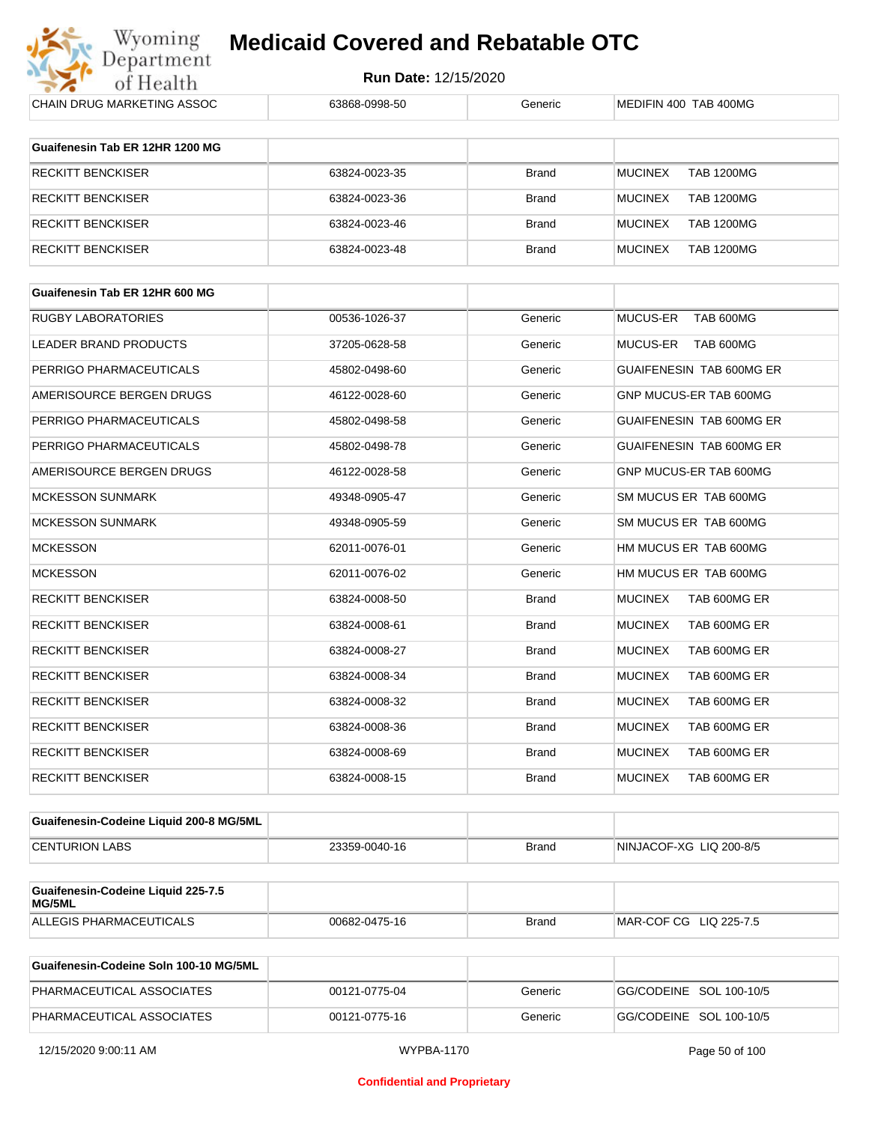

| CHAIN DRUG MARKETING ASSOC                   | 63868-0998-50 | Generic      | MEDIFIN 400 TAB 400MG               |
|----------------------------------------------|---------------|--------------|-------------------------------------|
|                                              |               |              |                                     |
| Guaifenesin Tab ER 12HR 1200 MG              |               |              |                                     |
| <b>RECKITT BENCKISER</b>                     | 63824-0023-35 | Brand        | <b>MUCINEX</b><br><b>TAB 1200MG</b> |
| <b>RECKITT BENCKISER</b>                     | 63824-0023-36 | <b>Brand</b> | <b>MUCINEX</b><br><b>TAB 1200MG</b> |
| <b>RECKITT BENCKISER</b>                     | 63824-0023-46 | Brand        | <b>MUCINEX</b><br><b>TAB 1200MG</b> |
| <b>RECKITT BENCKISER</b>                     | 63824-0023-48 | <b>Brand</b> | <b>MUCINEX</b><br><b>TAB 1200MG</b> |
| Guaifenesin Tab ER 12HR 600 MG               |               |              |                                     |
| <b>RUGBY LABORATORIES</b>                    | 00536-1026-37 | Generic      | <b>MUCUS-ER</b><br>TAB 600MG        |
|                                              |               |              |                                     |
| LEADER BRAND PRODUCTS                        | 37205-0628-58 | Generic      | MUCUS-ER<br>TAB 600MG               |
| PERRIGO PHARMACEUTICALS                      | 45802-0498-60 | Generic      | GUAIFENESIN TAB 600MG ER            |
| AMERISOURCE BERGEN DRUGS                     | 46122-0028-60 | Generic      | GNP MUCUS-ER TAB 600MG              |
| PERRIGO PHARMACEUTICALS                      | 45802-0498-58 | Generic      | GUAIFENESIN TAB 600MG ER            |
| PERRIGO PHARMACEUTICALS                      | 45802-0498-78 | Generic      | GUAIFENESIN TAB 600MG ER            |
| AMERISOURCE BERGEN DRUGS                     | 46122-0028-58 | Generic      | GNP MUCUS-ER TAB 600MG              |
| <b>MCKESSON SUNMARK</b>                      | 49348-0905-47 | Generic      | SM MUCUS ER TAB 600MG               |
| <b>MCKESSON SUNMARK</b>                      | 49348-0905-59 | Generic      | SM MUCUS ER TAB 600MG               |
| <b>MCKESSON</b>                              | 62011-0076-01 | Generic      | HM MUCUS ER TAB 600MG               |
| <b>MCKESSON</b>                              | 62011-0076-02 | Generic      | HM MUCUS ER TAB 600MG               |
| <b>RECKITT BENCKISER</b>                     | 63824-0008-50 | <b>Brand</b> | <b>MUCINEX</b><br>TAB 600MG ER      |
| <b>RECKITT BENCKISER</b>                     | 63824-0008-61 | <b>Brand</b> | <b>MUCINEX</b><br>TAB 600MG ER      |
| <b>RECKITT BENCKISER</b>                     | 63824-0008-27 | <b>Brand</b> | <b>MUCINEX</b><br>TAB 600MG ER      |
| <b>RECKITT BENCKISER</b>                     | 63824-0008-34 | <b>Brand</b> | <b>MUCINEX</b><br>TAB 600MG ER      |
| <b>RECKITT BENCKISER</b>                     | 63824-0008-32 | <b>Brand</b> | <b>MUCINEX</b><br>TAB 600MG ER      |
| RECKITT BENCKISER                            | 63824-0008-36 | Brand        | <b>MUCINEX</b><br>TAB 600MG ER      |
| <b>RECKITT BENCKISER</b>                     | 63824-0008-69 | <b>Brand</b> | <b>MUCINEX</b><br>TAB 600MG ER      |
| <b>RECKITT BENCKISER</b>                     | 63824-0008-15 | <b>Brand</b> | <b>MUCINEX</b><br>TAB 600MG ER      |
| Guaifenesin-Codeine Liquid 200-8 MG/5ML      |               |              |                                     |
| <b>CENTURION LABS</b>                        | 23359-0040-16 | Brand        | NINJACOF-XG LIQ 200-8/5             |
|                                              |               |              |                                     |
| Guaifenesin-Codeine Liquid 225-7.5<br>MG/5ML |               |              |                                     |
| ALLEGIS PHARMACEUTICALS                      | 00682-0475-16 | Brand        | MAR-COF CG LIQ 225-7.5              |
| Guaifenesin-Codeine Soln 100-10 MG/5ML       |               |              |                                     |

| Guaifenesin-Codeine Soln 100-10 MG/5ML |               |         |                         |
|----------------------------------------|---------------|---------|-------------------------|
| PHARMACEUTICAL ASSOCIATES              | 00121-0775-04 | Generic | GG/CODEINE SOL 100-10/5 |
| PHARMACEUTICAL ASSOCIATES              | 00121-0775-16 | Generic | GG/CODEINE SOL 100-10/5 |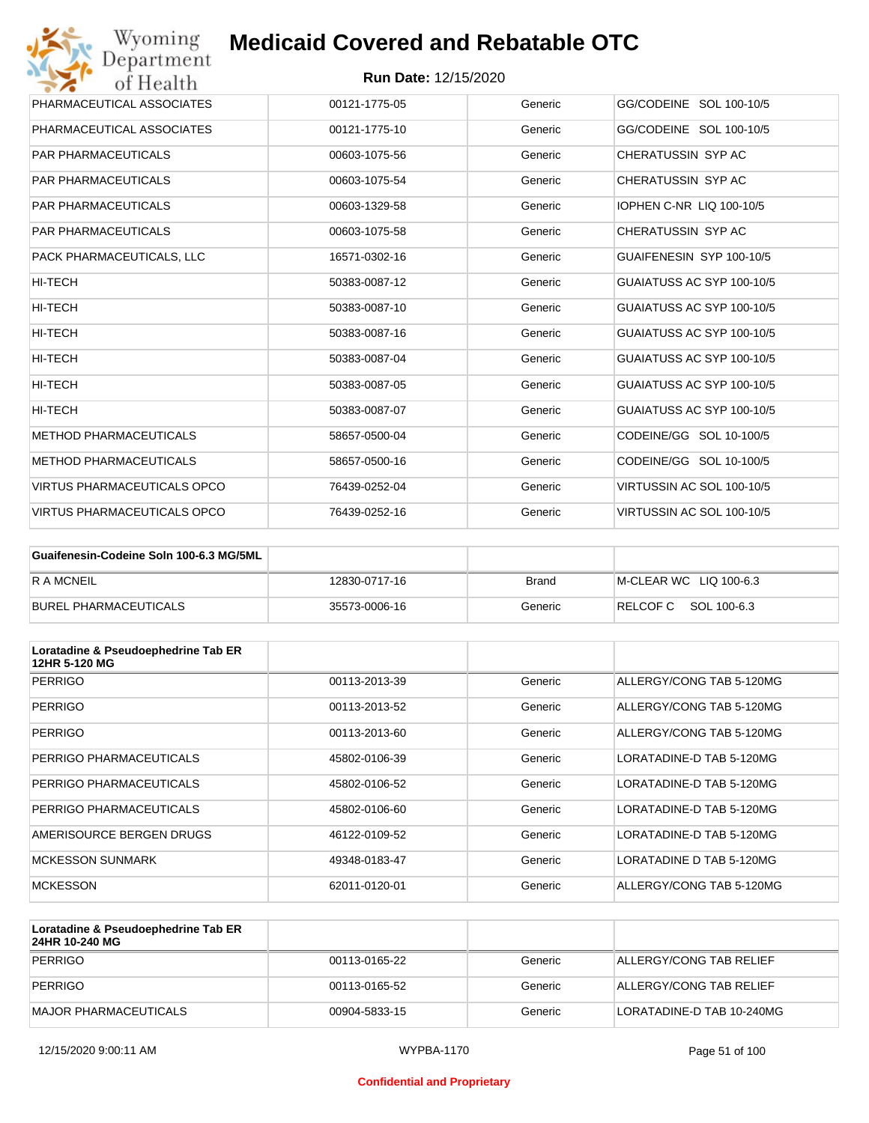

| PHARMACEUTICAL ASSOCIATES          | 00121-1775-05 | Generic | GG/CODEINE SOL 100-10/5         |
|------------------------------------|---------------|---------|---------------------------------|
| PHARMACEUTICAL ASSOCIATES          | 00121-1775-10 | Generic | GG/CODEINE SOL 100-10/5         |
| <b>PAR PHARMACEUTICALS</b>         | 00603-1075-56 | Generic | CHERATUSSIN SYP AC              |
| <b>PAR PHARMACEUTICALS</b>         | 00603-1075-54 | Generic | CHERATUSSIN SYP AC              |
| <b>PAR PHARMACEUTICALS</b>         | 00603-1329-58 | Generic | <b>IOPHEN C-NR LIQ 100-10/5</b> |
| <b>PAR PHARMACEUTICALS</b>         | 00603-1075-58 | Generic | CHERATUSSIN SYP AC              |
| PACK PHARMACEUTICALS, LLC          | 16571-0302-16 | Generic | GUAIFENESIN SYP 100-10/5        |
| HI-TECH                            | 50383-0087-12 | Generic | GUAIATUSS AC SYP 100-10/5       |
| HI-TECH                            | 50383-0087-10 | Generic | GUAIATUSS AC SYP 100-10/5       |
| HI-TECH                            | 50383-0087-16 | Generic | GUAIATUSS AC SYP 100-10/5       |
| HI-TECH                            | 50383-0087-04 | Generic | GUAIATUSS AC SYP 100-10/5       |
| HI-TECH                            | 50383-0087-05 | Generic | GUAIATUSS AC SYP 100-10/5       |
| HI-TECH                            | 50383-0087-07 | Generic | GUAIATUSS AC SYP 100-10/5       |
| <b>METHOD PHARMACEUTICALS</b>      | 58657-0500-04 | Generic | CODEINE/GG SOL 10-100/5         |
| <b>METHOD PHARMACEUTICALS</b>      | 58657-0500-16 | Generic | CODEINE/GG SOL 10-100/5         |
| <b>VIRTUS PHARMACEUTICALS OPCO</b> | 76439-0252-04 | Generic | VIRTUSSIN AC SOL 100-10/5       |
| VIRTUS PHARMACEUTICALS OPCO        | 76439-0252-16 | Generic | VIRTUSSIN AC SOL 100-10/5       |

| Guaifenesin-Codeine Soln 100-6.3 MG/5ML |               |         |                        |
|-----------------------------------------|---------------|---------|------------------------|
| R A MCNEIL                              | 12830-0717-16 | Brand   | M-CLEAR WC LIQ 100-6.3 |
| BUREL PHARMACEUTICALS                   | 35573-0006-16 | Generic | RELCOF C SOL 100-6.3   |

| Loratadine & Pseudoephedrine Tab ER<br>12HR 5-120 MG |               |         |                          |
|------------------------------------------------------|---------------|---------|--------------------------|
| <b>PERRIGO</b>                                       | 00113-2013-39 | Generic | ALLERGY/CONG TAB 5-120MG |
| <b>PERRIGO</b>                                       | 00113-2013-52 | Generic | ALLERGY/CONG TAB 5-120MG |
| <b>PERRIGO</b>                                       | 00113-2013-60 | Generic | ALLERGY/CONG TAB 5-120MG |
| PERRIGO PHARMACEUTICALS                              | 45802-0106-39 | Generic | LORATADINE-D TAB 5-120MG |
| PERRIGO PHARMACEUTICALS                              | 45802-0106-52 | Generic | LORATADINE-D TAB 5-120MG |
| PERRIGO PHARMACEUTICALS                              | 45802-0106-60 | Generic | LORATADINE-D TAB 5-120MG |
| AMERISOURCE BERGEN DRUGS                             | 46122-0109-52 | Generic | LORATADINE-D TAB 5-120MG |
| <b>MCKESSON SUNMARK</b>                              | 49348-0183-47 | Generic | LORATADINE D TAB 5-120MG |
| <b>MCKESSON</b>                                      | 62011-0120-01 | Generic | ALLERGY/CONG TAB 5-120MG |

| Loratadine & Pseudoephedrine Tab ER<br>24HR 10-240 MG |               |         |                           |
|-------------------------------------------------------|---------------|---------|---------------------------|
| PERRIGO                                               | 00113-0165-22 | Generic | ALLERGY/CONG TAB RELIEF   |
| PERRIGO                                               | 00113-0165-52 | Generic | ALLERGY/CONG TAB RELIEF   |
| MAJOR PHARMACEUTICALS                                 | 00904-5833-15 | Generic | LORATADINE-D TAB 10-240MG |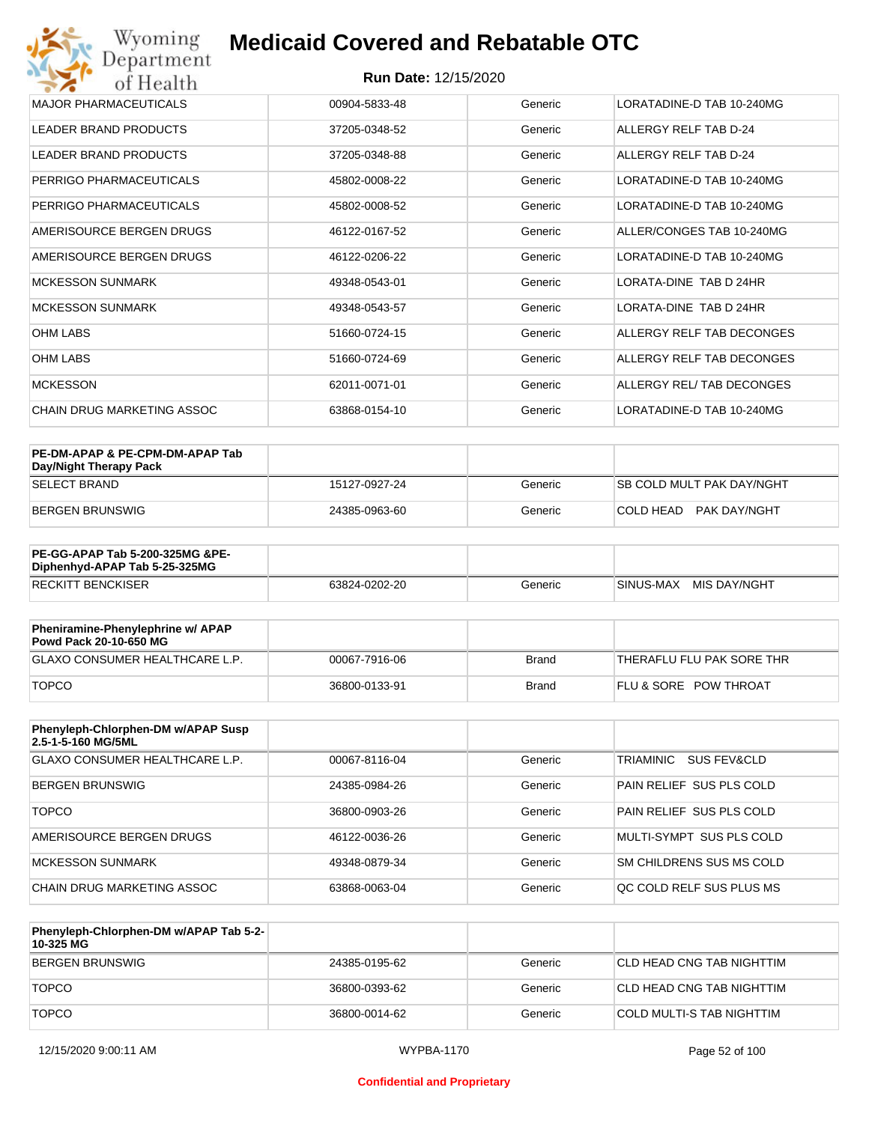| Wyoming<br>Department                    | <b>Medicaid Covered and Rebatable OTC</b> |         |                           |  |
|------------------------------------------|-------------------------------------------|---------|---------------------------|--|
| <b>Run Date: 12/15/2020</b><br>of Health |                                           |         |                           |  |
| <b>MAJOR PHARMACEUTICALS</b>             | 00904-5833-48                             | Generic | LORATADINE-D TAB 10-240MG |  |
| <b>LEADER BRAND PRODUCTS</b>             | 37205-0348-52                             | Generic | ALLERGY RELF TAB D-24     |  |
| <b>LEADER BRAND PRODUCTS</b>             | 37205-0348-88                             | Generic | ALLERGY RELF TAB D-24     |  |
| PERRIGO PHARMACEUTICALS                  | 45802-0008-22                             | Generic | LORATADINE-D TAB 10-240MG |  |
| PERRIGO PHARMACEUTICALS                  | 45802-0008-52                             | Generic | LORATADINE-D TAB 10-240MG |  |
| AMERISOURCE BERGEN DRUGS                 | 46122-0167-52                             | Generic | ALLER/CONGES TAB 10-240MG |  |
| AMERISOURCE BERGEN DRUGS                 | 46122-0206-22                             | Generic | LORATADINE-D TAB 10-240MG |  |
| <b>MCKESSON SUNMARK</b>                  | 49348-0543-01                             | Generic | LORATA-DINE TAB D 24HR    |  |
| <b>MCKESSON SUNMARK</b>                  | 49348-0543-57                             | Generic | LORATA-DINE TAB D 24HR    |  |
| <b>OHM LABS</b>                          | 51660-0724-15                             | Generic | ALLERGY RELF TAB DECONGES |  |
| <b>OHM LABS</b>                          | 51660-0724-69                             | Generic | ALLERGY RELF TAB DECONGES |  |
| <b>MCKESSON</b>                          | 62011-0071-01                             | Generic | ALLERGY REL/TAB DECONGES  |  |
| CHAIN DRUG MARKETING ASSOC               | 63868-0154-10                             | Generic | LORATADINE-D TAB 10-240MG |  |

| PE-DM-APAP & PE-CPM-DM-APAP Tab<br>Day/Night Therapy Pack |               |         |                                  |
|-----------------------------------------------------------|---------------|---------|----------------------------------|
| <b>SELECT BRAND</b>                                       | 15127-0927-24 | Generic | <b>SB COLD MULT PAK DAY/NGHT</b> |
| BERGEN BRUNSWIG                                           | 24385-0963-60 | Generic | COLD HEAD PAK DAY/NGHT           |

| <b>PE-GG-APAP Tab 5-200-325MG &amp;PE-</b><br>Diphenhyd-APAP Tab 5-25-325MG |               |         |                           |
|-----------------------------------------------------------------------------|---------------|---------|---------------------------|
| <b>RECKITT BENCKISER</b>                                                    | 63824-0202-20 | Generic | MIS DAY/NGHT<br>SINUS-MAX |

| Pheniramine-Phenylephrine w/ APAP<br>Powd Pack 20-10-650 MG |               |       |                                  |
|-------------------------------------------------------------|---------------|-------|----------------------------------|
| GLAXO CONSUMER HEALTHCARE L.P.                              | 00067-7916-06 | Brand | 'THERAFLU FLU PAK SORE THR       |
| <b>TOPCO</b>                                                | 36800-0133-91 | Brand | <b>FLU &amp; SORE POW THROAT</b> |

| Phenyleph-Chlorphen-DM w/APAP Susp<br>2.5-1-5-160 MG/5ML |               |         |                                     |
|----------------------------------------------------------|---------------|---------|-------------------------------------|
| <b>GLAXO CONSUMER HEALTHCARE L.P.</b>                    | 00067-8116-04 | Generic | TRIAMINIC<br><b>SUS FEV&amp;CLD</b> |
| <b>BERGEN BRUNSWIG</b>                                   | 24385-0984-26 | Generic | PAIN RELIEF SUS PLS COLD            |
| <b>TOPCO</b>                                             | 36800-0903-26 | Generic | PAIN RELIEF SUS PLS COLD            |
| AMERISOURCE BERGEN DRUGS                                 | 46122-0036-26 | Generic | MULTI-SYMPT SUS PLS COLD            |
| MCKESSON SUNMARK                                         | 49348-0879-34 | Generic | SM CHILDRENS SUS MS COLD            |
| CHAIN DRUG MARKETING ASSOC                               | 63868-0063-04 | Generic | OC COLD RELF SUS PLUS MS            |

| Phenyleph-Chlorphen-DM w/APAP Tab 5-2-<br>10-325 MG |               |         |                           |
|-----------------------------------------------------|---------------|---------|---------------------------|
| BERGEN BRUNSWIG                                     | 24385-0195-62 | Generic | CLD HEAD CNG TAB NIGHTTIM |
| <b>TOPCO</b>                                        | 36800-0393-62 | Generic | CLD HEAD CNG TAB NIGHTTIM |
| <b>TOPCO</b>                                        | 36800-0014-62 | Generic | COLD MULTI-S TAB NIGHTTIM |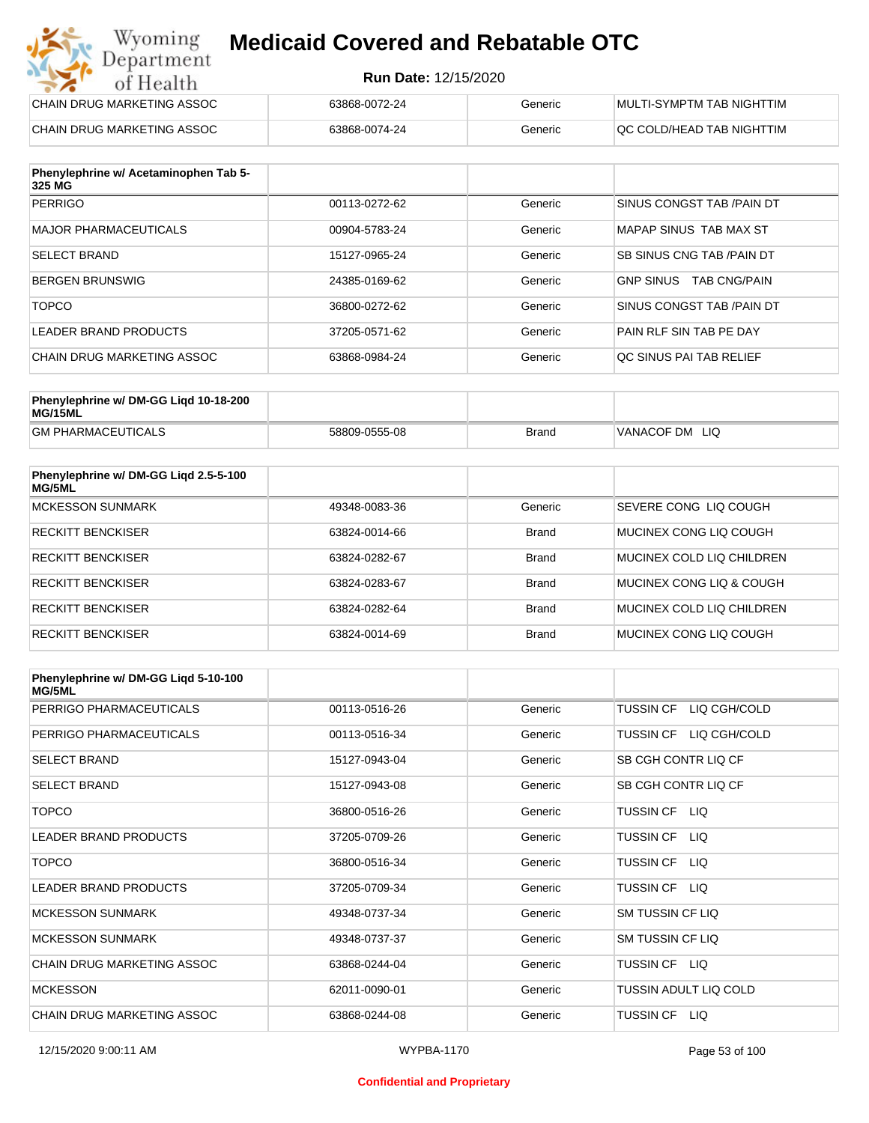#### **Run Date:** 12/15/2020

| Wyoming<br><b>Medicaid Covered and Rebatable OTC</b><br>Department |                             |         |                           |
|--------------------------------------------------------------------|-----------------------------|---------|---------------------------|
| of Health                                                          | <b>Run Date: 12/15/2020</b> |         |                           |
| CHAIN DRUG MARKETING ASSOC                                         | 63868-0072-24               | Generic | MULTI-SYMPTM TAB NIGHTTIM |
| CHAIN DRUG MARKETING ASSOC                                         | 63868-0074-24               | Generic | QC COLD/HEAD TAB NIGHTTIM |

| Phenylephrine w/ Acetaminophen Tab 5-<br>325 MG |               |         |                                         |
|-------------------------------------------------|---------------|---------|-----------------------------------------|
| <b>PERRIGO</b>                                  | 00113-0272-62 | Generic | SINUS CONGST TAB / PAIN DT              |
| MAJOR PHARMACEUTICALS                           | 00904-5783-24 | Generic | MAPAP SINUS TAB MAX ST                  |
| <b>SELECT BRAND</b>                             | 15127-0965-24 | Generic | SB SINUS CNG TAB / PAIN DT              |
| BERGEN BRUNSWIG                                 | 24385-0169-62 | Generic | <b>GNP SINUS</b><br><b>TAB CNG/PAIN</b> |
| <b>TOPCO</b>                                    | 36800-0272-62 | Generic | SINUS CONGST TAB /PAIN DT               |
| LEADER BRAND PRODUCTS                           | 37205-0571-62 | Generic | PAIN RLF SIN TAB PE DAY                 |
| CHAIN DRUG MARKETING ASSOC                      | 63868-0984-24 | Generic | OC SINUS PAI TAB RELIEF                 |

| Phenylephrine w/ DM-GG Ligd 10-18-200<br>MG/15ML |               |              |                     |
|--------------------------------------------------|---------------|--------------|---------------------|
| <b>GM PHARMACEUTICALS</b>                        | 58809-0555-08 | <b>Brand</b> | 'VANACOF DM<br>-LIQ |

| Phenylephrine w/ DM-GG Ligd 2.5-5-100<br>MG/5ML |               |              |                           |
|-------------------------------------------------|---------------|--------------|---------------------------|
| <b>MCKESSON SUNMARK</b>                         | 49348-0083-36 | Generic      | SEVERE CONG LIQ COUGH     |
| <b>RECKITT BENCKISER</b>                        | 63824-0014-66 | <b>Brand</b> | MUCINEX CONG LIO COUGH    |
| <b>RECKITT BENCKISER</b>                        | 63824-0282-67 | <b>Brand</b> | MUCINEX COLD LIQ CHILDREN |
| <b>RECKITT BENCKISER</b>                        | 63824-0283-67 | <b>Brand</b> | MUCINEX CONG LIO & COUGH  |
| <b>RECKITT BENCKISER</b>                        | 63824-0282-64 | <b>Brand</b> | MUCINEX COLD LIQ CHILDREN |
| <b>RECKITT BENCKISER</b>                        | 63824-0014-69 | <b>Brand</b> | MUCINEX CONG LIO COUGH    |

| Phenylephrine w/ DM-GG Ligd 5-10-100<br><b>MG/5ML</b> |               |         |                                  |
|-------------------------------------------------------|---------------|---------|----------------------------------|
| PERRIGO PHARMACEUTICALS                               | 00113-0516-26 | Generic | LIQ CGH/COLD<br><b>TUSSIN CF</b> |
| PERRIGO PHARMACEUTICALS                               | 00113-0516-34 | Generic | LIQ CGH/COLD<br><b>TUSSIN CF</b> |
| <b>SELECT BRAND</b>                                   | 15127-0943-04 | Generic | SB CGH CONTR LIQ CF              |
| <b>SELECT BRAND</b>                                   | 15127-0943-08 | Generic | SB CGH CONTR LIQ CF              |
| <b>TOPCO</b>                                          | 36800-0516-26 | Generic | TUSSIN CF<br>LIQ.                |
| <b>LEADER BRAND PRODUCTS</b>                          | 37205-0709-26 | Generic | <b>TUSSIN CF</b><br>LIQ.         |
| <b>TOPCO</b>                                          | 36800-0516-34 | Generic | TUSSIN CF<br>LIQ.                |
| <b>LEADER BRAND PRODUCTS</b>                          | 37205-0709-34 | Generic | <b>TUSSIN CF</b><br>LIQ.         |
| <b>MCKESSON SUNMARK</b>                               | 49348-0737-34 | Generic | <b>SM TUSSIN CF LIQ</b>          |
| <b>MCKESSON SUNMARK</b>                               | 49348-0737-37 | Generic | SM TUSSIN CF LIQ                 |
| <b>CHAIN DRUG MARKETING ASSOC</b>                     | 63868-0244-04 | Generic | TUSSIN CF LIQ                    |
| <b>MCKESSON</b>                                       | 62011-0090-01 | Generic | TUSSIN ADULT LIQ COLD            |
| CHAIN DRUG MARKETING ASSOC                            | 63868-0244-08 | Generic | TUSSIN CF<br>LIQ.                |

#### **Confidential and Proprietary**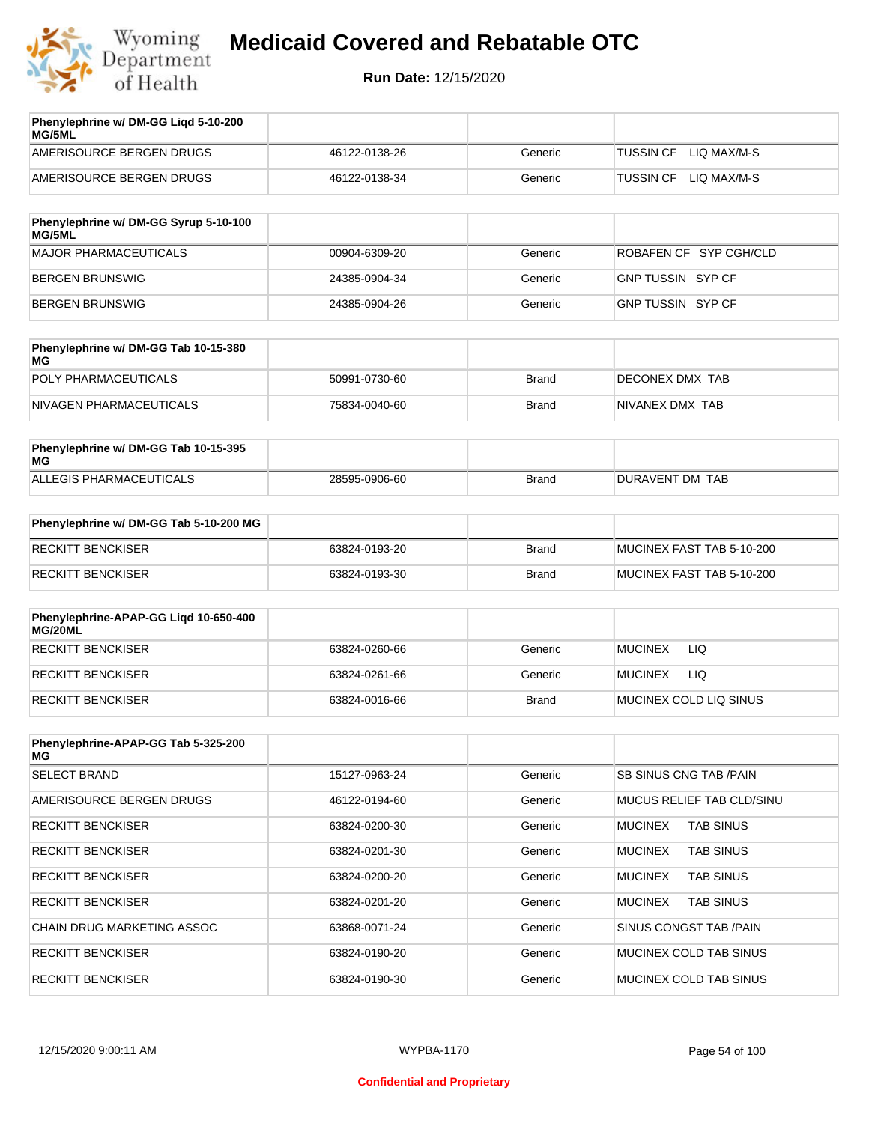

| Phenylephrine w/ DM-GG Ligd 5-10-200<br>MG/5ML |               |         |                                 |
|------------------------------------------------|---------------|---------|---------------------------------|
| AMERISOURCE BERGEN DRUGS                       | 46122-0138-26 | Generic | LIO MAX/M-S<br><b>TUSSIN CF</b> |
| AMERISOURCE BERGEN DRUGS                       | 46122-0138-34 | Generic | LIO MAX/M-S<br>TUSSIN CF        |
|                                                |               |         |                                 |

| Phenylephrine w/ DM-GG Syrup 5-10-100<br>MG/5ML |               |         |                        |
|-------------------------------------------------|---------------|---------|------------------------|
| MAJOR PHARMACEUTICALS                           | 00904-6309-20 | Generic | ROBAFEN CF SYP CGH/CLD |
| BERGEN BRUNSWIG                                 | 24385-0904-34 | Generic | GNP TUSSIN SYP CF      |
| BERGEN BRUNSWIG                                 | 24385-0904-26 | Generic | GNP TUSSIN SYP CF      |

| Phenylephrine w/ DM-GG Tab 10-15-380<br>MG |               |              |                 |
|--------------------------------------------|---------------|--------------|-----------------|
| POLY PHARMACEUTICALS                       | 50991-0730-60 | <b>Brand</b> | DECONEX DMX TAB |
| NIVAGEN PHARMACEUTICALS                    | 75834-0040-60 | Brand        | NIVANEX DMX TAB |

| Phenylephrine w/ DM-GG Tab 10-15-395<br>MG |               |       |                 |
|--------------------------------------------|---------------|-------|-----------------|
| ALLEGIS PHARMACEUTICALS                    | 28595-0906-60 | Brand | DURAVENT DM TAB |

| Phenylephrine w/ DM-GG Tab 5-10-200 MG |               |       |                           |
|----------------------------------------|---------------|-------|---------------------------|
| RECKITT BENCKISER                      | 63824-0193-20 | Brand | MUCINEX FAST TAB 5-10-200 |
| RECKITT BENCKISER                      | 63824-0193-30 | Brand | MUCINEX FAST TAB 5-10-200 |

| Phenylephrine-APAP-GG Ligd 10-650-400<br>MG/20ML |               |              |                        |
|--------------------------------------------------|---------------|--------------|------------------------|
| RECKITT BENCKISER                                | 63824-0260-66 | Generic      | LIQ<br><b>MUCINEX</b>  |
| RECKITT BENCKISER                                | 63824-0261-66 | Generic      | LIQ<br><b>MUCINEX</b>  |
| RECKITT BENCKISER                                | 63824-0016-66 | <b>Brand</b> | MUCINEX COLD LIQ SINUS |

| Phenylephrine-APAP-GG Tab 5-325-200<br>MG |               |         |                                    |
|-------------------------------------------|---------------|---------|------------------------------------|
| <b>SELECT BRAND</b>                       | 15127-0963-24 | Generic | SB SINUS CNG TAB /PAIN             |
| AMERISOURCE BERGEN DRUGS                  | 46122-0194-60 | Generic | <b>MUCUS RELIEF TAB CLD/SINU</b>   |
| <b>RECKITT BENCKISER</b>                  | 63824-0200-30 | Generic | <b>MUCINEX</b><br><b>TAB SINUS</b> |
| <b>RECKITT BENCKISER</b>                  | 63824-0201-30 | Generic | <b>MUCINEX</b><br><b>TAB SINUS</b> |
| <b>RECKITT BENCKISER</b>                  | 63824-0200-20 | Generic | <b>TAB SINUS</b><br><b>MUCINEX</b> |
| <b>RECKITT BENCKISER</b>                  | 63824-0201-20 | Generic | <b>MUCINEX</b><br><b>TAB SINUS</b> |
| CHAIN DRUG MARKETING ASSOC                | 63868-0071-24 | Generic | SINUS CONGST TAB /PAIN             |
| <b>RECKITT BENCKISER</b>                  | 63824-0190-20 | Generic | MUCINEX COLD TAB SINUS             |
| <b>RECKITT BENCKISER</b>                  | 63824-0190-30 | Generic | MUCINEX COLD TAB SINUS             |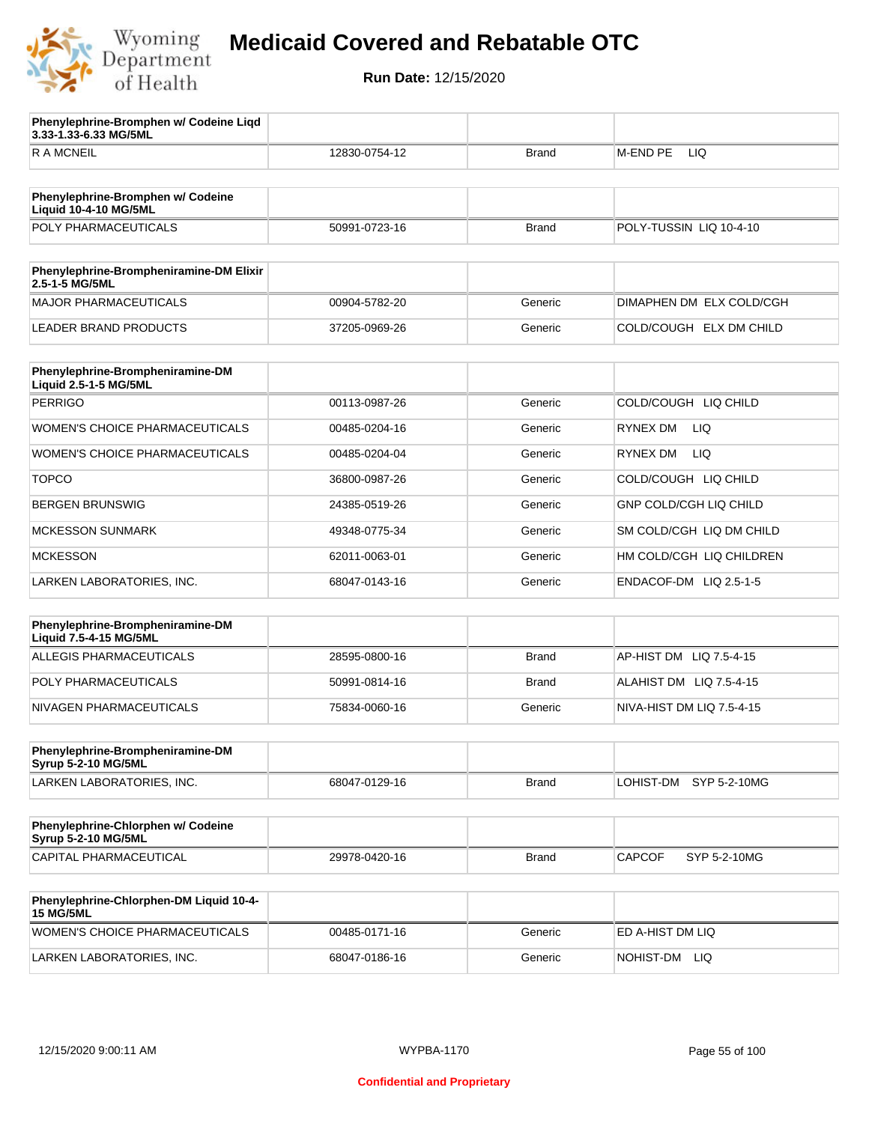

**Phenylephrine-Bromphen w/ Codeine Liqd** 

## **Medicaid Covered and Rebatable OTC**

| 3.33-1.33-6.33 MG/5ML                                             |               |              |                           |
|-------------------------------------------------------------------|---------------|--------------|---------------------------|
| <b>RAMCNEIL</b>                                                   | 12830-0754-12 | <b>Brand</b> | <b>LIQ</b><br>M-END PE    |
|                                                                   |               |              |                           |
| Phenylephrine-Bromphen w/ Codeine<br><b>Liquid 10-4-10 MG/5ML</b> |               |              |                           |
| POLY PHARMACEUTICALS                                              | 50991-0723-16 | <b>Brand</b> | POLY-TUSSIN LIQ 10-4-10   |
|                                                                   |               |              |                           |
| Phenylephrine-Brompheniramine-DM Elixir<br>2.5-1-5 MG/5ML         |               |              |                           |
| <b>MAJOR PHARMACEUTICALS</b>                                      | 00904-5782-20 | Generic      | DIMAPHEN DM ELX COLD/CGH  |
| <b>LEADER BRAND PRODUCTS</b>                                      | 37205-0969-26 | Generic      | COLD/COUGH ELX DM CHILD   |
| Phenylephrine-Brompheniramine-DM<br>Liquid 2.5-1-5 MG/5ML         |               |              |                           |
| <b>PERRIGO</b>                                                    | 00113-0987-26 | Generic      | COLD/COUGH LIQ CHILD      |
| WOMEN'S CHOICE PHARMACEUTICALS                                    | 00485-0204-16 | Generic      | RYNEX DM<br>LIQ.          |
| WOMEN'S CHOICE PHARMACEUTICALS                                    | 00485-0204-04 | Generic      | <b>RYNEX DM</b><br>LIQ.   |
| <b>TOPCO</b>                                                      | 36800-0987-26 | Generic      | COLD/COUGH LIQ CHILD      |
| <b>BERGEN BRUNSWIG</b>                                            | 24385-0519-26 | Generic      | GNP COLD/CGH LIQ CHILD    |
| <b>MCKESSON SUNMARK</b>                                           | 49348-0775-34 | Generic      | SM COLD/CGH LIQ DM CHILD  |
| <b>MCKESSON</b>                                                   | 62011-0063-01 | Generic      | HM COLD/CGH LIQ CHILDREN  |
| LARKEN LABORATORIES, INC.                                         | 68047-0143-16 | Generic      | ENDACOF-DM LIQ 2.5-1-5    |
|                                                                   |               |              |                           |
| Phenylephrine-Brompheniramine-DM<br>Liquid 7.5-4-15 MG/5ML        |               |              |                           |
| ALLEGIS PHARMACEUTICALS                                           | 28595-0800-16 | <b>Brand</b> | AP-HIST DM LIQ 7.5-4-15   |
| POLY PHARMACEUTICALS                                              | 50991-0814-16 | <b>Brand</b> | ALAHIST DM LIQ 7.5-4-15   |
| NIVAGEN PHARMACEUTICALS                                           | 75834-0060-16 | Generic      | NIVA-HIST DM LIQ 7.5-4-15 |
| Phenylephrine-Brompheniramine-DM                                  |               |              |                           |
| Syrup 5-2-10 MG/5ML                                               |               |              |                           |
| LARKEN LABORATORIES, INC.                                         | 68047-0129-16 | <b>Brand</b> | LOHIST-DM SYP 5-2-10MG    |
| Phenylephrine-Chlorphen w/ Codeine<br>Syrup 5-2-10 MG/5ML         |               |              |                           |
| CAPITAL PHARMACEUTICAL                                            | 29978-0420-16 | <b>Brand</b> | CAPCOF<br>SYP 5-2-10MG    |
| Phenylephrine-Chlorphen-DM Liquid 10-4-<br><b>15 MG/5ML</b>       |               |              |                           |
| WOMEN'S CHOICE PHARMACEUTICALS                                    | 00485-0171-16 | Generic      | ED A-HIST DM LIQ          |
| LARKEN LABORATORIES, INC.                                         | 68047-0186-16 | Generic      | NOHIST-DM LIQ             |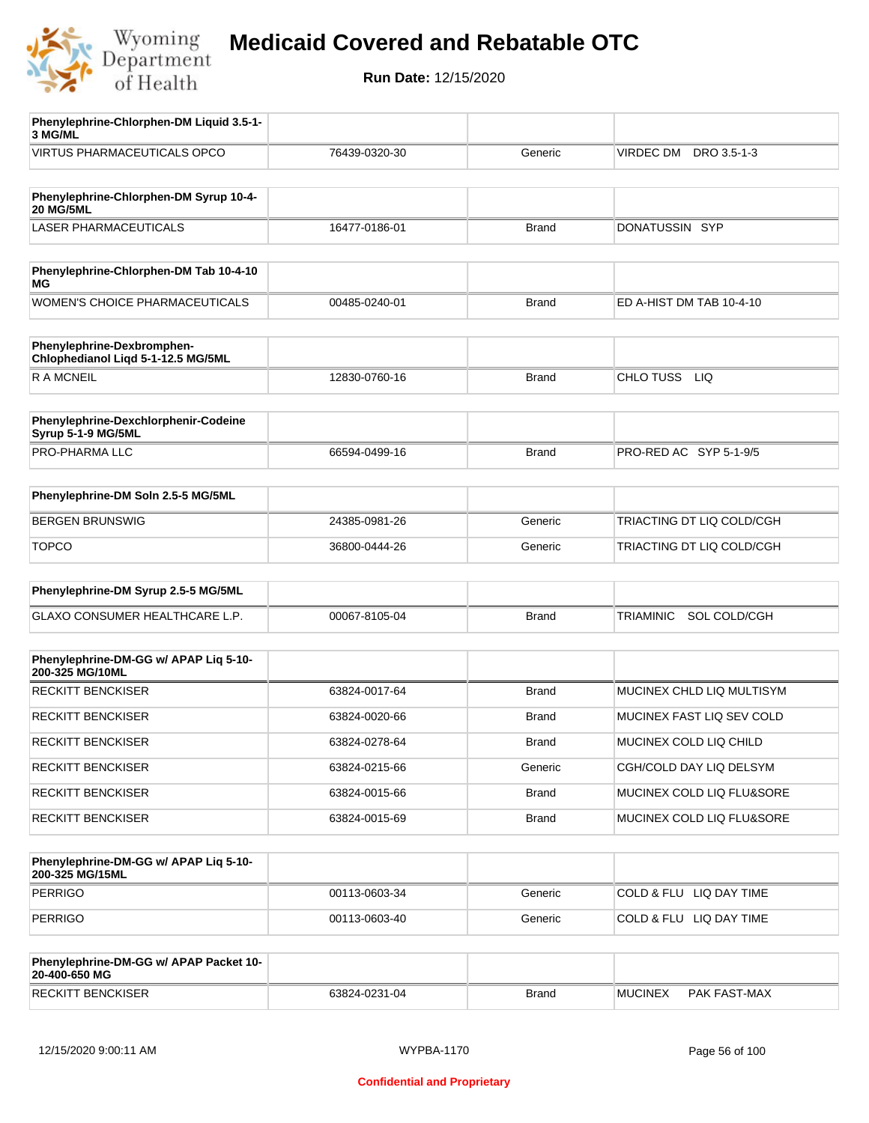

**Run Date:** 12/15/2020

| Phenylephrine-Chlorphen-DM Liquid 3.5-1-<br>3 MG/ML              |               |              |                           |
|------------------------------------------------------------------|---------------|--------------|---------------------------|
| VIRTUS PHARMACEUTICALS OPCO                                      | 76439-0320-30 | Generic      | DRO 3.5-1-3<br>VIRDEC DM  |
|                                                                  |               |              |                           |
| Phenylephrine-Chlorphen-DM Syrup 10-4-<br><b>20 MG/5ML</b>       |               |              |                           |
| <b>LASER PHARMACEUTICALS</b>                                     | 16477-0186-01 | <b>Brand</b> | DONATUSSIN SYP            |
|                                                                  |               |              |                           |
| Phenylephrine-Chlorphen-DM Tab 10-4-10<br>МG                     |               |              |                           |
| <b>WOMEN'S CHOICE PHARMACEUTICALS</b>                            | 00485-0240-01 | <b>Brand</b> | ED A-HIST DM TAB 10-4-10  |
| Phenylephrine-Dexbromphen-<br>Chlophedianol Liqd 5-1-12.5 MG/5ML |               |              |                           |
| <b>RAMCNEIL</b>                                                  | 12830-0760-16 | <b>Brand</b> | CHLO TUSS LIQ             |
|                                                                  |               |              |                           |
| Phenylephrine-Dexchlorphenir-Codeine<br>Syrup 5-1-9 MG/5ML       |               |              |                           |
| PRO-PHARMA LLC                                                   | 66594-0499-16 | <b>Brand</b> | PRO-RED AC SYP 5-1-9/5    |
|                                                                  |               |              |                           |
| Phenylephrine-DM Soln 2.5-5 MG/5ML                               |               |              |                           |
| <b>BERGEN BRUNSWIG</b>                                           | 24385-0981-26 | Generic      | TRIACTING DT LIQ COLD/CGH |
| <b>TOPCO</b>                                                     | 36800-0444-26 | Generic      | TRIACTING DT LIQ COLD/CGH |
|                                                                  |               |              |                           |
| Phenylephrine-DM Syrup 2.5-5 MG/5ML                              |               |              |                           |
| GLAXO CONSUMER HEALTHCARE L.P.                                   | 00067-8105-04 | <b>Brand</b> | TRIAMINIC SOL COLD/CGH    |
|                                                                  |               |              |                           |
| Phenylephrine-DM-GG w/ APAP Liq 5-10-<br>200-325 MG/10ML         |               |              |                           |
| <b>RECKITT BENCKISER</b>                                         | 63824-0017-64 | <b>Brand</b> | MUCINEX CHLD LIQ MULTISYM |
| RECKITT BENCKISER                                                | 63824-0020-66 | <b>Brand</b> | MUCINEX FAST LIQ SEV COLD |
| <b>RECKITT BENCKISER</b>                                         | 63824-0278-64 | <b>Brand</b> | MUCINEX COLD LIQ CHILD    |
| <b>RECKITT BENCKISER</b>                                         | 63824-0215-66 | Generic      | CGH/COLD DAY LIQ DELSYM   |
| <b>RECKITT BENCKISER</b>                                         | 63824-0015-66 | <b>Brand</b> | MUCINEX COLD LIQ FLU&SORE |
| <b>RECKITT BENCKISER</b>                                         | 63824-0015-69 | <b>Brand</b> | MUCINEX COLD LIQ FLU&SORE |
|                                                                  |               |              |                           |
| Phenylephrine-DM-GG w/ APAP Liq 5-10-<br>200-325 MG/15ML         |               |              |                           |
| <b>PERRIGO</b>                                                   | 00113-0603-34 | Generic      | COLD & FLU LIQ DAY TIME   |
| <b>PERRIGO</b>                                                   | 00113-0603-40 | Generic      | COLD & FLU LIQ DAY TIME   |
|                                                                  |               |              |                           |
| Phenylephrine-DM-GG w/ APAP Packet 10-<br>20-400-650 MG          |               |              |                           |

RECKITT BENCKISER 63824-0231-04 Brand MUCINEX PAK FAST-MAX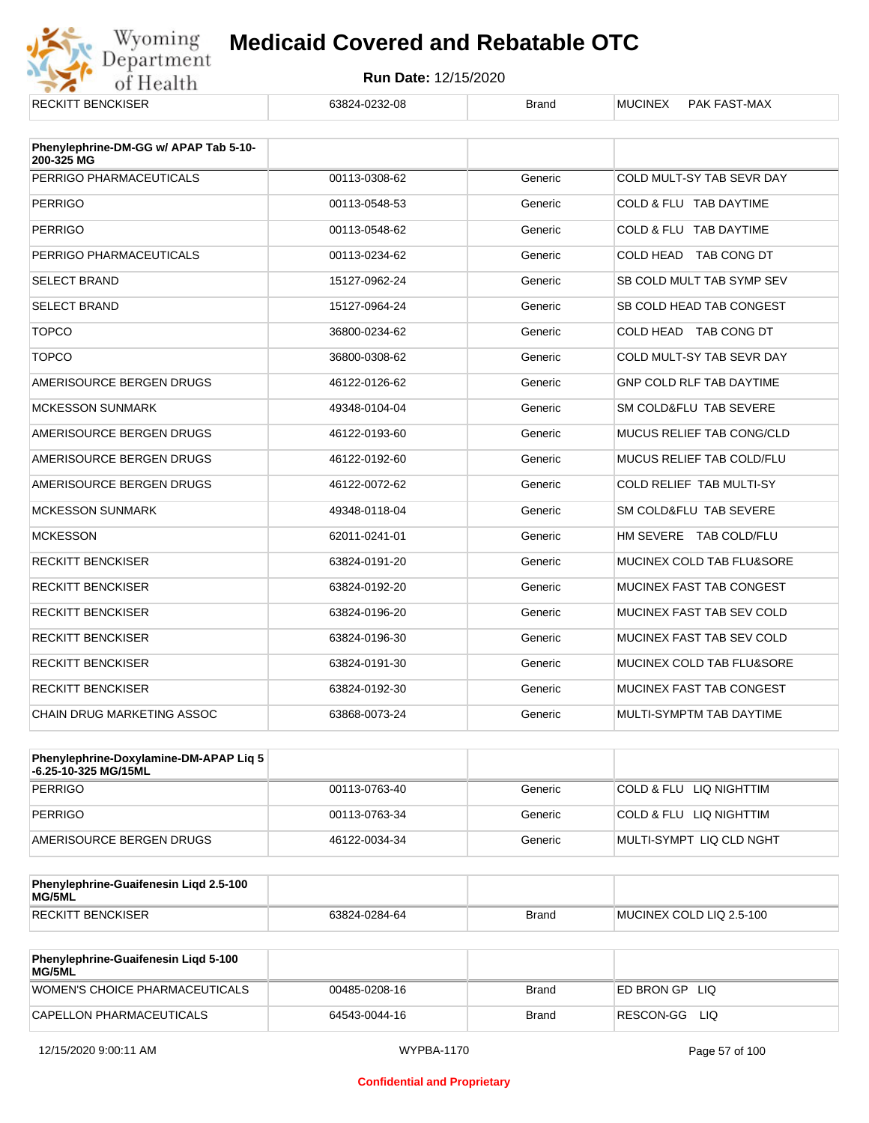

| <b>RECKITT BENCKISER</b>              | 63824-0232-08 | <b>Brand</b> | <b>MUCINEX</b><br><b>PAK FAST-MAX</b> |
|---------------------------------------|---------------|--------------|---------------------------------------|
| Phenylephrine-DM-GG w/ APAP Tab 5-10- |               |              |                                       |
| 200-325 MG                            |               |              |                                       |
| PERRIGO PHARMACEUTICALS               | 00113-0308-62 | Generic      | COLD MULT-SY TAB SEVR DAY             |
| <b>PERRIGO</b>                        | 00113-0548-53 | Generic      | COLD & FLU TAB DAYTIME                |
| <b>PERRIGO</b>                        | 00113-0548-62 | Generic      | COLD & FLU TAB DAYTIME                |
| PERRIGO PHARMACEUTICALS               | 00113-0234-62 | Generic      | COLD HEAD TAB CONG DT                 |
| <b>SELECT BRAND</b>                   | 15127-0962-24 | Generic      | SB COLD MULT TAB SYMP SEV             |
| <b>SELECT BRAND</b>                   | 15127-0964-24 | Generic      | SB COLD HEAD TAB CONGEST              |
| <b>TOPCO</b>                          | 36800-0234-62 | Generic      | COLD HEAD TAB CONG DT                 |
| <b>TOPCO</b>                          | 36800-0308-62 | Generic      | COLD MULT-SY TAB SEVR DAY             |
| AMERISOURCE BERGEN DRUGS              | 46122-0126-62 | Generic      | <b>GNP COLD RLF TAB DAYTIME</b>       |
| <b>MCKESSON SUNMARK</b>               | 49348-0104-04 | Generic      | SM COLD&FLU TAB SEVERE                |
| AMERISOURCE BERGEN DRUGS              | 46122-0193-60 | Generic      | <b>MUCUS RELIEF TAB CONG/CLD</b>      |
| AMERISOURCE BERGEN DRUGS              | 46122-0192-60 | Generic      | <b>MUCUS RELIEF TAB COLD/FLU</b>      |
| AMERISOURCE BERGEN DRUGS              | 46122-0072-62 | Generic      | COLD RELIEF TAB MULTI-SY              |
| <b>MCKESSON SUNMARK</b>               | 49348-0118-04 | Generic      | SM COLD&FLU TAB SEVERE                |
| <b>MCKESSON</b>                       | 62011-0241-01 | Generic      | HM SEVERE TAB COLD/FLU                |
| <b>RECKITT BENCKISER</b>              | 63824-0191-20 | Generic      | MUCINEX COLD TAB FLU&SORE             |
| <b>RECKITT BENCKISER</b>              | 63824-0192-20 | Generic      | <b>MUCINEX FAST TAB CONGEST</b>       |
| <b>RECKITT BENCKISER</b>              | 63824-0196-20 | Generic      | MUCINEX FAST TAB SEV COLD             |
| <b>RECKITT BENCKISER</b>              | 63824-0196-30 | Generic      | MUCINEX FAST TAB SEV COLD             |
| <b>RECKITT BENCKISER</b>              | 63824-0191-30 | Generic      | MUCINEX COLD TAB FLU&SORE             |
| <b>RECKITT BENCKISER</b>              | 63824-0192-30 | Generic      | <b>MUCINEX FAST TAB CONGEST</b>       |
| <b>CHAIN DRUG MARKETING ASSOC</b>     | 63868-0073-24 | Generic      | MULTI-SYMPTM TAB DAYTIME              |

| Phenylephrine-Doxylamine-DM-APAP Liq 5<br>⊦6.25-10-325 MG/15ML |               |         |                          |
|----------------------------------------------------------------|---------------|---------|--------------------------|
| PERRIGO                                                        | 00113-0763-40 | Generic | COLD & FLU LIQ NIGHTTIM  |
| PERRIGO                                                        | 00113-0763-34 | Generic | COLD & FLU LIQ NIGHTTIM  |
| AMERISOURCE BERGEN DRUGS                                       | 46122-0034-34 | Generic | MULTI-SYMPT LIQ CLD NGHT |

| Phenylephrine-Guaifenesin Ligd 2.5-100<br>MG/5ML |               |              |                          |
|--------------------------------------------------|---------------|--------------|--------------------------|
| <b>RECKITT BENCKISER</b>                         | 63824-0284-64 | <b>Brand</b> | MUCINEX COLD LIQ 2.5-100 |

| <b>Phenylephrine-Guaifenesin Ligd 5-100</b><br><b>MG/5ML</b> |               |       |                    |
|--------------------------------------------------------------|---------------|-------|--------------------|
| WOMEN'S CHOICE PHARMACEUTICALS                               | 00485-0208-16 | Brand | ED BRON GP<br>-LIQ |
| CAPELLON PHARMACEUTICALS                                     | 64543-0044-16 | Brand | RESCON-GG<br>LIQ   |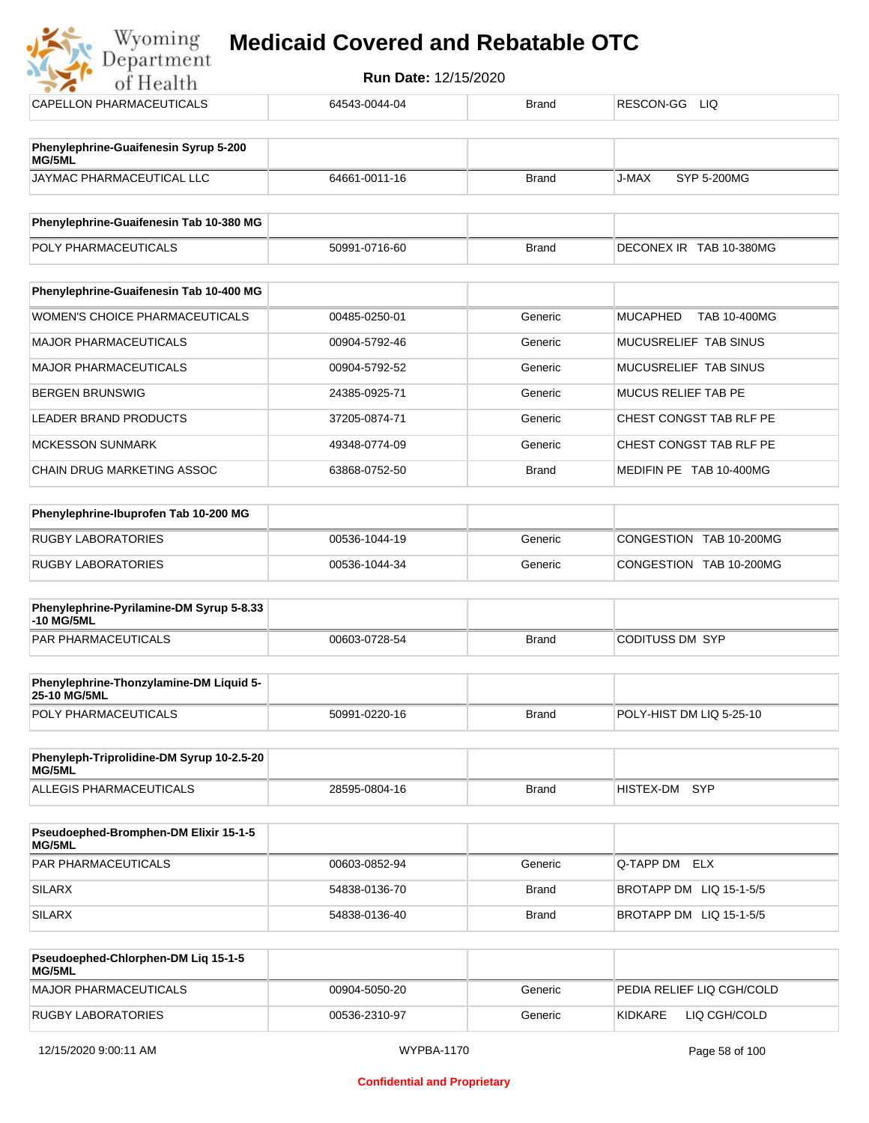Department **Run Date:** 12/15/2020 of Health CAPELLON PHARMACEUTICALS 64543-0044-04 Brand RESCON-GG LIQ **Phenylephrine-Guaifenesin Syrup 5-200 MG/5ML** JAYMAC PHARMACEUTICAL LLC 64661-0011-16 Brand J-MAX SYP 5-200MG **Phenylephrine-Guaifenesin Tab 10-380 MG** POLY PHARMACEUTICALS **FOLY PHARMACEUTICALS** 50991-0716-60 Brand DECONEX IR TAB 10-380MG **Phenylephrine-Guaifenesin Tab 10-400 MG** WOMEN'S CHOICE PHARMACEUTICALS | 00485-0250-01 Generic MUCAPHED TAB 10-400MG MAJOR PHARMACEUTICALS 
and the of the option of the option of the contract of the Generic MUCUSRELIEF TAB SINUS MAJOR PHARMACEUTICALS **DO904-5792-52** Generic MUCUSRELIEF TAB SINUS

| IBERGEN BRUNSWIG           | 24385-0925-71 | Generic      | MUCUS RELIEF TAB PE     |
|----------------------------|---------------|--------------|-------------------------|
| LEADER BRAND PRODUCTS      | 37205-0874-71 | Generic      | CHEST CONGST TAB RLF PE |
| IMCKESSON SUNMARK          | 49348-0774-09 | Generic      | CHEST CONGST TAB RLF PE |
| CHAIN DRUG MARKETING ASSOC | 63868-0752-50 | <b>Brand</b> | MEDIFIN PE TAB 10-400MG |

| Phenylephrine-Ibuprofen Tab 10-200 MG |               |         |                         |
|---------------------------------------|---------------|---------|-------------------------|
| <b>RUGBY LABORATORIES</b>             | 00536-1044-19 | Generic | CONGESTION TAB 10-200MG |
| <b>RUGBY LABORATORIES</b>             | 00536-1044-34 | Generic | CONGESTION TAB 10-200MG |

| Phenylephrine-Pyrilamine-DM Syrup 5-8.33<br>-10 MG/5ML |               |       |                 |
|--------------------------------------------------------|---------------|-------|-----------------|
| PAR PHARMACEUTICALS                                    | 00603-0728-54 | Brand | CODITUSS DM SYP |

| <b>Phenylephrine-Thonzylamine-DM Liquid 5-</b><br><b>25-10 MG/5ML</b> |               |              |                          |
|-----------------------------------------------------------------------|---------------|--------------|--------------------------|
| <b>POLY PHARMACEUTICALS</b>                                           | 50991-0220-16 | <b>Brand</b> | POLY-HIST DM LIQ 5-25-10 |

| Phenyleph-Triprolidine-DM Syrup 10-2.5-20<br>MG/5ML |               |       |               |  |
|-----------------------------------------------------|---------------|-------|---------------|--|
| ALLEGIS PHARMACEUTICALS                             | 28595-0804-16 | Brand | HISTEX-DM SYP |  |

| <b>Pseudoephed-Bromphen-DM Elixir 15-1-5</b><br>MG/5ML |               |              |                         |
|--------------------------------------------------------|---------------|--------------|-------------------------|
| PAR PHARMACEUTICALS                                    | 00603-0852-94 | Generic      | Q-TAPP DM ELX           |
| SILARX                                                 | 54838-0136-70 | <b>Brand</b> | BROTAPP DM LIQ 15-1-5/5 |
| <b>SILARX</b>                                          | 54838-0136-40 | Brand        | BROTAPP DM LIQ 15-1-5/5 |

| Pseudoephed-Chlorphen-DM Lig 15-1-5<br>MG/5ML |               |         |                           |
|-----------------------------------------------|---------------|---------|---------------------------|
| MAJOR PHARMACEUTICALS                         | 00904-5050-20 | Generic | PEDIA RELIEF LIQ CGH/COLD |
| RUGBY LABORATORIES                            | 00536-2310-97 | Generic | KIDKARE<br>LIQ CGH/COLD   |

Wyoming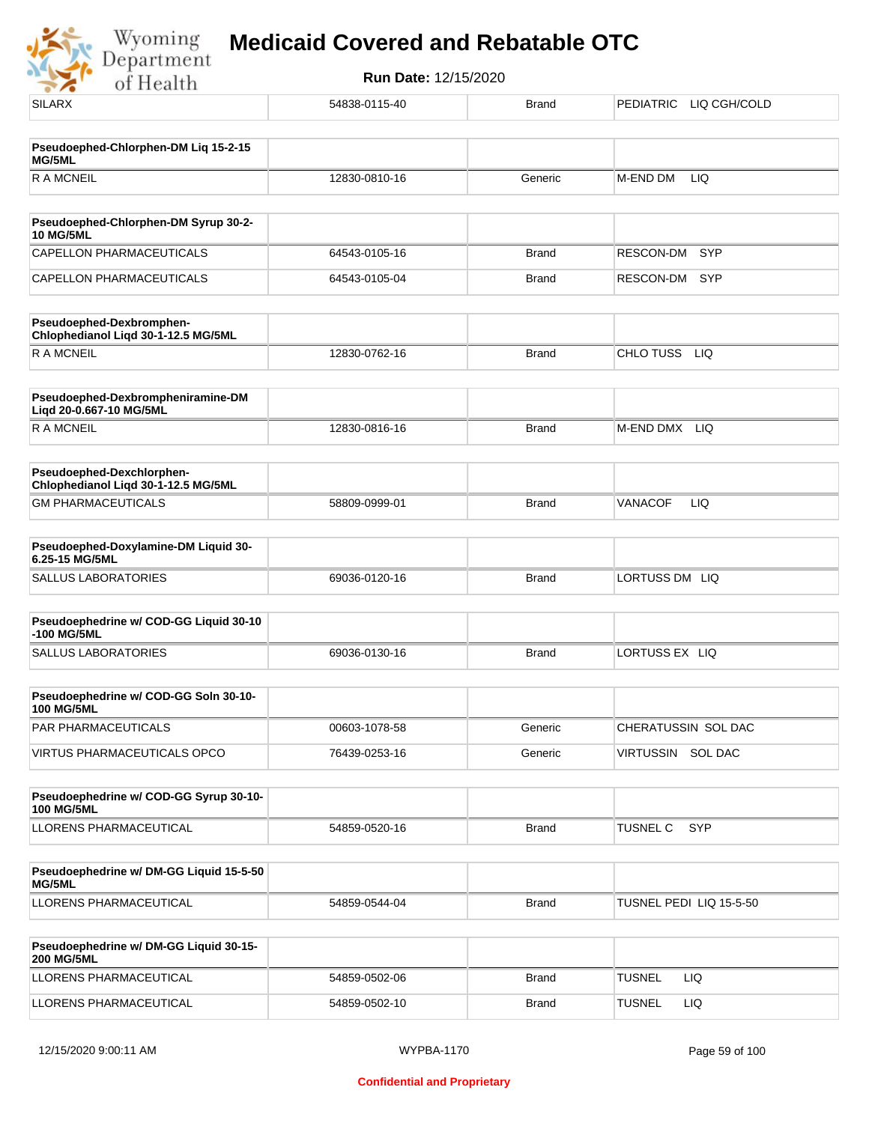

| <b>SILARX</b>                                                    | 54838-0115-40 | <b>Brand</b> | PEDIATRIC LIQ CGH/COLD  |
|------------------------------------------------------------------|---------------|--------------|-------------------------|
| Pseudoephed-Chlorphen-DM Liq 15-2-15<br>MG/5ML                   |               |              |                         |
| <b>RAMCNEIL</b>                                                  | 12830-0810-16 | Generic      | M-END DM<br>LIQ         |
| Pseudoephed-Chlorphen-DM Syrup 30-2-                             |               |              |                         |
| <b>10 MG/5ML</b><br>CAPELLON PHARMACEUTICALS                     | 64543-0105-16 | <b>Brand</b> | <b>SYP</b><br>RESCON-DM |
| CAPELLON PHARMACEUTICALS                                         | 64543-0105-04 | <b>Brand</b> | RESCON-DM<br><b>SYP</b> |
| Pseudoephed-Dexbromphen-<br>Chlophedianol Liqd 30-1-12.5 MG/5ML  |               |              |                         |
| <b>RAMCNEIL</b>                                                  | 12830-0762-16 | <b>Brand</b> | CHLO TUSS<br><b>LIQ</b> |
| Pseudoephed-Dexbrompheniramine-DM<br>Liqd 20-0.667-10 MG/5ML     |               |              |                         |
| <b>RAMCNEIL</b>                                                  | 12830-0816-16 | <b>Brand</b> | M-END DMX LIQ           |
| Pseudoephed-Dexchlorphen-<br>Chlophedianol Liqd 30-1-12.5 MG/5ML |               |              |                         |
| <b>GM PHARMACEUTICALS</b>                                        | 58809-0999-01 | <b>Brand</b> | VANACOF<br><b>LIQ</b>   |
| Pseudoephed-Doxylamine-DM Liquid 30-<br>6.25-15 MG/5ML           |               |              |                         |
| <b>SALLUS LABORATORIES</b>                                       | 69036-0120-16 | <b>Brand</b> | LORTUSS DM LIQ          |
| Pseudoephedrine w/ COD-GG Liquid 30-10<br>-100 MG/5ML            |               |              |                         |
| <b>SALLUS LABORATORIES</b>                                       | 69036-0130-16 | <b>Brand</b> | LORTUSS EX LIQ          |
| Pseudoephedrine w/ COD-GG Soln 30-10-<br><b>100 MG/5ML</b>       |               |              |                         |
| PAR PHARMACEUTICALS                                              | 00603-1078-58 | Generic      | CHERATUSSIN SOL DAC     |
| <b>VIRTUS PHARMACEUTICALS OPCO</b>                               | 76439-0253-16 | Generic      | VIRTUSSIN SOL DAC       |
| Pseudoephedrine w/ COD-GG Syrup 30-10-<br><b>100 MG/5ML</b>      |               |              |                         |
| LLORENS PHARMACEUTICAL                                           | 54859-0520-16 | <b>Brand</b> | TUSNEL C<br>SYP         |
| Pseudoephedrine w/ DM-GG Liquid 15-5-50<br>MG/5ML                |               |              |                         |
| LLORENS PHARMACEUTICAL                                           | 54859-0544-04 | Brand        | TUSNEL PEDI LIQ 15-5-50 |
| Pseudoephedrine w/ DM-GG Liquid 30-15-<br><b>200 MG/5ML</b>      |               |              |                         |
| LLORENS PHARMACEUTICAL                                           | 54859-0502-06 | Brand        | <b>TUSNEL</b><br>LIQ    |
| LLORENS PHARMACEUTICAL                                           | 54859-0502-10 | <b>Brand</b> | <b>TUSNEL</b><br>LIQ    |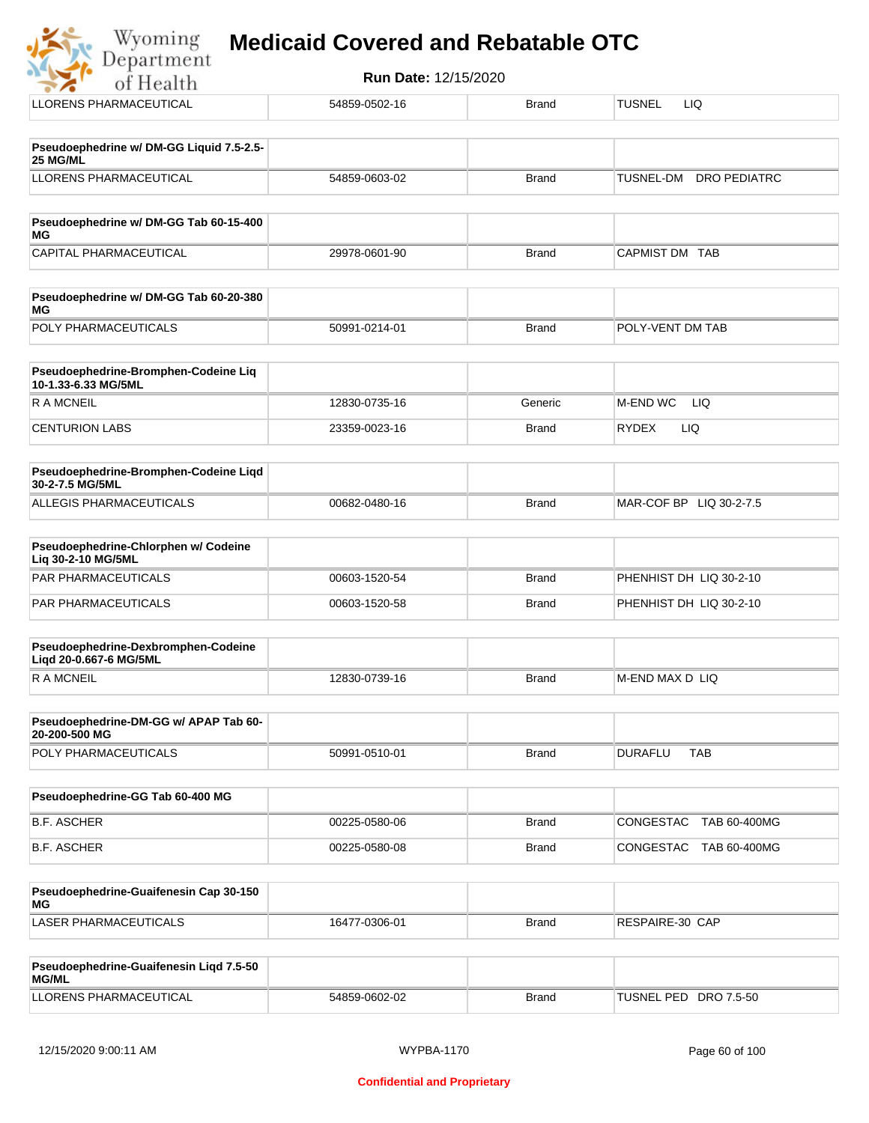#### **Medicaid Covered and Rebatable OTC**Department

**Run Date:** 12/15/2020 of Health LLORENS PHARMACEUTICAL 54859-0502-16 Brand TUSNEL LIQ **Pseudoephedrine w/ DM-GG Liquid 7.5-2.5- 25 MG/ML** LLORENS PHARMACEUTICAL 54859-0603-02 Brand TUSNEL-DM DRO PEDIATRC **Pseudoephedrine w/ DM-GG Tab 60-15-400 MG** CAPITAL PHARMACEUTICAL 29978-0601-90 Brand CAPMIST DM TAB **Pseudoephedrine w/ DM-GG Tab 60-20-380 MG** POLY PHARMACEUTICALS 50991-0214-01 Brand POLY-VENT DM TAB **Pseudoephedrine-Bromphen-Codeine Liq 10-1.33-6.33 MG/5ML**

| <b>R A MCNEIL</b>     | 12830-0735-16 | Generic      | LIQ<br>M-END WC     |
|-----------------------|---------------|--------------|---------------------|
| <b>CENTURION LABS</b> | 23359-0023-16 | <b>Brand</b> | LIQ<br><b>RYDEX</b> |

| <b>Pseudoephedrine-Bromphen-Codeine Ligd</b><br>30-2-7.5 MG/5ML |               |       |                         |
|-----------------------------------------------------------------|---------------|-------|-------------------------|
| ALLEGIS PHARMACEUTICALS                                         | 00682-0480-16 | Brand | MAR-COF BP LIQ 30-2-7.5 |

| <b>Pseudoephedrine-Chlorphen w/ Codeine</b><br>Lia 30-2-10 MG/5ML |               |       |                         |
|-------------------------------------------------------------------|---------------|-------|-------------------------|
| PAR PHARMACEUTICALS                                               | 00603-1520-54 | Brand | PHENHIST DH LIQ 30-2-10 |
| PAR PHARMACEUTICALS                                               | 00603-1520-58 | Brand | PHENHIST DH LIQ 30-2-10 |

| Pseudoephedrine-Dexbromphen-Codeine<br>Ligd 20-0.667-6 MG/5ML |               |              |                  |
|---------------------------------------------------------------|---------------|--------------|------------------|
| R A MCNEIL                                                    | 12830-0739-16 | <b>Brand</b> | IM-END MAX DILIQ |

| Pseudoephedrine-DM-GG w/ APAP Tab 60-<br>20-200-500 MG |               |       |                |            |
|--------------------------------------------------------|---------------|-------|----------------|------------|
| <b>POLY PHARMACEUTICALS</b>                            | 50991-0510-01 | Brand | <b>DURAFLL</b> | <b>TAB</b> |

| Pseudoephedrine-GG Tab 60-400 MG |               |       |                                  |
|----------------------------------|---------------|-------|----------------------------------|
| B.F. ASCHER                      | 00225-0580-06 | Brand | TAB 60-400MG<br> CONGESTAC_      |
| B.F. ASCHER                      | 00225-0580-08 | Brand | TAB 60-400MG<br><b>CONGESTAC</b> |

| Pseudoephedrine-Guaifenesin Cap 30-150<br>MG |               |       |                 |
|----------------------------------------------|---------------|-------|-----------------|
| LASER PHARMACEUTICALS                        | 16477-0306-01 | Brand | RESPAIRE-30 CAP |

| <b>Pseudoephedrine-Guaifenesin Ligd 7.5-50</b><br><b>MG/ML</b> |               |       |                       |
|----------------------------------------------------------------|---------------|-------|-----------------------|
| LLORENS PHARMACEUTICAL                                         | 54859-0602-02 | Brand | TUSNEL PED DRO 7.5-50 |

Wyoming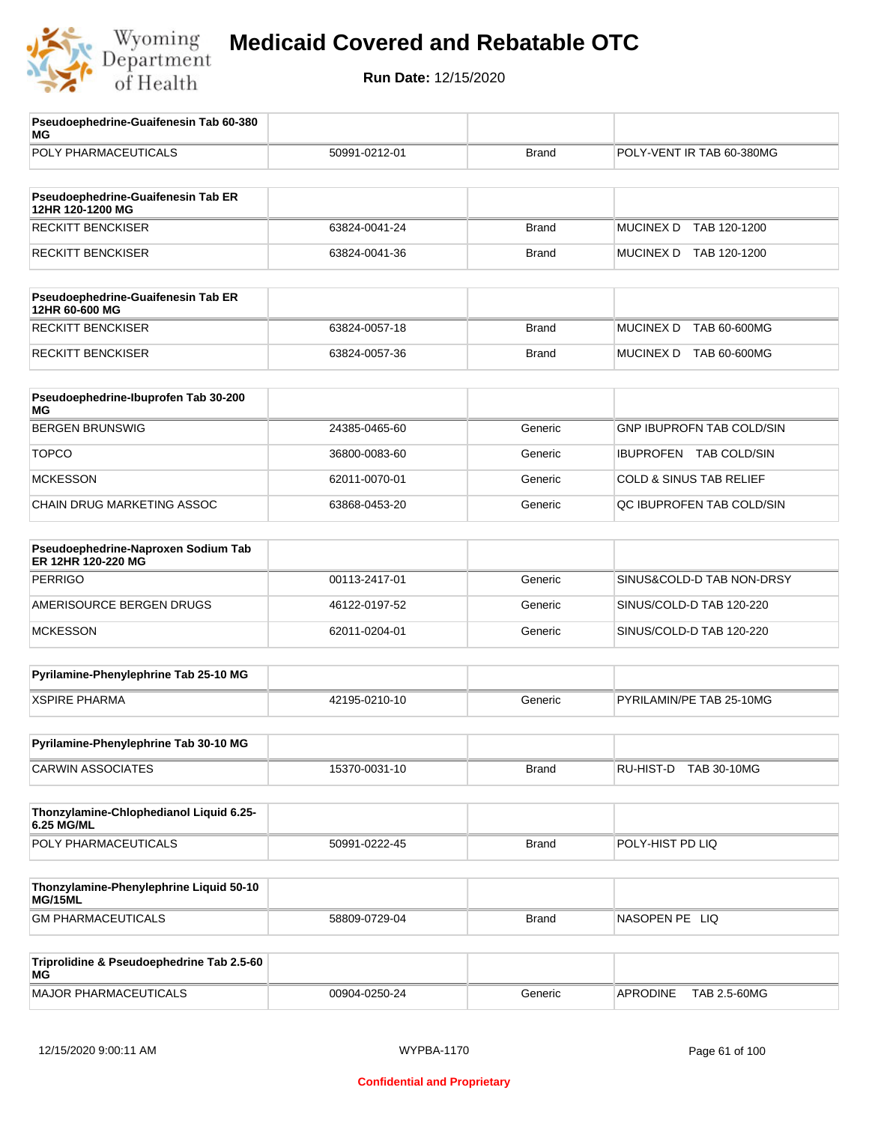

| Pseudoephedrine-Guaifenesin Tab 60-380<br>МG              |               |              |                                    |
|-----------------------------------------------------------|---------------|--------------|------------------------------------|
| POLY PHARMACEUTICALS                                      | 50991-0212-01 | <b>Brand</b> | POLY-VENT IR TAB 60-380MG          |
| Pseudoephedrine-Guaifenesin Tab ER                        |               |              |                                    |
| 12HR 120-1200 MG                                          |               |              |                                    |
| <b>RECKITT BENCKISER</b>                                  | 63824-0041-24 | <b>Brand</b> | <b>MUCINEX D</b><br>TAB 120-1200   |
| <b>RECKITT BENCKISER</b>                                  | 63824-0041-36 | <b>Brand</b> | MUCINEX D TAB 120-1200             |
| Pseudoephedrine-Guaifenesin Tab ER<br>12HR 60-600 MG      |               |              |                                    |
| <b>RECKITT BENCKISER</b>                                  | 63824-0057-18 | <b>Brand</b> | <b>MUCINEX D</b><br>TAB 60-600MG   |
| <b>RECKITT BENCKISER</b>                                  | 63824-0057-36 | <b>Brand</b> | MUCINEX D TAB 60-600MG             |
| Pseudoephedrine-Ibuprofen Tab 30-200<br>МG                |               |              |                                    |
| <b>BERGEN BRUNSWIG</b>                                    | 24385-0465-60 | Generic      | <b>GNP IBUPROFN TAB COLD/SIN</b>   |
| <b>TOPCO</b>                                              | 36800-0083-60 | Generic      | <b>IBUPROFEN TAB COLD/SIN</b>      |
| <b>MCKESSON</b>                                           | 62011-0070-01 | Generic      | <b>COLD &amp; SINUS TAB RELIEF</b> |
| CHAIN DRUG MARKETING ASSOC                                | 63868-0453-20 | Generic      | QC IBUPROFEN TAB COLD/SIN          |
| Pseudoephedrine-Naproxen Sodium Tab<br>ER 12HR 120-220 MG |               |              |                                    |
| <b>PERRIGO</b>                                            | 00113-2417-01 | Generic      | SINUS&COLD-D TAB NON-DRSY          |
| AMERISOURCE BERGEN DRUGS                                  | 46122-0197-52 | Generic      | SINUS/COLD-D TAB 120-220           |
| <b>MCKESSON</b>                                           | 62011-0204-01 | Generic      | SINUS/COLD-D TAB 120-220           |
| Pyrilamine-Phenylephrine Tab 25-10 MG                     |               |              |                                    |
| <b>XSPIRE PHARMA</b>                                      | 42195-0210-10 | Generic      | PYRILAMIN/PE TAB 25-10MG           |
| Pyrilamine-Phenylephrine Tab 30-10 MG                     |               |              |                                    |
| <b>CARWIN ASSOCIATES</b>                                  | 15370-0031-10 | <b>Brand</b> | RU-HIST-D TAB 30-10MG              |
| Thonzylamine-Chlophedianol Liquid 6.25-<br>6.25 MG/ML     |               |              |                                    |
| POLY PHARMACEUTICALS                                      | 50991-0222-45 | <b>Brand</b> | POLY-HIST PD LIQ                   |
| Thonzylamine-Phenylephrine Liquid 50-10<br>MG/15ML        |               |              |                                    |
| <b>GM PHARMACEUTICALS</b>                                 | 58809-0729-04 | <b>Brand</b> | NASOPEN PE LIQ                     |
| Triprolidine & Pseudoephedrine Tab 2.5-60<br><b>MG</b>    |               |              |                                    |
| <b>MAJOR PHARMACEUTICALS</b>                              | 00904-0250-24 | Generic      | <b>APRODINE</b><br>TAB 2.5-60MG    |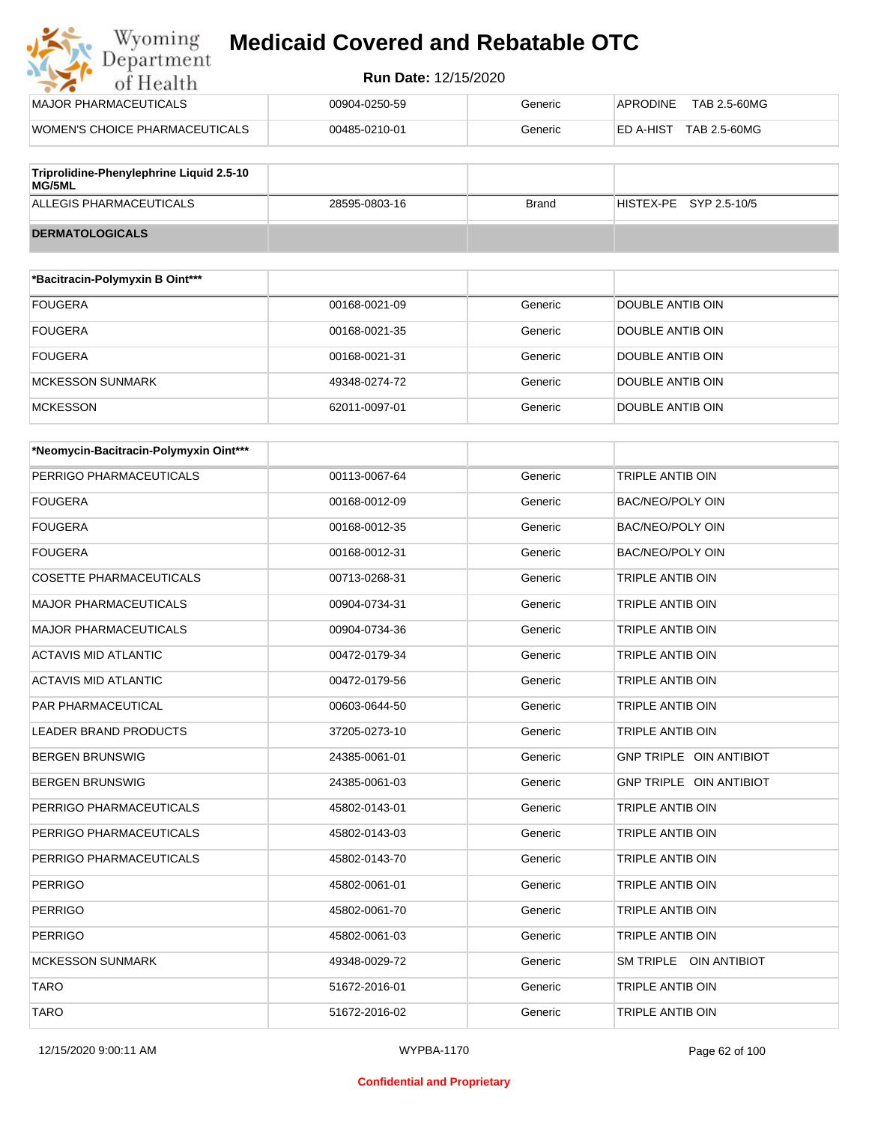

| MAJOR PHARMACEUTICALS          | 00904-0250-59 | Generic | TAB 2.5-60MG<br>APRODINE         |
|--------------------------------|---------------|---------|----------------------------------|
| WOMEN'S CHOICE PHARMACEUTICALS | 00485-0210-01 | Generic | TAB 2.5-60MG<br><b>ED A-HIST</b> |
|                                |               |         |                                  |

| Triprolidine-Phenylephrine Liquid 2.5-10<br>MG/5ML |               |       |                        |
|----------------------------------------------------|---------------|-------|------------------------|
| ALLEGIS PHARMACEUTICALS                            | 28595-0803-16 | Brand | HISTEX-PE SYP 2.5-10/5 |
| <b>DERMATOLOGICALS</b>                             |               |       |                        |

| *Bacitracin-Polymyxin B Oint*** |               |         |                  |
|---------------------------------|---------------|---------|------------------|
| <b>FOUGERA</b>                  | 00168-0021-09 | Generic | DOUBLE ANTIB OIN |
| <b>FOUGERA</b>                  | 00168-0021-35 | Generic | DOUBLE ANTIB OIN |
| <b>FOUGERA</b>                  | 00168-0021-31 | Generic | DOUBLE ANTIB OIN |
| <b>MCKESSON SUNMARK</b>         | 49348-0274-72 | Generic | DOUBLE ANTIB OIN |
| <b>MCKESSON</b>                 | 62011-0097-01 | Generic | DOUBLE ANTIB OIN |

| *Neomycin-Bacitracin-Polymyxin Oint*** |               |         |                         |
|----------------------------------------|---------------|---------|-------------------------|
| PERRIGO PHARMACEUTICALS                | 00113-0067-64 | Generic | <b>TRIPLE ANTIB OIN</b> |
| <b>FOUGERA</b>                         | 00168-0012-09 | Generic | <b>BAC/NEO/POLY OIN</b> |
| <b>FOUGERA</b>                         | 00168-0012-35 | Generic | <b>BAC/NEO/POLY OIN</b> |
| <b>FOUGERA</b>                         | 00168-0012-31 | Generic | <b>BAC/NEO/POLY OIN</b> |
| <b>COSETTE PHARMACEUTICALS</b>         | 00713-0268-31 | Generic | <b>TRIPLE ANTIB OIN</b> |
| <b>MAJOR PHARMACEUTICALS</b>           | 00904-0734-31 | Generic | <b>TRIPLE ANTIB OIN</b> |
| <b>MAJOR PHARMACEUTICALS</b>           | 00904-0734-36 | Generic | TRIPLE ANTIB OIN        |
| <b>ACTAVIS MID ATLANTIC</b>            | 00472-0179-34 | Generic | <b>TRIPLE ANTIB OIN</b> |
| <b>ACTAVIS MID ATLANTIC</b>            | 00472-0179-56 | Generic | <b>TRIPLE ANTIB OIN</b> |
| <b>PAR PHARMACEUTICAL</b>              | 00603-0644-50 | Generic | <b>TRIPLE ANTIB OIN</b> |
| <b>LEADER BRAND PRODUCTS</b>           | 37205-0273-10 | Generic | <b>TRIPLE ANTIB OIN</b> |
| <b>BERGEN BRUNSWIG</b>                 | 24385-0061-01 | Generic | GNP TRIPLE OIN ANTIBIOT |
| <b>BERGEN BRUNSWIG</b>                 | 24385-0061-03 | Generic | GNP TRIPLE OIN ANTIBIOT |
| PERRIGO PHARMACEUTICALS                | 45802-0143-01 | Generic | <b>TRIPLE ANTIB OIN</b> |
| PERRIGO PHARMACEUTICALS                | 45802-0143-03 | Generic | <b>TRIPLE ANTIB OIN</b> |
| PERRIGO PHARMACEUTICALS                | 45802-0143-70 | Generic | TRIPLE ANTIB OIN        |
| <b>PERRIGO</b>                         | 45802-0061-01 | Generic | TRIPLE ANTIB OIN        |
| <b>PERRIGO</b>                         | 45802-0061-70 | Generic | TRIPLE ANTIB OIN        |
| <b>PERRIGO</b>                         | 45802-0061-03 | Generic | TRIPLE ANTIB OIN        |
| <b>MCKESSON SUNMARK</b>                | 49348-0029-72 | Generic | SM TRIPLE OIN ANTIBIOT  |
| <b>TARO</b>                            | 51672-2016-01 | Generic | <b>TRIPLE ANTIB OIN</b> |
| <b>TARO</b>                            | 51672-2016-02 | Generic | <b>TRIPLE ANTIB OIN</b> |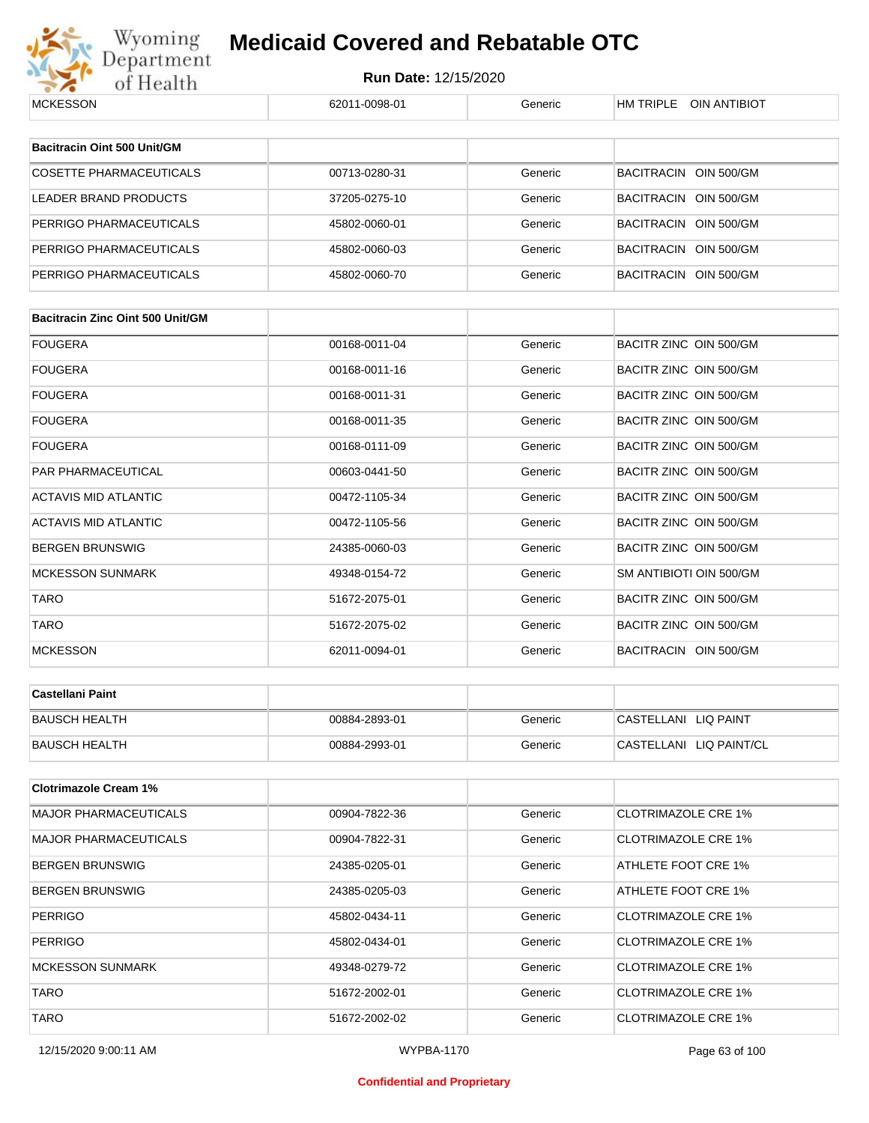

| <b>MCKESSON</b>                         | 62011-0098-01 | Generic | HM TRIPLE OIN ANTIBIOT     |
|-----------------------------------------|---------------|---------|----------------------------|
|                                         |               |         |                            |
| Bacitracin Oint 500 Unit/GM             |               |         |                            |
| <b>COSETTE PHARMACEUTICALS</b>          | 00713-0280-31 | Generic | BACITRACIN OIN 500/GM      |
| LEADER BRAND PRODUCTS                   | 37205-0275-10 | Generic | BACITRACIN OIN 500/GM      |
| PERRIGO PHARMACEUTICALS                 | 45802-0060-01 | Generic | BACITRACIN OIN 500/GM      |
| PERRIGO PHARMACEUTICALS                 | 45802-0060-03 | Generic | BACITRACIN OIN 500/GM      |
| PERRIGO PHARMACEUTICALS                 | 45802-0060-70 | Generic | BACITRACIN OIN 500/GM      |
|                                         |               |         |                            |
| <b>Bacitracin Zinc Oint 500 Unit/GM</b> |               |         |                            |
| FOUGERA                                 | 00168-0011-04 | Generic | BACITR ZINC OIN 500/GM     |
| FOUGERA                                 | 00168-0011-16 | Generic | BACITR ZINC OIN 500/GM     |
| FOUGERA                                 | 00168-0011-31 | Generic | BACITR ZINC OIN 500/GM     |
| FOUGERA                                 | 00168-0011-35 | Generic | BACITR ZINC OIN 500/GM     |
| FOUGERA                                 | 00168-0111-09 | Generic | BACITR ZINC OIN 500/GM     |
| PAR PHARMACEUTICAL                      | 00603-0441-50 | Generic | BACITR ZINC OIN 500/GM     |
| ACTAVIS MID ATLANTIC                    | 00472-1105-34 | Generic | BACITR ZINC OIN 500/GM     |
| ACTAVIS MID ATLANTIC                    | 00472-1105-56 | Generic | BACITR ZINC OIN 500/GM     |
| BERGEN BRUNSWIG                         | 24385-0060-03 | Generic | BACITR ZINC OIN 500/GM     |
| <b>MCKESSON SUNMARK</b>                 | 49348-0154-72 | Generic | SM ANTIBIOTI OIN 500/GM    |
| <b>TARO</b>                             | 51672-2075-01 | Generic | BACITR ZINC OIN 500/GM     |
| TARO                                    | 51672-2075-02 | Generic | BACITR ZINC OIN 500/GM     |
| <b>MCKESSON</b>                         | 62011-0094-01 | Generic | BACITRACIN OIN 500/GM      |
|                                         |               |         |                            |
| Castellani Paint                        |               |         |                            |
| <b>BAUSCH HEALTH</b>                    | 00884-2893-01 | Generic | CASTELLANI LIQ PAINT       |
| <b>BAUSCH HEALTH</b>                    | 00884-2993-01 | Generic | CASTELLANI LIQ PAINT/CL    |
| <b>Clotrimazole Cream 1%</b>            |               |         |                            |
| <b>MAJOR PHARMACEUTICALS</b>            | 00904-7822-36 | Generic | <b>CLOTRIMAZOLE CRE 1%</b> |
| <b>MAJOR PHARMACEUTICALS</b>            | 00904-7822-31 | Generic | <b>CLOTRIMAZOLE CRE 1%</b> |
| BERGEN BRUNSWIG                         | 24385-0205-01 | Generic | ATHLETE FOOT CRE 1%        |
| BERGEN BRUNSWIG                         | 24385-0205-03 | Generic | ATHLETE FOOT CRE 1%        |
| PERRIGO                                 | 45802-0434-11 | Generic | <b>CLOTRIMAZOLE CRE 1%</b> |
| PERRIGO                                 | 45802-0434-01 | Generic | <b>CLOTRIMAZOLE CRE 1%</b> |
| <b>MCKESSON SUNMARK</b>                 | 49348-0279-72 | Generic | <b>CLOTRIMAZOLE CRE 1%</b> |
| TARO                                    | 51672-2002-01 | Generic | <b>CLOTRIMAZOLE CRE 1%</b> |
| <b>TARO</b>                             | 51672-2002-02 | Generic | <b>CLOTRIMAZOLE CRE 1%</b> |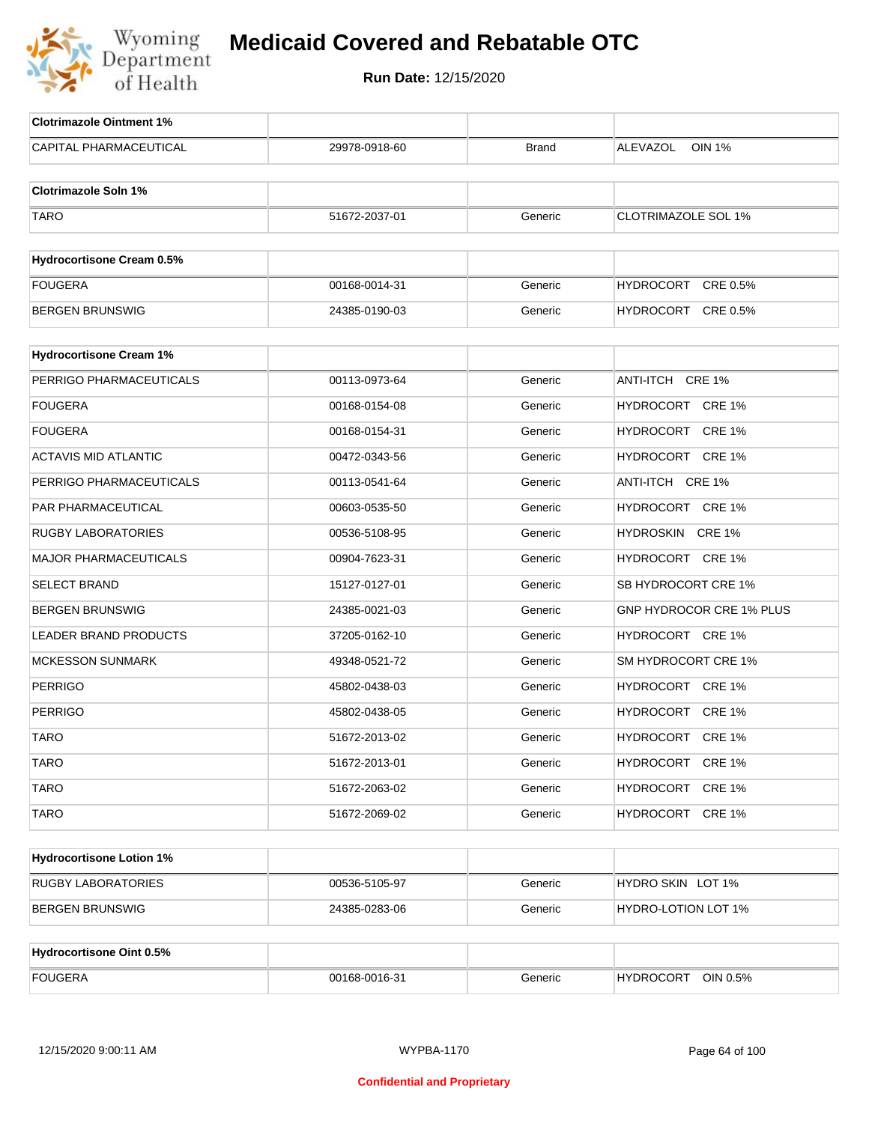

| <b>Clotrimazole Ointment 1%</b>  |               |              |                            |
|----------------------------------|---------------|--------------|----------------------------|
| <b>CAPITAL PHARMACEUTICAL</b>    | 29978-0918-60 | <b>Brand</b> | <b>OIN 1%</b><br>ALEVAZOL  |
|                                  |               |              |                            |
| <b>Clotrimazole Soln 1%</b>      |               |              |                            |
| <b>TARO</b>                      | 51672-2037-01 | Generic      | <b>CLOTRIMAZOLE SOL 1%</b> |
|                                  |               |              |                            |
| <b>Hydrocortisone Cream 0.5%</b> |               |              |                            |
| <b>FOUGERA</b>                   | 00168-0014-31 | Generic      | HYDROCORT CRE 0.5%         |
| <b>BERGEN BRUNSWIG</b>           | 24385-0190-03 | Generic      | HYDROCORT CRE 0.5%         |
| <b>Hydrocortisone Cream 1%</b>   |               |              |                            |
| PERRIGO PHARMACEUTICALS          | 00113-0973-64 | Generic      | ANTI-ITCH CRE 1%           |
| <b>FOUGERA</b>                   | 00168-0154-08 | Generic      | HYDROCORT CRE 1%           |
|                                  |               |              | HYDROCORT CRE 1%           |
| <b>FOUGERA</b>                   | 00168-0154-31 | Generic      |                            |
| <b>ACTAVIS MID ATLANTIC</b>      | 00472-0343-56 | Generic      | HYDROCORT CRE 1%           |
| PERRIGO PHARMACEUTICALS          | 00113-0541-64 | Generic      | ANTI-ITCH CRE 1%           |
| PAR PHARMACEUTICAL               | 00603-0535-50 | Generic      | HYDROCORT CRE 1%           |
| <b>RUGBY LABORATORIES</b>        | 00536-5108-95 | Generic      | HYDROSKIN CRE 1%           |
| <b>MAJOR PHARMACEUTICALS</b>     | 00904-7623-31 | Generic      | HYDROCORT CRE 1%           |
| <b>SELECT BRAND</b>              | 15127-0127-01 | Generic      | SB HYDROCORT CRE 1%        |
| <b>BERGEN BRUNSWIG</b>           | 24385-0021-03 | Generic      | GNP HYDROCOR CRE 1% PLUS   |
| <b>LEADER BRAND PRODUCTS</b>     | 37205-0162-10 | Generic      | HYDROCORT CRE 1%           |
| <b>MCKESSON SUNMARK</b>          | 49348-0521-72 | Generic      | SM HYDROCORT CRE 1%        |
| <b>PERRIGO</b>                   | 45802-0438-03 | Generic      | HYDROCORT CRE 1%           |
| <b>PERRIGO</b>                   | 45802-0438-05 | Generic      | HYDROCORT CRE 1%           |
| <b>TARO</b>                      | 51672-2013-02 | Generic      | HYDROCORT CRE 1%           |
| <b>TARO</b>                      | 51672-2013-01 | Generic      | HYDROCORT CRE 1%           |
| <b>TARO</b>                      | 51672-2063-02 | Generic      | HYDROCORT CRE 1%           |
| <b>TARO</b>                      | 51672-2069-02 | Generic      | HYDROCORT CRE 1%           |
|                                  |               |              |                            |
| <b>Hydrocortisone Lotion 1%</b>  |               |              |                            |
| <b>RUGBY LABORATORIES</b>        | 00536-5105-97 | Generic      | HYDRO SKIN LOT 1%          |
| <b>BERGEN BRUNSWIG</b>           | 24385-0283-06 | Generic      | <b>HYDRO-LOTION LOT 1%</b> |
|                                  |               |              |                            |
| <b>Hydrocortisone Oint 0.5%</b>  |               |              |                            |
| <b>FOUGERA</b>                   | 00168-0016-31 | Generic      | HYDROCORT OIN 0.5%         |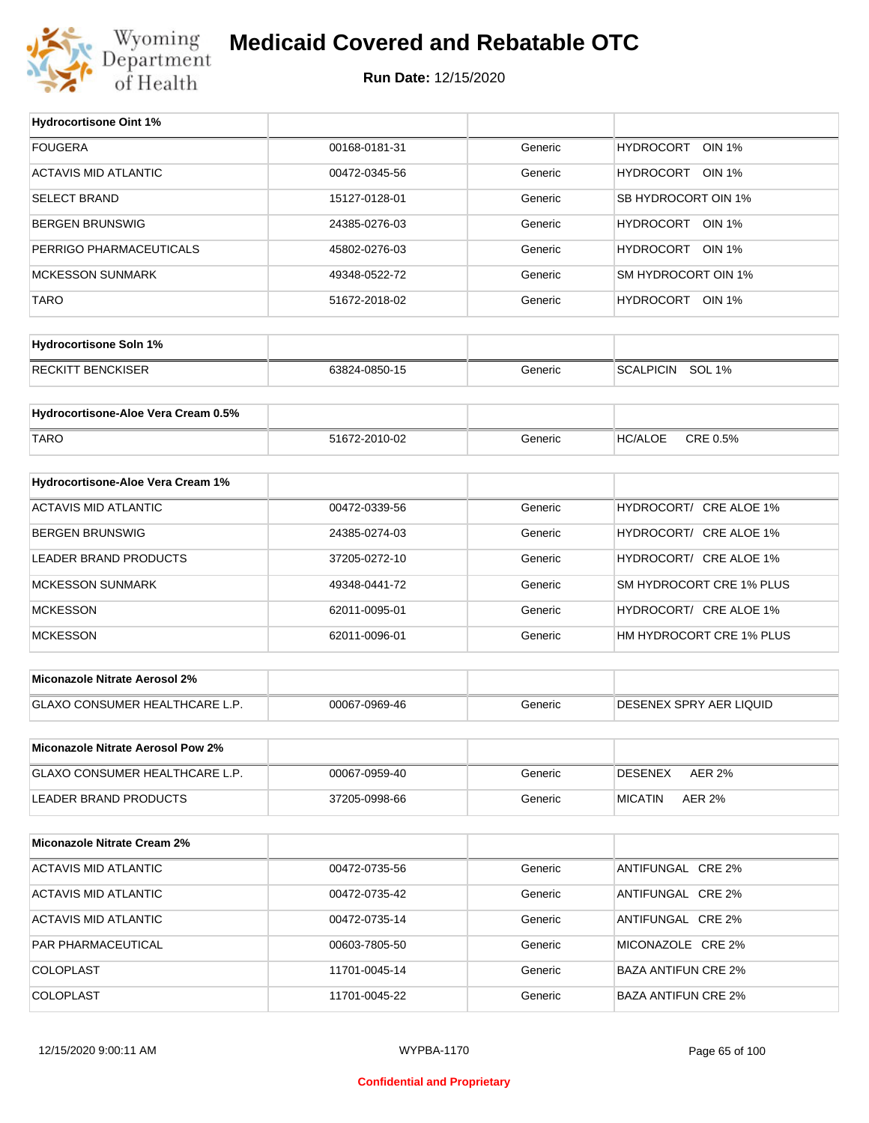

| <b>Hydrocortisone Oint 1%</b>            |               |         |                                   |
|------------------------------------------|---------------|---------|-----------------------------------|
| <b>FOUGERA</b>                           | 00168-0181-31 | Generic | <b>HYDROCORT</b><br><b>OIN 1%</b> |
| <b>ACTAVIS MID ATLANTIC</b>              | 00472-0345-56 | Generic | HYDROCORT<br><b>OIN 1%</b>        |
| <b>SELECT BRAND</b>                      | 15127-0128-01 | Generic | SB HYDROCORT OIN 1%               |
| <b>BERGEN BRUNSWIG</b>                   | 24385-0276-03 | Generic | HYDROCORT OIN 1%                  |
| PERRIGO PHARMACEUTICALS                  | 45802-0276-03 | Generic | HYDROCORT OIN 1%                  |
| <b>MCKESSON SUNMARK</b>                  | 49348-0522-72 | Generic | SM HYDROCORT OIN 1%               |
| <b>TARO</b>                              | 51672-2018-02 | Generic | HYDROCORT OIN 1%                  |
|                                          |               |         |                                   |
| <b>Hydrocortisone Soln 1%</b>            |               |         |                                   |
| <b>RECKITT BENCKISER</b>                 | 63824-0850-15 | Generic | <b>SCALPICIN</b><br><b>SOL 1%</b> |
|                                          |               |         |                                   |
| Hydrocortisone-Aloe Vera Cream 0.5%      |               |         |                                   |
| <b>TARO</b>                              | 51672-2010-02 | Generic | <b>HC/ALOE</b><br>CRE 0.5%        |
| Hydrocortisone-Aloe Vera Cream 1%        |               |         |                                   |
| <b>ACTAVIS MID ATLANTIC</b>              | 00472-0339-56 | Generic | HYDROCORT/ CRE ALOE 1%            |
|                                          |               |         |                                   |
| <b>BERGEN BRUNSWIG</b>                   | 24385-0274-03 | Generic | HYDROCORT/ CRE ALOE 1%            |
| LEADER BRAND PRODUCTS                    | 37205-0272-10 | Generic | HYDROCORT/ CRE ALOE 1%            |
| <b>MCKESSON SUNMARK</b>                  | 49348-0441-72 | Generic | SM HYDROCORT CRE 1% PLUS          |
| <b>MCKESSON</b>                          | 62011-0095-01 | Generic | HYDROCORT/ CRE ALOE 1%            |
| <b>MCKESSON</b>                          | 62011-0096-01 | Generic | HM HYDROCORT CRE 1% PLUS          |
| <b>Miconazole Nitrate Aerosol 2%</b>     |               |         |                                   |
|                                          |               |         |                                   |
| GLAXO CONSUMER HEALTHCARE L.P.           | 00067-0969-46 | Generic | DESENEX SPRY AER LIQUID           |
| <b>Miconazole Nitrate Aerosol Pow 2%</b> |               |         |                                   |
| GLAXO CONSUMER HEALTHCARE L.P.           | 00067-0959-40 | Generic | <b>DESENEX</b><br><b>AER 2%</b>   |
| LEADER BRAND PRODUCTS                    | 37205-0998-66 | Generic | <b>AER 2%</b><br><b>MICATIN</b>   |
|                                          |               |         |                                   |
| <b>Miconazole Nitrate Cream 2%</b>       |               |         |                                   |
| ACTAVIS MID ATLANTIC                     | 00472-0735-56 | Generic | ANTIFUNGAL CRE 2%                 |
| <b>ACTAVIS MID ATLANTIC</b>              | 00472-0735-42 | Generic | ANTIFUNGAL CRE 2%                 |
| <b>ACTAVIS MID ATLANTIC</b>              | 00472-0735-14 | Generic | ANTIFUNGAL CRE 2%                 |
| PAR PHARMACEUTICAL                       | 00603-7805-50 | Generic | MICONAZOLE CRE 2%                 |
| COLOPLAST                                | 11701-0045-14 | Generic | <b>BAZA ANTIFUN CRE 2%</b>        |
| COLOPLAST                                | 11701-0045-22 | Generic | <b>BAZA ANTIFUN CRE 2%</b>        |
|                                          |               |         |                                   |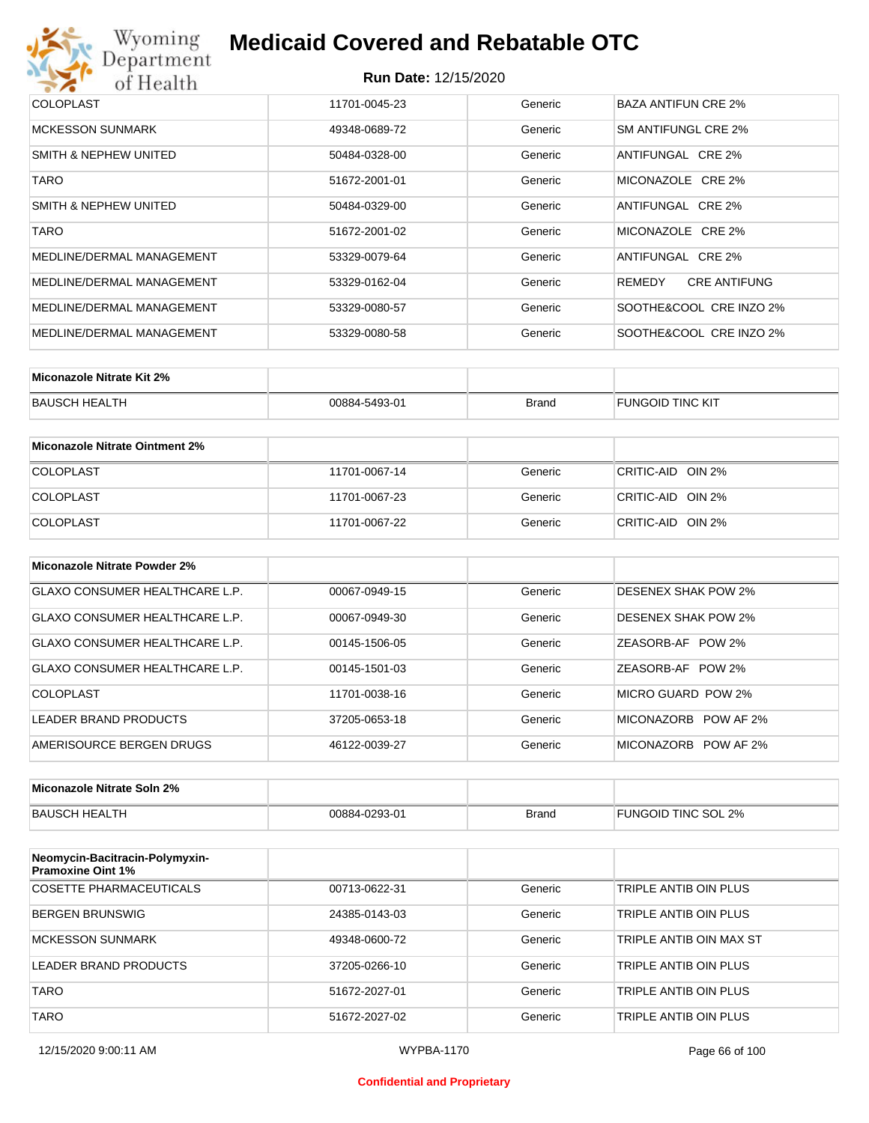## Wyoming<br>Department<br>of Health **Medicaid Covered and Rebatable OTC**

#### **Run Date:** 12/15/2020

| <b>COLOPLAST</b>          | 11701-0045-23 | Generic | BAZA ANTIFUN CRE 2%           |
|---------------------------|---------------|---------|-------------------------------|
| <b>MCKESSON SUNMARK</b>   | 49348-0689-72 | Generic | SM ANTIFUNGL CRE 2%           |
| SMITH & NEPHEW UNITED     | 50484-0328-00 | Generic | ANTIFUNGAL CRE 2%             |
| TARO                      | 51672-2001-01 | Generic | MICONAZOLE CRE 2%             |
| SMITH & NEPHEW UNITED     | 50484-0329-00 | Generic | ANTIFUNGAL CRE 2%             |
| <b>TARO</b>               | 51672-2001-02 | Generic | MICONAZOLE CRE 2%             |
| MEDLINE/DERMAL MANAGEMENT | 53329-0079-64 | Generic | ANTIFUNGAL CRE 2%             |
| MEDLINE/DERMAL MANAGEMENT | 53329-0162-04 | Generic | <b>CRE ANTIFUNG</b><br>REMEDY |
| MEDLINE/DERMAL MANAGEMENT | 53329-0080-57 | Generic | SOOTHE&COOL CRE INZO 2%       |
| MEDLINE/DERMAL MANAGEMENT | 53329-0080-58 | Generic | SOOTHE&COOL CRE INZO 2%       |

| Miconazole Nitrate Kit 2% |               |              |                         |
|---------------------------|---------------|--------------|-------------------------|
| BAUSCH HEALTH             | 00884-5493-01 | <b>Brand</b> | <b>FUNGOID TINC KIT</b> |

| Miconazole Nitrate Ointment 2% |               |         |                   |
|--------------------------------|---------------|---------|-------------------|
| <b>COLOPLAST</b>               | 11701-0067-14 | Generic | CRITIC-AID OIN 2% |
| <b>COLOPLAST</b>               | 11701-0067-23 | Generic | CRITIC-AID OIN 2% |
| <b>COLOPLAST</b>               | 11701-0067-22 | Generic | CRITIC-AID OIN 2% |

| Miconazole Nitrate Powder 2%   |               |         |                            |
|--------------------------------|---------------|---------|----------------------------|
| GLAXO CONSUMER HEALTHCARE L.P. | 00067-0949-15 | Generic | DESENEX SHAK POW 2%        |
| GLAXO CONSUMER HEALTHCARE L.P. | 00067-0949-30 | Generic | <b>DESENEX SHAK POW 2%</b> |
| GLAXO CONSUMER HEALTHCARE L.P. | 00145-1506-05 | Generic | ZEASORB-AF POW 2%          |
| GLAXO CONSUMER HEALTHCARE L.P. | 00145-1501-03 | Generic | ZEASORB-AF POW 2%          |
| COLOPLAST                      | 11701-0038-16 | Generic | MICRO GUARD POW 2%         |
| LEADER BRAND PRODUCTS          | 37205-0653-18 | Generic | MICONAZORB<br>POW AF 2%    |
| AMERISOURCE BERGEN DRUGS       | 46122-0039-27 | Generic | MICONAZORB POW AF 2%       |

| Miconazole Nitrate Soln 2% |               |       |                     |
|----------------------------|---------------|-------|---------------------|
| BAUSCH HEALTH              | 00884-0293-01 | Brand | FUNGOID TINC SOL 2% |

| Neomycin-Bacitracin-Polymyxin-<br><b>Pramoxine Oint 1%</b> |               |         |                         |
|------------------------------------------------------------|---------------|---------|-------------------------|
| COSETTE PHARMACEUTICALS                                    | 00713-0622-31 | Generic | TRIPLE ANTIB OIN PLUS   |
| BERGEN BRUNSWIG                                            | 24385-0143-03 | Generic | TRIPLE ANTIB OIN PLUS   |
| <b>MCKESSON SUNMARK</b>                                    | 49348-0600-72 | Generic | TRIPLE ANTIB OIN MAX ST |
| LEADER BRAND PRODUCTS                                      | 37205-0266-10 | Generic | TRIPLE ANTIB OIN PLUS   |
| <b>TARO</b>                                                | 51672-2027-01 | Generic | TRIPLE ANTIB OIN PLUS   |
| <b>TARO</b>                                                | 51672-2027-02 | Generic | TRIPLE ANTIB OIN PLUS   |

#### **Confidential and Proprietary**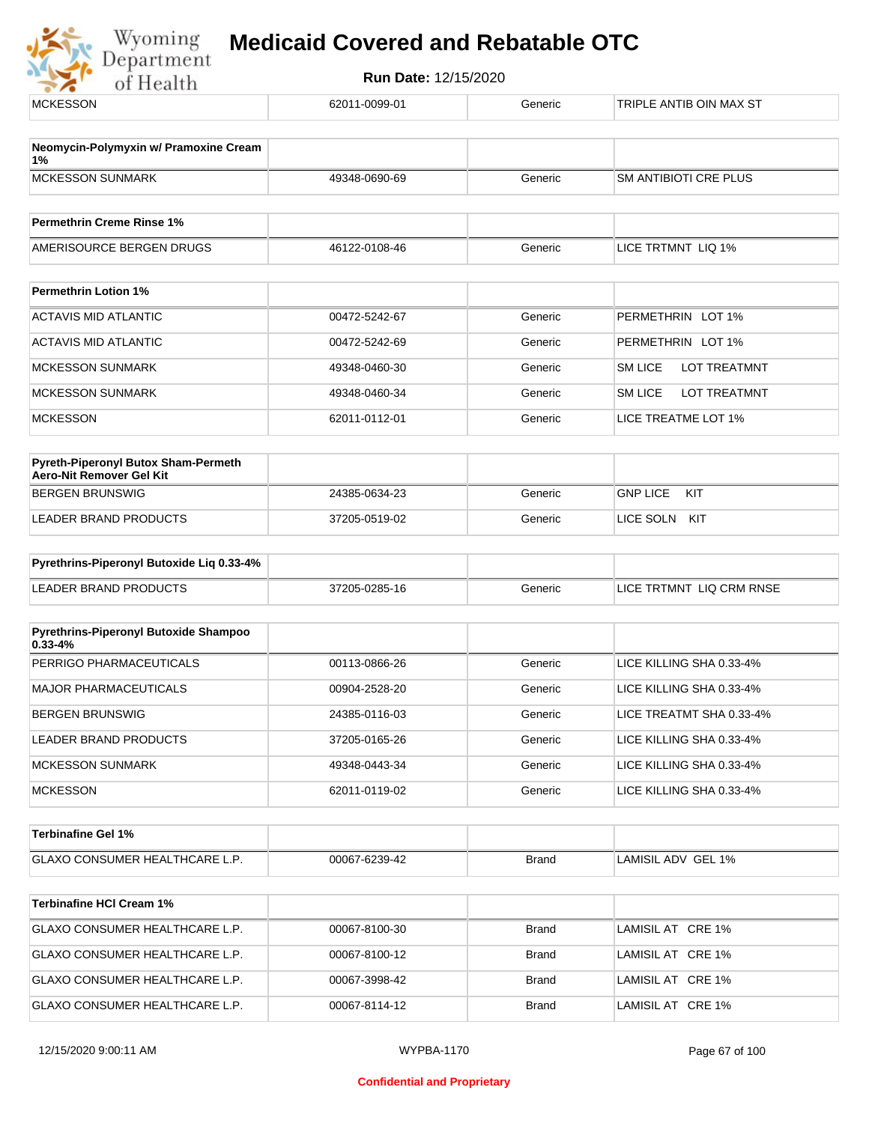

| <b>MCKESSON</b>                                                 | 62011-0099-01 | Generic      | TRIPLE ANTIB OIN MAX ST               |
|-----------------------------------------------------------------|---------------|--------------|---------------------------------------|
| Neomycin-Polymyxin w/ Pramoxine Cream                           |               |              |                                       |
| 1%<br><b>MCKESSON SUNMARK</b>                                   | 49348-0690-69 | Generic      | <b>SM ANTIBIOTI CRE PLUS</b>          |
| <b>Permethrin Creme Rinse 1%</b>                                |               |              |                                       |
| AMERISOURCE BERGEN DRUGS                                        | 46122-0108-46 | Generic      | LICE TRTMNT LIQ 1%                    |
| <b>Permethrin Lotion 1%</b>                                     |               |              |                                       |
| <b>ACTAVIS MID ATLANTIC</b>                                     | 00472-5242-67 | Generic      | PERMETHRIN LOT 1%                     |
| <b>ACTAVIS MID ATLANTIC</b>                                     | 00472-5242-69 | Generic      | PERMETHRIN LOT 1%                     |
| <b>MCKESSON SUNMARK</b>                                         | 49348-0460-30 | Generic      | <b>LOT TREATMNT</b><br><b>SM LICE</b> |
| <b>MCKESSON SUNMARK</b>                                         | 49348-0460-34 | Generic      | <b>LOT TREATMNT</b><br><b>SM LICE</b> |
| <b>MCKESSON</b>                                                 | 62011-0112-01 | Generic      | LICE TREATME LOT 1%                   |
| Pyreth-Piperonyl Butox Sham-Permeth<br>Aero-Nit Remover Gel Kit |               |              |                                       |
| <b>BERGEN BRUNSWIG</b>                                          | 24385-0634-23 | Generic      | <b>GNP LICE</b><br>KIT                |
| <b>LEADER BRAND PRODUCTS</b>                                    | 37205-0519-02 | Generic      | LICE SOLN KIT                         |
| Pyrethrins-Piperonyl Butoxide Liq 0.33-4%                       |               |              |                                       |
| <b>LEADER BRAND PRODUCTS</b>                                    | 37205-0285-16 | Generic      | LICE TRTMNT LIQ CRM RNSE              |
| Pyrethrins-Piperonyl Butoxide Shampoo<br>$0.33 - 4%$            |               |              |                                       |
| PERRIGO PHARMACEUTICALS                                         | 00113-0866-26 | Generic      | LICE KILLING SHA 0.33-4%              |
| <b>MAJOR PHARMACEUTICALS</b>                                    | 00904-2528-20 | Generic      | LICE KILLING SHA 0.33-4%              |
| <b>BERGEN BRUNSWIG</b>                                          | 24385-0116-03 | Generic      | LICE TREATMT SHA 0.33-4%              |
| LEADER BRAND PRODUCTS                                           | 37205-0165-26 | Generic      | LICE KILLING SHA 0.33-4%              |
| <b>MCKESSON SUNMARK</b>                                         | 49348-0443-34 | Generic      | LICE KILLING SHA 0.33-4%              |
| <b>MCKESSON</b>                                                 | 62011-0119-02 | Generic      | LICE KILLING SHA 0.33-4%              |
| <b>Terbinafine Gel 1%</b>                                       |               |              |                                       |
| GLAXO CONSUMER HEALTHCARE L.P.                                  | 00067-6239-42 | <b>Brand</b> | LAMISIL ADV GEL 1%                    |
| <b>Terbinafine HCI Cream 1%</b>                                 |               |              |                                       |
| GLAXO CONSUMER HEALTHCARE L.P.                                  | 00067-8100-30 | <b>Brand</b> | LAMISIL AT CRE 1%                     |
| GLAXO CONSUMER HEALTHCARE L.P.                                  | 00067-8100-12 | <b>Brand</b> | LAMISIL AT CRE 1%                     |
| GLAXO CONSUMER HEALTHCARE L.P.                                  | 00067-3998-42 | <b>Brand</b> | LAMISIL AT CRE 1%                     |
| GLAXO CONSUMER HEALTHCARE L.P.                                  | 00067-8114-12 | <b>Brand</b> | LAMISIL AT CRE 1%                     |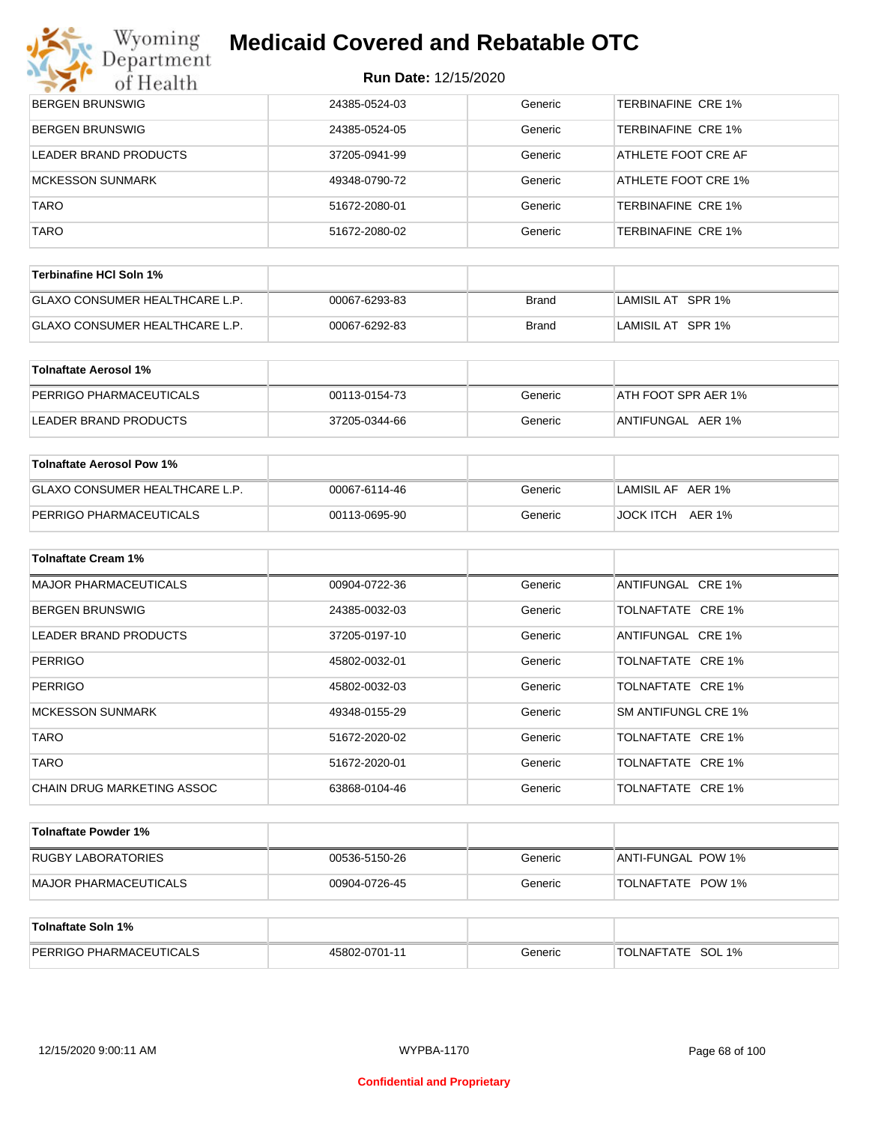## **Myoming Medicaid Covered and Rebatable OTC**

| $\sim$ $\sim$ $\sim$<br>of Health | Run Date: 12/15/2020 |         |                            |
|-----------------------------------|----------------------|---------|----------------------------|
| <b>BERGEN BRUNSWIG</b>            | 24385-0524-03        | Generic | <b>TERBINAFINE CRE 1%</b>  |
| <b>BERGEN BRUNSWIG</b>            | 24385-0524-05        | Generic | <b>TERBINAFINE CRE 1%</b>  |
| LEADER BRAND PRODUCTS             | 37205-0941-99        | Generic | ATHLETE FOOT CRE AF        |
| <b>MCKESSON SUNMARK</b>           | 49348-0790-72        | Generic | ATHLETE FOOT CRE 1%        |
| <b>TARO</b>                       | 51672-2080-01        | Generic | <b>TERBINAFINE CRE 1%</b>  |
| <b>TARO</b>                       | 51672-2080-02        | Generic | <b>TERBINAFINE CRE 1%</b>  |
| <b>Terbinafine HCI Soln 1%</b>    |                      |         |                            |
| GLAXO CONSUMER HEALTHCARE L.P.    | 00067-6293-83        | Brand   | LAMISIL AT SPR 1%          |
| GLAXO CONSUMER HEALTHCARE L.P.    | 00067-6292-83        | Brand   | LAMISIL AT SPR 1%          |
| <b>Tolnaftate Aerosol 1%</b>      |                      |         |                            |
| PERRIGO PHARMACEUTICALS           | 00113-0154-73        | Generic | ATH FOOT SPR AER 1%        |
| LEADER BRAND PRODUCTS             | 37205-0344-66        | Generic | ANTIFUNGAL AER 1%          |
| <b>Tolnaftate Aerosol Pow 1%</b>  |                      |         |                            |
| GLAXO CONSUMER HEALTHCARE L.P.    | 00067-6114-46        | Generic | LAMISIL AF AER 1%          |
| PERRIGO PHARMACEUTICALS           | 00113-0695-90        | Generic | JOCK ITCH AER 1%           |
| Tolnaftate Cream 1%               |                      |         |                            |
| <b>MAJOR PHARMACEUTICALS</b>      | 00904-0722-36        | Generic | ANTIFUNGAL CRE 1%          |
| BERGEN BRUNSWIG                   | 24385-0032-03        | Generic | TOLNAFTATE CRE 1%          |
| LEADER BRAND PRODUCTS             | 37205-0197-10        | Generic | ANTIFUNGAL CRE 1%          |
| <b>PERRIGO</b>                    | 45802-0032-01        | Generic | TOLNAFTATE CRE 1%          |
| PERRIGO                           | 45802-0032-03        | Generic | TOLNAFTATE CRE 1%          |
| <b>MCKESSON SUNMARK</b>           | 49348-0155-29        | Generic | <b>SM ANTIFUNGL CRE 1%</b> |
| TARO                              | 51672-2020-02        | Generic | TOLNAFTATE CRE 1%          |
| TARO                              | 51672-2020-01        | Generic | TOLNAFTATE CRE 1%          |
| CHAIN DRUG MARKETING ASSOC        | 63868-0104-46        | Generic | TOLNAFTATE CRE 1%          |
| <b>Tolnaftate Powder 1%</b>       |                      |         |                            |
| <b>RUGBY LABORATORIES</b>         | 00536-5150-26        | Generic | ANTI-FUNGAL POW 1%         |

| Tolnaftate Soln 1%             |               |         |                   |
|--------------------------------|---------------|---------|-------------------|
| <b>PERRIGO PHARMACEUTICALS</b> | 45802-0701-11 | Generic | TOLNAFTATE SOL 1% |

MAJOR PHARMACEUTICALS 
and the compared of the compare of the compare of the compare of the compare of the compare of the compare of the compare of the compare of the compare of the compare of the compare of the compare of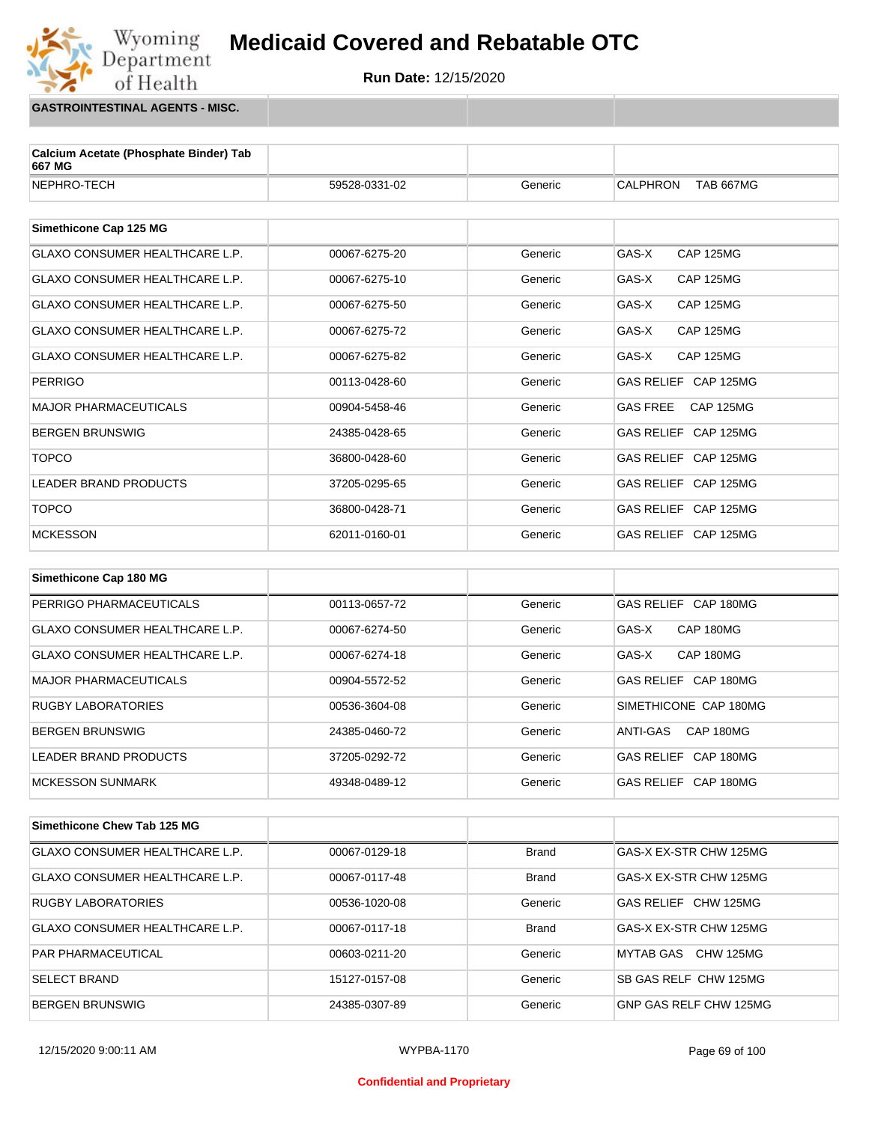**Run Date:** 12/15/2020

**GASTROINTESTINAL AGENTS - MISC.**

Wyoming<br>Department<br>of Health

| Calcium Acetate (Phosphate Binder) Tab<br>667 MG |               |         |                                     |
|--------------------------------------------------|---------------|---------|-------------------------------------|
| NEPHRO-TECH                                      | 59528-0331-02 | Generic | <b>CALPHRON</b><br><b>TAB 667MG</b> |
|                                                  |               |         |                                     |
| Simethicone Cap 125 MG                           |               |         |                                     |
| <b>GLAXO CONSUMER HEALTHCARE L.P.</b>            | 00067-6275-20 | Generic | GAS-X<br><b>CAP 125MG</b>           |
| GLAXO CONSUMER HEALTHCARE L.P.                   | 00067-6275-10 | Generic | GAS-X<br><b>CAP 125MG</b>           |
| GLAXO CONSUMER HEALTHCARE L.P.                   | 00067-6275-50 | Generic | GAS-X<br><b>CAP 125MG</b>           |
| <b>GLAXO CONSUMER HEALTHCARE L.P.</b>            | 00067-6275-72 | Generic | GAS-X<br><b>CAP 125MG</b>           |
| <b>GLAXO CONSUMER HEALTHCARE L.P.</b>            | 00067-6275-82 | Generic | GAS-X<br><b>CAP 125MG</b>           |
| <b>PERRIGO</b>                                   | 00113-0428-60 | Generic | GAS RELIEF CAP 125MG                |
| <b>MAJOR PHARMACEUTICALS</b>                     | 00904-5458-46 | Generic | <b>GAS FREE</b><br><b>CAP 125MG</b> |
| <b>BERGEN BRUNSWIG</b>                           | 24385-0428-65 | Generic | GAS RELIEF CAP 125MG                |
| <b>TOPCO</b>                                     | 36800-0428-60 | Generic | GAS RELIEF CAP 125MG                |
| <b>LEADER BRAND PRODUCTS</b>                     | 37205-0295-65 | Generic | GAS RELIEF CAP 125MG                |
| <b>TOPCO</b>                                     | 36800-0428-71 | Generic | GAS RELIEF CAP 125MG                |
| <b>MCKESSON</b>                                  | 62011-0160-01 | Generic | GAS RELIEF CAP 125MG                |
|                                                  |               |         |                                     |
| Simethicone Cap 180 MG                           |               |         |                                     |
| PERRIGO PHARMACEUTICALS                          | 00113-0657-72 | Generic | GAS RELIEF CAP 180MG                |
| GLAXO CONSUMER HEALTHCARE L.P.                   | 00067-6274-50 | Generic | GAS-X<br>CAP 180MG                  |
| <b>GLAXO CONSUMER HEALTHCARE L.P.</b>            | 00067-6274-18 | Generic | GAS-X<br>CAP 180MG                  |
| <b>MAJOR PHARMACEUTICALS</b>                     | 00904-5572-52 | Generic | GAS RELIEF CAP 180MG                |
| <b>RUGBY LABORATORIES</b>                        | 00536-3604-08 | Generic | SIMETHICONE CAP 180MG               |
| <b>BERGEN BRUNSWIG</b>                           | 24385-0460-72 | Generic | CAP 180MG<br>ANTI-GAS               |
| <b>LEADER BRAND PRODUCTS</b>                     | 37205-0292-72 | Generic | GAS RELIEF CAP 180MG                |

| Simethicone Chew Tab 125 MG           |               |              |                              |
|---------------------------------------|---------------|--------------|------------------------------|
| <b>GLAXO CONSUMER HEALTHCARE L.P.</b> | 00067-0129-18 | <b>Brand</b> | GAS-X EX-STR CHW 125MG       |
| GLAXO CONSUMER HEALTHCARE L.P.        | 00067-0117-48 | <b>Brand</b> | GAS-X EX-STR CHW 125MG       |
| <b>RUGBY LABORATORIES</b>             | 00536-1020-08 | Generic      | GAS RELIEF CHW 125MG         |
| GLAXO CONSUMER HEALTHCARE L.P.        | 00067-0117-18 | <b>Brand</b> | GAS-X EX-STR CHW 125MG       |
| <b>PAR PHARMACEUTICAL</b>             | 00603-0211-20 | Generic      | MYTAB GAS CHW 125MG          |
| <b>SELECT BRAND</b>                   | 15127-0157-08 | Generic      | <b>SB GAS RELF CHW 125MG</b> |
| BERGEN BRUNSWIG                       | 24385-0307-89 | Generic      | GNP GAS RELF CHW 125MG       |

MCKESSON SUNMARK 
A9348-0489-12 Generic GAS RELIEF CAP 180MG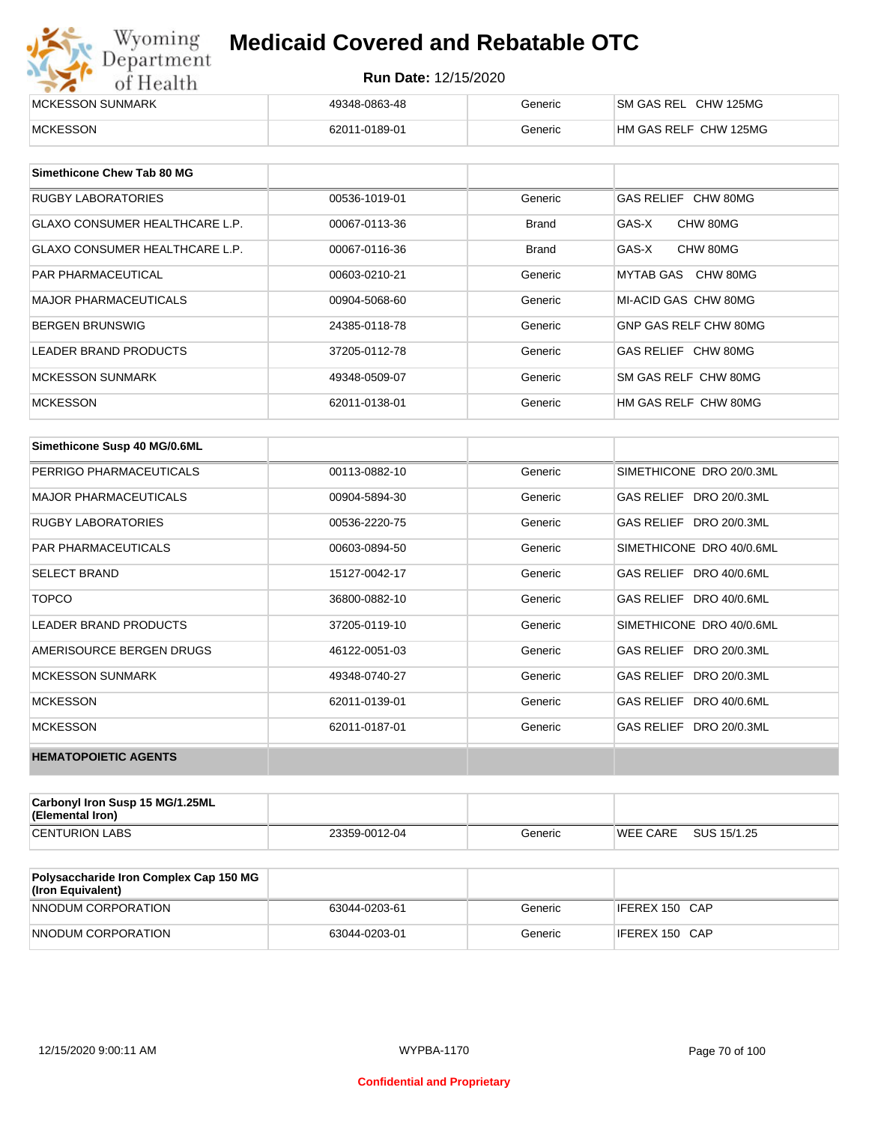# Wyoming<br>Department<br>of Health

## **Medicaid Covered and Rebatable OTC**

| <b>IMCKESSON SUNMARK</b> | 49348-0863-48 | Generic | ISM GAS REL CHW 125MG |
|--------------------------|---------------|---------|-----------------------|
| MCKESSON                 | 62011-0189-01 | Generic | HM GAS RELF CHW 125MG |

| Simethicone Chew Tab 80 MG            |               |              |                       |
|---------------------------------------|---------------|--------------|-----------------------|
| RUGBY LABORATORIES                    | 00536-1019-01 | Generic      | GAS RELIEF CHW 80MG   |
| GLAXO CONSUMER HEALTHCARE L.P.        | 00067-0113-36 | <b>Brand</b> | GAS-X<br>CHW 80MG     |
| <b>GLAXO CONSUMER HEALTHCARE L.P.</b> | 00067-0116-36 | <b>Brand</b> | CHW 80MG<br>GAS-X     |
| <b>PAR PHARMACEUTICAL</b>             | 00603-0210-21 | Generic      | CHW 80MG<br>MYTAB GAS |
| <b>MAJOR PHARMACEUTICALS</b>          | 00904-5068-60 | Generic      | MI-ACID GAS CHW 80MG  |
| BERGEN BRUNSWIG                       | 24385-0118-78 | Generic      | GNP GAS RELF CHW 80MG |
| LEADER BRAND PRODUCTS                 | 37205-0112-78 | Generic      | GAS RELIEF CHW 80MG   |
| <b>MCKESSON SUNMARK</b>               | 49348-0509-07 | Generic      | SM GAS RELF CHW 80MG  |
| <b>MCKESSON</b>                       | 62011-0138-01 | Generic      | HM GAS RELF CHW 80MG  |

| Simethicone Susp 40 MG/0.6ML |               |         |                          |
|------------------------------|---------------|---------|--------------------------|
| PERRIGO PHARMACEUTICALS      | 00113-0882-10 | Generic | SIMETHICONE DRO 20/0.3ML |
| <b>MAJOR PHARMACEUTICALS</b> | 00904-5894-30 | Generic | GAS RELIEF DRO 20/0.3ML  |
| <b>RUGBY LABORATORIES</b>    | 00536-2220-75 | Generic | GAS RELIEF DRO 20/0.3ML  |
| <b>PAR PHARMACEUTICALS</b>   | 00603-0894-50 | Generic | SIMETHICONE DRO 40/0.6ML |
| <b>SELECT BRAND</b>          | 15127-0042-17 | Generic | GAS RELIEF DRO 40/0.6ML  |
| <b>TOPCO</b>                 | 36800-0882-10 | Generic | GAS RELIEF DRO 40/0.6ML  |
| <b>LEADER BRAND PRODUCTS</b> | 37205-0119-10 | Generic | SIMETHICONE DRO 40/0.6ML |
| AMERISOURCE BERGEN DRUGS     | 46122-0051-03 | Generic | GAS RELIEF DRO 20/0.3ML  |
| <b>MCKESSON SUNMARK</b>      | 49348-0740-27 | Generic | GAS RELIEF DRO 20/0.3ML  |
| <b>MCKESSON</b>              | 62011-0139-01 | Generic | GAS RELIEF DRO 40/0.6ML  |
| <b>MCKESSON</b>              | 62011-0187-01 | Generic | GAS RELIEF DRO 20/0.3ML  |
| <b>HEMATOPOIETIC AGENTS</b>  |               |         |                          |

| <b>Carbonyl Iron Susp 15 MG/1.25ML</b><br>(Elemental Iron) |               |         |                 |             |
|------------------------------------------------------------|---------------|---------|-----------------|-------------|
| <b>CENTURION LABS</b>                                      | 23359-0012-04 | Generic | <b>WEE CARE</b> | SUS 15/1.25 |

| <b>Polysaccharide Iron Complex Cap 150 MG</b><br>(Iron Equivalent) |               |         |                |
|--------------------------------------------------------------------|---------------|---------|----------------|
| NNODUM CORPORATION                                                 | 63044-0203-61 | Generic | IFEREX 150 CAP |
| NNODUM CORPORATION                                                 | 63044-0203-01 | Generic | IFEREX 150 CAP |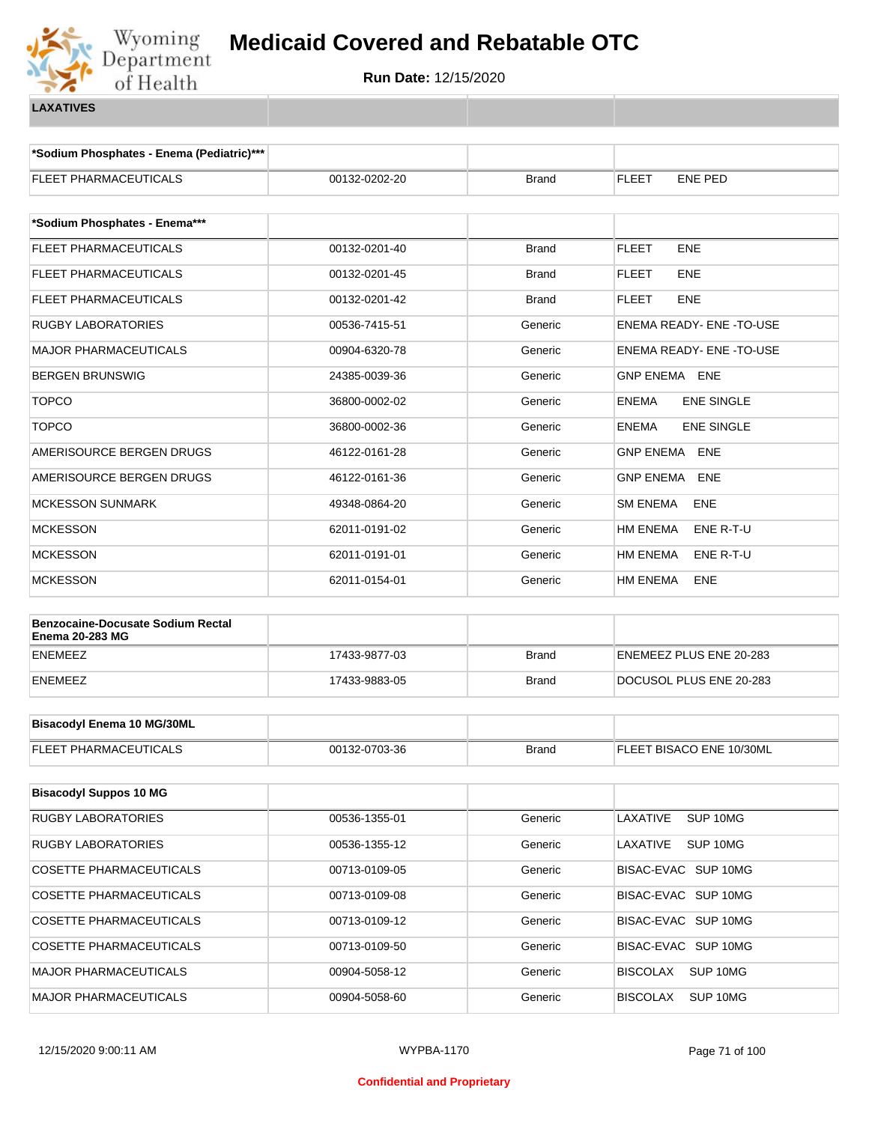

**\*Sodium Phosphates - Enema (Pediatric)\*\*\***

| FLEET PHARMACEUTICALS                                              | 00132-0202-20 | <b>Brand</b> | <b>FLEET</b><br><b>ENE PED</b>         |  |  |
|--------------------------------------------------------------------|---------------|--------------|----------------------------------------|--|--|
| *Sodium Phosphates - Enema***                                      |               |              |                                        |  |  |
| <b>FLEET PHARMACEUTICALS</b>                                       | 00132-0201-40 | <b>Brand</b> | <b>FLEET</b><br><b>ENE</b>             |  |  |
| FLEET PHARMACEUTICALS                                              | 00132-0201-45 | <b>Brand</b> | <b>FLEET</b><br><b>ENE</b>             |  |  |
| FLEET PHARMACEUTICALS                                              | 00132-0201-42 | <b>Brand</b> | <b>FLEET</b><br><b>ENE</b>             |  |  |
| <b>RUGBY LABORATORIES</b>                                          | 00536-7415-51 | Generic      | ENEMA READY- ENE -TO-USE               |  |  |
| <b>MAJOR PHARMACEUTICALS</b>                                       | 00904-6320-78 | Generic      | ENEMA READY- ENE -TO-USE               |  |  |
| <b>BERGEN BRUNSWIG</b>                                             | 24385-0039-36 | Generic      | GNP ENEMA ENE                          |  |  |
| <b>TOPCO</b>                                                       | 36800-0002-02 | Generic      | <b>ENEMA</b><br><b>ENE SINGLE</b>      |  |  |
| <b>TOPCO</b>                                                       | 36800-0002-36 | Generic      | <b>ENEMA</b><br><b>ENE SINGLE</b>      |  |  |
| AMERISOURCE BERGEN DRUGS                                           | 46122-0161-28 | Generic      | GNP ENEMA ENE                          |  |  |
| AMERISOURCE BERGEN DRUGS                                           | 46122-0161-36 | Generic      | <b>GNP ENEMA</b><br><b>ENE</b>         |  |  |
| <b>MCKESSON SUNMARK</b>                                            | 49348-0864-20 | Generic      | <b>SM ENEMA</b><br><b>ENE</b>          |  |  |
| <b>MCKESSON</b>                                                    | 62011-0191-02 | Generic      | HM ENEMA<br>ENE R-T-U                  |  |  |
| <b>MCKESSON</b>                                                    | 62011-0191-01 | Generic      | HM ENEMA<br>ENE R-T-U                  |  |  |
| <b>MCKESSON</b>                                                    | 62011-0154-01 | Generic      | HM ENEMA<br>ENE                        |  |  |
| <b>Benzocaine-Docusate Sodium Rectal</b><br><b>Enema 20-283 MG</b> |               |              |                                        |  |  |
| <b>ENEMEEZ</b>                                                     | 17433-9877-03 | <b>Brand</b> | ENEMEEZ PLUS ENE 20-283                |  |  |
| ENEMEEZ                                                            | 17433-9883-05 | <b>Brand</b> | DOCUSOL PLUS ENE 20-283                |  |  |
|                                                                    |               |              |                                        |  |  |
| <b>Bisacodyl Enema 10 MG/30ML</b>                                  |               |              |                                        |  |  |
| FLEET PHARMACEUTICALS                                              | 00132-0703-36 | <b>Brand</b> | FLEET BISACO ENE 10/30ML               |  |  |
| <b>Bisacodyl Suppos 10 MG</b>                                      |               |              |                                        |  |  |
| RUGBY LABORATORIES                                                 | 00536-1355-01 | Generic      | LAXATIVE<br>SUP 10MG                   |  |  |
| RUGBY LABORATORIES                                                 | 00536-1355-12 | Generic      | LAXATIVE<br>SUP <sub>10MG</sub>        |  |  |
| <b>COSETTE PHARMACEUTICALS</b>                                     | 00713-0109-05 | Generic      | BISAC-EVAC SUP 10MG                    |  |  |
| <b>COSETTE PHARMACEUTICALS</b>                                     | 00713-0109-08 | Generic      | BISAC-EVAC SUP 10MG                    |  |  |
| <b>COSETTE PHARMACEUTICALS</b>                                     | 00713-0109-12 | Generic      | BISAC-EVAC SUP 10MG                    |  |  |
| COSETTE PHARMACEUTICALS                                            | 00713-0109-50 | Generic      | BISAC-EVAC SUP 10MG                    |  |  |
| <b>MAJOR PHARMACEUTICALS</b>                                       | 00904-5058-12 | Generic      | <b>BISCOLAX</b><br>SUP <sub>10MG</sub> |  |  |
| <b>MAJOR PHARMACEUTICALS</b>                                       | 00904-5058-60 | Generic      | <b>BISCOLAX</b><br>SUP 10MG            |  |  |
|                                                                    |               |              |                                        |  |  |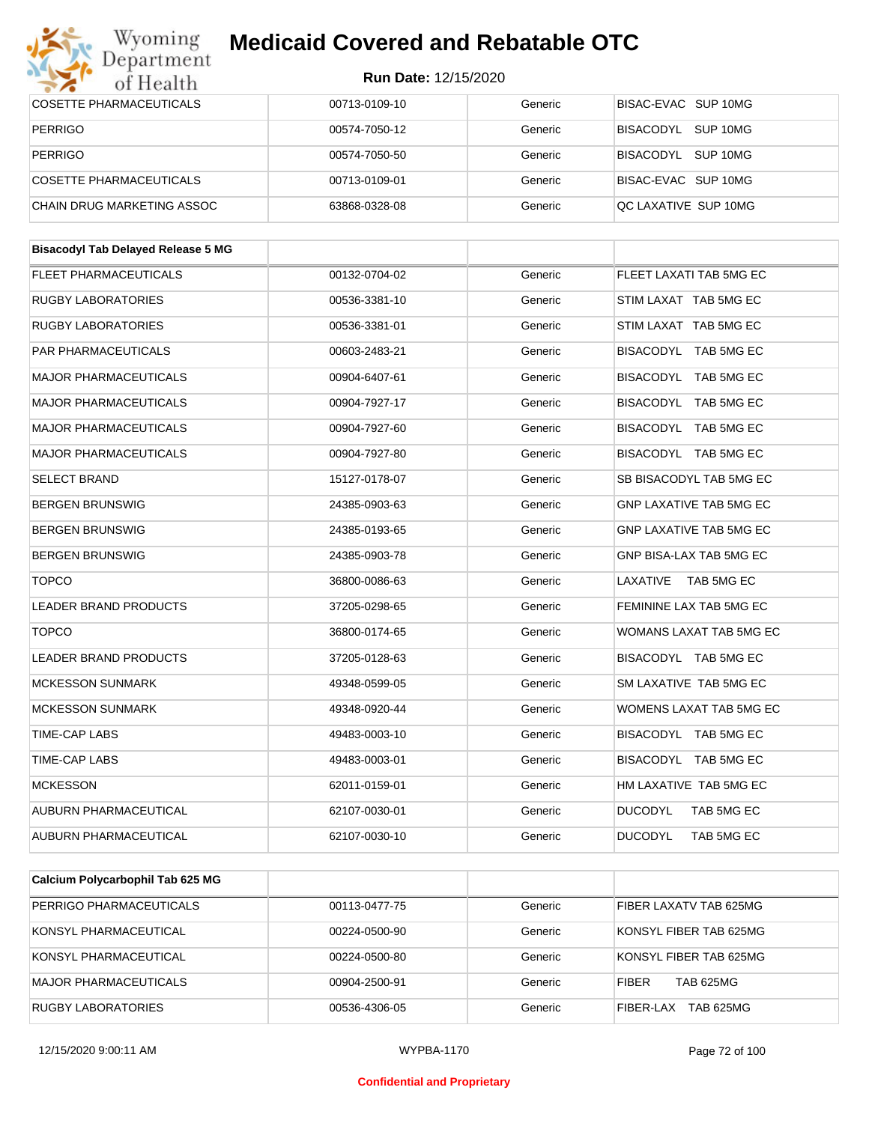#### Wyoming<br>Department **Medicaid Covered and Rebatable OTC**



| of Health                                 | <b>Run Date: 12/15/2020</b> |         |                              |
|-------------------------------------------|-----------------------------|---------|------------------------------|
| <b>COSETTE PHARMACEUTICALS</b>            | 00713-0109-10               | Generic | BISAC-EVAC SUP 10MG          |
| <b>PERRIGO</b>                            | 00574-7050-12               | Generic | BISACODYL SUP 10MG           |
| <b>PERRIGO</b>                            | 00574-7050-50               | Generic | BISACODYL SUP 10MG           |
| COSETTE PHARMACEUTICALS                   | 00713-0109-01               | Generic | BISAC-EVAC SUP 10MG          |
| CHAIN DRUG MARKETING ASSOC                | 63868-0328-08               | Generic | QC LAXATIVE SUP 10MG         |
| <b>Bisacodyl Tab Delayed Release 5 MG</b> |                             |         |                              |
| FLEET PHARMACEUTICALS                     | 00132-0704-02               | Generic | FLEET LAXATI TAB 5MG EC      |
| <b>RUGBY LABORATORIES</b>                 | 00536-3381-10               | Generic | STIM LAXAT TAB 5MG EC        |
| <b>RUGBY LABORATORIES</b>                 | 00536-3381-01               | Generic | STIM LAXAT TAB 5MG EC        |
| PAR PHARMACEUTICALS                       | 00603-2483-21               | Generic | BISACODYL TAB 5MG EC         |
| <b>MAJOR PHARMACEUTICALS</b>              | 00904-6407-61               | Generic | BISACODYL TAB 5MG EC         |
| <b>MAJOR PHARMACEUTICALS</b>              | 00904-7927-17               | Generic | BISACODYL TAB 5MG EC         |
| <b>MAJOR PHARMACEUTICALS</b>              | 00904-7927-60               | Generic | BISACODYL TAB 5MG EC         |
| <b>MAJOR PHARMACEUTICALS</b>              | 00904-7927-80               | Generic | BISACODYL TAB 5MG EC         |
| <b>SELECT BRAND</b>                       | 15127-0178-07               | Generic | SB BISACODYL TAB 5MG EC      |
| <b>BERGEN BRUNSWIG</b>                    | 24385-0903-63               | Generic | GNP LAXATIVE TAB 5MG EC      |
| <b>BERGEN BRUNSWIG</b>                    | 24385-0193-65               | Generic | GNP LAXATIVE TAB 5MG EC      |
| <b>BERGEN BRUNSWIG</b>                    | 24385-0903-78               | Generic | GNP BISA-LAX TAB 5MG EC      |
| <b>TOPCO</b>                              | 36800-0086-63               | Generic | LAXATIVE<br>TAB 5MG EC       |
| LEADER BRAND PRODUCTS                     | 37205-0298-65               | Generic | FEMININE LAX TAB 5MG EC      |
| <b>TOPCO</b>                              | 36800-0174-65               | Generic | WOMANS LAXAT TAB 5MG EC      |
| LEADER BRAND PRODUCTS                     | 37205-0128-63               | Generic | BISACODYL TAB 5MG EC         |
| <b>MCKESSON SUNMARK</b>                   | 49348-0599-05               | Generic | SM LAXATIVE TAB 5MG EC       |
| MCKESSON SUNMARK                          | 49348-0920-44               | Generic | WOMENS LAXAT TAB 5MG EC      |
| TIME-CAP LABS                             | 49483-0003-10               | Generic | BISACODYL TAB 5MG EC         |
| TIME-CAP LABS                             | 49483-0003-01               | Generic | BISACODYL TAB 5MG EC         |
| <b>MCKESSON</b>                           | 62011-0159-01               | Generic | HM LAXATIVE TAB 5MG EC       |
| AUBURN PHARMACEUTICAL                     | 62107-0030-01               | Generic | <b>DUCODYL</b><br>TAB 5MG EC |
| AUBURN PHARMACEUTICAL                     | 62107-0030-10               | Generic | <b>DUCODYL</b><br>TAB 5MG EC |
|                                           |                             |         |                              |

| Calcium Polycarbophil Tab 625 MG |               |         |                                  |
|----------------------------------|---------------|---------|----------------------------------|
| PERRIGO PHARMACEUTICALS          | 00113-0477-75 | Generic | FIBER LAXATV TAB 625MG           |
| KONSYL PHARMACEUTICAL            | 00224-0500-90 | Generic | KONSYL FIBER TAB 625MG           |
| KONSYL PHARMACEUTICAL            | 00224-0500-80 | Generic | KONSYL FIBER TAB 625MG           |
| <b>MAJOR PHARMACEUTICALS</b>     | 00904-2500-91 | Generic | <b>TAB 625MG</b><br><b>FIBER</b> |
| RUGBY LABORATORIES               | 00536-4306-05 | Generic | FIBER-LAX<br><b>TAB 625MG</b>    |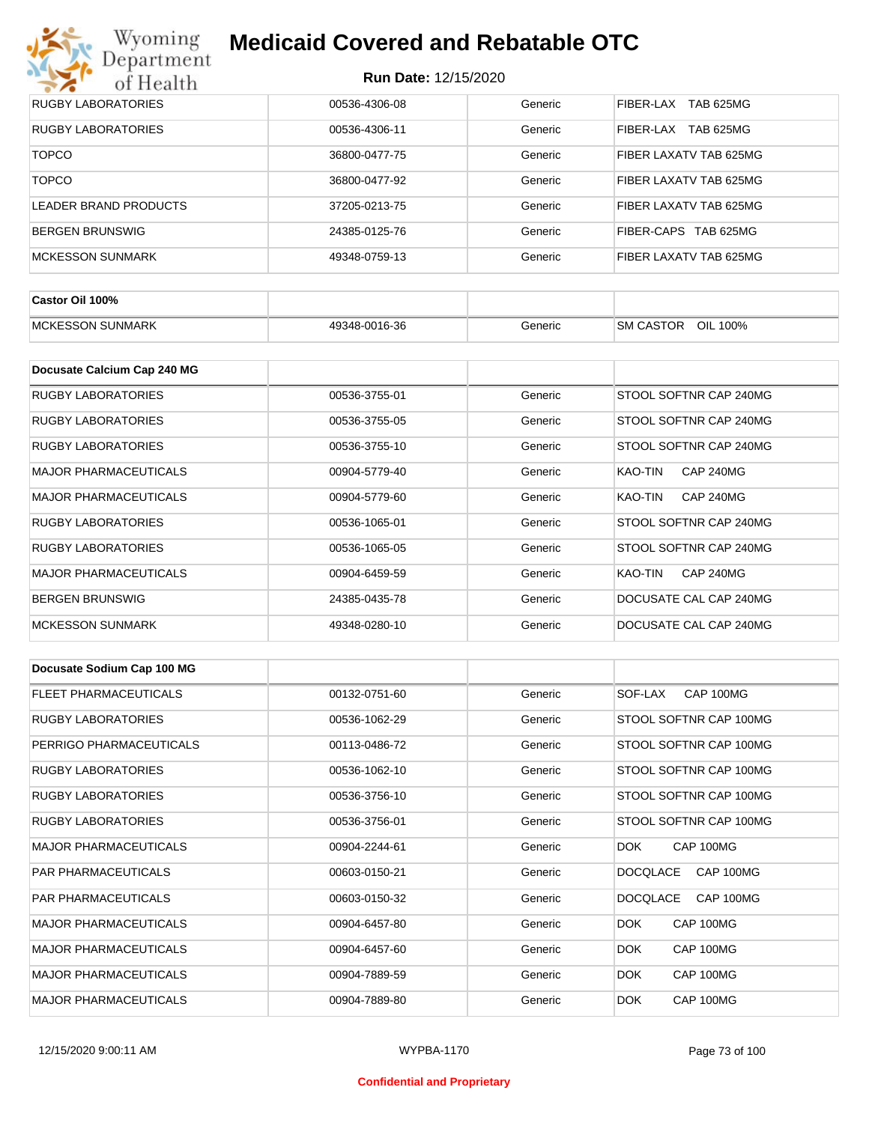

| RUGBY LABORATORIES     | 00536-4306-08 | Generic | TAB 625MG<br>FIBER-LAX        |
|------------------------|---------------|---------|-------------------------------|
| RUGBY LABORATORIES     | 00536-4306-11 | Generic | <b>TAB 625MG</b><br>FIBER-LAX |
| <b>TOPCO</b>           | 36800-0477-75 | Generic | FIBER LAXATV TAB 625MG        |
| <b>TOPCO</b>           | 36800-0477-92 | Generic | FIBER LAXATV TAB 625MG        |
| LEADER BRAND PRODUCTS  | 37205-0213-75 | Generic | FIBER LAXATV TAB 625MG        |
| <b>BERGEN BRUNSWIG</b> | 24385-0125-76 | Generic | FIBER-CAPS TAB 625MG          |
| MCKESSON SUNMARK       | 49348-0759-13 | Generic | FIBER LAXATV TAB 625MG        |

| Castor Oil 100%         |               |         |                                 |
|-------------------------|---------------|---------|---------------------------------|
| <b>MCKESSON SUNMARK</b> | 49348-0016-36 | Beneric | OIL<br><b>SM CASTOR</b><br>100% |

| Docusate Calcium Cap 240 MG  |               |         |                             |
|------------------------------|---------------|---------|-----------------------------|
| <b>RUGBY LABORATORIES</b>    | 00536-3755-01 | Generic | STOOL SOFTNR CAP 240MG      |
| <b>RUGBY LABORATORIES</b>    | 00536-3755-05 | Generic | STOOL SOFTNR CAP 240MG      |
| <b>RUGBY LABORATORIES</b>    | 00536-3755-10 | Generic | STOOL SOFTNR CAP 240MG      |
| <b>MAJOR PHARMACEUTICALS</b> | 00904-5779-40 | Generic | KAO-TIN<br><b>CAP 240MG</b> |
| <b>MAJOR PHARMACEUTICALS</b> | 00904-5779-60 | Generic | <b>CAP 240MG</b><br>KAO-TIN |
| <b>RUGBY LABORATORIES</b>    | 00536-1065-01 | Generic | STOOL SOFTNR CAP 240MG      |
| <b>RUGBY LABORATORIES</b>    | 00536-1065-05 | Generic | STOOL SOFTNR CAP 240MG      |
| <b>MAJOR PHARMACEUTICALS</b> | 00904-6459-59 | Generic | <b>CAP 240MG</b><br>KAO-TIN |
| <b>BERGEN BRUNSWIG</b>       | 24385-0435-78 | Generic | DOCUSATE CAL CAP 240MG      |
| <b>MCKESSON SUNMARK</b>      | 49348-0280-10 | Generic | DOCUSATE CAL CAP 240MG      |

| Docusate Sodium Cap 100 MG   |               |         |                              |
|------------------------------|---------------|---------|------------------------------|
| <b>FLEET PHARMACEUTICALS</b> | 00132-0751-60 | Generic | CAP 100MG<br>SOF-LAX         |
| <b>RUGBY LABORATORIES</b>    | 00536-1062-29 | Generic | STOOL SOFTNR CAP 100MG       |
| PERRIGO PHARMACEUTICALS      | 00113-0486-72 | Generic | STOOL SOFTNR CAP 100MG       |
| <b>RUGBY LABORATORIES</b>    | 00536-1062-10 | Generic | STOOL SOFTNR CAP 100MG       |
| <b>RUGBY LABORATORIES</b>    | 00536-3756-10 | Generic | STOOL SOFTNR CAP 100MG       |
| <b>RUGBY LABORATORIES</b>    | 00536-3756-01 | Generic | STOOL SOFTNR CAP 100MG       |
| <b>MAJOR PHARMACEUTICALS</b> | 00904-2244-61 | Generic | CAP 100MG<br>DOK.            |
| <b>PAR PHARMACEUTICALS</b>   | 00603-0150-21 | Generic | CAP 100MG<br><b>DOCQLACE</b> |
| <b>PAR PHARMACEUTICALS</b>   | 00603-0150-32 | Generic | <b>DOCQLACE</b><br>CAP 100MG |
| <b>MAJOR PHARMACEUTICALS</b> | 00904-6457-80 | Generic | DOK.<br>CAP 100MG            |
| <b>MAJOR PHARMACEUTICALS</b> | 00904-6457-60 | Generic | DOK.<br>CAP 100MG            |
| <b>MAJOR PHARMACEUTICALS</b> | 00904-7889-59 | Generic | <b>DOK</b><br>CAP 100MG      |
| <b>MAJOR PHARMACEUTICALS</b> | 00904-7889-80 | Generic | DOK.<br>CAP 100MG            |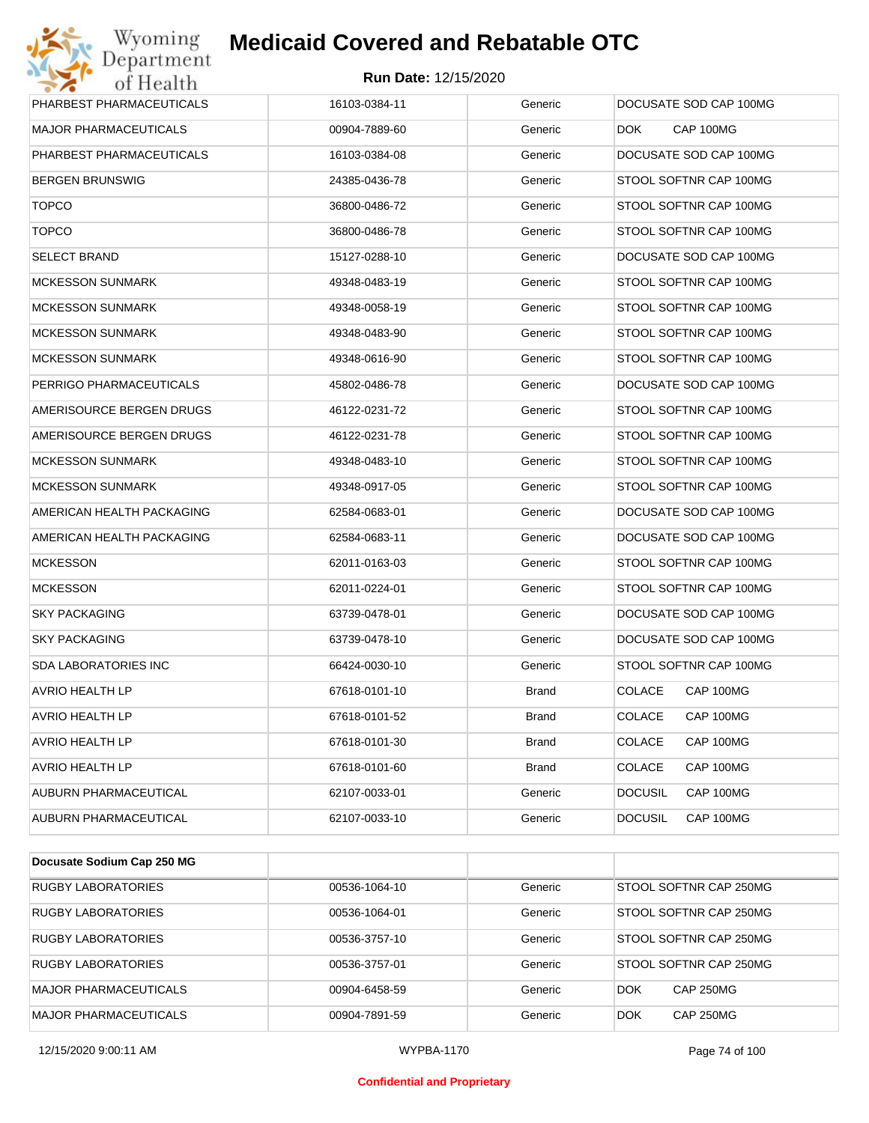

| CAP 100MG<br><b>MAJOR PHARMACEUTICALS</b><br>00904-7889-60<br>Generic<br>DOK.<br>PHARBEST PHARMACEUTICALS<br>DOCUSATE SOD CAP 100MG<br>16103-0384-08<br>Generic<br><b>BERGEN BRUNSWIG</b><br>24385-0436-78<br>Generic<br>STOOL SOFTNR CAP 100MG<br><b>TOPCO</b><br>36800-0486-72<br>Generic<br>STOOL SOFTNR CAP 100MG |
|-----------------------------------------------------------------------------------------------------------------------------------------------------------------------------------------------------------------------------------------------------------------------------------------------------------------------|
|                                                                                                                                                                                                                                                                                                                       |
|                                                                                                                                                                                                                                                                                                                       |
|                                                                                                                                                                                                                                                                                                                       |
|                                                                                                                                                                                                                                                                                                                       |
| <b>TOPCO</b><br>36800-0486-78<br>Generic<br>STOOL SOFTNR CAP 100MG                                                                                                                                                                                                                                                    |
| <b>SELECT BRAND</b><br>15127-0288-10<br>Generic<br>DOCUSATE SOD CAP 100MG                                                                                                                                                                                                                                             |
| <b>MCKESSON SUNMARK</b><br>49348-0483-19<br>Generic<br>STOOL SOFTNR CAP 100MG                                                                                                                                                                                                                                         |
| <b>MCKESSON SUNMARK</b><br>49348-0058-19<br>Generic<br>STOOL SOFTNR CAP 100MG                                                                                                                                                                                                                                         |
| <b>MCKESSON SUNMARK</b><br>49348-0483-90<br>Generic<br>STOOL SOFTNR CAP 100MG                                                                                                                                                                                                                                         |
| <b>MCKESSON SUNMARK</b><br>49348-0616-90<br>Generic<br>STOOL SOFTNR CAP 100MG                                                                                                                                                                                                                                         |
| PERRIGO PHARMACEUTICALS<br>45802-0486-78<br>Generic<br>DOCUSATE SOD CAP 100MG                                                                                                                                                                                                                                         |
| AMERISOURCE BERGEN DRUGS<br>46122-0231-72<br>Generic<br>STOOL SOFTNR CAP 100MG                                                                                                                                                                                                                                        |
| AMERISOURCE BERGEN DRUGS<br>46122-0231-78<br>Generic<br>STOOL SOFTNR CAP 100MG                                                                                                                                                                                                                                        |
| <b>MCKESSON SUNMARK</b><br>49348-0483-10<br>Generic<br>STOOL SOFTNR CAP 100MG                                                                                                                                                                                                                                         |
| <b>MCKESSON SUNMARK</b><br>Generic<br>STOOL SOFTNR CAP 100MG<br>49348-0917-05                                                                                                                                                                                                                                         |
| AMERICAN HEALTH PACKAGING<br>62584-0683-01<br>Generic<br>DOCUSATE SOD CAP 100MG                                                                                                                                                                                                                                       |
| AMERICAN HEALTH PACKAGING<br>62584-0683-11<br>Generic<br>DOCUSATE SOD CAP 100MG                                                                                                                                                                                                                                       |
| <b>MCKESSON</b><br>Generic<br>STOOL SOFTNR CAP 100MG<br>62011-0163-03                                                                                                                                                                                                                                                 |
| <b>MCKESSON</b><br>62011-0224-01<br>Generic<br>STOOL SOFTNR CAP 100MG                                                                                                                                                                                                                                                 |
| <b>SKY PACKAGING</b><br>63739-0478-01<br>Generic<br>DOCUSATE SOD CAP 100MG                                                                                                                                                                                                                                            |
| <b>SKY PACKAGING</b><br>63739-0478-10<br>Generic<br>DOCUSATE SOD CAP 100MG                                                                                                                                                                                                                                            |
| <b>SDA LABORATORIES INC</b><br>66424-0030-10<br>Generic<br>STOOL SOFTNR CAP 100MG                                                                                                                                                                                                                                     |
| AVRIO HEALTH LP<br>67618-0101-10<br><b>Brand</b><br><b>COLACE</b><br>CAP 100MG                                                                                                                                                                                                                                        |
| CAP 100MG<br>AVRIO HEALTH LP<br>67618-0101-52<br><b>Brand</b><br>COLACE                                                                                                                                                                                                                                               |
| <b>AVRIO HEALTH LP</b><br><b>COLACE</b><br>CAP 100MG<br>67618-0101-30<br>Brand                                                                                                                                                                                                                                        |
| <b>COLACE</b><br><b>AVRIO HEALTH LP</b><br>67618-0101-60<br><b>Brand</b><br>CAP 100MG                                                                                                                                                                                                                                 |
| AUBURN PHARMACEUTICAL<br><b>DOCUSIL</b><br>CAP 100MG<br>62107-0033-01<br>Generic                                                                                                                                                                                                                                      |
| AUBURN PHARMACEUTICAL<br>Generic<br><b>DOCUSIL</b><br>CAP 100MG<br>62107-0033-10                                                                                                                                                                                                                                      |

| Docusate Sodium Cap 250 MG   |               |         |                                |
|------------------------------|---------------|---------|--------------------------------|
| <b>RUGBY LABORATORIES</b>    | 00536-1064-10 | Generic | STOOL SOFTNR CAP 250MG         |
| RUGBY LABORATORIES           | 00536-1064-01 | Generic | STOOL SOFTNR CAP 250MG         |
| <b>RUGBY LABORATORIES</b>    | 00536-3757-10 | Generic | STOOL SOFTNR CAP 250MG         |
| RUGBY LABORATORIES           | 00536-3757-01 | Generic | STOOL SOFTNR CAP 250MG         |
| <b>MAJOR PHARMACEUTICALS</b> | 00904-6458-59 | Generic | <b>DOK</b><br><b>CAP 250MG</b> |
| MAJOR PHARMACEUTICALS        | 00904-7891-59 | Generic | <b>DOK</b><br><b>CAP 250MG</b> |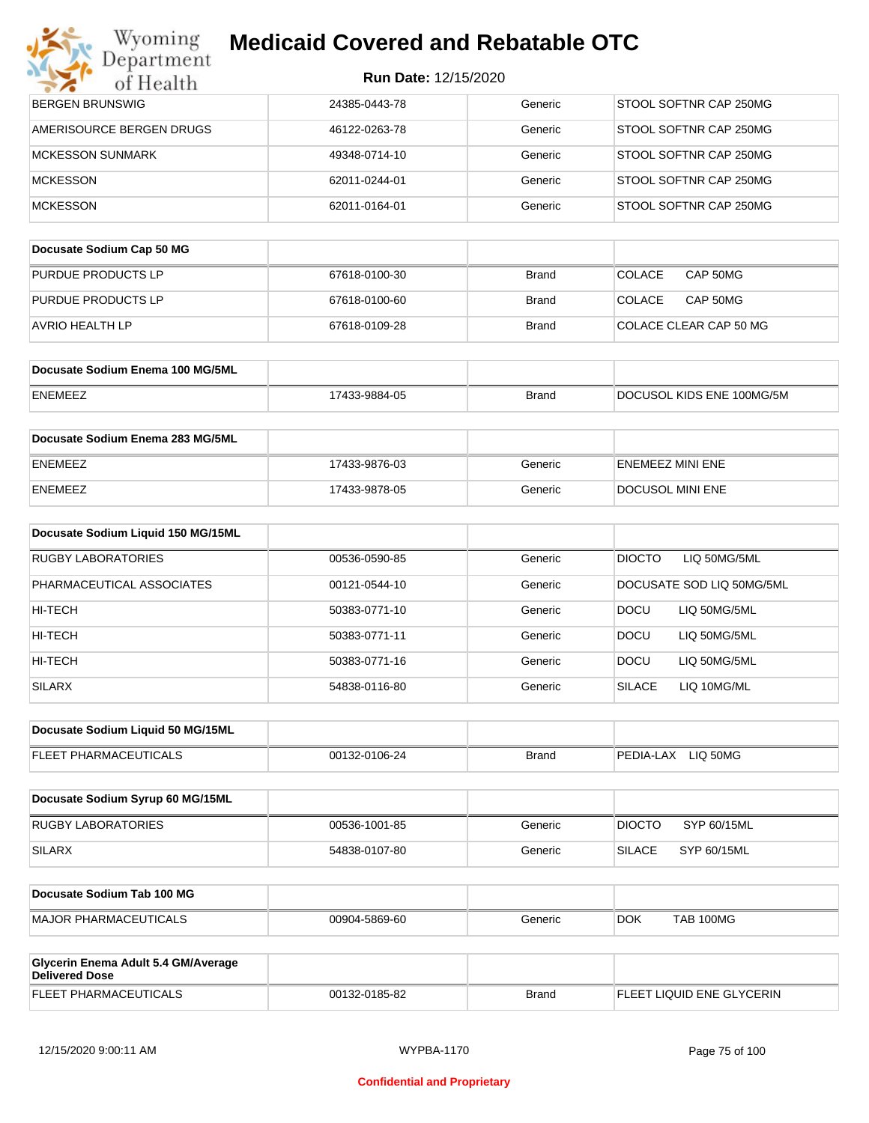| Wyoming                          | <b>Medicaid Covered and Rebatable OTC</b> |              |                           |
|----------------------------------|-------------------------------------------|--------------|---------------------------|
| Department<br>of Health          | <b>Run Date: 12/15/2020</b>               |              |                           |
| <b>BERGEN BRUNSWIG</b>           | 24385-0443-78                             | Generic      | STOOL SOFTNR CAP 250MG    |
| AMERISOURCE BERGEN DRUGS         | 46122-0263-78                             | Generic      | STOOL SOFTNR CAP 250MG    |
| <b>MCKESSON SUNMARK</b>          | 49348-0714-10                             | Generic      | STOOL SOFTNR CAP 250MG    |
| <b>MCKESSON</b>                  | 62011-0244-01                             | Generic      | STOOL SOFTNR CAP 250MG    |
| <b>MCKESSON</b>                  | 62011-0164-01                             | Generic      | STOOL SOFTNR CAP 250MG    |
| Docusate Sodium Cap 50 MG        |                                           |              |                           |
| PURDUE PRODUCTS LP               | 67618-0100-30                             | <b>Brand</b> | <b>COLACE</b><br>CAP 50MG |
| PURDUE PRODUCTS LP               | 67618-0100-60                             | <b>Brand</b> | <b>COLACE</b><br>CAP 50MG |
| <b>AVRIO HEALTH LP</b>           | 67618-0109-28                             | <b>Brand</b> | COLACE CLEAR CAP 50 MG    |
| Docusate Sodium Enema 100 MG/5ML |                                           |              |                           |

| <b>ENEMEEZ</b> | 3-9884-05 | Brand | DOCUSOL KIDS ENE 100MG/5M |
|----------------|-----------|-------|---------------------------|

| Docusate Sodium Enema 283 MG/5ML |               |         |                         |
|----------------------------------|---------------|---------|-------------------------|
| <b>ENEMEEZ</b>                   | 17433-9876-03 | Generic | ENEMEEZ MINI ENE        |
| <b>ENEMEEZ</b>                   | 17433-9878-05 | Generic | <b>DOCUSOL MINI ENE</b> |

| Docusate Sodium Liquid 150 MG/15ML |               |         |                               |
|------------------------------------|---------------|---------|-------------------------------|
| RUGBY LABORATORIES                 | 00536-0590-85 | Generic | <b>DIOCTO</b><br>LIQ 50MG/5ML |
| PHARMACEUTICAL ASSOCIATES          | 00121-0544-10 | Generic | DOCUSATE SOD LIQ 50MG/5ML     |
| HI-TECH                            | 50383-0771-10 | Generic | LIO 50MG/5ML<br><b>DOCU</b>   |
| HI-TECH                            | 50383-0771-11 | Generic | <b>DOCU</b><br>LIQ 50MG/5ML   |
| HI-TECH                            | 50383-0771-16 | Generic | LIQ 50MG/5ML<br><b>DOCU</b>   |
| <b>SILARX</b>                      | 54838-0116-80 | Generic | <b>SILACE</b><br>LIQ 10MG/ML  |

| Docusate Sodium Liquid 50 MG/15ML |               |       |                       |
|-----------------------------------|---------------|-------|-----------------------|
| <b>FLEET PHARMACEUTICALS</b>      | 00132-0106-24 | Brand | LIQ 50MG<br>PEDIA-LAX |

| Docusate Sodium Syrup 60 MG/15ML |               |         |               |             |
|----------------------------------|---------------|---------|---------------|-------------|
| RUGBY LABORATORIES               | 00536-1001-85 | Generic | <b>DIOCTO</b> | SYP 60/15ML |
| SILARX                           | 54838-0107-80 | Generic | 'SILACE-      | SYP 60/15ML |

| Docusate Sodium Tab 100 MG    |               |         |            |           |
|-------------------------------|---------------|---------|------------|-----------|
| <b>IMAJOR PHARMACEUTICALS</b> | 00904-5869-60 | Generic | <b>DOK</b> | TAB 100MG |
|                               |               |         |            |           |

| Glycerin Enema Adult 5.4 GM/Average<br>Delivered Dose |               |              |                           |
|-------------------------------------------------------|---------------|--------------|---------------------------|
| <b>FLEET PHARMACEUTICALS</b>                          | 00132-0185-82 | <b>Brand</b> | FLEET LIQUID ENE GLYCERIN |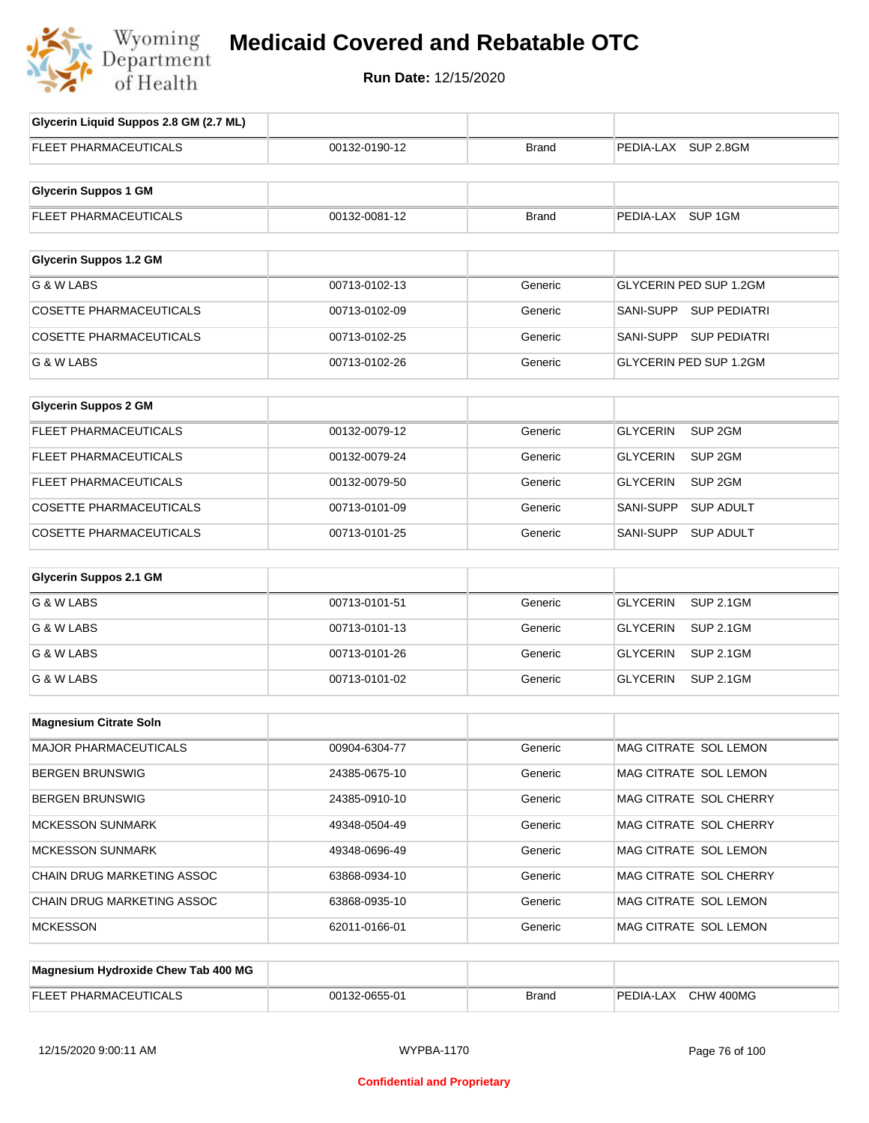

# **Medicaid Covered and Rebatable OTC**

**Run Date:** 12/15/2020

| Glycerin Liquid Suppos 2.8 GM (2.7 ML) |               |              |                                       |
|----------------------------------------|---------------|--------------|---------------------------------------|
| <b>FLEET PHARMACEUTICALS</b>           | 00132-0190-12 | <b>Brand</b> | PEDIA-LAX SUP 2.8GM                   |
| <b>Glycerin Suppos 1 GM</b>            |               |              |                                       |
| FLEET PHARMACEUTICALS                  | 00132-0081-12 | <b>Brand</b> | PEDIA-LAX SUP 1GM                     |
|                                        |               |              |                                       |
| <b>Glycerin Suppos 1.2 GM</b>          |               |              |                                       |
| G & W LABS                             | 00713-0102-13 | Generic      | <b>GLYCERIN PED SUP 1.2GM</b>         |
| <b>COSETTE PHARMACEUTICALS</b>         | 00713-0102-09 | Generic      | SANI-SUPP SUP PEDIATRI                |
| <b>COSETTE PHARMACEUTICALS</b>         | 00713-0102-25 | Generic      | SANI-SUPP SUP PEDIATRI                |
| G & W LABS                             | 00713-0102-26 | Generic      | GLYCERIN PED SUP 1.2GM                |
|                                        |               |              |                                       |
| <b>Glycerin Suppos 2 GM</b>            |               |              |                                       |
| FLEET PHARMACEUTICALS                  | 00132-0079-12 | Generic      | SUP <sub>2GM</sub><br><b>GLYCERIN</b> |
| <b>FLEET PHARMACEUTICALS</b>           | 00132-0079-24 | Generic      | <b>GLYCERIN</b><br>SUP <sub>2GM</sub> |
| FLEET PHARMACEUTICALS                  | 00132-0079-50 | Generic      | <b>GLYCERIN</b><br>SUP <sub>2GM</sub> |
| <b>COSETTE PHARMACEUTICALS</b>         | 00713-0101-09 | Generic      | SANI-SUPP<br><b>SUP ADULT</b>         |
| <b>COSETTE PHARMACEUTICALS</b>         | 00713-0101-25 | Generic      | SANI-SUPP<br><b>SUP ADULT</b>         |
| <b>Glycerin Suppos 2.1 GM</b>          |               |              |                                       |
| G & W LABS                             | 00713-0101-51 | Generic      | <b>GLYCERIN</b><br><b>SUP 2.1GM</b>   |
| G & W LABS                             | 00713-0101-13 | Generic      | <b>GLYCERIN</b><br><b>SUP 2.1GM</b>   |
| G & W LABS                             | 00713-0101-26 | Generic      | <b>GLYCERIN</b><br><b>SUP 2.1GM</b>   |
| G & W LABS                             | 00713-0101-02 | Generic      | <b>GLYCERIN</b><br><b>SUP 2.1GM</b>   |
|                                        |               |              |                                       |
| <b>Magnesium Citrate Soln</b>          |               |              |                                       |
| MAJOR PHARMACEUTICALS                  | 00904-6304-77 | Generic      | MAG CITRATE SOL LEMON                 |
| <b>BERGEN BRUNSWIG</b>                 | 24385-0675-10 | Generic      | MAG CITRATE SOL LEMON                 |
| <b>BERGEN BRUNSWIG</b>                 | 24385-0910-10 | Generic      | MAG CITRATE SOL CHERRY                |
| <b>MCKESSON SUNMARK</b>                | 49348-0504-49 | Generic      | MAG CITRATE SOL CHERRY                |
| <b>MCKESSON SUNMARK</b>                | 49348-0696-49 | Generic      | MAG CITRATE SOL LEMON                 |
| CHAIN DRUG MARKETING ASSOC             | 63868-0934-10 | Generic      | MAG CITRATE SOL CHERRY                |
| CHAIN DRUG MARKETING ASSOC             | 63868-0935-10 | Generic      | MAG CITRATE SOL LEMON                 |
| <b>MCKESSON</b>                        | 62011-0166-01 | Generic      | MAG CITRATE SOL LEMON                 |
| Magnesium Hydroxide Chew Tab 400 MG    |               |              |                                       |
|                                        |               |              |                                       |

| ELI<br>ו ב <i>וו</i> ווי<br>-- | ٬۱∩۰<br>۱'n<br>- 11<br>ww. | Brano | 400MG<br>Dľ<br>$\sim$<br><u>ям.</u><br>АΛ<br>. |
|--------------------------------|----------------------------|-------|------------------------------------------------|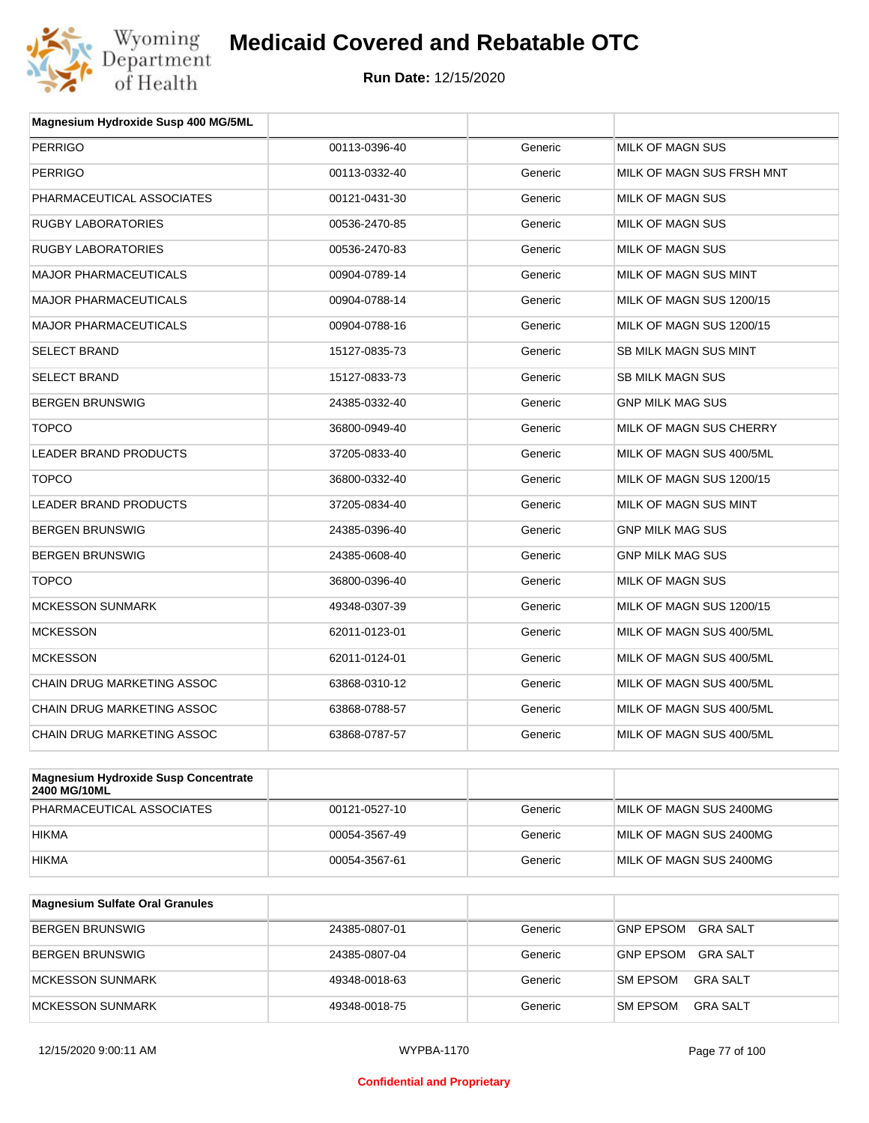

| Magnesium Hydroxide Susp 400 MG/5ML  |               |         |                           |
|--------------------------------------|---------------|---------|---------------------------|
| <b>PERRIGO</b>                       | 00113-0396-40 | Generic | MILK OF MAGN SUS          |
| <b>PERRIGO</b>                       | 00113-0332-40 | Generic | MILK OF MAGN SUS FRSH MNT |
| PHARMACEUTICAL ASSOCIATES            | 00121-0431-30 | Generic | <b>MILK OF MAGN SUS</b>   |
| <b>RUGBY LABORATORIES</b>            | 00536-2470-85 | Generic | <b>MILK OF MAGN SUS</b>   |
| <b>RUGBY LABORATORIES</b>            | 00536-2470-83 | Generic | MILK OF MAGN SUS          |
| <b>MAJOR PHARMACEUTICALS</b>         | 00904-0789-14 | Generic | MILK OF MAGN SUS MINT     |
| <b>MAJOR PHARMACEUTICALS</b>         | 00904-0788-14 | Generic | MILK OF MAGN SUS 1200/15  |
| <b>MAJOR PHARMACEUTICALS</b>         | 00904-0788-16 | Generic | MILK OF MAGN SUS 1200/15  |
| <b>SELECT BRAND</b>                  | 15127-0835-73 | Generic | SB MILK MAGN SUS MINT     |
| <b>SELECT BRAND</b>                  | 15127-0833-73 | Generic | <b>SB MILK MAGN SUS</b>   |
| <b>BERGEN BRUNSWIG</b>               | 24385-0332-40 | Generic | <b>GNP MILK MAG SUS</b>   |
| <b>TOPCO</b>                         | 36800-0949-40 | Generic | MILK OF MAGN SUS CHERRY   |
| <b>LEADER BRAND PRODUCTS</b>         | 37205-0833-40 | Generic | MILK OF MAGN SUS 400/5ML  |
| <b>TOPCO</b>                         | 36800-0332-40 | Generic | MILK OF MAGN SUS 1200/15  |
| LEADER BRAND PRODUCTS                | 37205-0834-40 | Generic | MILK OF MAGN SUS MINT     |
| <b>BERGEN BRUNSWIG</b>               | 24385-0396-40 | Generic | <b>GNP MILK MAG SUS</b>   |
| <b>BERGEN BRUNSWIG</b>               | 24385-0608-40 | Generic | <b>GNP MILK MAG SUS</b>   |
| <b>TOPCO</b>                         | 36800-0396-40 | Generic | MILK OF MAGN SUS          |
| <b>MCKESSON SUNMARK</b>              | 49348-0307-39 | Generic | MILK OF MAGN SUS 1200/15  |
| <b>MCKESSON</b>                      | 62011-0123-01 | Generic | MILK OF MAGN SUS 400/5ML  |
| <b>MCKESSON</b>                      | 62011-0124-01 | Generic | MILK OF MAGN SUS 400/5ML  |
| CHAIN DRUG MARKETING ASSOC           | 63868-0310-12 | Generic | MILK OF MAGN SUS 400/5ML  |
| CHAIN DRUG MARKETING ASSOC           | 63868-0788-57 | Generic | MILK OF MAGN SUS 400/5ML  |
| CHAIN DRUG MARKETING ASSOC           | 63868-0787-57 | Generic | MILK OF MAGN SUS 400/5ML  |
|                                      |               |         |                           |
| Magnesium Hydrovide Susn Concentrate |               |         |                           |

| Magnesium Hydroxide Susp Concentrate<br><b>2400 MG/10ML</b> |               |         |                         |
|-------------------------------------------------------------|---------------|---------|-------------------------|
| PHARMACEUTICAL ASSOCIATES                                   | 00121-0527-10 | Generic | MILK OF MAGN SUS 2400MG |
| <b>HIKMA</b>                                                | 00054-3567-49 | Generic | MILK OF MAGN SUS 2400MG |
| <b>HIKMA</b>                                                | 00054-3567-61 | Generic | MILK OF MAGN SUS 2400MG |

| <b>Magnesium Sulfate Oral Granules</b> |               |         |                                     |
|----------------------------------------|---------------|---------|-------------------------------------|
| <b>BERGEN BRUNSWIG</b>                 | 24385-0807-01 | Generic | <b>GNP EPSOM</b><br>GRA SALT        |
| <b>BERGEN BRUNSWIG</b>                 | 24385-0807-04 | Generic | <b>GRA SALT</b><br><b>GNP EPSOM</b> |
| MCKESSON SUNMARK                       | 49348-0018-63 | Generic | GRA SALT<br><b>SM EPSOM</b>         |
| IMCKESSON SUNMARK                      | 49348-0018-75 | Generic | <b>GRA SALT</b><br><b>SM EPSOM</b>  |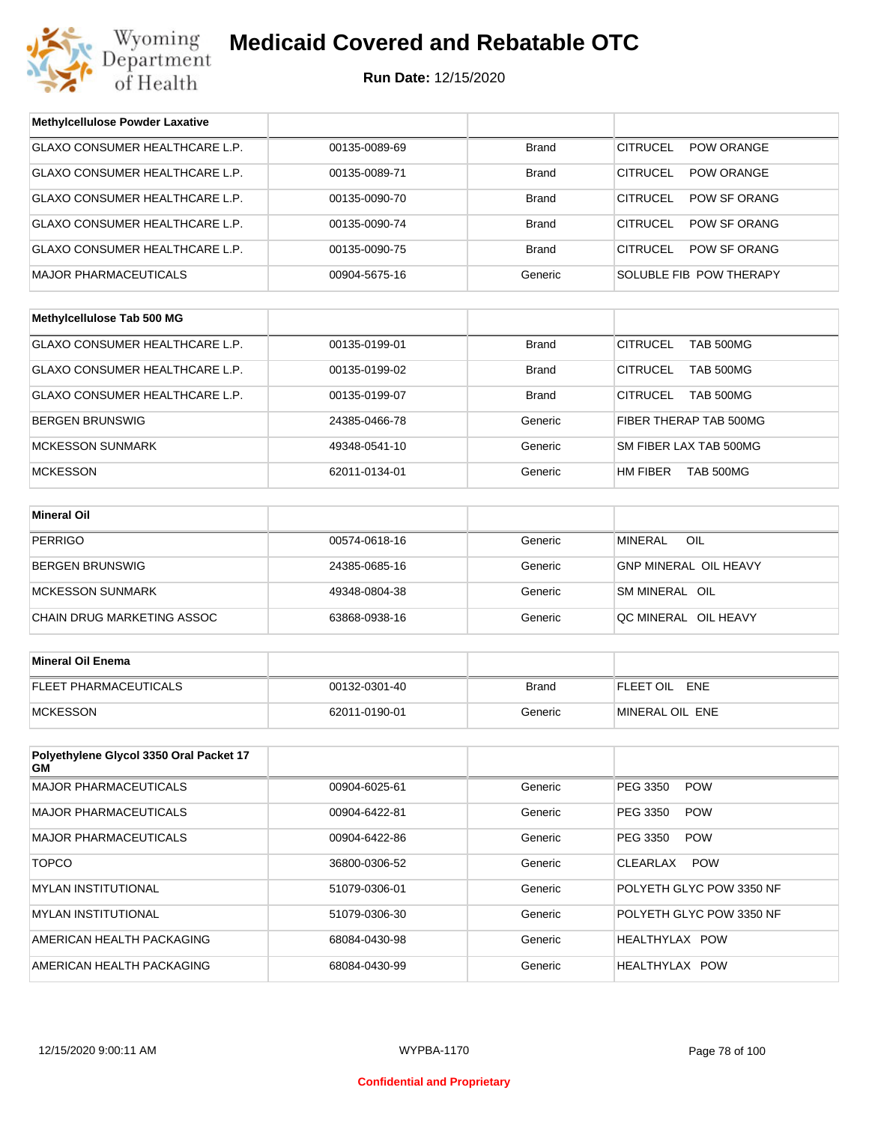

| <b>Methylcellulose Powder Laxative</b>        |               |              |                                        |
|-----------------------------------------------|---------------|--------------|----------------------------------------|
| GLAXO CONSUMER HEALTHCARE L.P.                | 00135-0089-69 | <b>Brand</b> | <b>CITRUCEL</b><br>POW ORANGE          |
| GLAXO CONSUMER HEALTHCARE L.P.                | 00135-0089-71 | <b>Brand</b> | <b>CITRUCEL</b><br><b>POW ORANGE</b>   |
| GLAXO CONSUMER HEALTHCARE L.P.                | 00135-0090-70 | <b>Brand</b> | <b>CITRUCEL</b><br><b>POW SF ORANG</b> |
| GLAXO CONSUMER HEALTHCARE L.P.                | 00135-0090-74 | <b>Brand</b> | <b>CITRUCEL</b><br>POW SF ORANG        |
| GLAXO CONSUMER HEALTHCARE L.P.                | 00135-0090-75 | <b>Brand</b> | <b>CITRUCEL</b><br>POW SF ORANG        |
| <b>MAJOR PHARMACEUTICALS</b>                  | 00904-5675-16 | Generic      | SOLUBLE FIB POW THERAPY                |
|                                               |               |              |                                        |
| Methylcellulose Tab 500 MG                    |               |              |                                        |
| GLAXO CONSUMER HEALTHCARE L.P.                | 00135-0199-01 | <b>Brand</b> | <b>CITRUCEL</b><br><b>TAB 500MG</b>    |
| GLAXO CONSUMER HEALTHCARE L.P.                | 00135-0199-02 | <b>Brand</b> | <b>CITRUCEL</b><br><b>TAB 500MG</b>    |
| GLAXO CONSUMER HEALTHCARE L.P.                | 00135-0199-07 | <b>Brand</b> | <b>CITRUCEL</b><br><b>TAB 500MG</b>    |
| BERGEN BRUNSWIG                               | 24385-0466-78 | Generic      | FIBER THERAP TAB 500MG                 |
| <b>MCKESSON SUNMARK</b>                       | 49348-0541-10 | Generic      | SM FIBER LAX TAB 500MG                 |
| <b>MCKESSON</b>                               | 62011-0134-01 | Generic      | HM FIBER<br>TAB 500MG                  |
|                                               |               |              |                                        |
| <b>Mineral Oil</b>                            |               |              |                                        |
| <b>PERRIGO</b>                                | 00574-0618-16 | Generic      | MINERAL<br>OIL                         |
| BERGEN BRUNSWIG                               | 24385-0685-16 | Generic      | <b>GNP MINERAL OIL HEAVY</b>           |
| <b>MCKESSON SUNMARK</b>                       | 49348-0804-38 | Generic      | SM MINERAL OIL                         |
| CHAIN DRUG MARKETING ASSOC                    | 63868-0938-16 | Generic      | QC MINERAL OIL HEAVY                   |
|                                               |               |              |                                        |
| <b>Mineral Oil Enema</b>                      |               |              |                                        |
| FLEET PHARMACEUTICALS                         | 00132-0301-40 | <b>Brand</b> | FLEET OIL ENE                          |
| <b>MCKESSON</b>                               | 62011-0190-01 | Generic      | MINERAL OIL ENE                        |
|                                               |               |              |                                        |
| Polyethylene Glycol 3350 Oral Packet 17<br>GМ |               |              |                                        |
| <b>MAJOR PHARMACEUTICALS</b>                  | 00904-6025-61 | Generic      | PEG 3350<br><b>POW</b>                 |
| MAJOR PHARMACEUTICALS                         | 00904-6422-81 | Generic      | PEG 3350<br><b>POW</b>                 |
| MAJOR PHARMACEUTICALS                         | 00904-6422-86 | Generic      | PEG 3350<br><b>POW</b>                 |
| <b>TOPCO</b>                                  | 36800-0306-52 | Generic      | <b>POW</b><br>CLEARLAX                 |
| <b>MYLAN INSTITUTIONAL</b>                    | 51079-0306-01 | Generic      | POLYETH GLYC POW 3350 NF               |
| <b>MYLAN INSTITUTIONAL</b>                    | 51079-0306-30 | Generic      | POLYETH GLYC POW 3350 NF               |
| AMERICAN HEALTH PACKAGING                     | 68084-0430-98 | Generic      | HEALTHYLAX POW                         |
| AMERICAN HEALTH PACKAGING                     | 68084-0430-99 | Generic      | HEALTHYLAX POW                         |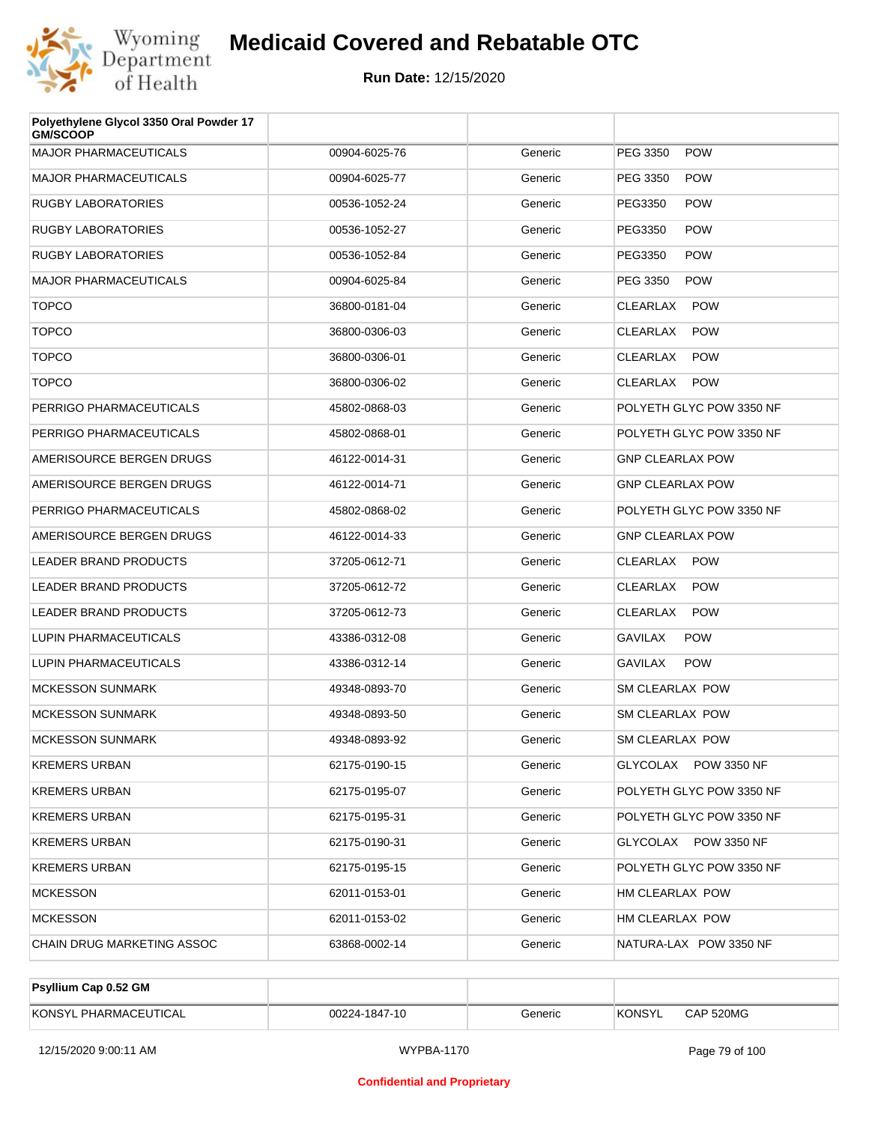

| Polyethylene Glycol 3350 Oral Powder 17<br><b>GM/SCOOP</b> |               |         |                               |
|------------------------------------------------------------|---------------|---------|-------------------------------|
| <b>MAJOR PHARMACEUTICALS</b>                               | 00904-6025-76 | Generic | PEG 3350<br><b>POW</b>        |
| <b>MAJOR PHARMACEUTICALS</b>                               | 00904-6025-77 | Generic | PEG 3350<br><b>POW</b>        |
| <b>RUGBY LABORATORIES</b>                                  | 00536-1052-24 | Generic | PEG3350<br><b>POW</b>         |
| <b>RUGBY LABORATORIES</b>                                  | 00536-1052-27 | Generic | PEG3350<br><b>POW</b>         |
| <b>RUGBY LABORATORIES</b>                                  | 00536-1052-84 | Generic | PEG3350<br><b>POW</b>         |
| <b>MAJOR PHARMACEUTICALS</b>                               | 00904-6025-84 | Generic | PEG 3350<br><b>POW</b>        |
| <b>TOPCO</b>                                               | 36800-0181-04 | Generic | <b>CLEARLAX</b><br><b>POW</b> |
| <b>TOPCO</b>                                               | 36800-0306-03 | Generic | <b>POW</b><br>CLEARLAX        |
| <b>TOPCO</b>                                               | 36800-0306-01 | Generic | CLEARLAX<br><b>POW</b>        |
| <b>TOPCO</b>                                               | 36800-0306-02 | Generic | CLEARLAX<br><b>POW</b>        |
| PERRIGO PHARMACEUTICALS                                    | 45802-0868-03 | Generic | POLYETH GLYC POW 3350 NF      |
| PERRIGO PHARMACEUTICALS                                    | 45802-0868-01 | Generic | POLYETH GLYC POW 3350 NF      |
| AMERISOURCE BERGEN DRUGS                                   | 46122-0014-31 | Generic | <b>GNP CLEARLAX POW</b>       |
| AMERISOURCE BERGEN DRUGS                                   | 46122-0014-71 | Generic | <b>GNP CLEARLAX POW</b>       |
| PERRIGO PHARMACEUTICALS                                    | 45802-0868-02 | Generic | POLYETH GLYC POW 3350 NF      |
| AMERISOURCE BERGEN DRUGS                                   | 46122-0014-33 | Generic | <b>GNP CLEARLAX POW</b>       |
| <b>LEADER BRAND PRODUCTS</b>                               | 37205-0612-71 | Generic | CLEARLAX POW                  |
| <b>LEADER BRAND PRODUCTS</b>                               | 37205-0612-72 | Generic | CLEARLAX<br><b>POW</b>        |
| <b>LEADER BRAND PRODUCTS</b>                               | 37205-0612-73 | Generic | CLEARLAX<br><b>POW</b>        |
| LUPIN PHARMACEUTICALS                                      | 43386-0312-08 | Generic | <b>GAVILAX</b><br><b>POW</b>  |
| LUPIN PHARMACEUTICALS                                      | 43386-0312-14 | Generic | <b>POW</b><br><b>GAVILAX</b>  |
| <b>MCKESSON SUNMARK</b>                                    | 49348-0893-70 | Generic | <b>SM CLEARLAX POW</b>        |
| MCKESSON SUNMARK                                           | 49348-0893-50 | Generic | SM CLEARLAX POW               |
| <b>MCKESSON SUNMARK</b>                                    | 49348-0893-92 | Generic | SM CLEARLAX POW               |
| <b>KREMERS URBAN</b>                                       | 62175-0190-15 | Generic | GLYCOLAX POW 3350 NF          |
| <b>KREMERS URBAN</b>                                       | 62175-0195-07 | Generic | POLYETH GLYC POW 3350 NF      |
| <b>KREMERS URBAN</b>                                       | 62175-0195-31 | Generic | POLYETH GLYC POW 3350 NF      |
| <b>KREMERS URBAN</b>                                       | 62175-0190-31 | Generic | GLYCOLAX POW 3350 NF          |
| <b>KREMERS URBAN</b>                                       | 62175-0195-15 | Generic | POLYETH GLYC POW 3350 NF      |
| <b>MCKESSON</b>                                            | 62011-0153-01 | Generic | HM CLEARLAX POW               |
| <b>MCKESSON</b>                                            | 62011-0153-02 | Generic | HM CLEARLAX POW               |
| CHAIN DRUG MARKETING ASSOC                                 | 63868-0002-14 | Generic | NATURA-LAX POW 3350 NF        |
|                                                            |               |         |                               |

| <b>Psyllium Cap 0.52 GM</b> |               |         |         |           |
|-----------------------------|---------------|---------|---------|-----------|
| KONSYL PHARMACEUTICAL       | 00224-1847-10 | Generic | 'KONSYL | CAP 520MG |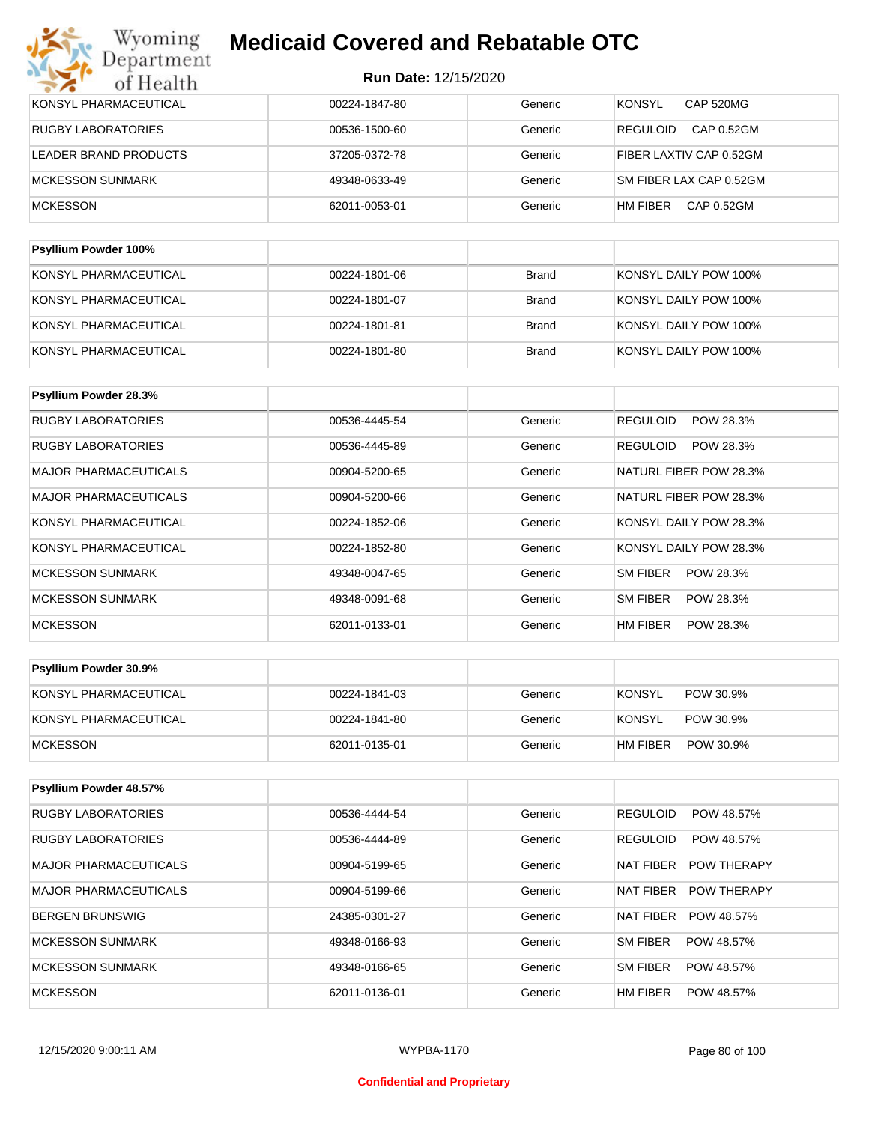| KONSYL PHARMACEUTICAL | 00224-1847-80 | Generic | <b>KONSYL</b><br><b>CAP 520MG</b> |
|-----------------------|---------------|---------|-----------------------------------|
| RUGBY LABORATORIES    | 00536-1500-60 | Generic | <b>REGULOID</b><br>CAP 0.52GM     |
| LEADER BRAND PRODUCTS | 37205-0372-78 | Generic | FIBER LAXTIV CAP 0.52GM           |
| MCKESSON SUNMARK      | 49348-0633-49 | Generic | SM FIBER LAX CAP 0.52GM           |
| <b>MCKESSON</b>       | 62011-0053-01 | Generic | HM FIBER<br>CAP 0.52GM            |
|                       |               |         |                                   |

| <b>Psyllium Powder 100%</b> |               |              |                       |
|-----------------------------|---------------|--------------|-----------------------|
| KONSYL PHARMACEUTICAL       | 00224-1801-06 | Brand        | KONSYL DAILY POW 100% |
| KONSYL PHARMACEUTICAL       | 00224-1801-07 | Brand        | KONSYL DAILY POW 100% |
| KONSYL PHARMACEUTICAL       | 00224-1801-81 | Brand        | KONSYL DAILY POW 100% |
| KONSYL PHARMACEUTICAL       | 00224-1801-80 | <b>Brand</b> | KONSYL DAILY POW 100% |

| Psyllium Powder 28.3%        |               |         |                              |
|------------------------------|---------------|---------|------------------------------|
| <b>RUGBY LABORATORIES</b>    | 00536-4445-54 | Generic | <b>REGULOID</b><br>POW 28.3% |
| <b>RUGBY LABORATORIES</b>    | 00536-4445-89 | Generic | POW 28.3%<br><b>REGULOID</b> |
| <b>MAJOR PHARMACEUTICALS</b> | 00904-5200-65 | Generic | NATURL FIBER POW 28.3%       |
| <b>MAJOR PHARMACEUTICALS</b> | 00904-5200-66 | Generic | NATURL FIBER POW 28.3%       |
| KONSYL PHARMACEUTICAL        | 00224-1852-06 | Generic | KONSYL DAILY POW 28.3%       |
| KONSYL PHARMACEUTICAL        | 00224-1852-80 | Generic | KONSYL DAILY POW 28.3%       |
| <b>MCKESSON SUNMARK</b>      | 49348-0047-65 | Generic | SM FIBER<br>POW 28.3%        |
| <b>MCKESSON SUNMARK</b>      | 49348-0091-68 | Generic | SM FIBER<br>POW 28.3%        |
| <b>MCKESSON</b>              | 62011-0133-01 | Generic | HM FIBER<br>POW 28.3%        |

| <b>Psyllium Powder 30.9%</b> |               |         |                            |
|------------------------------|---------------|---------|----------------------------|
| KONSYL PHARMACEUTICAL        | 00224-1841-03 | Generic | <b>KONSYL</b><br>POW 30.9% |
| KONSYL PHARMACEUTICAL        | 00224-1841-80 | Generic | KONSYL<br>POW 30.9%        |
| <b>IMCKESSON</b>             | 62011-0135-01 | Generic | HM FIBER<br>POW 30.9%      |

| Psyllium Powder 48.57%    |               |         |                                 |
|---------------------------|---------------|---------|---------------------------------|
| <b>RUGBY LABORATORIES</b> | 00536-4444-54 | Generic | <b>REGULOID</b><br>POW 48.57%   |
| <b>RUGBY LABORATORIES</b> | 00536-4444-89 | Generic | <b>REGULOID</b><br>POW 48.57%   |
| MAJOR PHARMACEUTICALS     | 00904-5199-65 | Generic | NAT FIBER<br><b>POW THERAPY</b> |
| MAJOR PHARMACEUTICALS     | 00904-5199-66 | Generic | NAT FIBER<br><b>POW THERAPY</b> |
| BERGEN BRUNSWIG           | 24385-0301-27 | Generic | <b>NAT FIBER</b><br>POW 48.57%  |
| MCKESSON SUNMARK          | 49348-0166-93 | Generic | SM FIBER<br>POW 48.57%          |
| MCKESSON SUNMARK          | 49348-0166-65 | Generic | SM FIBER<br>POW 48.57%          |
| <b>MCKESSON</b>           | 62011-0136-01 | Generic | HM FIBER<br>POW 48.57%          |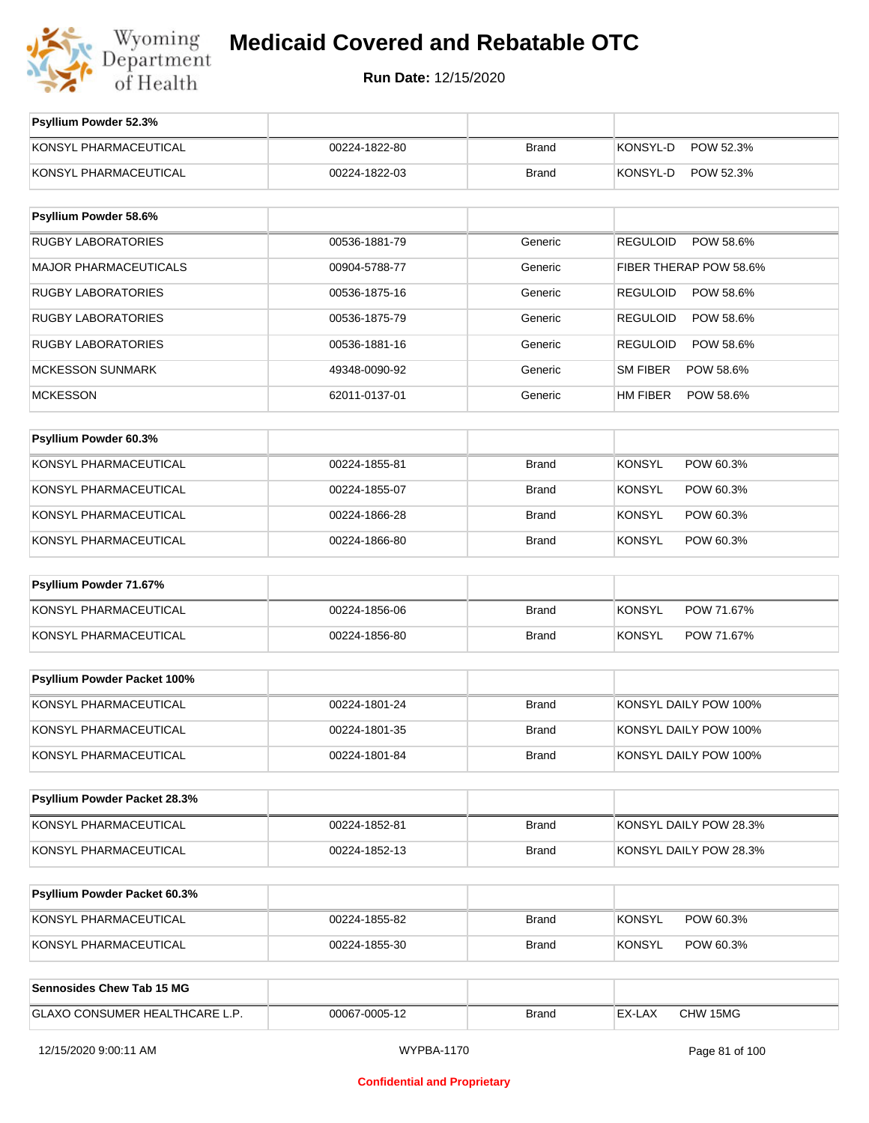

**Run Date:** 12/15/2020

| Psyllium Powder 52.3%               |               |              |                              |
|-------------------------------------|---------------|--------------|------------------------------|
| KONSYL PHARMACEUTICAL               | 00224-1822-80 | <b>Brand</b> | KONSYL-D<br>POW 52.3%        |
| KONSYL PHARMACEUTICAL               | 00224-1822-03 | <b>Brand</b> | KONSYL-D<br>POW 52.3%        |
|                                     |               |              |                              |
| Psyllium Powder 58.6%               |               |              |                              |
| <b>RUGBY LABORATORIES</b>           | 00536-1881-79 | Generic      | <b>REGULOID</b><br>POW 58.6% |
| <b>MAJOR PHARMACEUTICALS</b>        | 00904-5788-77 | Generic      | FIBER THERAP POW 58.6%       |
| <b>RUGBY LABORATORIES</b>           | 00536-1875-16 | Generic      | <b>REGULOID</b><br>POW 58.6% |
| <b>RUGBY LABORATORIES</b>           | 00536-1875-79 | Generic      | <b>REGULOID</b><br>POW 58.6% |
| <b>RUGBY LABORATORIES</b>           | 00536-1881-16 | Generic      | <b>REGULOID</b><br>POW 58.6% |
| <b>MCKESSON SUNMARK</b>             | 49348-0090-92 | Generic      | <b>SM FIBER</b><br>POW 58.6% |
| <b>MCKESSON</b>                     | 62011-0137-01 | Generic      | HM FIBER<br>POW 58.6%        |
|                                     |               |              |                              |
| Psyllium Powder 60.3%               |               |              |                              |
| KONSYL PHARMACEUTICAL               | 00224-1855-81 | <b>Brand</b> | <b>KONSYL</b><br>POW 60.3%   |
| KONSYL PHARMACEUTICAL               | 00224-1855-07 | <b>Brand</b> | <b>KONSYL</b><br>POW 60.3%   |
| KONSYL PHARMACEUTICAL               | 00224-1866-28 | <b>Brand</b> | <b>KONSYL</b><br>POW 60.3%   |
| KONSYL PHARMACEUTICAL               | 00224-1866-80 | <b>Brand</b> | <b>KONSYL</b><br>POW 60.3%   |
| Psyllium Powder 71.67%              |               |              |                              |
| KONSYL PHARMACEUTICAL               | 00224-1856-06 | <b>Brand</b> | <b>KONSYL</b><br>POW 71.67%  |
| KONSYL PHARMACEUTICAL               | 00224-1856-80 | <b>Brand</b> | <b>KONSYL</b><br>POW 71.67%  |
|                                     |               |              |                              |
| Psyllium Powder Packet 100%         |               |              |                              |
| KONSYL PHARMACEUTICAL               | 00224-1801-24 | <b>Brand</b> | KONSYL DAILY POW 100%        |
| KONSYL PHARMACEUTICAL               | 00224-1801-35 | <b>Brand</b> | KONSYL DAILY POW 100%        |
| KONSYL PHARMACEUTICAL               | 00224-1801-84 | <b>Brand</b> | KONSYL DAILY POW 100%        |
| Psyllium Powder Packet 28.3%        |               |              |                              |
| KONSYL PHARMACEUTICAL               |               |              |                              |
|                                     | 00224-1852-81 | <b>Brand</b> | KONSYL DAILY POW 28.3%       |
| KONSYL PHARMACEUTICAL               | 00224-1852-13 | <b>Brand</b> | KONSYL DAILY POW 28.3%       |
| <b>Psyllium Powder Packet 60.3%</b> |               |              |                              |
| KONSYL PHARMACEUTICAL               | 00224-1855-82 | <b>Brand</b> | <b>KONSYL</b><br>POW 60.3%   |
| KONSYL PHARMACEUTICAL               | 00224-1855-30 | <b>Brand</b> | <b>KONSYL</b><br>POW 60.3%   |
|                                     |               |              |                              |
| <b>Sennosides Chew Tab 15 MG</b>    |               |              |                              |
| GLAXO CONSUMER HEALTHCARE L.P.      | 00067-0005-12 | <b>Brand</b> | EX-LAX<br>CHW 15MG           |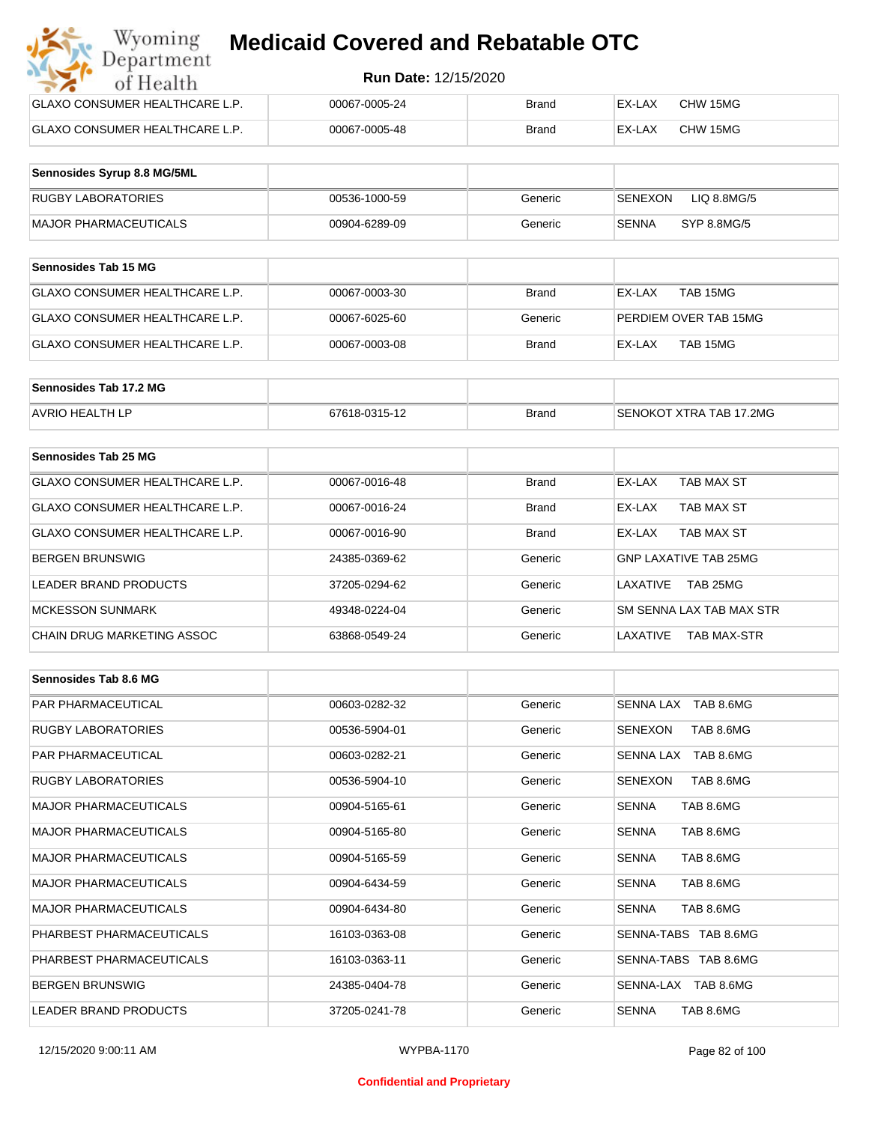| Wyoming<br><b>Medicaid Covered and Rebatable OTC</b><br>Department |                             |              |        |          |  |
|--------------------------------------------------------------------|-----------------------------|--------------|--------|----------|--|
| of Health                                                          | <b>Run Date: 12/15/2020</b> |              |        |          |  |
| <b>GLAXO CONSUMER HEALTHCARE L.P.</b>                              | 00067-0005-24               | <b>Brand</b> | EX-LAX | CHW 15MG |  |
| <b>GLAXO CONSUMER HEALTHCARE L.P.</b>                              | 00067-0005-48               | <b>Brand</b> | EX-LAX | CHW 15MG |  |

| Sennosides Syrup 8.8 MG/5ML |               |         |                                |
|-----------------------------|---------------|---------|--------------------------------|
| <b>RUGBY LABORATORIES</b>   | 00536-1000-59 | Generic | LIQ 8.8MG/5<br><b>ISENEXON</b> |
| MAJOR PHARMACEUTICALS       | 00904-6289-09 | Generic | SYP 8.8MG/5<br>SENNA           |

| Sennosides Tab 15 MG           |               |         |                       |
|--------------------------------|---------------|---------|-----------------------|
| GLAXO CONSUMER HEALTHCARE L.P. | 00067-0003-30 | Brand   | EX-LAX<br>TAB 15MG    |
| GLAXO CONSUMER HEALTHCARE L.P. | 00067-6025-60 | Generic | PERDIEM OVER TAB 15MG |
| GLAXO CONSUMER HEALTHCARE L.P. | 00067-0003-08 | Brand   | TAB 15MG<br>EX-LAX    |

| Sennosides Tab 17.2 MG |               |              |                         |
|------------------------|---------------|--------------|-------------------------|
| <b>AVRIO HEALTH LP</b> | 67618-0315-12 | <b>Brand</b> | SENOKOT XTRA TAB 17.2MG |

| Sennosides Tab 25 MG           |               |              |                              |
|--------------------------------|---------------|--------------|------------------------------|
| GLAXO CONSUMER HEALTHCARE L.P. | 00067-0016-48 | <b>Brand</b> | EX-LAX<br>TAB MAX ST         |
| GLAXO CONSUMER HEALTHCARE L.P. | 00067-0016-24 | <b>Brand</b> | TAB MAX ST<br>EX-LAX         |
| GLAXO CONSUMER HEALTHCARE L.P. | 00067-0016-90 | <b>Brand</b> | TAB MAX ST<br>EX-LAX         |
| <b>BERGEN BRUNSWIG</b>         | 24385-0369-62 | Generic      | <b>GNP LAXATIVE TAB 25MG</b> |
| <b>LEADER BRAND PRODUCTS</b>   | 37205-0294-62 | Generic      | TAB 25MG<br>LAXATIVE         |
| <b>MCKESSON SUNMARK</b>        | 49348-0224-04 | Generic      | SM SENNA LAX TAB MAX STR     |
| CHAIN DRUG MARKETING ASSOC     | 63868-0549-24 | Generic      | LAXATIVE<br>TAB MAX-STR      |

| Sennosides Tab 8.6 MG        |               |         |                             |
|------------------------------|---------------|---------|-----------------------------|
| <b>PAR PHARMACEUTICAL</b>    | 00603-0282-32 | Generic | SENNA LAX TAB 8.6MG         |
| <b>RUGBY LABORATORIES</b>    | 00536-5904-01 | Generic | <b>SENEXON</b><br>TAB 8.6MG |
| <b>PAR PHARMACEUTICAL</b>    | 00603-0282-21 | Generic | TAB 8.6MG<br>SENNA LAX      |
| <b>RUGBY LABORATORIES</b>    | 00536-5904-10 | Generic | TAB 8.6MG<br><b>SENEXON</b> |
| <b>MAJOR PHARMACEUTICALS</b> | 00904-5165-61 | Generic | <b>SENNA</b><br>TAB 8.6MG   |
| <b>MAJOR PHARMACEUTICALS</b> | 00904-5165-80 | Generic | <b>SENNA</b><br>TAB 8.6MG   |
| <b>MAJOR PHARMACEUTICALS</b> | 00904-5165-59 | Generic | TAB 8.6MG<br><b>SENNA</b>   |
| <b>MAJOR PHARMACEUTICALS</b> | 00904-6434-59 | Generic | <b>SENNA</b><br>TAB 8.6MG   |
| <b>MAJOR PHARMACEUTICALS</b> | 00904-6434-80 | Generic | <b>SENNA</b><br>TAB 8.6MG   |
| PHARBEST PHARMACEUTICALS     | 16103-0363-08 | Generic | SENNA-TABS TAB 8.6MG        |
| PHARBEST PHARMACEUTICALS     | 16103-0363-11 | Generic | SENNA-TABS TAB 8.6MG        |
| <b>BERGEN BRUNSWIG</b>       | 24385-0404-78 | Generic | SENNA-LAX TAB 8.6MG         |
| <b>LEADER BRAND PRODUCTS</b> | 37205-0241-78 | Generic | <b>SENNA</b><br>TAB 8.6MG   |

#### **Confidential and Proprietary**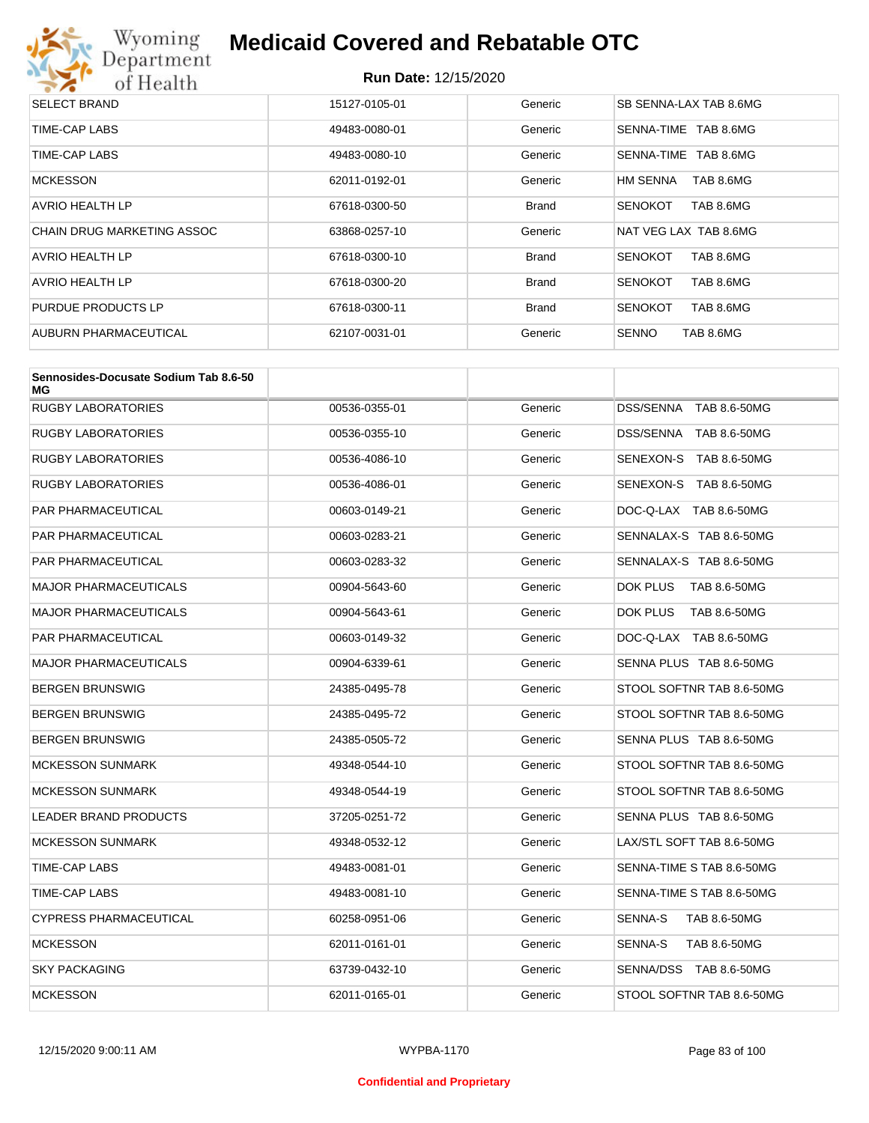

| <b>SELECT BRAND</b>               | 15127-0105-01 | Generic      | SB SENNA-LAX TAB 8.6MG      |
|-----------------------------------|---------------|--------------|-----------------------------|
| TIME-CAP LABS                     | 49483-0080-01 | Generic      | SENNA-TIME TAB 8.6MG        |
| TIME-CAP LABS                     | 49483-0080-10 | Generic      | TAB 8.6MG<br>SENNA-TIME     |
| <b>MCKESSON</b>                   | 62011-0192-01 | Generic      | TAB 8.6MG<br>HM SENNA       |
| AVRIO HEALTH LP                   | 67618-0300-50 | <b>Brand</b> | TAB 8.6MG<br><b>SENOKOT</b> |
| <b>CHAIN DRUG MARKETING ASSOC</b> | 63868-0257-10 | Generic      | NAT VEG LAX TAB 8.6MG       |
| <b>AVRIO HEALTH LP</b>            | 67618-0300-10 | <b>Brand</b> | TAB 8.6MG<br><b>SENOKOT</b> |
| <b>AVRIO HEALTH LP</b>            | 67618-0300-20 | <b>Brand</b> | <b>SENOKOT</b><br>TAB 8.6MG |
| PURDUE PRODUCTS LP                | 67618-0300-11 | <b>Brand</b> | TAB 8.6MG<br><b>SENOKOT</b> |
| AUBURN PHARMACEUTICAL             | 62107-0031-01 | Generic      | TAB 8.6MG<br><b>SENNO</b>   |

| Sennosides-Docusate Sodium Tab 8.6-50<br>МG |               |         |                           |
|---------------------------------------------|---------------|---------|---------------------------|
| <b>RUGBY LABORATORIES</b>                   | 00536-0355-01 | Generic | DSS/SENNA TAB 8.6-50MG    |
| <b>RUGBY LABORATORIES</b>                   | 00536-0355-10 | Generic | DSS/SENNA TAB 8.6-50MG    |
| <b>RUGBY LABORATORIES</b>                   | 00536-4086-10 | Generic | SENEXON-S TAB 8.6-50MG    |
| <b>RUGBY LABORATORIES</b>                   | 00536-4086-01 | Generic | SENEXON-S TAB 8.6-50MG    |
| PAR PHARMACEUTICAL                          | 00603-0149-21 | Generic | DOC-Q-LAX TAB 8.6-50MG    |
| <b>PAR PHARMACEUTICAL</b>                   | 00603-0283-21 | Generic | SENNALAX-S TAB 8.6-50MG   |
| PAR PHARMACEUTICAL                          | 00603-0283-32 | Generic | SENNALAX-S TAB 8.6-50MG   |
| <b>MAJOR PHARMACEUTICALS</b>                | 00904-5643-60 | Generic | DOK PLUS<br>TAB 8.6-50MG  |
| <b>MAJOR PHARMACEUTICALS</b>                | 00904-5643-61 | Generic | DOK PLUS<br>TAB 8.6-50MG  |
| <b>PAR PHARMACEUTICAL</b>                   | 00603-0149-32 | Generic | DOC-Q-LAX TAB 8.6-50MG    |
| <b>MAJOR PHARMACEUTICALS</b>                | 00904-6339-61 | Generic | SENNA PLUS TAB 8.6-50MG   |
| <b>BERGEN BRUNSWIG</b>                      | 24385-0495-78 | Generic | STOOL SOFTNR TAB 8.6-50MG |
| <b>BERGEN BRUNSWIG</b>                      | 24385-0495-72 | Generic | STOOL SOFTNR TAB 8.6-50MG |
| <b>BERGEN BRUNSWIG</b>                      | 24385-0505-72 | Generic | SENNA PLUS TAB 8.6-50MG   |
| <b>MCKESSON SUNMARK</b>                     | 49348-0544-10 | Generic | STOOL SOFTNR TAB 8.6-50MG |
| <b>MCKESSON SUNMARK</b>                     | 49348-0544-19 | Generic | STOOL SOFTNR TAB 8.6-50MG |
| LEADER BRAND PRODUCTS                       | 37205-0251-72 | Generic | SENNA PLUS TAB 8.6-50MG   |
| <b>MCKESSON SUNMARK</b>                     | 49348-0532-12 | Generic | LAX/STL SOFT TAB 8.6-50MG |
| TIME-CAP LABS                               | 49483-0081-01 | Generic | SENNA-TIME S TAB 8.6-50MG |
| TIME-CAP LABS                               | 49483-0081-10 | Generic | SENNA-TIME S TAB 8.6-50MG |
| <b>CYPRESS PHARMACEUTICAL</b>               | 60258-0951-06 | Generic | SENNA-S<br>TAB 8.6-50MG   |
| <b>MCKESSON</b>                             | 62011-0161-01 | Generic | SENNA-S<br>TAB 8.6-50MG   |
| <b>SKY PACKAGING</b>                        | 63739-0432-10 | Generic | SENNA/DSS TAB 8.6-50MG    |
| <b>MCKESSON</b>                             | 62011-0165-01 | Generic | STOOL SOFTNR TAB 8.6-50MG |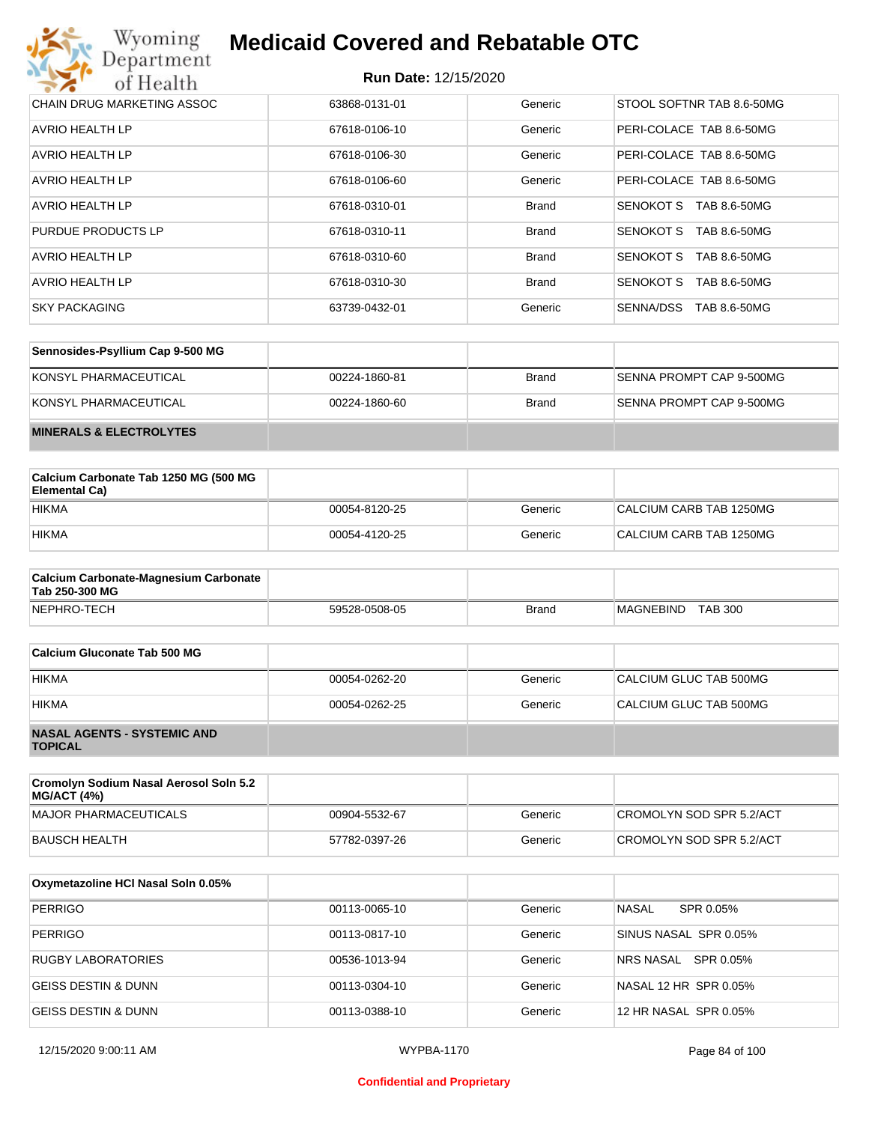| Wyoming<br><b>Medicaid Covered and Rebatable OTC</b><br>Department |                             |              |                                  |  |
|--------------------------------------------------------------------|-----------------------------|--------------|----------------------------------|--|
| of Health                                                          | <b>Run Date: 12/15/2020</b> |              |                                  |  |
| CHAIN DRUG MARKETING ASSOC                                         | 63868-0131-01               | Generic      | STOOL SOFTNR TAB 8.6-50MG        |  |
| AVRIO HEALTH LP                                                    | 67618-0106-10               | Generic      | PERI-COLACE TAB 8.6-50MG         |  |
| AVRIO HEALTH LP                                                    | 67618-0106-30               | Generic      | PERI-COLACE TAB 8.6-50MG         |  |
| AVRIO HEALTH LP                                                    | 67618-0106-60               | Generic      | PERI-COLACE TAB 8.6-50MG         |  |
| AVRIO HEALTH LP                                                    | 67618-0310-01               | <b>Brand</b> | SENOKOT S<br>TAB 8.6-50MG        |  |
| PURDUE PRODUCTS LP                                                 | 67618-0310-11               | <b>Brand</b> | SENOKOT S<br>TAB 8.6-50MG        |  |
| AVRIO HEALTH LP                                                    | 67618-0310-60               | <b>Brand</b> | <b>SENOKOT S</b><br>TAB 8.6-50MG |  |
| AVRIO HEALTH LP                                                    | 67618-0310-30               | <b>Brand</b> | SENOKOT S<br>TAB 8.6-50MG        |  |
| <b>SKY PACKAGING</b>                                               | 63739-0432-01               | Generic      | SENNA/DSS<br>TAB 8.6-50MG        |  |

| Sennosides-Psyllium Cap 9-500 MG   |               |              |                          |
|------------------------------------|---------------|--------------|--------------------------|
| KONSYL PHARMACEUTICAL              | 00224-1860-81 | <b>Brand</b> | SENNA PROMPT CAP 9-500MG |
| KONSYL PHARMACEUTICAL              | 00224-1860-60 | <b>Brand</b> | SENNA PROMPT CAP 9-500MG |
| <b>MINERALS &amp; ELECTROLYTES</b> |               |              |                          |

| Calcium Carbonate Tab 1250 MG (500 MG<br>Elemental Ca) |               |         |                         |
|--------------------------------------------------------|---------------|---------|-------------------------|
| <b>HIKMA</b>                                           | 00054-8120-25 | Generic | CALCIUM CARB TAB 1250MG |
| <b>HIKMA</b>                                           | 00054-4120-25 | Generic | CALCIUM CARB TAB 1250MG |

| <b>Calcium Carbonate-Magnesium Carbonate</b><br>Tab 250-300 MG |               |              |                                    |
|----------------------------------------------------------------|---------------|--------------|------------------------------------|
| NEPHRO-TECH                                                    | 59528-0508-05 | <b>Brand</b> | <b>TAB 300</b><br><b>MAGNEBIND</b> |

| Calcium Gluconate Tab 500 MG                         |               |         |                        |
|------------------------------------------------------|---------------|---------|------------------------|
| <b>HIKMA</b>                                         | 00054-0262-20 | Generic | CALCIUM GLUC TAB 500MG |
| <b>HIKMA</b>                                         | 00054-0262-25 | Generic | CALCIUM GLUC TAB 500MG |
| <b>NASAL AGENTS - SYSTEMIC AND</b><br><b>TOPICAL</b> |               |         |                        |

| Cromolyn Sodium Nasal Aerosol Soln 5.2<br><b>MG/ACT (4%)</b> |               |         |                          |
|--------------------------------------------------------------|---------------|---------|--------------------------|
| MAJOR PHARMACEUTICALS                                        | 00904-5532-67 | Generic | CROMOLYN SOD SPR 5.2/ACT |
| BAUSCH HEALTH                                                | 57782-0397-26 | Generic | CROMOLYN SOD SPR 5.2/ACT |

| Oxymetazoline HCI Nasal Soln 0.05% |               |         |                           |
|------------------------------------|---------------|---------|---------------------------|
| <b>PERRIGO</b>                     | 00113-0065-10 | Generic | <b>NASAL</b><br>SPR 0.05% |
| <b>PERRIGO</b>                     | 00113-0817-10 | Generic | SINUS NASAL SPR 0.05%     |
| <b>RUGBY LABORATORIES</b>          | 00536-1013-94 | Generic | NRS NASAL SPR 0.05%       |
| <b>GEISS DESTIN &amp; DUNN</b>     | 00113-0304-10 | Generic | NASAL 12 HR SPR 0.05%     |
| <b>GEISS DESTIN &amp; DUNN</b>     | 00113-0388-10 | Generic | 12 HR NASAL SPR 0.05%     |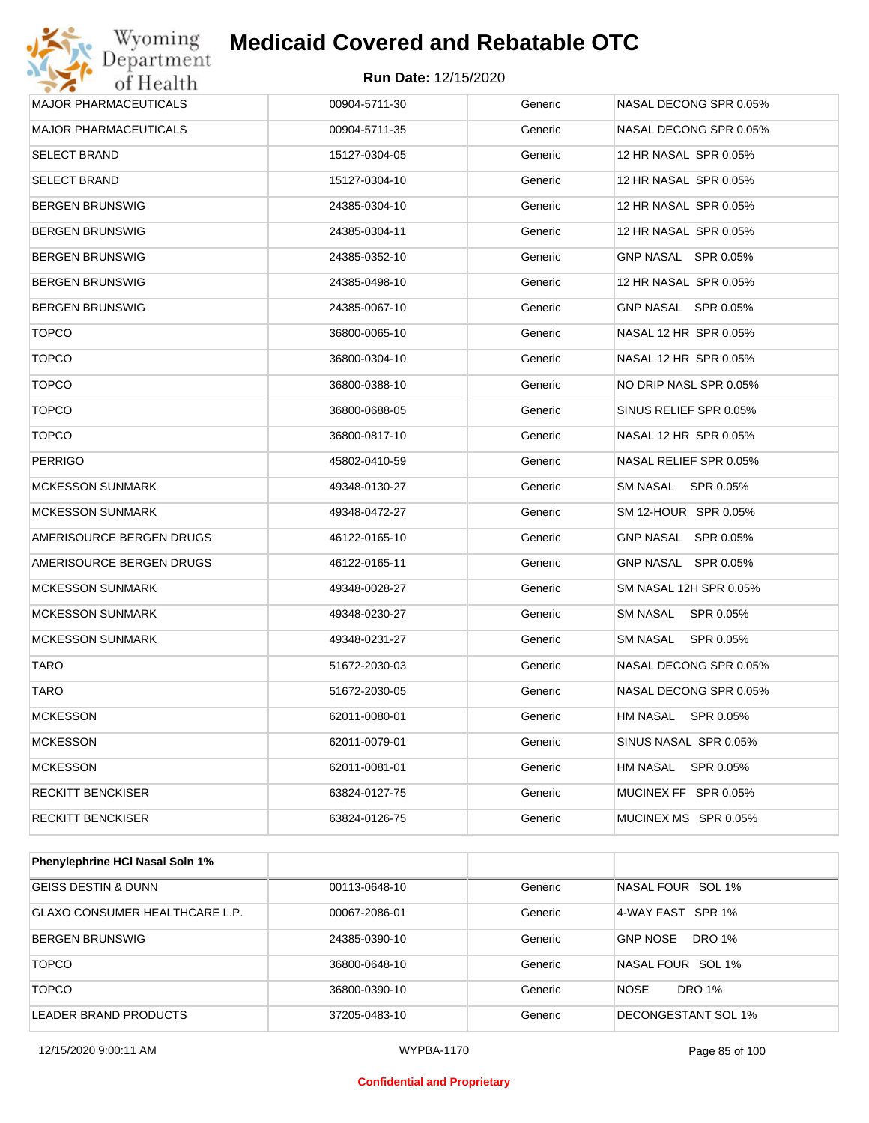

| Wyoming<br>Department        | <b>Medicaid Covered and Rebatable OTC</b> |         |                              |
|------------------------------|-------------------------------------------|---------|------------------------------|
| of Health                    | <b>Run Date: 12/15/2020</b>               |         |                              |
| <b>MAJOR PHARMACEUTICALS</b> | 00904-5711-30                             | Generic | NASAL DECONG SPR 0.05%       |
| MAJOR PHARMACEUTICALS        | 00904-5711-35                             | Generic | NASAL DECONG SPR 0.05%       |
| SELECT BRAND                 | 15127-0304-05                             | Generic | 12 HR NASAL SPR 0.05%        |
| <b>SELECT BRAND</b>          | 15127-0304-10                             | Generic | 12 HR NASAL SPR 0.05%        |
| BERGEN BRUNSWIG              | 24385-0304-10                             | Generic | 12 HR NASAL SPR 0.05%        |
| BERGEN BRUNSWIG              | 24385-0304-11                             | Generic | 12 HR NASAL SPR 0.05%        |
| BERGEN BRUNSWIG              | 24385-0352-10                             | Generic | GNP NASAL SPR 0.05%          |
| BERGEN BRUNSWIG              | 24385-0498-10                             | Generic | 12 HR NASAL SPR 0.05%        |
| BERGEN BRUNSWIG              | 24385-0067-10                             | Generic | GNP NASAL SPR 0.05%          |
| <b>TOPCO</b>                 | 36800-0065-10                             | Generic | NASAL 12 HR SPR 0.05%        |
| <b>TOPCO</b>                 | 36800-0304-10                             | Generic | NASAL 12 HR SPR 0.05%        |
| <b>TOPCO</b>                 | 36800-0388-10                             | Generic | NO DRIP NASL SPR 0.05%       |
| <b>TOPCO</b>                 | 36800-0688-05                             | Generic | SINUS RELIEF SPR 0.05%       |
| <b>TOPCO</b>                 | 36800-0817-10                             | Generic | NASAL 12 HR SPR 0.05%        |
| PERRIGO                      | 45802-0410-59                             | Generic | NASAL RELIEF SPR 0.05%       |
| <b>MCKESSON SUNMARK</b>      | 49348-0130-27                             | Generic | <b>SM NASAL</b><br>SPR 0.05% |
| <b>MCKESSON SUNMARK</b>      | 49348-0472-27                             | Generic | SM 12-HOUR SPR 0.05%         |
| AMERISOURCE BERGEN DRUGS     | 46122-0165-10                             | Generic | GNP NASAL SPR 0.05%          |
| AMERISOURCE BERGEN DRUGS     | 46122-0165-11                             | Generic | GNP NASAL SPR 0.05%          |
| MCKESSON SUNMARK             | 49348-0028-27                             | Generic | SM NASAL 12H SPR 0.05%       |
| <b>MCKESSON SUNMARK</b>      | 49348-0230-27                             | Generic | <b>SM NASAL</b><br>SPR 0.05% |
| <b>MCKESSON SUNMARK</b>      | 49348-0231-27                             | Generic | <b>SM NASAL</b><br>SPR 0.05% |
| TARO                         | 51672-2030-03                             | Generic | NASAL DECONG SPR 0.05%       |
| TARO                         | 51672-2030-05                             | Generic | NASAL DECONG SPR 0.05%       |
| <b>MCKESSON</b>              | 62011-0080-01                             | Generic | <b>HM NASAL</b><br>SPR 0.05% |
| <b>MCKESSON</b>              | 62011-0079-01                             | Generic | SINUS NASAL SPR 0.05%        |
| <b>MCKESSON</b>              | 62011-0081-01                             | Generic | SPR 0.05%<br>HM NASAL        |
| RECKITT BENCKISER            | 63824-0127-75                             | Generic | MUCINEX FF SPR 0.05%         |
| <b>RECKITT BENCKISER</b>     | 63824-0126-75                             | Generic | MUCINEX MS SPR 0.05%         |

| <b>Phenylephrine HCI Nasal Soln 1%</b> |               |         |                              |
|----------------------------------------|---------------|---------|------------------------------|
| <b>GEISS DESTIN &amp; DUNN</b>         | 00113-0648-10 | Generic | NASAL FOUR SOL 1%            |
| GLAXO CONSUMER HEALTHCARE L.P.         | 00067-2086-01 | Generic | 4-WAY FAST SPR 1%            |
| BERGEN BRUNSWIG                        | 24385-0390-10 | Generic | <b>GNP NOSE</b><br>DRO 1%    |
| <b>TOPCO</b>                           | 36800-0648-10 | Generic | NASAL FOUR SOL 1%            |
| <b>TOPCO</b>                           | 36800-0390-10 | Generic | <b>NOSE</b><br><b>DRO 1%</b> |
| LEADER BRAND PRODUCTS                  | 37205-0483-10 | Generic | DECONGESTANT SOL 1%          |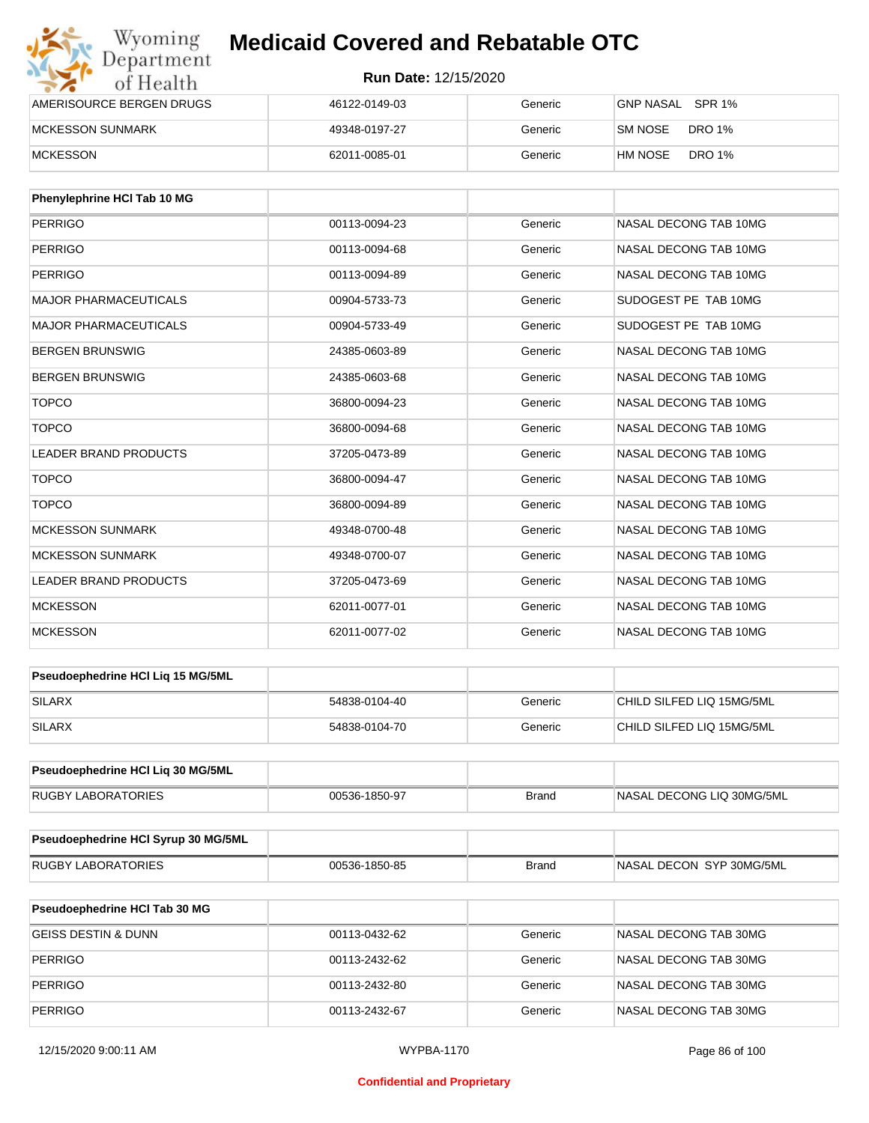| Wyoming<br>Department    | <b>Medicaid Covered and Rebatable OTC</b> |         |                          |  |
|--------------------------|-------------------------------------------|---------|--------------------------|--|
| of Health                | <b>Run Date: 12/15/2020</b>               |         |                          |  |
| AMERISOURCE BERGEN DRUGS | 46122-0149-03                             | Generic | GNP NASAL SPR 1%         |  |
| <b>MCKESSON SUNMARK</b>  | 49348-0197-27                             | Generic | SM NOSE<br>DRO 1%        |  |
| <b>MCKESSON</b>          | 62011-0085-01                             | Generic | <b>DRO 1%</b><br>HM NOSE |  |

| Phenylephrine HCI Tab 10 MG  |               |         |                       |
|------------------------------|---------------|---------|-----------------------|
| <b>PERRIGO</b>               | 00113-0094-23 | Generic | NASAL DECONG TAB 10MG |
| <b>PERRIGO</b>               | 00113-0094-68 | Generic | NASAL DECONG TAB 10MG |
| <b>PERRIGO</b>               | 00113-0094-89 | Generic | NASAL DECONG TAB 10MG |
| <b>MAJOR PHARMACEUTICALS</b> | 00904-5733-73 | Generic | SUDOGEST PE TAB 10MG  |
| <b>MAJOR PHARMACEUTICALS</b> | 00904-5733-49 | Generic | SUDOGEST PE TAB 10MG  |
| <b>BERGEN BRUNSWIG</b>       | 24385-0603-89 | Generic | NASAL DECONG TAB 10MG |
| <b>BERGEN BRUNSWIG</b>       | 24385-0603-68 | Generic | NASAL DECONG TAB 10MG |
| <b>TOPCO</b>                 | 36800-0094-23 | Generic | NASAL DECONG TAB 10MG |
| <b>TOPCO</b>                 | 36800-0094-68 | Generic | NASAL DECONG TAB 10MG |
| <b>LEADER BRAND PRODUCTS</b> | 37205-0473-89 | Generic | NASAL DECONG TAB 10MG |
| <b>TOPCO</b>                 | 36800-0094-47 | Generic | NASAL DECONG TAB 10MG |
| <b>TOPCO</b>                 | 36800-0094-89 | Generic | NASAL DECONG TAB 10MG |
| <b>MCKESSON SUNMARK</b>      | 49348-0700-48 | Generic | NASAL DECONG TAB 10MG |
| <b>MCKESSON SUNMARK</b>      | 49348-0700-07 | Generic | NASAL DECONG TAB 10MG |
| <b>LEADER BRAND PRODUCTS</b> | 37205-0473-69 | Generic | NASAL DECONG TAB 10MG |
| <b>MCKESSON</b>              | 62011-0077-01 | Generic | NASAL DECONG TAB 10MG |
| <b>MCKESSON</b>              | 62011-0077-02 | Generic | NASAL DECONG TAB 10MG |

| <b>Pseudoephedrine HCI Lig 15 MG/5ML</b> |               |         |                           |
|------------------------------------------|---------------|---------|---------------------------|
| SILARX                                   | 54838-0104-40 | Generic | CHILD SILFED LIQ 15MG/5ML |
| SILARX                                   | 54838-0104-70 | Generic | CHILD SILFED LIQ 15MG/5ML |

| Pseudoephedrine HCI Lig 30 MG/5ML |               |       |                           |
|-----------------------------------|---------------|-------|---------------------------|
| <b>RUGBY LABORATORIES</b>         | 00536-1850-97 | Brand | NASAL DECONG LIQ 30MG/5ML |

| Pseudoephedrine HCI Syrup 30 MG/5ML |               |       |                          |
|-------------------------------------|---------------|-------|--------------------------|
| RUGBY LABORATORIES                  | 00536-1850-85 | Brand | NASAL DECON SYP 30MG/5ML |

| <b>Pseudoephedrine HCI Tab 30 MG</b> |               |         |                       |
|--------------------------------------|---------------|---------|-----------------------|
| GEISS DESTIN & DUNN                  | 00113-0432-62 | Generic | NASAL DECONG TAB 30MG |
| PERRIGO                              | 00113-2432-62 | Generic | NASAL DECONG TAB 30MG |
| PERRIGO                              | 00113-2432-80 | Generic | NASAL DECONG TAB 30MG |
| PERRIGO                              | 00113-2432-67 | Generic | NASAL DECONG TAB 30MG |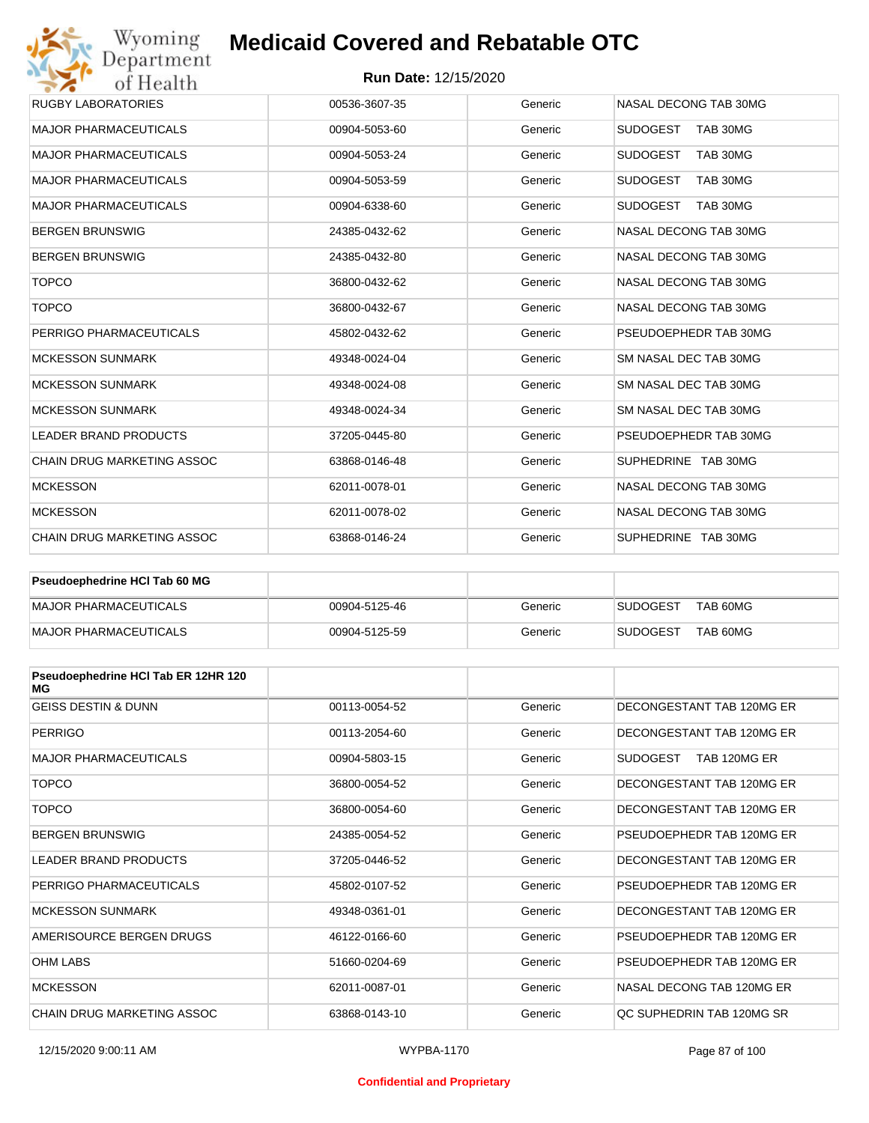### **Run Date:** 12/15/2020

| Wyoming<br>Department             | <b>Medicaid Covered and Rebatable OTC</b> |                             |                             |  |  |
|-----------------------------------|-------------------------------------------|-----------------------------|-----------------------------|--|--|
| of Health                         |                                           | <b>Run Date: 12/15/2020</b> |                             |  |  |
| <b>RUGBY LABORATORIES</b>         | 00536-3607-35                             | Generic                     | NASAL DECONG TAB 30MG       |  |  |
| <b>MAJOR PHARMACEUTICALS</b>      | 00904-5053-60                             | Generic                     | <b>SUDOGEST</b><br>TAB 30MG |  |  |
| <b>MAJOR PHARMACEUTICALS</b>      | 00904-5053-24                             | Generic                     | <b>SUDOGEST</b><br>TAB 30MG |  |  |
| <b>MAJOR PHARMACEUTICALS</b>      | 00904-5053-59                             | Generic                     | <b>SUDOGEST</b><br>TAB 30MG |  |  |
| <b>MAJOR PHARMACEUTICALS</b>      | 00904-6338-60                             | Generic                     | <b>SUDOGEST</b><br>TAB 30MG |  |  |
| <b>BERGEN BRUNSWIG</b>            | 24385-0432-62                             | Generic                     | NASAL DECONG TAB 30MG       |  |  |
| <b>BERGEN BRUNSWIG</b>            | 24385-0432-80                             | Generic                     | NASAL DECONG TAB 30MG       |  |  |
| <b>TOPCO</b>                      | 36800-0432-62                             | Generic                     | NASAL DECONG TAB 30MG       |  |  |
| <b>TOPCO</b>                      | 36800-0432-67                             | Generic                     | NASAL DECONG TAB 30MG       |  |  |
| PERRIGO PHARMACEUTICALS           | 45802-0432-62                             | Generic                     | PSEUDOEPHEDR TAB 30MG       |  |  |
| <b>MCKESSON SUNMARK</b>           | 49348-0024-04                             | Generic                     | SM NASAL DEC TAB 30MG       |  |  |
| <b>MCKESSON SUNMARK</b>           | 49348-0024-08                             | Generic                     | SM NASAL DEC TAB 30MG       |  |  |
| <b>MCKESSON SUNMARK</b>           | 49348-0024-34                             | Generic                     | SM NASAL DEC TAB 30MG       |  |  |
| <b>LEADER BRAND PRODUCTS</b>      | 37205-0445-80                             | Generic                     | PSEUDOEPHEDR TAB 30MG       |  |  |
| <b>CHAIN DRUG MARKETING ASSOC</b> | 63868-0146-48                             | Generic                     | SUPHEDRINE TAB 30MG         |  |  |
| <b>MCKESSON</b>                   | 62011-0078-01                             | Generic                     | NASAL DECONG TAB 30MG       |  |  |
| <b>MCKESSON</b>                   | 62011-0078-02                             | Generic                     | NASAL DECONG TAB 30MG       |  |  |
| <b>CHAIN DRUG MARKETING ASSOC</b> | 63868-0146-24                             | Generic                     | SUPHEDRINE TAB 30MG         |  |  |

| <b>Pseudoephedrine HCI Tab 60 MG</b> |               |         |                             |
|--------------------------------------|---------------|---------|-----------------------------|
| MAJOR PHARMACEUTICALS                | 00904-5125-46 | Generic | TAB 60MG<br><b>SUDOGEST</b> |
| MAJOR PHARMACEUTICALS                | 00904-5125-59 | Generic | TAB 60MG<br><b>SUDOGEST</b> |

| Pseudoephedrine HCI Tab ER 12HR 120<br>МG |               |         |                                 |
|-------------------------------------------|---------------|---------|---------------------------------|
| <b>GEISS DESTIN &amp; DUNN</b>            | 00113-0054-52 | Generic | DECONGESTANT TAB 120MG ER       |
| <b>PERRIGO</b>                            | 00113-2054-60 | Generic | DECONGESTANT TAB 120MG ER       |
| <b>MAJOR PHARMACEUTICALS</b>              | 00904-5803-15 | Generic | <b>SUDOGEST</b><br>TAB 120MG ER |
| <b>TOPCO</b>                              | 36800-0054-52 | Generic | DECONGESTANT TAB 120MG ER       |
| <b>TOPCO</b>                              | 36800-0054-60 | Generic | DECONGESTANT TAB 120MG ER       |
| <b>BERGEN BRUNSWIG</b>                    | 24385-0054-52 | Generic | PSEUDOEPHEDR TAB 120MG ER       |
| <b>LEADER BRAND PRODUCTS</b>              | 37205-0446-52 | Generic | DECONGESTANT TAB 120MG ER       |
| PERRIGO PHARMACEUTICALS                   | 45802-0107-52 | Generic | PSEUDOEPHEDR TAB 120MG ER       |
| <b>MCKESSON SUNMARK</b>                   | 49348-0361-01 | Generic | DECONGESTANT TAB 120MG ER       |
| AMERISOURCE BERGEN DRUGS                  | 46122-0166-60 | Generic | PSEUDOEPHEDR TAB 120MG ER       |
| <b>OHM LABS</b>                           | 51660-0204-69 | Generic | PSEUDOEPHEDR TAB 120MG ER       |
| <b>MCKESSON</b>                           | 62011-0087-01 | Generic | NASAL DECONG TAB 120MG ER       |
| <b>CHAIN DRUG MARKETING ASSOC</b>         | 63868-0143-10 | Generic | OC SUPHEDRIN TAB 120MG SR       |

#### **Confidential and Proprietary**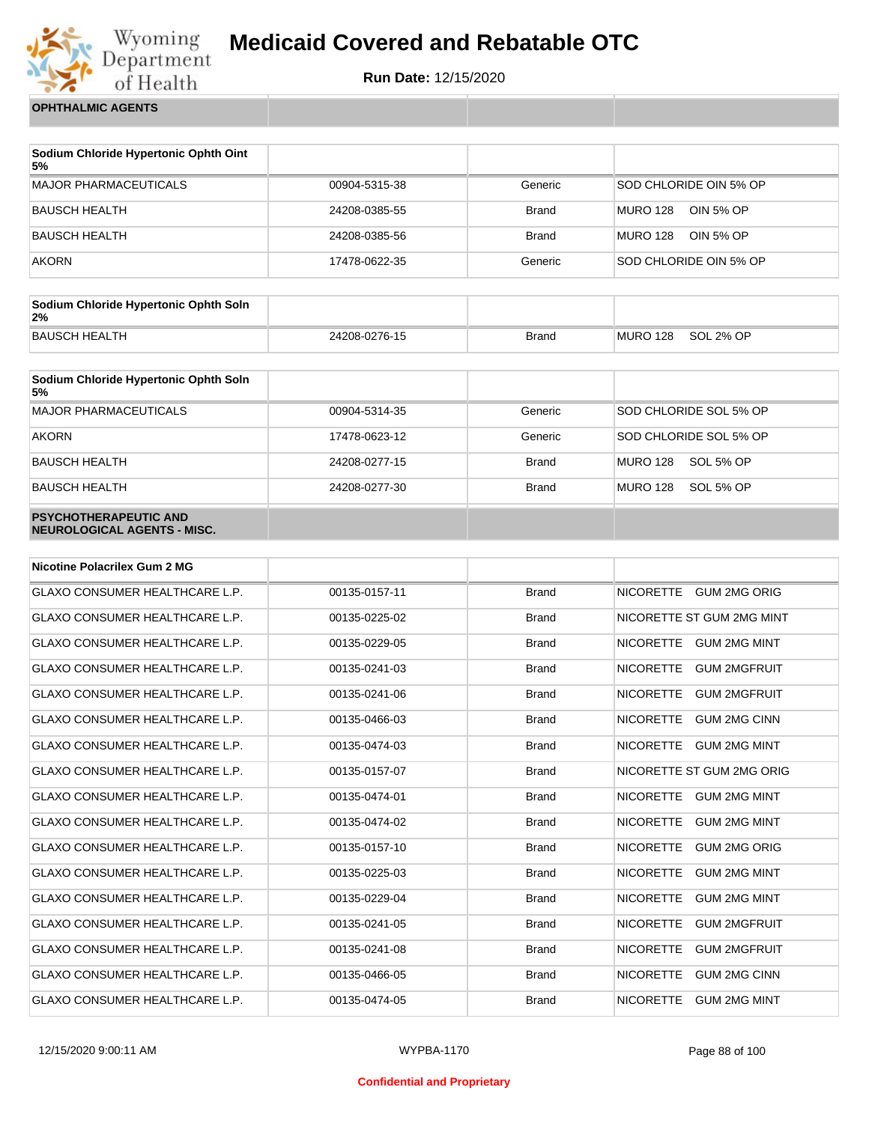

**Run Date:** 12/15/2020

**OPHTHALMIC AGENTS**

| Sodium Chloride Hypertonic Ophth Oint<br>5% |               |              |                              |
|---------------------------------------------|---------------|--------------|------------------------------|
| <b>MAJOR PHARMACEUTICALS</b>                | 00904-5315-38 | Generic      | SOD CHLORIDE OIN 5% OP       |
| <b>BAUSCH HEALTH</b>                        | 24208-0385-55 | <b>Brand</b> | <b>MURO 128</b><br>OIN 5% OP |
| <b>BAUSCH HEALTH</b>                        | 24208-0385-56 | <b>Brand</b> | <b>MURO 128</b><br>OIN 5% OP |
| <b>AKORN</b>                                | 17478-0622-35 | Generic      | SOD CHLORIDE OIN 5% OP       |

| Sodium Chloride Hypertonic Ophth Soln<br>2% |               |              |          |           |
|---------------------------------------------|---------------|--------------|----------|-----------|
| <b>BAUSCH HEALTH</b>                        | 24208-0276-15 | <b>Brand</b> | MURO 128 | SOL 2% OP |

| Sodium Chloride Hypertonic Ophth Soln<br>5%                 |               |              |                              |
|-------------------------------------------------------------|---------------|--------------|------------------------------|
| <b>MAJOR PHARMACEUTICALS</b>                                | 00904-5314-35 | Generic      | SOD CHLORIDE SOL 5% OP       |
| <b>AKORN</b>                                                | 17478-0623-12 | Generic      | SOD CHLORIDE SOL 5% OP       |
| <b>BAUSCH HEALTH</b>                                        | 24208-0277-15 | <b>Brand</b> | <b>MURO 128</b><br>SOL 5% OP |
| <b>BAUSCH HEALTH</b>                                        | 24208-0277-30 | <b>Brand</b> | <b>MURO 128</b><br>SOL 5% OP |
| <b>PSYCHOTHERAPEUTIC AND</b><br>NEUROLOGICAL AGENTS - MISC. |               |              |                              |

| <b>Nicotine Polacrilex Gum 2 MG</b>   |               |              |                                         |
|---------------------------------------|---------------|--------------|-----------------------------------------|
| <b>GLAXO CONSUMER HEALTHCARE L.P.</b> | 00135-0157-11 | <b>Brand</b> | <b>GUM 2MG ORIG</b><br><b>NICORETTE</b> |
| GLAXO CONSUMER HEALTHCARE L.P.        | 00135-0225-02 | <b>Brand</b> | NICORETTE ST GUM 2MG MINT               |
| <b>GLAXO CONSUMER HEALTHCARE L.P.</b> | 00135-0229-05 | <b>Brand</b> | <b>NICORETTE</b><br><b>GUM 2MG MINT</b> |
| <b>GLAXO CONSUMER HEALTHCARE L.P.</b> | 00135-0241-03 | <b>Brand</b> | <b>NICORETTE</b><br><b>GUM 2MGFRUIT</b> |
| <b>GLAXO CONSUMER HEALTHCARE L.P.</b> | 00135-0241-06 | <b>Brand</b> | <b>NICORETTE</b><br><b>GUM 2MGFRUIT</b> |
| GLAXO CONSUMER HEALTHCARE L.P.        | 00135-0466-03 | <b>Brand</b> | <b>NICORETTE</b><br><b>GUM 2MG CINN</b> |
| <b>GLAXO CONSUMER HEALTHCARE L.P.</b> | 00135-0474-03 | <b>Brand</b> | <b>NICORETTE</b><br><b>GUM 2MG MINT</b> |
| GLAXO CONSUMER HEALTHCARE L.P.        | 00135-0157-07 | <b>Brand</b> | NICORETTE ST GUM 2MG ORIG               |
| <b>GLAXO CONSUMER HEALTHCARE L.P.</b> | 00135-0474-01 | <b>Brand</b> | <b>NICORETTE</b><br><b>GUM 2MG MINT</b> |
| <b>GLAXO CONSUMER HEALTHCARE L.P.</b> | 00135-0474-02 | <b>Brand</b> | <b>NICORETTE</b><br><b>GUM 2MG MINT</b> |
| <b>GLAXO CONSUMER HEALTHCARE L.P.</b> | 00135-0157-10 | <b>Brand</b> | <b>NICORETTE</b><br><b>GUM 2MG ORIG</b> |
| <b>GLAXO CONSUMER HEALTHCARE L.P.</b> | 00135-0225-03 | <b>Brand</b> | <b>NICORETTE</b><br><b>GUM 2MG MINT</b> |
| <b>GLAXO CONSUMER HEALTHCARE L.P.</b> | 00135-0229-04 | <b>Brand</b> | <b>NICORETTE</b><br><b>GUM 2MG MINT</b> |
| <b>GLAXO CONSUMER HEALTHCARE L.P.</b> | 00135-0241-05 | <b>Brand</b> | <b>NICORETTE</b><br><b>GUM 2MGFRUIT</b> |
| <b>GLAXO CONSUMER HEALTHCARE L.P.</b> | 00135-0241-08 | <b>Brand</b> | <b>NICORETTE</b><br><b>GUM 2MGFRUIT</b> |
| <b>GLAXO CONSUMER HEALTHCARE L.P.</b> | 00135-0466-05 | <b>Brand</b> | <b>NICORETTE</b><br><b>GUM 2MG CINN</b> |
| <b>GLAXO CONSUMER HEALTHCARE L.P.</b> | 00135-0474-05 | <b>Brand</b> | <b>NICORETTE</b><br><b>GUM 2MG MINT</b> |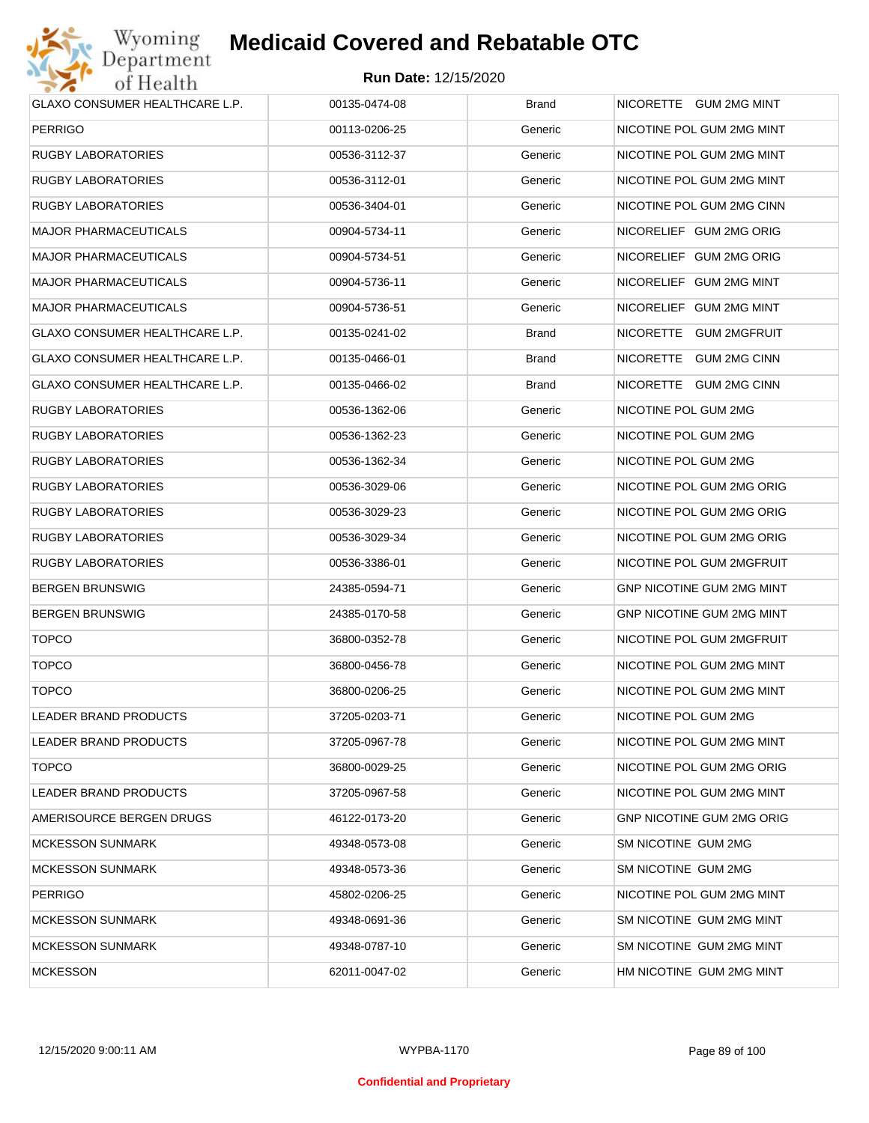

| <b>GLAXO CONSUMER HEALTHCARE L.P.</b> | 00135-0474-08 | Brand        | NICORETTE GUM 2MG MINT           |
|---------------------------------------|---------------|--------------|----------------------------------|
| <b>PERRIGO</b>                        | 00113-0206-25 | Generic      | NICOTINE POL GUM 2MG MINT        |
| RUGBY LABORATORIES                    | 00536-3112-37 | Generic      | NICOTINE POL GUM 2MG MINT        |
| RUGBY LABORATORIES                    | 00536-3112-01 | Generic      | NICOTINE POL GUM 2MG MINT        |
| RUGBY LABORATORIES                    | 00536-3404-01 | Generic      | NICOTINE POL GUM 2MG CINN        |
| <b>MAJOR PHARMACEUTICALS</b>          | 00904-5734-11 | Generic      | NICORELIEF GUM 2MG ORIG          |
| <b>MAJOR PHARMACEUTICALS</b>          | 00904-5734-51 | Generic      | NICORELIEF GUM 2MG ORIG          |
| <b>MAJOR PHARMACEUTICALS</b>          | 00904-5736-11 | Generic      | NICORELIEF GUM 2MG MINT          |
| <b>MAJOR PHARMACEUTICALS</b>          | 00904-5736-51 | Generic      | NICORELIEF GUM 2MG MINT          |
| GLAXO CONSUMER HEALTHCARE L.P.        | 00135-0241-02 | <b>Brand</b> | NICORETTE GUM 2MGFRUIT           |
| GLAXO CONSUMER HEALTHCARE L.P.        | 00135-0466-01 | Brand        | NICORETTE GUM 2MG CINN           |
| GLAXO CONSUMER HEALTHCARE L.P.        | 00135-0466-02 | Brand        | NICORETTE GUM 2MG CINN           |
| RUGBY LABORATORIES                    | 00536-1362-06 | Generic      | NICOTINE POL GUM 2MG             |
| RUGBY LABORATORIES                    | 00536-1362-23 | Generic      | NICOTINE POL GUM 2MG             |
| RUGBY LABORATORIES                    | 00536-1362-34 | Generic      | NICOTINE POL GUM 2MG             |
| <b>RUGBY LABORATORIES</b>             | 00536-3029-06 | Generic      | NICOTINE POL GUM 2MG ORIG        |
| RUGBY LABORATORIES                    | 00536-3029-23 | Generic      | NICOTINE POL GUM 2MG ORIG        |
| RUGBY LABORATORIES                    | 00536-3029-34 | Generic      | NICOTINE POL GUM 2MG ORIG        |
| RUGBY LABORATORIES                    | 00536-3386-01 | Generic      | NICOTINE POL GUM 2MGFRUIT        |
| <b>BERGEN BRUNSWIG</b>                | 24385-0594-71 | Generic      | GNP NICOTINE GUM 2MG MINT        |
| <b>BERGEN BRUNSWIG</b>                | 24385-0170-58 | Generic      | GNP NICOTINE GUM 2MG MINT        |
| <b>TOPCO</b>                          | 36800-0352-78 | Generic      | NICOTINE POL GUM 2MGFRUIT        |
| <b>TOPCO</b>                          | 36800-0456-78 | Generic      | NICOTINE POL GUM 2MG MINT        |
| <b>TOPCO</b>                          | 36800-0206-25 | Generic      | NICOTINE POL GUM 2MG MINT        |
| LEADER BRAND PRODUCTS                 | 37205-0203-71 | Generic      | NICOTINE POL GUM 2MG             |
| LEADER BRAND PRODUCTS                 | 37205-0967-78 | Generic      | NICOTINE POL GUM 2MG MINT        |
| <b>TOPCO</b>                          | 36800-0029-25 | Generic      | NICOTINE POL GUM 2MG ORIG        |
| LEADER BRAND PRODUCTS                 | 37205-0967-58 | Generic      | NICOTINE POL GUM 2MG MINT        |
| AMERISOURCE BERGEN DRUGS              | 46122-0173-20 | Generic      | <b>GNP NICOTINE GUM 2MG ORIG</b> |
| <b>MCKESSON SUNMARK</b>               | 49348-0573-08 | Generic      | SM NICOTINE GUM 2MG              |
| <b>MCKESSON SUNMARK</b>               | 49348-0573-36 | Generic      | SM NICOTINE GUM 2MG              |
| <b>PERRIGO</b>                        | 45802-0206-25 | Generic      | NICOTINE POL GUM 2MG MINT        |
| <b>MCKESSON SUNMARK</b>               | 49348-0691-36 | Generic      | SM NICOTINE GUM 2MG MINT         |
| <b>MCKESSON SUNMARK</b>               | 49348-0787-10 | Generic      | SM NICOTINE GUM 2MG MINT         |
| <b>MCKESSON</b>                       | 62011-0047-02 | Generic      | HM NICOTINE GUM 2MG MINT         |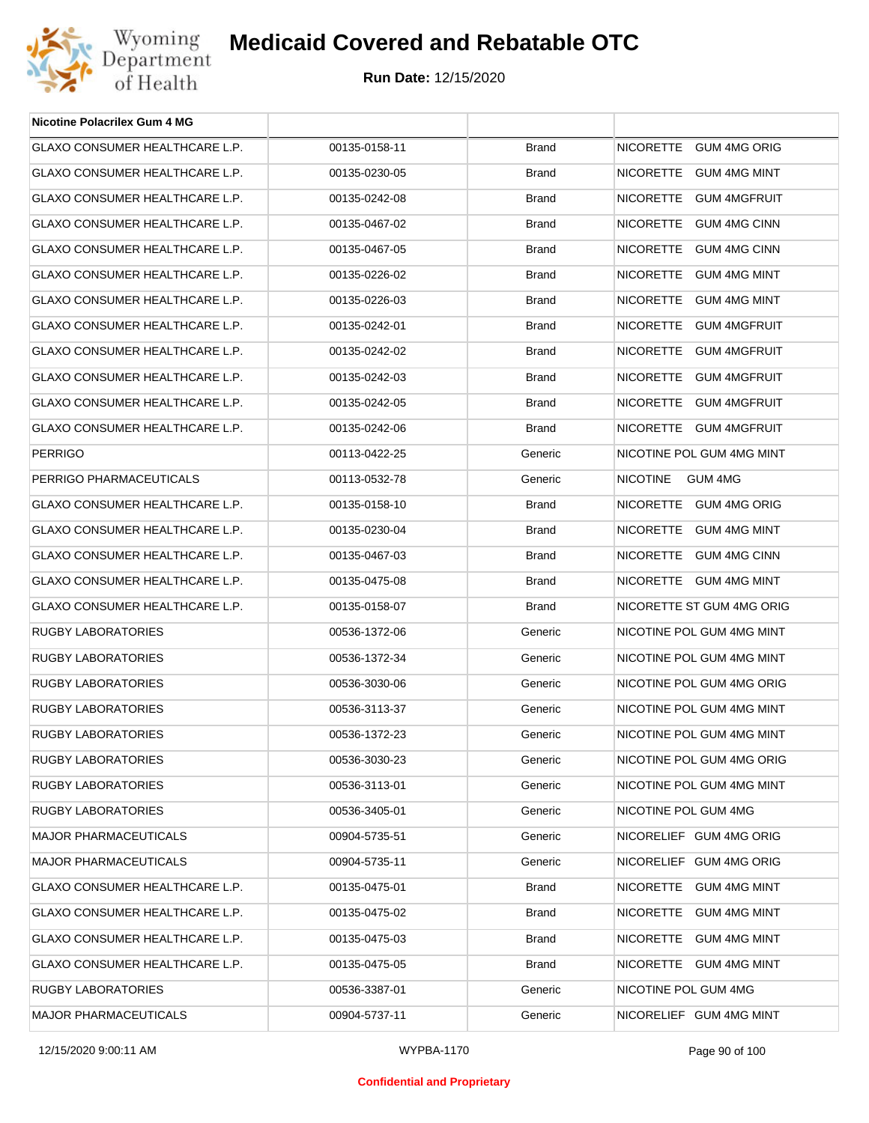

| <b>Nicotine Polacrilex Gum 4 MG</b>   |               |              |                            |
|---------------------------------------|---------------|--------------|----------------------------|
| GLAXO CONSUMER HEALTHCARE L.P.        | 00135-0158-11 | <b>Brand</b> | NICORETTE GUM 4MG ORIG     |
| GLAXO CONSUMER HEALTHCARE L.P.        | 00135-0230-05 | <b>Brand</b> | NICORETTE GUM 4MG MINT     |
| GLAXO CONSUMER HEALTHCARE L.P.        | 00135-0242-08 | <b>Brand</b> | NICORETTE GUM 4MGFRUIT     |
| GLAXO CONSUMER HEALTHCARE L.P.        | 00135-0467-02 | <b>Brand</b> | NICORETTE GUM 4MG CINN     |
| GLAXO CONSUMER HEALTHCARE L.P.        | 00135-0467-05 | <b>Brand</b> | NICORETTE GUM 4MG CINN     |
| GLAXO CONSUMER HEALTHCARE L.P.        | 00135-0226-02 | <b>Brand</b> | NICORETTE GUM 4MG MINT     |
| <b>GLAXO CONSUMER HEALTHCARE L.P.</b> | 00135-0226-03 | <b>Brand</b> | NICORETTE GUM 4MG MINT     |
| GLAXO CONSUMER HEALTHCARE L.P.        | 00135-0242-01 | <b>Brand</b> | NICORETTE GUM 4MGFRUIT     |
| GLAXO CONSUMER HEALTHCARE L.P.        | 00135-0242-02 | <b>Brand</b> | NICORETTE GUM 4MGFRUIT     |
| GLAXO CONSUMER HEALTHCARE L.P.        | 00135-0242-03 | <b>Brand</b> | NICORETTE GUM 4MGFRUIT     |
| <b>GLAXO CONSUMER HEALTHCARE L.P.</b> | 00135-0242-05 | <b>Brand</b> | NICORETTE GUM 4MGFRUIT     |
| GLAXO CONSUMER HEALTHCARE L.P.        | 00135-0242-06 | <b>Brand</b> | NICORETTE GUM 4MGFRUIT     |
| <b>PERRIGO</b>                        | 00113-0422-25 | Generic      | NICOTINE POL GUM 4MG MINT  |
| PERRIGO PHARMACEUTICALS               | 00113-0532-78 | Generic      | <b>NICOTINE</b><br>GUM 4MG |
| <b>GLAXO CONSUMER HEALTHCARE L.P.</b> | 00135-0158-10 | <b>Brand</b> | NICORETTE GUM 4MG ORIG     |
| GLAXO CONSUMER HEALTHCARE L.P.        | 00135-0230-04 | <b>Brand</b> | NICORETTE GUM 4MG MINT     |
| GLAXO CONSUMER HEALTHCARE L.P.        | 00135-0467-03 | <b>Brand</b> | NICORETTE GUM 4MG CINN     |
| GLAXO CONSUMER HEALTHCARE L.P.        | 00135-0475-08 | <b>Brand</b> | NICORETTE GUM 4MG MINT     |
| GLAXO CONSUMER HEALTHCARE L.P.        | 00135-0158-07 | <b>Brand</b> | NICORETTE ST GUM 4MG ORIG  |
| RUGBY LABORATORIES                    | 00536-1372-06 | Generic      | NICOTINE POL GUM 4MG MINT  |
| <b>RUGBY LABORATORIES</b>             | 00536-1372-34 | Generic      | NICOTINE POL GUM 4MG MINT  |
| <b>RUGBY LABORATORIES</b>             | 00536-3030-06 | Generic      | NICOTINE POL GUM 4MG ORIG  |
| <b>RUGBY LABORATORIES</b>             | 00536-3113-37 | Generic      | NICOTINE POL GUM 4MG MINT  |
| <b>RUGBY LABORATORIES</b>             | 00536-1372-23 | Generic      | NICOTINE POL GUM 4MG MINT  |
| RUGBY LABORATORIES                    | 00536-3030-23 | Generic      | NICOTINE POL GUM 4MG ORIG  |
| RUGBY LABORATORIES                    | 00536-3113-01 | Generic      | NICOTINE POL GUM 4MG MINT  |
| RUGBY LABORATORIES                    | 00536-3405-01 | Generic      | NICOTINE POL GUM 4MG       |
| <b>MAJOR PHARMACEUTICALS</b>          | 00904-5735-51 | Generic      | NICORELIEF GUM 4MG ORIG    |
| <b>MAJOR PHARMACEUTICALS</b>          | 00904-5735-11 | Generic      | NICORELIEF GUM 4MG ORIG    |
| <b>GLAXO CONSUMER HEALTHCARE L.P.</b> | 00135-0475-01 | <b>Brand</b> | NICORETTE GUM 4MG MINT     |
| GLAXO CONSUMER HEALTHCARE L.P.        | 00135-0475-02 | <b>Brand</b> | NICORETTE GUM 4MG MINT     |
| GLAXO CONSUMER HEALTHCARE L.P.        | 00135-0475-03 | <b>Brand</b> | NICORETTE GUM 4MG MINT     |
| GLAXO CONSUMER HEALTHCARE L.P.        | 00135-0475-05 | <b>Brand</b> | NICORETTE GUM 4MG MINT     |
| RUGBY LABORATORIES                    | 00536-3387-01 | Generic      | NICOTINE POL GUM 4MG       |
| <b>MAJOR PHARMACEUTICALS</b>          | 00904-5737-11 | Generic      | NICORELIEF GUM 4MG MINT    |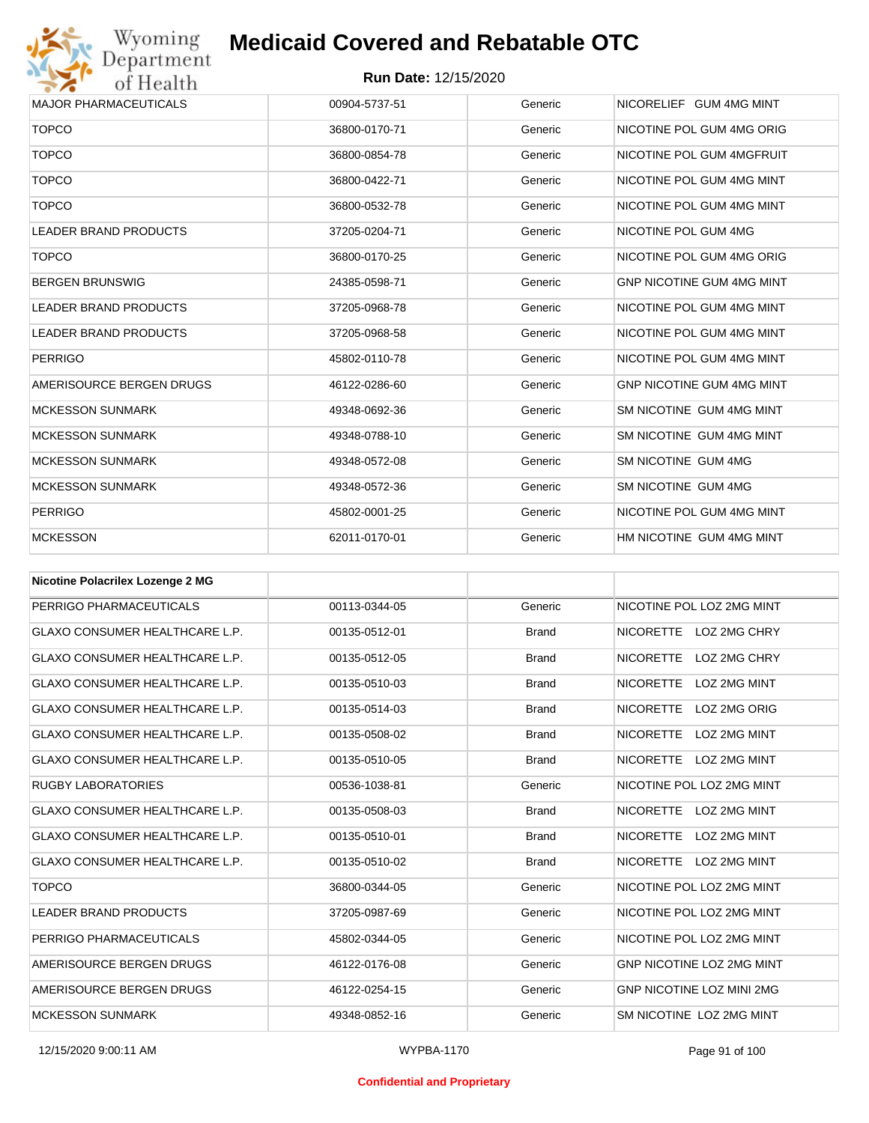

| <b>MAJOR PHARMACEUTICALS</b> | 00904-5737-51 | Generic | NICORELIEF GUM 4MG MINT          |
|------------------------------|---------------|---------|----------------------------------|
| <b>TOPCO</b>                 | 36800-0170-71 | Generic | NICOTINE POL GUM 4MG ORIG        |
| <b>TOPCO</b>                 | 36800-0854-78 | Generic | NICOTINE POL GUM 4MGFRUIT        |
| <b>TOPCO</b>                 | 36800-0422-71 | Generic | NICOTINE POL GUM 4MG MINT        |
| <b>TOPCO</b>                 | 36800-0532-78 | Generic | NICOTINE POL GUM 4MG MINT        |
| <b>LEADER BRAND PRODUCTS</b> | 37205-0204-71 | Generic | NICOTINE POL GUM 4MG             |
| <b>TOPCO</b>                 | 36800-0170-25 | Generic | NICOTINE POL GUM 4MG ORIG        |
| <b>BERGEN BRUNSWIG</b>       | 24385-0598-71 | Generic | <b>GNP NICOTINE GUM 4MG MINT</b> |
| <b>LEADER BRAND PRODUCTS</b> | 37205-0968-78 | Generic | NICOTINE POL GUM 4MG MINT        |
| <b>LEADER BRAND PRODUCTS</b> | 37205-0968-58 | Generic | NICOTINE POL GUM 4MG MINT        |
| <b>PERRIGO</b>               | 45802-0110-78 | Generic | NICOTINE POL GUM 4MG MINT        |
| AMERISOURCE BERGEN DRUGS     | 46122-0286-60 | Generic | <b>GNP NICOTINE GUM 4MG MINT</b> |
| <b>MCKESSON SUNMARK</b>      | 49348-0692-36 | Generic | SM NICOTINE GUM 4MG MINT         |
| <b>MCKESSON SUNMARK</b>      | 49348-0788-10 | Generic | SM NICOTINE GUM 4MG MINT         |
| <b>MCKESSON SUNMARK</b>      | 49348-0572-08 | Generic | SM NICOTINE GUM 4MG              |
| <b>MCKESSON SUNMARK</b>      | 49348-0572-36 | Generic | SM NICOTINE GUM 4MG              |
| <b>PERRIGO</b>               | 45802-0001-25 | Generic | NICOTINE POL GUM 4MG MINT        |
| <b>MCKESSON</b>              | 62011-0170-01 | Generic | HM NICOTINE GUM 4MG MINT         |

| <b>Nicotine Polacrilex Lozenge 2 MG</b> |               |              |                                  |
|-----------------------------------------|---------------|--------------|----------------------------------|
| PERRIGO PHARMACEUTICALS                 | 00113-0344-05 | Generic      | NICOTINE POL LOZ 2MG MINT        |
| <b>GLAXO CONSUMER HEALTHCARE L.P.</b>   | 00135-0512-01 | <b>Brand</b> | NICORETTE LOZ 2MG CHRY           |
| <b>GLAXO CONSUMER HEALTHCARE L.P.</b>   | 00135-0512-05 | <b>Brand</b> | LOZ 2MG CHRY<br><b>NICORETTE</b> |
| <b>GLAXO CONSUMER HEALTHCARE L.P.</b>   | 00135-0510-03 | <b>Brand</b> | <b>NICORETTE</b><br>LOZ 2MG MINT |
| <b>GLAXO CONSUMER HEALTHCARE L.P.</b>   | 00135-0514-03 | <b>Brand</b> | <b>NICORETTE</b><br>LOZ 2MG ORIG |
| <b>GLAXO CONSUMER HEALTHCARE L.P.</b>   | 00135-0508-02 | <b>Brand</b> | <b>NICORETTE</b><br>LOZ 2MG MINT |
| <b>GLAXO CONSUMER HEALTHCARE L.P.</b>   | 00135-0510-05 | <b>Brand</b> | <b>NICORETTE</b><br>LOZ 2MG MINT |
| <b>RUGBY LABORATORIES</b>               | 00536-1038-81 | Generic      | NICOTINE POL LOZ 2MG MINT        |
| <b>GLAXO CONSUMER HEALTHCARE L.P.</b>   | 00135-0508-03 | <b>Brand</b> | <b>NICORETTE</b><br>LOZ 2MG MINT |
| <b>GLAXO CONSUMER HEALTHCARE L.P.</b>   | 00135-0510-01 | <b>Brand</b> | <b>NICORETTE</b><br>LOZ 2MG MINT |
| <b>GLAXO CONSUMER HEALTHCARE L.P.</b>   | 00135-0510-02 | <b>Brand</b> | NICORETTE<br>LOZ 2MG MINT        |
| <b>TOPCO</b>                            | 36800-0344-05 | Generic      | NICOTINE POL LOZ 2MG MINT        |
| <b>LEADER BRAND PRODUCTS</b>            | 37205-0987-69 | Generic      | NICOTINE POL LOZ 2MG MINT        |
| PERRIGO PHARMACEUTICALS                 | 45802-0344-05 | Generic      | NICOTINE POL LOZ 2MG MINT        |
| AMERISOURCE BERGEN DRUGS                | 46122-0176-08 | Generic      | <b>GNP NICOTINE LOZ 2MG MINT</b> |
| AMERISOURCE BERGEN DRUGS                | 46122-0254-15 | Generic      | <b>GNP NICOTINE LOZ MINI 2MG</b> |
| <b>MCKESSON SUNMARK</b>                 | 49348-0852-16 | Generic      | SM NICOTINE LOZ 2MG MINT         |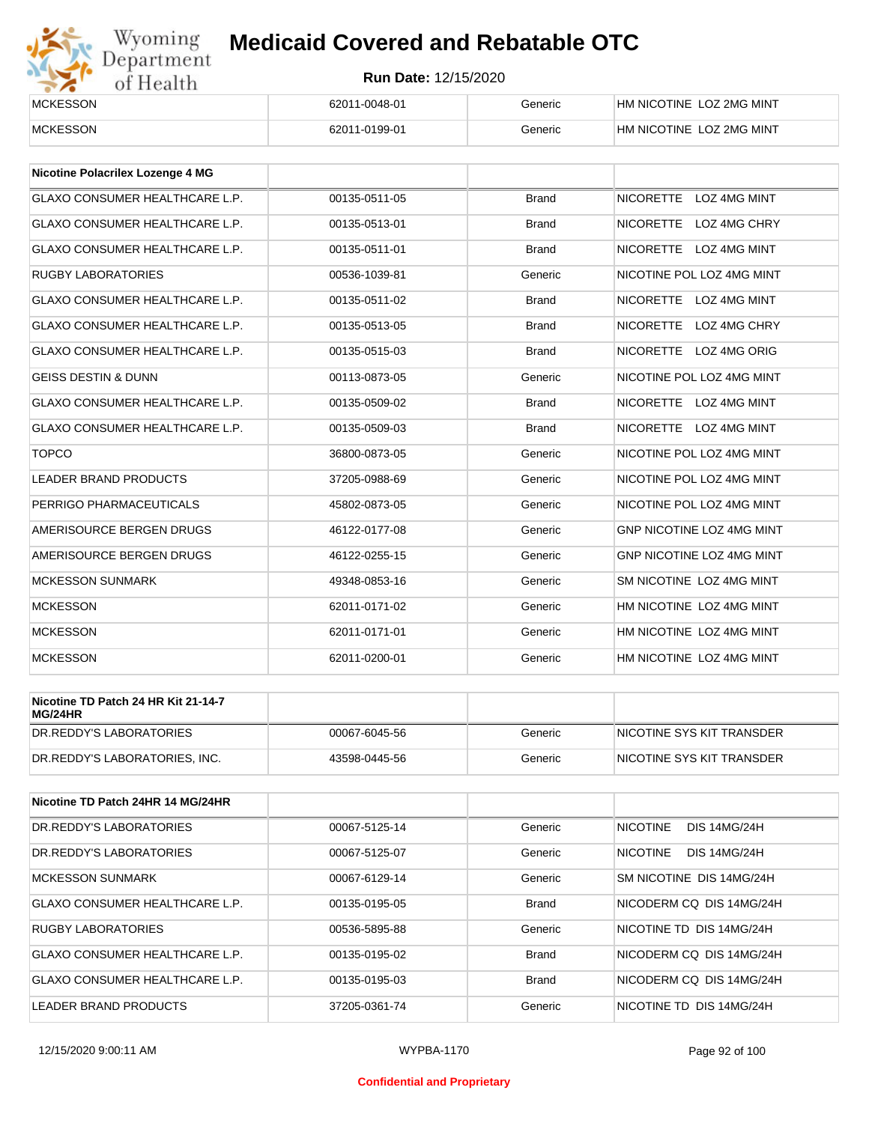

| <b>MCKESSON</b> | 62011-0048-01 | Generic | HM NICOTINE LOZ 2MG MINT |
|-----------------|---------------|---------|--------------------------|
| <b>MCKESSON</b> | 62011-0199-01 | Generic | HM NICOTINE LOZ 2MG MINT |

| Nicotine Polacrilex Lozenge 4 MG      |               |              |                                         |
|---------------------------------------|---------------|--------------|-----------------------------------------|
| <b>GLAXO CONSUMER HEALTHCARE L.P.</b> | 00135-0511-05 | <b>Brand</b> | <b>NICORETTE</b><br><b>LOZ 4MG MINT</b> |
| <b>GLAXO CONSUMER HEALTHCARE L.P.</b> | 00135-0513-01 | <b>Brand</b> | NICORETTE LOZ 4MG CHRY                  |
| <b>GLAXO CONSUMER HEALTHCARE L.P.</b> | 00135-0511-01 | <b>Brand</b> | <b>NICORETTE</b><br>LOZ 4MG MINT        |
| <b>RUGBY LABORATORIES</b>             | 00536-1039-81 | Generic      | NICOTINE POL LOZ 4MG MINT               |
| <b>GLAXO CONSUMER HEALTHCARE L.P.</b> | 00135-0511-02 | <b>Brand</b> | <b>NICORETTE</b><br>LOZ 4MG MINT        |
| <b>GLAXO CONSUMER HEALTHCARE L.P.</b> | 00135-0513-05 | <b>Brand</b> | <b>NICORETTE</b><br>LOZ 4MG CHRY        |
| GLAXO CONSUMER HEALTHCARE L.P.        | 00135-0515-03 | <b>Brand</b> | <b>NICORETTE</b><br><b>LOZ 4MG ORIG</b> |
| <b>GEISS DESTIN &amp; DUNN</b>        | 00113-0873-05 | Generic      | NICOTINE POL LOZ 4MG MINT               |
| <b>GLAXO CONSUMER HEALTHCARE L.P.</b> | 00135-0509-02 | <b>Brand</b> | <b>NICORETTE</b><br>LOZ 4MG MINT        |
| <b>GLAXO CONSUMER HEALTHCARE L.P.</b> | 00135-0509-03 | <b>Brand</b> | NICORETTE LOZ 4MG MINT                  |
| <b>TOPCO</b>                          | 36800-0873-05 | Generic      | NICOTINE POL LOZ 4MG MINT               |
| <b>LEADER BRAND PRODUCTS</b>          | 37205-0988-69 | Generic      | NICOTINE POL LOZ 4MG MINT               |
| PERRIGO PHARMACEUTICALS               | 45802-0873-05 | Generic      | NICOTINE POL LOZ 4MG MINT               |
| AMERISOURCE BERGEN DRUGS              | 46122-0177-08 | Generic      | GNP NICOTINE LOZ 4MG MINT               |
| AMERISOURCE BERGEN DRUGS              | 46122-0255-15 | Generic      | <b>GNP NICOTINE LOZ 4MG MINT</b>        |
| <b>MCKESSON SUNMARK</b>               | 49348-0853-16 | Generic      | SM NICOTINE LOZ 4MG MINT                |
| <b>MCKESSON</b>                       | 62011-0171-02 | Generic      | HM NICOTINE LOZ 4MG MINT                |
| <b>MCKESSON</b>                       | 62011-0171-01 | Generic      | HM NICOTINE LOZ 4MG MINT                |
| <b>MCKESSON</b>                       | 62011-0200-01 | Generic      | HM NICOTINE LOZ 4MG MINT                |

| Nicotine TD Patch 24 HR Kit 21-14-7<br>MG/24HR |               |         |                           |
|------------------------------------------------|---------------|---------|---------------------------|
| IDR.REDDY'S LABORATORIES                       | 00067-6045-56 | Generic | NICOTINE SYS KIT TRANSDER |
| DR.REDDY'S LABORATORIES. INC.                  | 43598-0445-56 | Generic | NICOTINE SYS KIT TRANSDER |

| Nicotine TD Patch 24HR 14 MG/24HR |               |              |                                        |
|-----------------------------------|---------------|--------------|----------------------------------------|
| DR.REDDY'S LABORATORIES           | 00067-5125-14 | Generic      | <b>NICOTINE</b><br><b>DIS 14MG/24H</b> |
| DR.REDDY'S LABORATORIES           | 00067-5125-07 | Generic      | <b>NICOTINE</b><br><b>DIS 14MG/24H</b> |
| MCKESSON SUNMARK                  | 00067-6129-14 | Generic      | SM NICOTINE DIS 14MG/24H               |
| GLAXO CONSUMER HEALTHCARE L.P.    | 00135-0195-05 | <b>Brand</b> | NICODERM CO DIS 14MG/24H               |
| <b>RUGBY LABORATORIES</b>         | 00536-5895-88 | Generic      | NICOTINE TD DIS 14MG/24H               |
| GLAXO CONSUMER HEALTHCARE L.P.    | 00135-0195-02 | <b>Brand</b> | NICODERM CO DIS 14MG/24H               |
| GLAXO CONSUMER HEALTHCARE L.P.    | 00135-0195-03 | <b>Brand</b> | NICODERM CO DIS 14MG/24H               |
| LEADER BRAND PRODUCTS             | 37205-0361-74 | Generic      | NICOTINE TD DIS 14MG/24H               |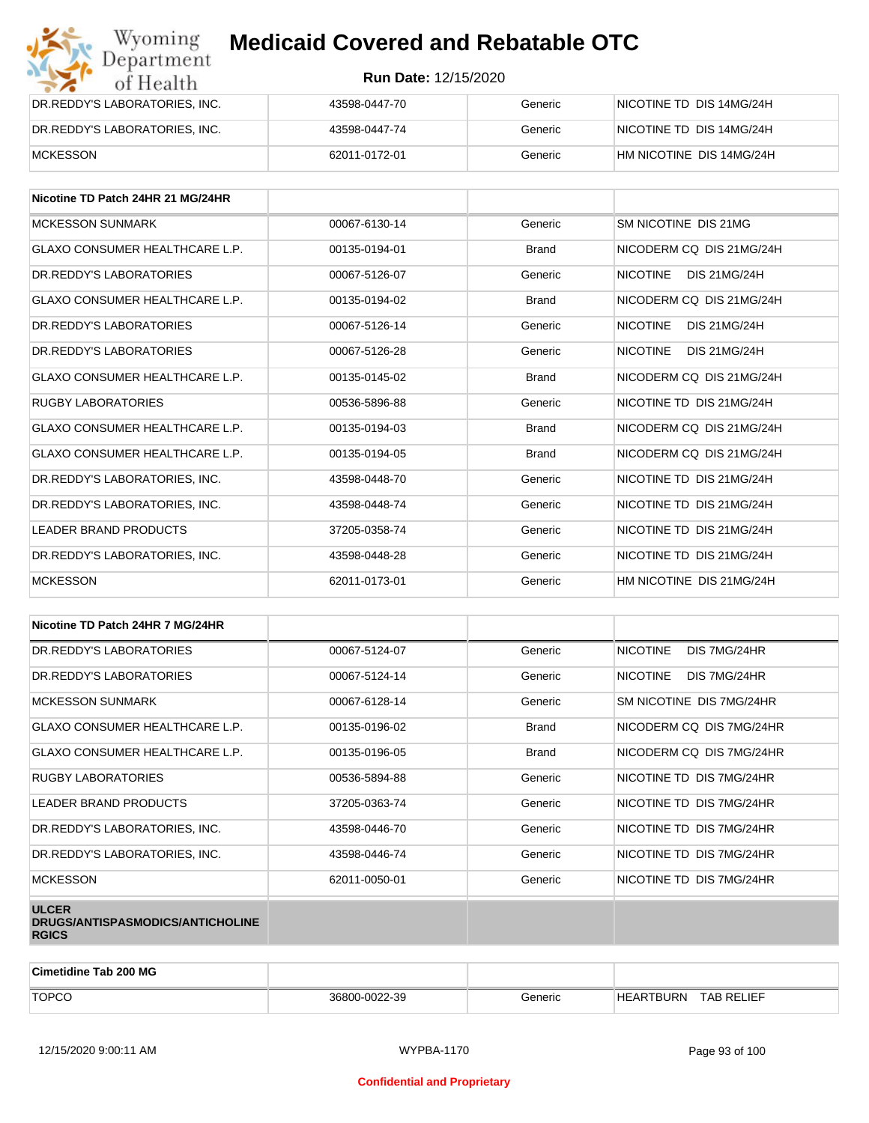| Wyoming<br><b>Medicaid Covered and Rebatable OTC</b><br>Department |                             |         |                          |
|--------------------------------------------------------------------|-----------------------------|---------|--------------------------|
| of Health                                                          | <b>Run Date: 12/15/2020</b> |         |                          |
| DR.REDDY'S LABORATORIES, INC.                                      | 43598-0447-70               | Generic | NICOTINE TD DIS 14MG/24H |
| DR.REDDY'S LABORATORIES, INC.                                      | 43598-0447-74               | Generic | NICOTINE TD DIS 14MG/24H |
| <b>MCKESSON</b>                                                    | 62011-0172-01               | Generic | HM NICOTINE DIS 14MG/24H |

| Nicotine TD Patch 24HR 21 MG/24HR     |               |              |                                        |
|---------------------------------------|---------------|--------------|----------------------------------------|
| <b>MCKESSON SUNMARK</b>               | 00067-6130-14 | Generic      | SM NICOTINE DIS 21MG                   |
| GLAXO CONSUMER HEALTHCARE L.P.        | 00135-0194-01 | <b>Brand</b> | NICODERM CO DIS 21MG/24H               |
| DR. REDDY'S LABORATORIES              | 00067-5126-07 | Generic      | <b>NICOTINE</b><br><b>DIS 21MG/24H</b> |
| <b>GLAXO CONSUMER HEALTHCARE L.P.</b> | 00135-0194-02 | <b>Brand</b> | NICODERM CO DIS 21MG/24H               |
| DR. REDDY'S LABORATORIES              | 00067-5126-14 | Generic      | <b>NICOTINE</b><br>DIS 21MG/24H        |
| DR. REDDY'S LABORATORIES              | 00067-5126-28 | Generic      | <b>NICOTINE</b><br>DIS 21MG/24H        |
| <b>GLAXO CONSUMER HEALTHCARE L.P.</b> | 00135-0145-02 | <b>Brand</b> | NICODERM CO DIS 21MG/24H               |
| <b>RUGBY LABORATORIES</b>             | 00536-5896-88 | Generic      | NICOTINE TD DIS 21MG/24H               |
| <b>GLAXO CONSUMER HEALTHCARE L.P.</b> | 00135-0194-03 | <b>Brand</b> | NICODERM CO DIS 21MG/24H               |
| <b>GLAXO CONSUMER HEALTHCARE L.P.</b> | 00135-0194-05 | <b>Brand</b> | NICODERM CO DIS 21MG/24H               |
| DR. REDDY'S LABORATORIES. INC.        | 43598-0448-70 | Generic      | NICOTINE TD DIS 21MG/24H               |
| DR.REDDY'S LABORATORIES, INC.         | 43598-0448-74 | Generic      | NICOTINE TD DIS 21MG/24H               |
| <b>LEADER BRAND PRODUCTS</b>          | 37205-0358-74 | Generic      | NICOTINE TD DIS 21MG/24H               |
| DR. REDDY'S LABORATORIES. INC.        | 43598-0448-28 | Generic      | NICOTINE TD DIS 21MG/24H               |
| <b>MCKESSON</b>                       | 62011-0173-01 | Generic      | HM NICOTINE DIS 21MG/24H               |

| Nicotine TD Patch 24HR 7 MG/24HR                                 |               |              |                                 |
|------------------------------------------------------------------|---------------|--------------|---------------------------------|
| DR.REDDY'S LABORATORIES                                          | 00067-5124-07 | Generic      | <b>NICOTINE</b><br>DIS 7MG/24HR |
| DR. REDDY'S LABORATORIES                                         | 00067-5124-14 | Generic      | <b>NICOTINE</b><br>DIS 7MG/24HR |
| <b>MCKESSON SUNMARK</b>                                          | 00067-6128-14 | Generic      | SM NICOTINE DIS 7MG/24HR        |
| GLAXO CONSUMER HEALTHCARE L.P.                                   | 00135-0196-02 | <b>Brand</b> | NICODERM CQ DIS 7MG/24HR        |
| <b>GLAXO CONSUMER HEALTHCARE L.P.</b>                            | 00135-0196-05 | <b>Brand</b> | NICODERM CQ DIS 7MG/24HR        |
| <b>RUGBY LABORATORIES</b>                                        | 00536-5894-88 | Generic      | NICOTINE TD DIS 7MG/24HR        |
| LEADER BRAND PRODUCTS                                            | 37205-0363-74 | Generic      | NICOTINE TD DIS 7MG/24HR        |
| DR.REDDY'S LABORATORIES, INC.                                    | 43598-0446-70 | Generic      | NICOTINE TD DIS 7MG/24HR        |
| DR.REDDY'S LABORATORIES, INC.                                    | 43598-0446-74 | Generic      | NICOTINE TD DIS 7MG/24HR        |
| <b>MCKESSON</b>                                                  | 62011-0050-01 | Generic      | NICOTINE TD DIS 7MG/24HR        |
| <b>ULCER</b><br>DRUGS/ANTISPASMODICS/ANTICHOLINE<br><b>RGICS</b> |               |              |                                 |

| Cimetidine Tab 200 MG |               |         |                                |  |
|-----------------------|---------------|---------|--------------------------------|--|
| <b>TOPCO</b>          | 36800-0022-39 | Generic | <b>TAB RELIEF</b><br>HEARTBURN |  |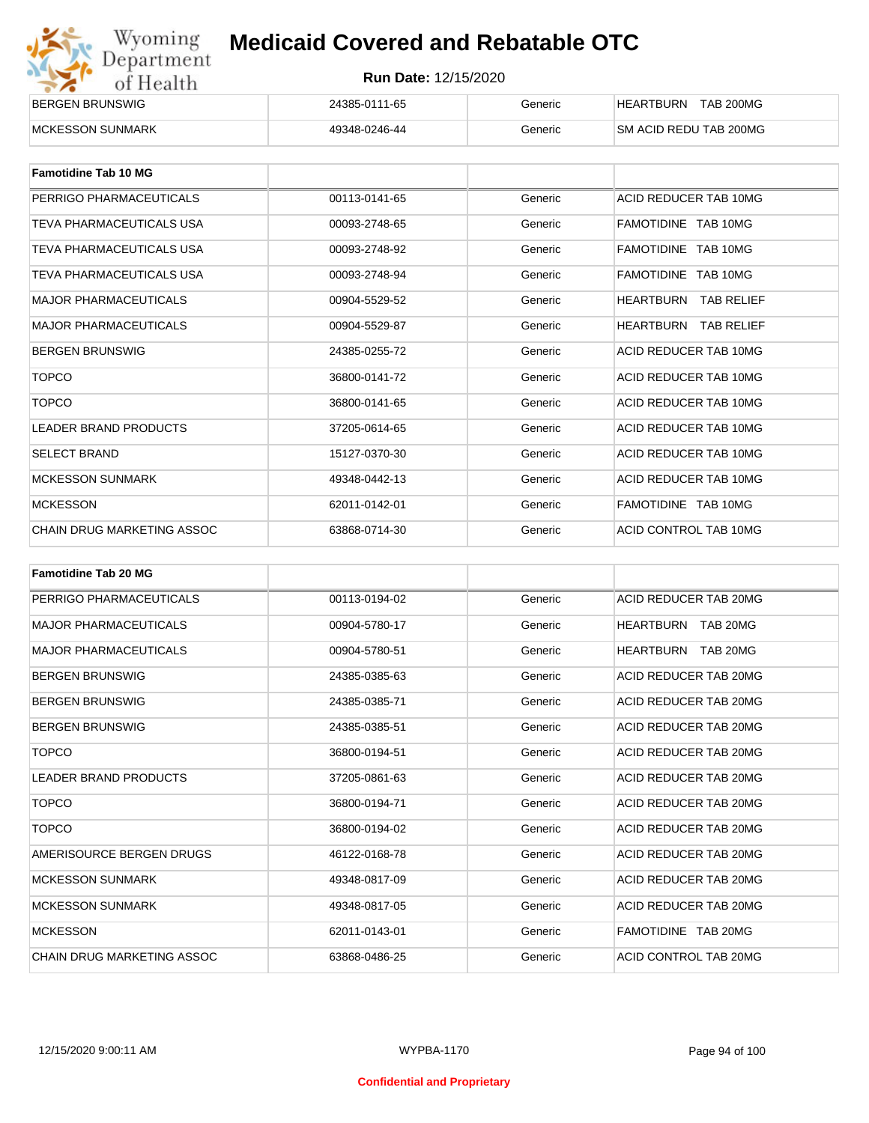| Wyoming    |
|------------|
| Department |
| of Health  |

| BERGEN BRUNSWIG          | 24385-0111-65 | Generic | <b>TAB 200MG</b><br><b>HEARTBURN</b> |
|--------------------------|---------------|---------|--------------------------------------|
| <b>IMCKESSON SUNMARK</b> | 49348-0246-44 | Generic | <b>SM ACID REDU TAB 200MG</b>        |

| <b>Famotidine Tab 10 MG</b>     |               |         |                                |
|---------------------------------|---------------|---------|--------------------------------|
| PERRIGO PHARMACEUTICALS         | 00113-0141-65 | Generic | ACID REDUCER TAB 10MG          |
| TEVA PHARMACEUTICALS USA        | 00093-2748-65 | Generic | FAMOTIDINE TAB 10MG            |
| TEVA PHARMACEUTICALS USA        | 00093-2748-92 | Generic | FAMOTIDINE TAB 10MG            |
| <b>TEVA PHARMACEUTICALS USA</b> | 00093-2748-94 | Generic | FAMOTIDINE TAB 10MG            |
| <b>MAJOR PHARMACEUTICALS</b>    | 00904-5529-52 | Generic | HEARTBURN<br><b>TAB RELIEF</b> |
| <b>MAJOR PHARMACEUTICALS</b>    | 00904-5529-87 | Generic | HEARTBURN<br>TAB RELIEF        |
| <b>BERGEN BRUNSWIG</b>          | 24385-0255-72 | Generic | ACID REDUCER TAB 10MG          |
| <b>TOPCO</b>                    | 36800-0141-72 | Generic | ACID REDUCER TAB 10MG          |
| <b>TOPCO</b>                    | 36800-0141-65 | Generic | ACID REDUCER TAB 10MG          |
| <b>LEADER BRAND PRODUCTS</b>    | 37205-0614-65 | Generic | ACID REDUCER TAB 10MG          |
| <b>SELECT BRAND</b>             | 15127-0370-30 | Generic | ACID REDUCER TAB 10MG          |
| <b>MCKESSON SUNMARK</b>         | 49348-0442-13 | Generic | ACID REDUCER TAB 10MG          |
| <b>MCKESSON</b>                 | 62011-0142-01 | Generic | FAMOTIDINE TAB 10MG            |
| CHAIN DRUG MARKETING ASSOC      | 63868-0714-30 | Generic | ACID CONTROL TAB 10MG          |

| <b>Famotidine Tab 20 MG</b>       |               |         |                              |
|-----------------------------------|---------------|---------|------------------------------|
| PERRIGO PHARMACEUTICALS           | 00113-0194-02 | Generic | ACID REDUCER TAB 20MG        |
| <b>MAJOR PHARMACEUTICALS</b>      | 00904-5780-17 | Generic | <b>HEARTBURN TAB 20MG</b>    |
| <b>MAJOR PHARMACEUTICALS</b>      | 00904-5780-51 | Generic | TAB 20MG<br><b>HEARTBURN</b> |
| <b>BERGEN BRUNSWIG</b>            | 24385-0385-63 | Generic | ACID REDUCER TAB 20MG        |
| <b>BERGEN BRUNSWIG</b>            | 24385-0385-71 | Generic | ACID REDUCER TAB 20MG        |
| <b>BERGEN BRUNSWIG</b>            | 24385-0385-51 | Generic | ACID REDUCER TAB 20MG        |
| <b>TOPCO</b>                      | 36800-0194-51 | Generic | ACID REDUCER TAB 20MG        |
| <b>LEADER BRAND PRODUCTS</b>      | 37205-0861-63 | Generic | ACID REDUCER TAB 20MG        |
| <b>TOPCO</b>                      | 36800-0194-71 | Generic | ACID REDUCER TAB 20MG        |
| <b>TOPCO</b>                      | 36800-0194-02 | Generic | ACID REDUCER TAB 20MG        |
| AMERISOURCE BERGEN DRUGS          | 46122-0168-78 | Generic | ACID REDUCER TAB 20MG        |
| <b>MCKESSON SUNMARK</b>           | 49348-0817-09 | Generic | ACID REDUCER TAB 20MG        |
| <b>MCKESSON SUNMARK</b>           | 49348-0817-05 | Generic | ACID REDUCER TAB 20MG        |
| <b>MCKESSON</b>                   | 62011-0143-01 | Generic | FAMOTIDINE TAB 20MG          |
| <b>CHAIN DRUG MARKETING ASSOC</b> | 63868-0486-25 | Generic | ACID CONTROL TAB 20MG        |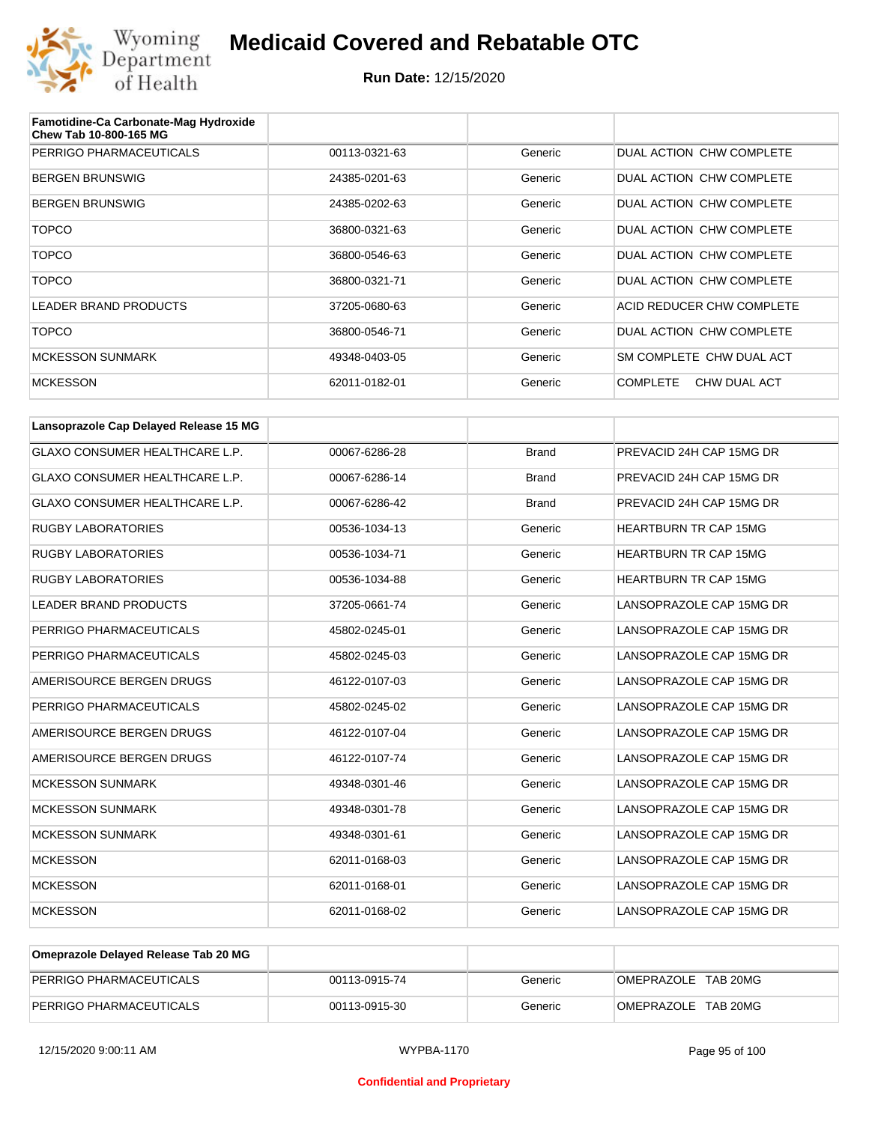

| Famotidine-Ca Carbonate-Mag Hydroxide<br>Chew Tab 10-800-165 MG |               |         |                                 |
|-----------------------------------------------------------------|---------------|---------|---------------------------------|
| PERRIGO PHARMACEUTICALS                                         | 00113-0321-63 | Generic | DUAL ACTION CHW COMPLETE        |
| <b>BERGEN BRUNSWIG</b>                                          | 24385-0201-63 | Generic | DUAL ACTION CHW COMPLETE        |
| <b>BERGEN BRUNSWIG</b>                                          | 24385-0202-63 | Generic | DUAL ACTION CHW COMPLETE        |
| <b>TOPCO</b>                                                    | 36800-0321-63 | Generic | DUAL ACTION CHW COMPLETE        |
| <b>TOPCO</b>                                                    | 36800-0546-63 | Generic | DUAL ACTION CHW COMPLETE        |
| <b>TOPCO</b>                                                    | 36800-0321-71 | Generic | DUAL ACTION CHW COMPLETE        |
| <b>LEADER BRAND PRODUCTS</b>                                    | 37205-0680-63 | Generic | ACID REDUCER CHW COMPLETE       |
| <b>TOPCO</b>                                                    | 36800-0546-71 | Generic | DUAL ACTION CHW COMPLETE        |
| <b>MCKESSON SUNMARK</b>                                         | 49348-0403-05 | Generic | SM COMPLETE CHW DUAL ACT        |
| <b>MCKESSON</b>                                                 | 62011-0182-01 | Generic | CHW DUAL ACT<br><b>COMPLETE</b> |

| Lansoprazole Cap Delayed Release 15 MG |               |              |                              |
|----------------------------------------|---------------|--------------|------------------------------|
| <b>GLAXO CONSUMER HEALTHCARE L.P.</b>  | 00067-6286-28 | <b>Brand</b> | PREVACID 24H CAP 15MG DR     |
| <b>GLAXO CONSUMER HEALTHCARE L.P.</b>  | 00067-6286-14 | <b>Brand</b> | PREVACID 24H CAP 15MG DR     |
| <b>GLAXO CONSUMER HEALTHCARE L.P.</b>  | 00067-6286-42 | <b>Brand</b> | PREVACID 24H CAP 15MG DR     |
| <b>RUGBY LABORATORIES</b>              | 00536-1034-13 | Generic      | <b>HEARTBURN TR CAP 15MG</b> |
| <b>RUGBY LABORATORIES</b>              | 00536-1034-71 | Generic      | <b>HEARTBURN TR CAP 15MG</b> |
| <b>RUGBY LABORATORIES</b>              | 00536-1034-88 | Generic      | <b>HEARTBURN TR CAP 15MG</b> |
| <b>LEADER BRAND PRODUCTS</b>           | 37205-0661-74 | Generic      | LANSOPRAZOLE CAP 15MG DR     |
| PERRIGO PHARMACEUTICALS                | 45802-0245-01 | Generic      | LANSOPRAZOLE CAP 15MG DR     |
| PERRIGO PHARMACEUTICALS                | 45802-0245-03 | Generic      | LANSOPRAZOLE CAP 15MG DR     |
| AMERISOURCE BERGEN DRUGS               | 46122-0107-03 | Generic      | LANSOPRAZOLE CAP 15MG DR     |
| PERRIGO PHARMACEUTICALS                | 45802-0245-02 | Generic      | LANSOPRAZOLE CAP 15MG DR     |
| AMERISOURCE BERGEN DRUGS               | 46122-0107-04 | Generic      | LANSOPRAZOLE CAP 15MG DR     |
| AMERISOURCE BERGEN DRUGS               | 46122-0107-74 | Generic      | LANSOPRAZOLE CAP 15MG DR     |
| <b>MCKESSON SUNMARK</b>                | 49348-0301-46 | Generic      | LANSOPRAZOLE CAP 15MG DR     |
| <b>MCKESSON SUNMARK</b>                | 49348-0301-78 | Generic      | LANSOPRAZOLE CAP 15MG DR     |
| <b>MCKESSON SUNMARK</b>                | 49348-0301-61 | Generic      | LANSOPRAZOLE CAP 15MG DR     |
| <b>MCKESSON</b>                        | 62011-0168-03 | Generic      | LANSOPRAZOLE CAP 15MG DR     |
| <b>MCKESSON</b>                        | 62011-0168-01 | Generic      | LANSOPRAZOLE CAP 15MG DR     |
| <b>MCKESSON</b>                        | 62011-0168-02 | Generic      | LANSOPRAZOLE CAP 15MG DR     |

| Omeprazole Delayed Release Tab 20 MG |               |         |                     |
|--------------------------------------|---------------|---------|---------------------|
| PERRIGO PHARMACEUTICALS              | 00113-0915-74 | Generic | OMEPRAZOLE TAB 20MG |
| PERRIGO PHARMACEUTICALS              | 00113-0915-30 | Generic | OMEPRAZOLE TAB 20MG |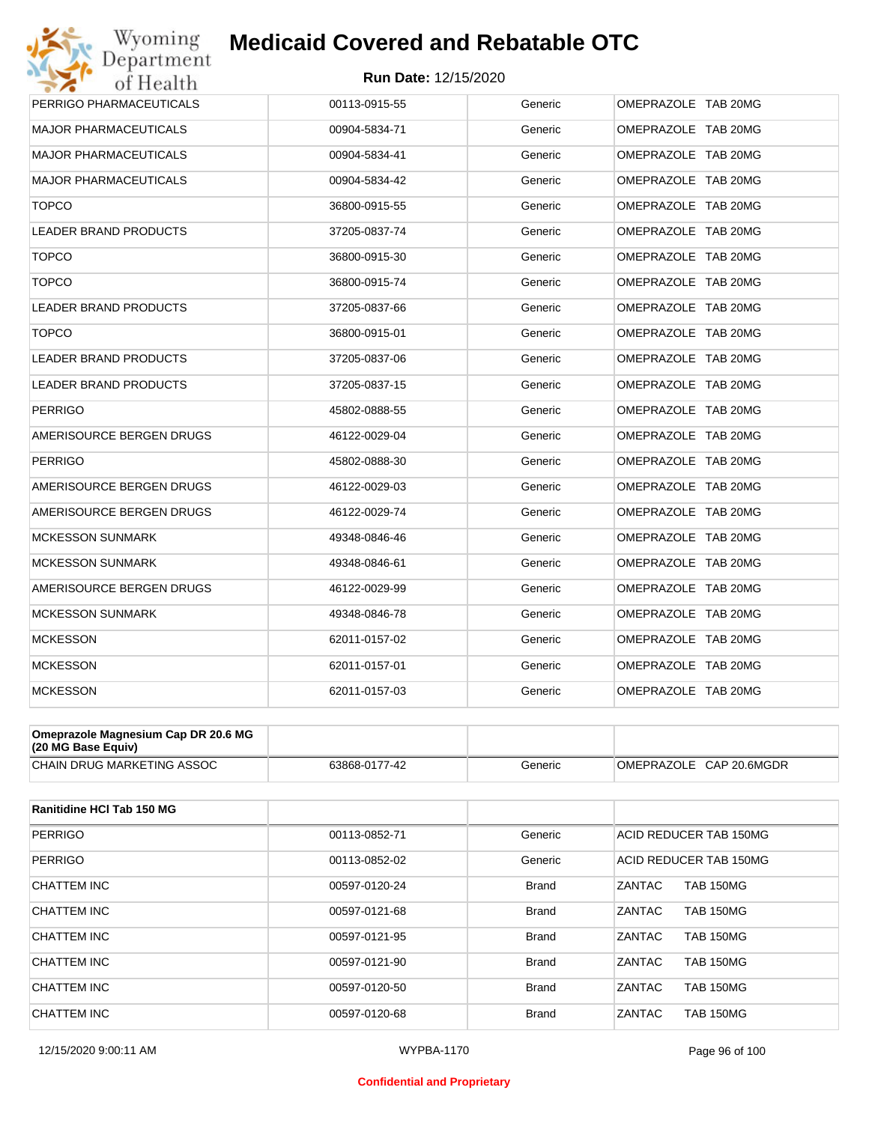

| Wyoming                      | <b>Medicaid Covered and Rebatable OTC</b> |         |                     |
|------------------------------|-------------------------------------------|---------|---------------------|
| Department<br>of Health      | <b>Run Date: 12/15/2020</b>               |         |                     |
| PERRIGO PHARMACEUTICALS      | 00113-0915-55                             | Generic | OMEPRAZOLE TAB 20MG |
| <b>MAJOR PHARMACEUTICALS</b> | 00904-5834-71                             | Generic | OMEPRAZOLE TAB 20MG |
| <b>MAJOR PHARMACEUTICALS</b> | 00904-5834-41                             | Generic | OMEPRAZOLE TAB 20MG |
| <b>MAJOR PHARMACEUTICALS</b> | 00904-5834-42                             | Generic | OMEPRAZOLE TAB 20MG |
| <b>TOPCO</b>                 | 36800-0915-55                             | Generic | OMEPRAZOLE TAB 20MG |
| <b>LEADER BRAND PRODUCTS</b> | 37205-0837-74                             | Generic | OMEPRAZOLE TAB 20MG |
| <b>TOPCO</b>                 | 36800-0915-30                             | Generic | OMEPRAZOLE TAB 20MG |
| <b>TOPCO</b>                 | 36800-0915-74                             | Generic | OMEPRAZOLE TAB 20MG |
| <b>LEADER BRAND PRODUCTS</b> | 37205-0837-66                             | Generic | OMEPRAZOLE TAB 20MG |
| <b>TOPCO</b>                 | 36800-0915-01                             | Generic | OMEPRAZOLE TAB 20MG |
| <b>LEADER BRAND PRODUCTS</b> | 37205-0837-06                             | Generic | OMEPRAZOLE TAB 20MG |
| <b>LEADER BRAND PRODUCTS</b> | 37205-0837-15                             | Generic | OMEPRAZOLE TAB 20MG |
| <b>PERRIGO</b>               | 45802-0888-55                             | Generic | OMEPRAZOLE TAB 20MG |
| AMERISOURCE BERGEN DRUGS     | 46122-0029-04                             | Generic | OMEPRAZOLE TAB 20MG |
| <b>PERRIGO</b>               | 45802-0888-30                             | Generic | OMEPRAZOLE TAB 20MG |
| AMERISOURCE BERGEN DRUGS     | 46122-0029-03                             | Generic | OMEPRAZOLE TAB 20MG |
| AMERISOURCE BERGEN DRUGS     | 46122-0029-74                             | Generic | OMEPRAZOLE TAB 20MG |
| <b>MCKESSON SUNMARK</b>      | 49348-0846-46                             | Generic | OMEPRAZOLE TAB 20MG |
| <b>MCKESSON SUNMARK</b>      | 49348-0846-61                             | Generic | OMEPRAZOLE TAB 20MG |
| AMERISOURCE BERGEN DRUGS     | 46122-0029-99                             | Generic | OMEPRAZOLE TAB 20MG |
| <b>MCKESSON SUNMARK</b>      | 49348-0846-78                             | Generic | OMEPRAZOLE TAB 20MG |
| <b>MCKESSON</b>              | 62011-0157-02                             | Generic | OMEPRAZOLE TAB 20MG |
| <b>MCKESSON</b>              | 62011-0157-01                             | Generic | OMEPRAZOLE TAB 20MG |
| <b>MCKESSON</b>              | 62011-0157-03                             | Generic | OMEPRAZOLE TAB 20MG |

| Omeprazole Magnesium Cap DR 20.6 MG<br>(20 MG Base Equiv) |               |         |                         |
|-----------------------------------------------------------|---------------|---------|-------------------------|
| CHAIN DRUG MARKETING ASSOC                                | 63868-0177-42 | Generic | OMEPRAZOLE CAP 20.6MGDR |

| Ranitidine HCI Tab 150 MG |               |              |                                   |
|---------------------------|---------------|--------------|-----------------------------------|
| <b>PERRIGO</b>            | 00113-0852-71 | Generic      | ACID REDUCER TAB 150MG            |
| <b>PERRIGO</b>            | 00113-0852-02 | Generic      | ACID REDUCER TAB 150MG            |
| CHATTEM INC               | 00597-0120-24 | <b>Brand</b> | <b>ZANTAC</b><br><b>TAB 150MG</b> |
| <b>CHATTEM INC</b>        | 00597-0121-68 | <b>Brand</b> | <b>ZANTAC</b><br><b>TAB 150MG</b> |
| CHATTEM INC               | 00597-0121-95 | <b>Brand</b> | <b>ZANTAC</b><br><b>TAB 150MG</b> |
| <b>CHATTEM INC</b>        | 00597-0121-90 | <b>Brand</b> | ZANTAC<br><b>TAB 150MG</b>        |
| CHATTEM INC               | 00597-0120-50 | <b>Brand</b> | ZANTAC<br><b>TAB 150MG</b>        |
| CHATTEM INC               | 00597-0120-68 | <b>Brand</b> | ZANTAC<br><b>TAB 150MG</b>        |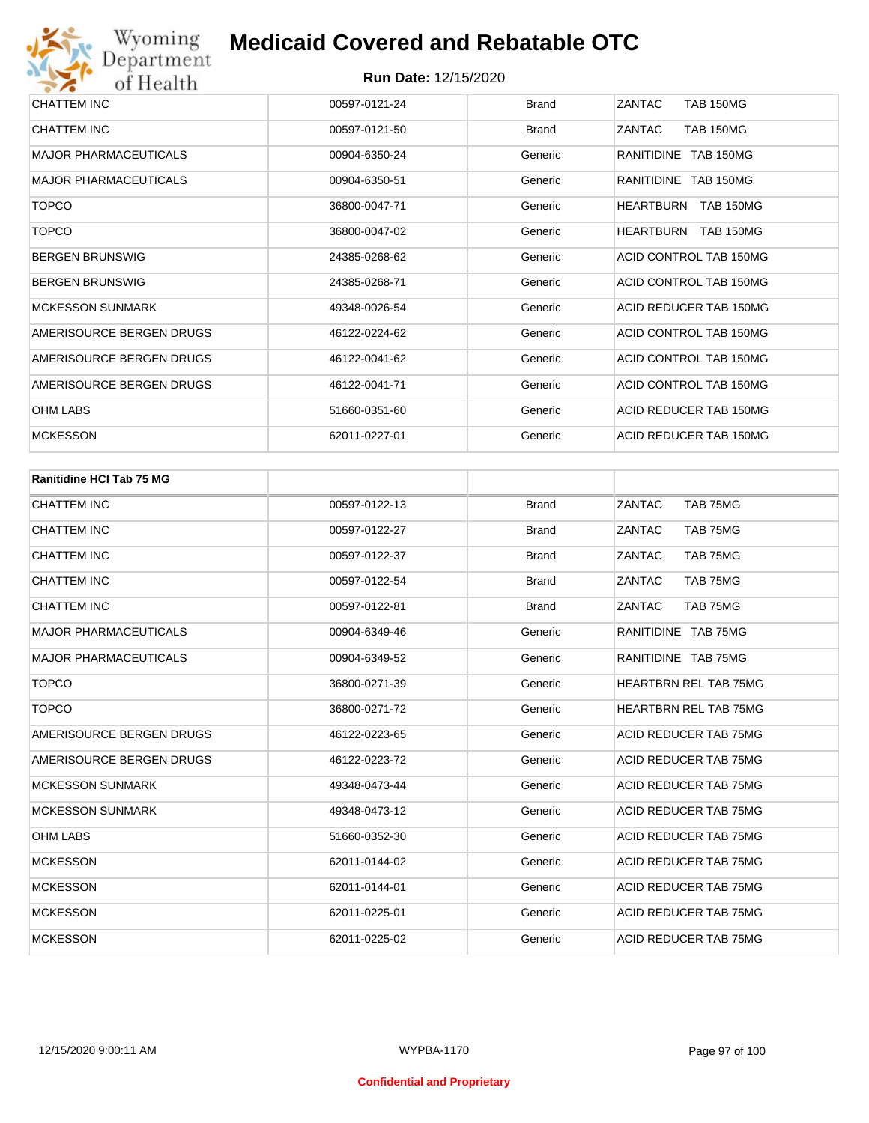| CHATTEM INC                  | 00597-0121-24 | <b>Brand</b> | ZANTAC<br><b>TAB 150MG</b> |
|------------------------------|---------------|--------------|----------------------------|
| CHATTEM INC                  | 00597-0121-50 | <b>Brand</b> | ZANTAC<br><b>TAB 150MG</b> |
| <b>MAJOR PHARMACEUTICALS</b> | 00904-6350-24 | Generic      | RANITIDINE TAB 150MG       |
| <b>MAJOR PHARMACEUTICALS</b> | 00904-6350-51 | Generic      | RANITIDINE TAB 150MG       |
| <b>TOPCO</b>                 | 36800-0047-71 | Generic      | TAB 150MG<br>HEARTBURN     |
| <b>TOPCO</b>                 | 36800-0047-02 | Generic      | HEARTBURN<br>TAB 150MG     |
| <b>BERGEN BRUNSWIG</b>       | 24385-0268-62 | Generic      | ACID CONTROL TAB 150MG     |
| <b>BERGEN BRUNSWIG</b>       | 24385-0268-71 | Generic      | ACID CONTROL TAB 150MG     |
| <b>MCKESSON SUNMARK</b>      | 49348-0026-54 | Generic      | ACID REDUCER TAB 150MG     |
| AMERISOURCE BERGEN DRUGS     | 46122-0224-62 | Generic      | ACID CONTROL TAB 150MG     |
| AMERISOURCE BERGEN DRUGS     | 46122-0041-62 | Generic      | ACID CONTROL TAB 150MG     |
| AMERISOURCE BERGEN DRUGS     | 46122-0041-71 | Generic      | ACID CONTROL TAB 150MG     |
| OHM LABS                     | 51660-0351-60 | Generic      | ACID REDUCER TAB 150MG     |
| <b>MCKESSON</b>              | 62011-0227-01 | Generic      | ACID REDUCER TAB 150MG     |

| <b>Ranitidine HCI Tab 75 MG</b> |               |              |                              |
|---------------------------------|---------------|--------------|------------------------------|
| <b>CHATTEM INC</b>              | 00597-0122-13 | <b>Brand</b> | TAB 75MG<br>ZANTAC           |
| <b>CHATTEM INC</b>              | 00597-0122-27 | <b>Brand</b> | ZANTAC<br>TAB 75MG           |
| <b>CHATTEM INC</b>              | 00597-0122-37 | <b>Brand</b> | ZANTAC<br>TAB 75MG           |
| <b>CHATTEM INC</b>              | 00597-0122-54 | <b>Brand</b> | ZANTAC<br>TAB 75MG           |
| <b>CHATTEM INC</b>              | 00597-0122-81 | <b>Brand</b> | ZANTAC<br>TAB 75MG           |
| <b>MAJOR PHARMACEUTICALS</b>    | 00904-6349-46 | Generic      | RANITIDINE TAB 75MG          |
| <b>MAJOR PHARMACEUTICALS</b>    | 00904-6349-52 | Generic      | RANITIDINE TAB 75MG          |
| <b>TOPCO</b>                    | 36800-0271-39 | Generic      | <b>HEARTBRN REL TAB 75MG</b> |
| <b>TOPCO</b>                    | 36800-0271-72 | Generic      | <b>HEARTBRN REL TAB 75MG</b> |
| AMERISOURCE BERGEN DRUGS        | 46122-0223-65 | Generic      | ACID REDUCER TAB 75MG        |
| AMERISOURCE BERGEN DRUGS        | 46122-0223-72 | Generic      | ACID REDUCER TAB 75MG        |
| <b>MCKESSON SUNMARK</b>         | 49348-0473-44 | Generic      | ACID REDUCER TAB 75MG        |
| <b>MCKESSON SUNMARK</b>         | 49348-0473-12 | Generic      | ACID REDUCER TAB 75MG        |
| <b>OHM LABS</b>                 | 51660-0352-30 | Generic      | ACID REDUCER TAB 75MG        |
| <b>MCKESSON</b>                 | 62011-0144-02 | Generic      | <b>ACID REDUCER TAB 75MG</b> |
| <b>MCKESSON</b>                 | 62011-0144-01 | Generic      | ACID REDUCER TAB 75MG        |
| <b>MCKESSON</b>                 | 62011-0225-01 | Generic      | ACID REDUCER TAB 75MG        |
| <b>MCKESSON</b>                 | 62011-0225-02 | Generic      | ACID REDUCER TAB 75MG        |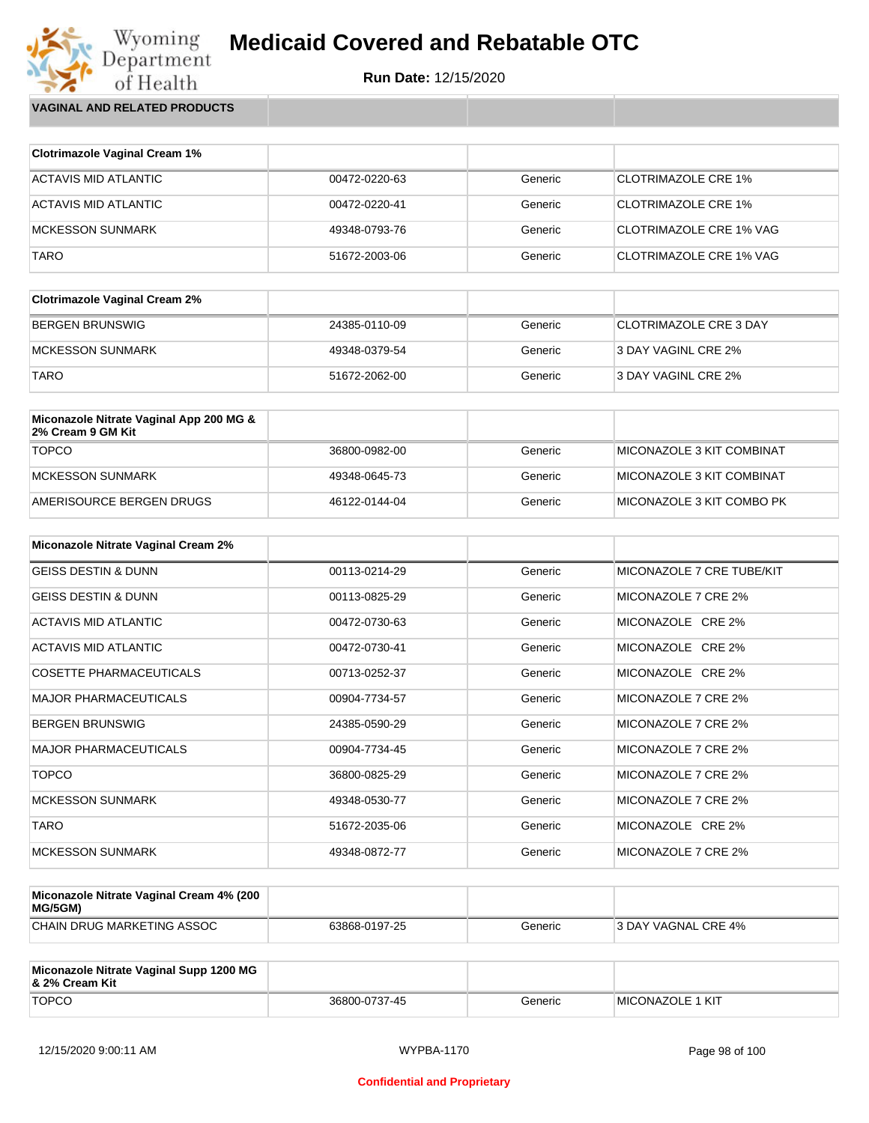**Run Date:** 12/15/2020

Wyoming<br>Department<br>of Health **VAGINAL AND RELATED PRODUCTS**

| <b>Clotrimazole Vaginal Cream 1%</b> |               |         |                                |
|--------------------------------------|---------------|---------|--------------------------------|
| ACTAVIS MID ATLANTIC                 | 00472-0220-63 | Generic | CLOTRIMAZOLE CRE 1%            |
| ACTAVIS MID ATLANTIC                 | 00472-0220-41 | Generic | <b>CLOTRIMAZOLE CRE 1%</b>     |
| MCKESSON SUNMARK                     | 49348-0793-76 | Generic | CLOTRIMAZOLE CRE 1% VAG        |
| <b>TARO</b>                          | 51672-2003-06 | Generic | <b>CLOTRIMAZOLE CRE 1% VAG</b> |

| <b>Clotrimazole Vaginal Cream 2%</b> |               |         |                               |
|--------------------------------------|---------------|---------|-------------------------------|
| BERGEN BRUNSWIG                      | 24385-0110-09 | Generic | <b>CLOTRIMAZOLE CRE 3 DAY</b> |
| <b>IMCKESSON SUNMARK</b>             | 49348-0379-54 | Generic | 3 DAY VAGINL CRE 2%           |
| <b>TARO</b>                          | 51672-2062-00 | Generic | 3 DAY VAGINL CRE 2%           |

| Miconazole Nitrate Vaginal App 200 MG &<br>2% Cream 9 GM Kit |               |         |                            |
|--------------------------------------------------------------|---------------|---------|----------------------------|
| <b>TOPCO</b>                                                 | 36800-0982-00 | Generic | MICONAZOLE 3 KIT COMBINAT  |
| MCKESSON SUNMARK                                             | 49348-0645-73 | Generic | MICONAZOLE 3 KIT COMBINAT  |
| AMERISOURCE BERGEN DRUGS                                     | 46122-0144-04 | Generic | IMICONAZOLE 3 KIT COMBO PK |

| <b>Miconazole Nitrate Vaginal Cream 2%</b> |               |         |                           |
|--------------------------------------------|---------------|---------|---------------------------|
| <b>GEISS DESTIN &amp; DUNN</b>             | 00113-0214-29 | Generic | MICONAZOLE 7 CRE TUBE/KIT |
| <b>GEISS DESTIN &amp; DUNN</b>             | 00113-0825-29 | Generic | MICONAZOLE 7 CRE 2%       |
| ACTAVIS MID ATLANTIC                       | 00472-0730-63 | Generic | MICONAZOLE CRE 2%         |
| ACTAVIS MID ATLANTIC                       | 00472-0730-41 | Generic | MICONAZOLE CRE 2%         |
| <b>COSETTE PHARMACEUTICALS</b>             | 00713-0252-37 | Generic | MICONAZOLE CRE 2%         |
| <b>MAJOR PHARMACEUTICALS</b>               | 00904-7734-57 | Generic | MICONAZOLE 7 CRE 2%       |
| <b>BERGEN BRUNSWIG</b>                     | 24385-0590-29 | Generic | MICONAZOLE 7 CRE 2%       |
| <b>MAJOR PHARMACEUTICALS</b>               | 00904-7734-45 | Generic | MICONAZOLE 7 CRE 2%       |
| <b>TOPCO</b>                               | 36800-0825-29 | Generic | MICONAZOLE 7 CRE 2%       |
| <b>MCKESSON SUNMARK</b>                    | 49348-0530-77 | Generic | MICONAZOLE 7 CRE 2%       |
| <b>TARO</b>                                | 51672-2035-06 | Generic | MICONAZOLE CRE 2%         |
| <b>MCKESSON SUNMARK</b>                    | 49348-0872-77 | Generic | MICONAZOLE 7 CRE 2%       |

| Miconazole Nitrate Vaginal Cream 4% (200<br>MG/5GM) |               |         |                      |
|-----------------------------------------------------|---------------|---------|----------------------|
| CHAIN DRUG MARKETING ASSOC                          | 63868-0197-25 | Generic | 13 DAY VAGNAL CRE 4% |

| Miconazole Nitrate Vaginal Supp 1200 MG<br>8. 2% Cream Kit |               |         |                         |
|------------------------------------------------------------|---------------|---------|-------------------------|
| <b>TOPCO</b>                                               | 36800-0737-45 | Generic | <b>MICONAZOLE 1 KIT</b> |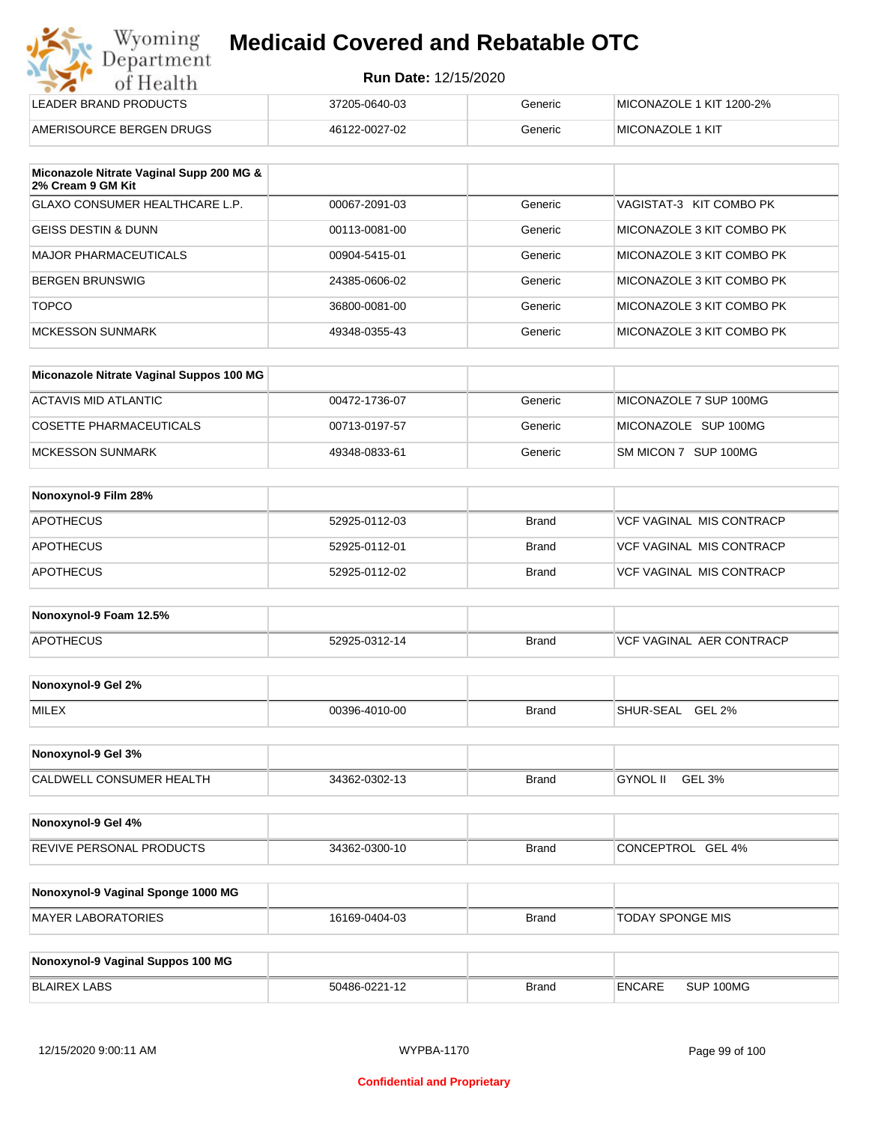| Wyoming<br><b>Medicaid Covered and Rebatable OTC</b><br>Department |                             |         |                          |
|--------------------------------------------------------------------|-----------------------------|---------|--------------------------|
| of Health                                                          | <b>Run Date: 12/15/2020</b> |         |                          |
| LEADER BRAND PRODUCTS                                              | 37205-0640-03               | Generic | MICONAZOLE 1 KIT 1200-2% |
| AMERISOURCE BERGEN DRUGS                                           | 46122-0027-02               | Generic | MICONAZOLE 1 KIT         |

| Miconazole Nitrate Vaginal Supp 200 MG &<br>2% Cream 9 GM Kit |               |         |                           |
|---------------------------------------------------------------|---------------|---------|---------------------------|
| GLAXO CONSUMER HEALTHCARE L.P.                                | 00067-2091-03 | Generic | VAGISTAT-3 KIT COMBO PK   |
| <b>GEISS DESTIN &amp; DUNN</b>                                | 00113-0081-00 | Generic | MICONAZOLE 3 KIT COMBO PK |
| <b>MAJOR PHARMACEUTICALS</b>                                  | 00904-5415-01 | Generic | MICONAZOLE 3 KIT COMBO PK |
| <b>BERGEN BRUNSWIG</b>                                        | 24385-0606-02 | Generic | MICONAZOLE 3 KIT COMBO PK |
| <b>TOPCO</b>                                                  | 36800-0081-00 | Generic | MICONAZOLE 3 KIT COMBO PK |
| <b>MCKESSON SUNMARK</b>                                       | 49348-0355-43 | Generic | MICONAZOLE 3 KIT COMBO PK |

| Miconazole Nitrate Vaginal Suppos 100 MG |               |         |                        |
|------------------------------------------|---------------|---------|------------------------|
| ACTAVIS MID ATLANTIC                     | 00472-1736-07 | Generic | MICONAZOLE 7 SUP 100MG |
| COSETTE PHARMACEUTICALS                  | 00713-0197-57 | Generic | MICONAZOLE SUP 100MG   |
| MCKESSON SUNMARK                         | 49348-0833-61 | Generic | SM MICON 7 SUP 100MG   |

| Nonoxynol-9 Film 28% |               |       |                                 |
|----------------------|---------------|-------|---------------------------------|
| <b>APOTHECUS</b>     | 52925-0112-03 | Brand | <b>VCF VAGINAL MIS CONTRACP</b> |
| <b>APOTHECUS</b>     | 52925-0112-01 | Brand | VCF VAGINAL MIS CONTRACP        |
| <b>APOTHECUS</b>     | 52925-0112-02 | Brand | <b>VCF VAGINAL MIS CONTRACP</b> |

| Nonoxynol-9 Foam 12.5% |               |              |                               |
|------------------------|---------------|--------------|-------------------------------|
| <b>APOTHECUS</b>       | 52925-0312-14 | <b>Brand</b> | . AER CONTRACP<br>VCF VAGINAL |

| Nonoxynol-9 Gel 2% |               |       |                                   |
|--------------------|---------------|-------|-----------------------------------|
| <b>MILEX</b>       | 00396-4010-00 | Brand | <b>GEL 2%</b><br><b>SHUR-SEAL</b> |

| Nonoxynol-9 Gel 3%       |               |              |                    |
|--------------------------|---------------|--------------|--------------------|
| CALDWELL CONSUMER HEALTH | 34362-0302-13 | <b>Brand</b> | GEL 3%<br>GYNOL II |

| Nonoxynol-9 Gel 4%              |               |              |                             |
|---------------------------------|---------------|--------------|-----------------------------|
| <b>REVIVE PERSONAL PRODUCTS</b> | 34362-0300-10 | <b>Brand</b> | GEL 4%<br><b>CONCEPTROL</b> |

| Nonoxynol-9 Vaginal Sponge 1000 MG |               |       |                  |
|------------------------------------|---------------|-------|------------------|
| MAYER LABORATORIES                 | 16169-0404-03 | Brand | TODAY SPONGE MIS |

| Nonoxynol-9 Vaginal Suppos 100 MG |               |              |               |           |
|-----------------------------------|---------------|--------------|---------------|-----------|
| BLAIREX LABS                      | 50486-0221-12 | <b>Brand</b> | <b>ENCARE</b> | SUP 100MG |